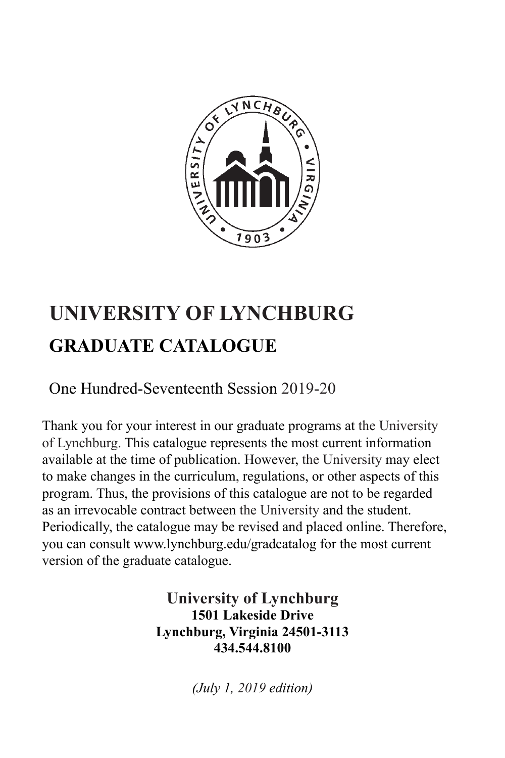

# **UNIVERSITY OF LYNCHBURG GRADUATE CATALOGUE**

One Hundred-Seventeenth Session 2019-20

Thank you for your interest in our graduate programs at the University of Lynchburg. This catalogue represents the most current information available at the time of publication. However, the University may elect to make changes in the curriculum, regulations, or other aspects of this program. Thus, the provisions of this catalogue are not to be regarded as an irrevocable contract between the University and the student. Periodically, the catalogue may be revised and placed online. Therefore, you can consult www.lynchburg.edu/gradcatalog for the most current version of the graduate catalogue.

> **University of Lynchburg 1501 Lakeside Drive Lynchburg, Virginia 24501-3113 434.544.8100**

> > *(July 1, 2019 edition)*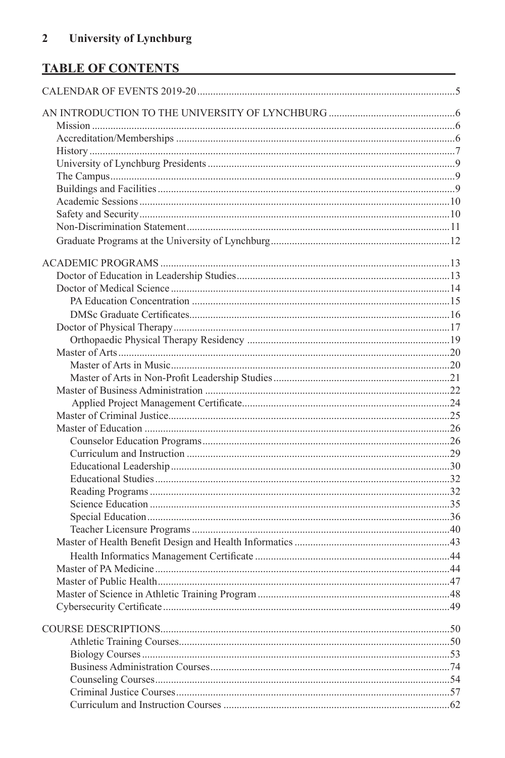# TABLE OF CONTENTS **TABLE OF CONTENTS**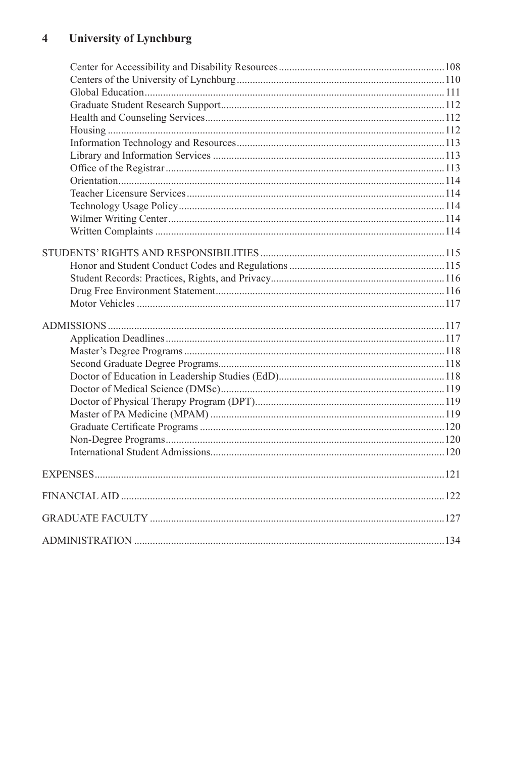#### **University of Lynchburg**  $\overline{\mathbf{4}}$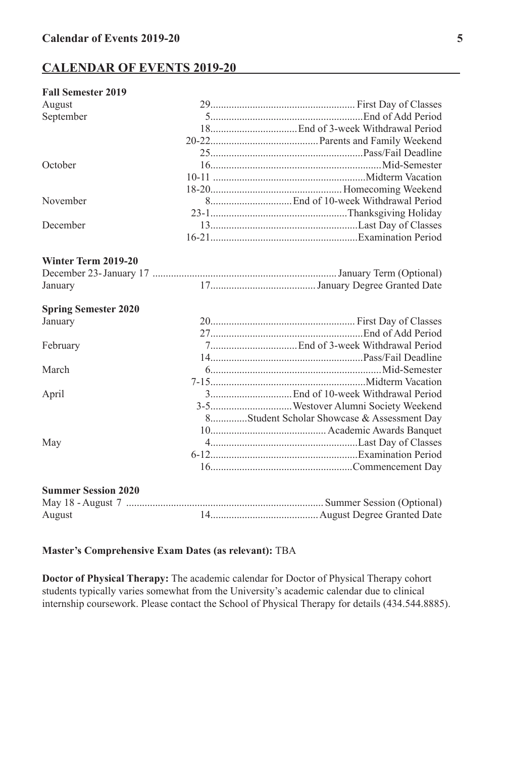# **CALENDAR OF EVENTS 2019-20**

| <b>Fall Semester 2019</b>   |  |                                            |
|-----------------------------|--|--------------------------------------------|
| August                      |  |                                            |
| September                   |  |                                            |
|                             |  |                                            |
|                             |  |                                            |
|                             |  |                                            |
| October                     |  |                                            |
|                             |  |                                            |
|                             |  |                                            |
| November                    |  |                                            |
|                             |  |                                            |
| December                    |  |                                            |
|                             |  |                                            |
| Winter Term 2019-20         |  |                                            |
|                             |  |                                            |
| January                     |  |                                            |
| <b>Spring Semester 2020</b> |  |                                            |
| January                     |  |                                            |
|                             |  |                                            |
| February                    |  |                                            |
|                             |  |                                            |
| March                       |  |                                            |
|                             |  |                                            |
| April                       |  |                                            |
|                             |  | 3-5Westover Alumni Society Weekend         |
|                             |  | 8Student Scholar Showcase & Assessment Day |
|                             |  |                                            |
| May                         |  |                                            |
|                             |  |                                            |
|                             |  |                                            |
| <b>Summer Session 2020</b>  |  |                                            |
|                             |  |                                            |
| August                      |  |                                            |
|                             |  |                                            |

**Master's Comprehensive Exam Dates (as relevant):** TBA

**Doctor of Physical Therapy:** The academic calendar for Doctor of Physical Therapy cohort students typically varies somewhat from the University's academic calendar due to clinical internship coursework. Please contact the School of Physical Therapy for details (434.544.8885).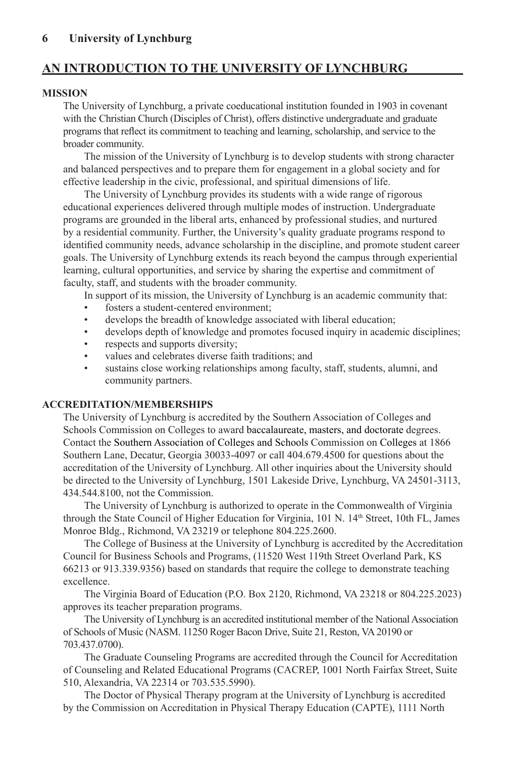# **AN INTRODUCTION TO THE UNIVERSITY OF LYNCHBURG**

# **MISSION**

The University of Lynchburg, a private coeducational institution founded in 1903 in covenant with the Christian Church (Disciples of Christ), offers distinctive undergraduate and graduate programs that reflect its commitment to teaching and learning, scholarship, and service to the broader community.

The mission of the University of Lynchburg is to develop students with strong character and balanced perspectives and to prepare them for engagement in a global society and for effective leadership in the civic, professional, and spiritual dimensions of life.

The University of Lynchburg provides its students with a wide range of rigorous educational experiences delivered through multiple modes of instruction. Undergraduate programs are grounded in the liberal arts, enhanced by professional studies, and nurtured by a residential community. Further, the University's quality graduate programs respond to identified community needs, advance scholarship in the discipline, and promote student career goals. The University of Lynchburg extends its reach beyond the campus through experiential learning, cultural opportunities, and service by sharing the expertise and commitment of faculty, staff, and students with the broader community.

In support of its mission, the University of Lynchburg is an academic community that:

- fosters a student-centered environment:
- develops the breadth of knowledge associated with liberal education;
- develops depth of knowledge and promotes focused inquiry in academic disciplines;
- respects and supports diversity;
- values and celebrates diverse faith traditions; and
- sustains close working relationships among faculty, staff, students, alumni, and community partners.

# **ACCREDITATION/MEMBERSHIPS**

The University of Lynchburg is accredited by the Southern Association of Colleges and Schools Commission on Colleges to award baccalaureate, masters, and doctorate degrees. Contact the Southern Association of Colleges and Schools Commission on Colleges at 1866 Southern Lane, Decatur, Georgia 30033-4097 or call 404.679.4500 for questions about the accreditation of the University of Lynchburg. All other inquiries about the University should be directed to the University of Lynchburg, 1501 Lakeside Drive, Lynchburg, VA 24501-3113, 434.544.8100, not the Commission.

The University of Lynchburg is authorized to operate in the Commonwealth of Virginia through the State Council of Higher Education for Virginia, 101 N. 14<sup>th</sup> Street, 10th FL, James Monroe Bldg., Richmond, VA 23219 or telephone 804.225.2600.

The College of Business at the University of Lynchburg is accredited by the Accreditation Council for Business Schools and Programs, (11520 West 119th Street Overland Park, KS 66213 or 913.339.9356) based on standards that require the college to demonstrate teaching excellence.

The Virginia Board of Education (P.O. Box 2120, Richmond, VA 23218 or 804.225.2023) approves its teacher preparation programs.

The University of Lynchburg is an accredited institutional member of the National Association of Schools of Music (NASM. 11250 Roger Bacon Drive, Suite 21, Reston, VA 20190 or 703.437.0700).

The Graduate Counseling Programs are accredited through the Council for Accreditation of Counseling and Related Educational Programs (CACREP, 1001 North Fairfax Street, Suite 510, Alexandria, VA 22314 or 703.535.5990).

The Doctor of Physical Therapy program at the University of Lynchburg is accredited by the Commission on Accreditation in Physical Therapy Education (CAPTE), 1111 North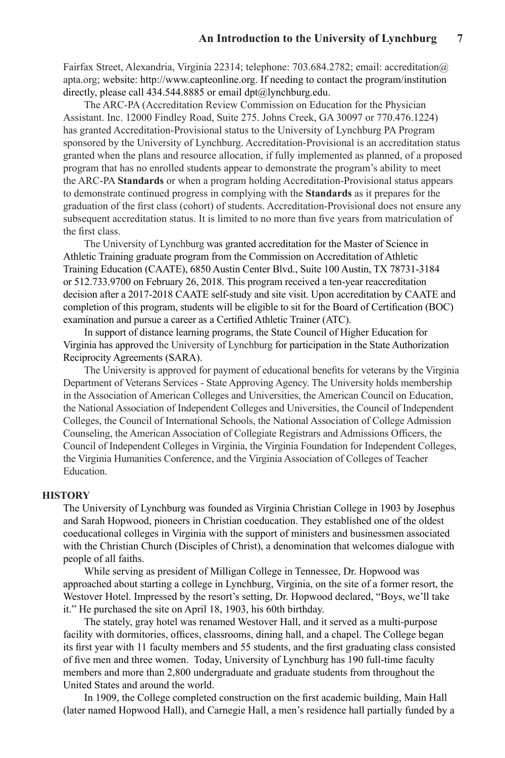Fairfax Street, Alexandria, Virginia 22314; telephone: 703.684.2782; email: accreditation@ apta.org; website: http://www.capteonline.org. If needing to contact the program/institution directly, please call 434.544.8885 or email dpt@lynchburg.edu.

The ARC-PA (Accreditation Review Commission on Education for the Physician Assistant. Inc. 12000 Findley Road, Suite 275. Johns Creek, GA 30097 or 770.476.1224) has granted Accreditation-Provisional status to the University of Lynchburg PA Program sponsored by the University of Lynchburg. Accreditation-Provisional is an accreditation status granted when the plans and resource allocation, if fully implemented as planned, of a proposed program that has no enrolled students appear to demonstrate the program's ability to meet the ARC-PA **Standards** or when a program holding Accreditation-Provisional status appears to demonstrate continued progress in complying with the **Standards** as it prepares for the graduation of the first class (cohort) of students. Accreditation-Provisional does not ensure any subsequent accreditation status. It is limited to no more than five years from matriculation of the first class.

The University of Lynchburg was granted accreditation for the Master of Science in Athletic Training graduate program from the Commission on Accreditation of Athletic Training Education (CAATE), 6850 Austin Center Blvd., Suite 100 Austin, TX 78731-3184 or 512.733.9700 on February 26, 2018. This program received a ten-year reaccreditation decision after a 2017-2018 CAATE self-study and site visit. Upon accreditation by CAATE and completion of this program, students will be eligible to sit for the Board of Certification (BOC) examination and pursue a career as a Certified Athletic Trainer (ATC).

In support of distance learning programs, the State Council of Higher Education for Virginia has approved the University of Lynchburg for participation in the State Authorization Reciprocity Agreements (SARA).

The University is approved for payment of educational benefits for veterans by the Virginia Department of Veterans Services - State Approving Agency. The University holds membership in the Association of American Colleges and Universities, the American Council on Education, the National Association of Independent Colleges and Universities, the Council of Independent Colleges, the Council of International Schools, the National Association of College Admission Counseling, the American Association of Collegiate Registrars and Admissions Officers, the Council of Independent Colleges in Virginia, the Virginia Foundation for Independent Colleges, the Virginia Humanities Conference, and the Virginia Association of Colleges of Teacher Education.

# **HISTORY**

The University of Lynchburg was founded as Virginia Christian College in 1903 by Josephus and Sarah Hopwood, pioneers in Christian coeducation. They established one of the oldest coeducational colleges in Virginia with the support of ministers and businessmen associated with the Christian Church (Disciples of Christ), a denomination that welcomes dialogue with people of all faiths.

While serving as president of Milligan College in Tennessee, Dr. Hopwood was approached about starting a college in Lynchburg, Virginia, on the site of a former resort, the Westover Hotel. Impressed by the resort's setting, Dr. Hopwood declared, "Boys, we'll take it." He purchased the site on April 18, 1903, his 60th birthday.

The stately, gray hotel was renamed Westover Hall, and it served as a multi-purpose facility with dormitories, offices, classrooms, dining hall, and a chapel. The College began its first year with 11 faculty members and 55 students, and the first graduating class consisted of five men and three women. Today, University of Lynchburg has 190 full-time faculty members and more than 2,800 undergraduate and graduate students from throughout the United States and around the world.

In 1909, the College completed construction on the first academic building, Main Hall (later named Hopwood Hall), and Carnegie Hall, a men's residence hall partially funded by a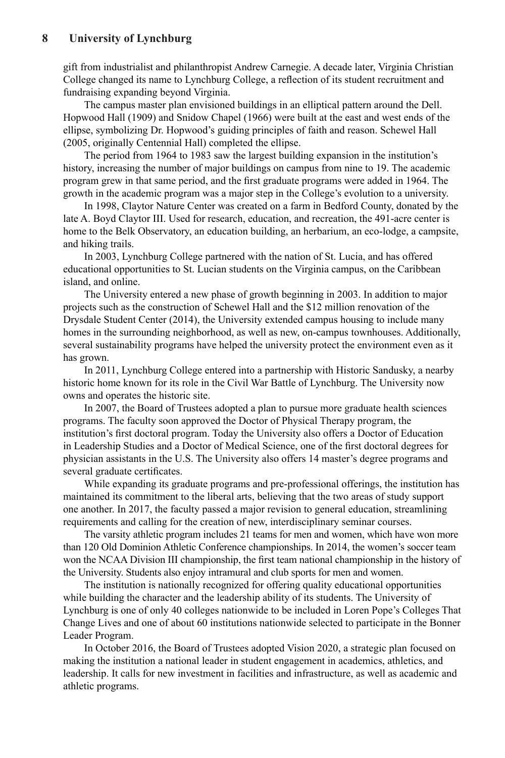gift from industrialist and philanthropist Andrew Carnegie. A decade later, Virginia Christian College changed its name to Lynchburg College, a reflection of its student recruitment and fundraising expanding beyond Virginia.

The campus master plan envisioned buildings in an elliptical pattern around the Dell. Hopwood Hall (1909) and Snidow Chapel (1966) were built at the east and west ends of the ellipse, symbolizing Dr. Hopwood's guiding principles of faith and reason. Schewel Hall (2005, originally Centennial Hall) completed the ellipse.

The period from 1964 to 1983 saw the largest building expansion in the institution's history, increasing the number of major buildings on campus from nine to 19. The academic program grew in that same period, and the first graduate programs were added in 1964. The growth in the academic program was a major step in the College's evolution to a university.

In 1998, Claytor Nature Center was created on a farm in Bedford County, donated by the late A. Boyd Claytor III. Used for research, education, and recreation, the 491-acre center is home to the Belk Observatory, an education building, an herbarium, an eco-lodge, a campsite, and hiking trails.

In 2003, Lynchburg College partnered with the nation of St. Lucia, and has offered educational opportunities to St. Lucian students on the Virginia campus, on the Caribbean island, and online.

The University entered a new phase of growth beginning in 2003. In addition to major projects such as the construction of Schewel Hall and the \$12 million renovation of the Drysdale Student Center (2014), the University extended campus housing to include many homes in the surrounding neighborhood, as well as new, on-campus townhouses. Additionally, several sustainability programs have helped the university protect the environment even as it has grown.

In 2011, Lynchburg College entered into a partnership with Historic Sandusky, a nearby historic home known for its role in the Civil War Battle of Lynchburg. The University now owns and operates the historic site.

In 2007, the Board of Trustees adopted a plan to pursue more graduate health sciences programs. The faculty soon approved the Doctor of Physical Therapy program, the institution's first doctoral program. Today the University also offers a Doctor of Education in Leadership Studies and a Doctor of Medical Science, one of the first doctoral degrees for physician assistants in the U.S. The University also offers 14 master's degree programs and several graduate certificates.

While expanding its graduate programs and pre-professional offerings, the institution has maintained its commitment to the liberal arts, believing that the two areas of study support one another. In 2017, the faculty passed a major revision to general education, streamlining requirements and calling for the creation of new, interdisciplinary seminar courses.

The varsity athletic program includes 21 teams for men and women, which have won more than 120 Old Dominion Athletic Conference championships. In 2014, the women's soccer team won the NCAA Division III championship, the first team national championship in the history of the University. Students also enjoy intramural and club sports for men and women.

The institution is nationally recognized for offering quality educational opportunities while building the character and the leadership ability of its students. The University of Lynchburg is one of only 40 colleges nationwide to be included in Loren Pope's Colleges That Change Lives and one of about 60 institutions nationwide selected to participate in the Bonner Leader Program.

In October 2016, the Board of Trustees adopted Vision 2020, a strategic plan focused on making the institution a national leader in student engagement in academics, athletics, and leadership. It calls for new investment in facilities and infrastructure, as well as academic and athletic programs.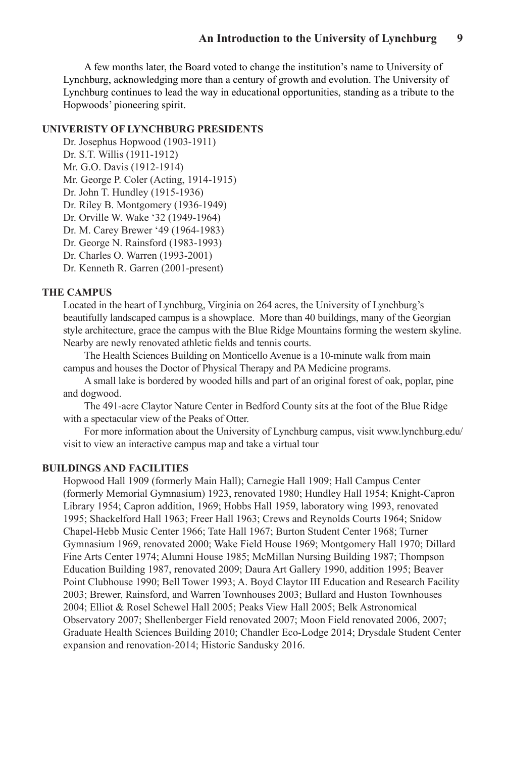A few months later, the Board voted to change the institution's name to University of Lynchburg, acknowledging more than a century of growth and evolution. The University of Lynchburg continues to lead the way in educational opportunities, standing as a tribute to the Hopwoods' pioneering spirit.

# **UNIVERISTY OF LYNCHBURG PRESIDENTS**

Dr. Josephus Hopwood (1903-1911) Dr. S.T. Willis (1911-1912) Mr. G.O. Davis (1912-1914) Mr. George P. Coler (Acting, 1914-1915) Dr. John T. Hundley (1915-1936) Dr. Riley B. Montgomery (1936-1949) Dr. Orville W. Wake '32 (1949-1964) Dr. M. Carey Brewer '49 (1964-1983) Dr. George N. Rainsford (1983-1993) Dr. Charles O. Warren (1993-2001)

# Dr. Kenneth R. Garren (2001-present)

# **THE CAMPUS**

Located in the heart of Lynchburg, Virginia on 264 acres, the University of Lynchburg's beautifully landscaped campus is a showplace. More than 40 buildings, many of the Georgian style architecture, grace the campus with the Blue Ridge Mountains forming the western skyline. Nearby are newly renovated athletic fields and tennis courts.

The Health Sciences Building on Monticello Avenue is a 10-minute walk from main campus and houses the Doctor of Physical Therapy and PA Medicine programs.

A small lake is bordered by wooded hills and part of an original forest of oak, poplar, pine and dogwood.

The 491-acre Claytor Nature Center in Bedford County sits at the foot of the Blue Ridge with a spectacular view of the Peaks of Otter.

For more information about the University of Lynchburg campus, visit www.lynchburg.edu/ visit to view an interactive campus map and take a virtual tour

# **BUILDINGS AND FACILITIES**

Hopwood Hall 1909 (formerly Main Hall); Carnegie Hall 1909; Hall Campus Center (formerly Memorial Gymnasium) 1923, renovated 1980; Hundley Hall 1954; Knight-Capron Library 1954; Capron addition, 1969; Hobbs Hall 1959, laboratory wing 1993, renovated 1995; Shackelford Hall 1963; Freer Hall 1963; Crews and Reynolds Courts 1964; Snidow Chapel-Hebb Music Center 1966; Tate Hall 1967; Burton Student Center 1968; Turner Gymnasium 1969, renovated 2000; Wake Field House 1969; Montgomery Hall 1970; Dillard Fine Arts Center 1974; Alumni House 1985; McMillan Nursing Building 1987; Thompson Education Building 1987, renovated 2009; Daura Art Gallery 1990, addition 1995; Beaver Point Clubhouse 1990; Bell Tower 1993; A. Boyd Claytor III Education and Research Facility 2003; Brewer, Rainsford, and Warren Townhouses 2003; Bullard and Huston Townhouses 2004; Elliot & Rosel Schewel Hall 2005; Peaks View Hall 2005; Belk Astronomical Observatory 2007; Shellenberger Field renovated 2007; Moon Field renovated 2006, 2007; Graduate Health Sciences Building 2010; Chandler Eco-Lodge 2014; Drysdale Student Center expansion and renovation-2014; Historic Sandusky 2016.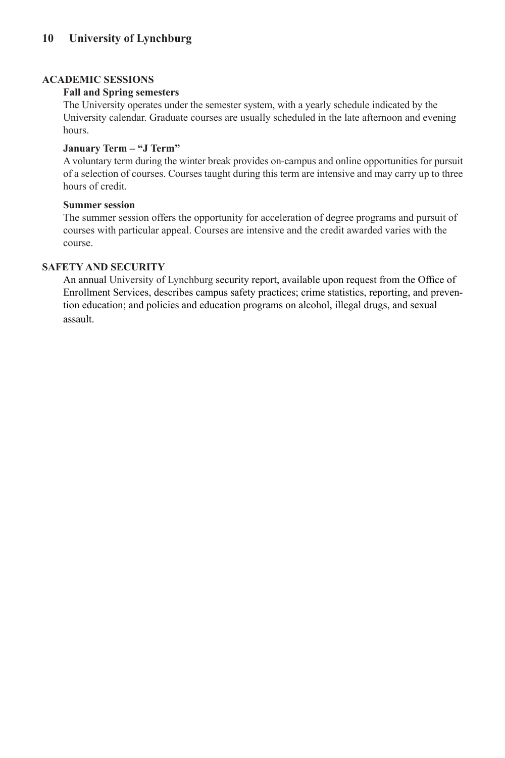# **ACADEMIC SESSIONS**

# **Fall and Spring semesters**

The University operates under the semester system, with a yearly schedule indicated by the University calendar. Graduate courses are usually scheduled in the late afternoon and evening hours.

# **January Term – "J Term"**

A voluntary term during the winter break provides on-campus and online opportunities for pursuit of a selection of courses. Courses taught during this term are intensive and may carry up to three hours of credit.

# **Summer session**

The summer session offers the opportunity for acceleration of degree programs and pursuit of courses with particular appeal. Courses are intensive and the credit awarded varies with the course.

# **SAFETY AND SECURITY**

An annual University of Lynchburg security report, available upon request from the Office of Enrollment Services, describes campus safety practices; crime statistics, reporting, and prevention education; and policies and education programs on alcohol, illegal drugs, and sexual assault.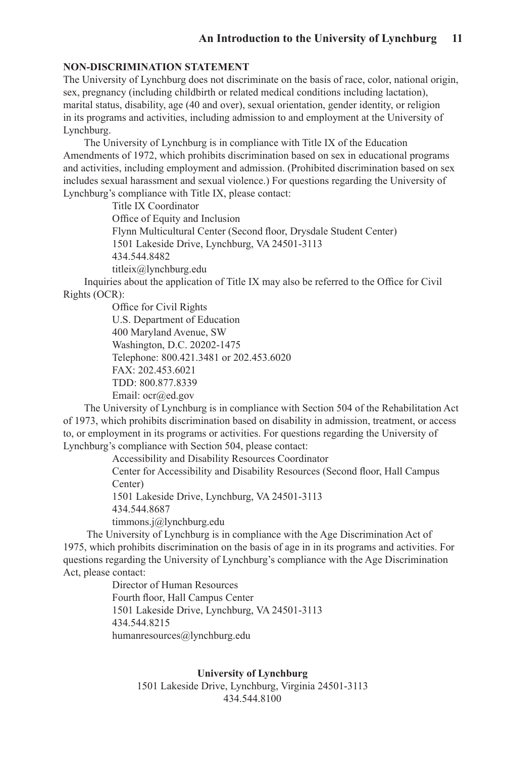# **NON-DISCRIMINATION STATEMENT**

The University of Lynchburg does not discriminate on the basis of race, color, national origin, sex, pregnancy (including childbirth or related medical conditions including lactation), marital status, disability, age (40 and over), sexual orientation, gender identity, or religion in its programs and activities, including admission to and employment at the University of Lynchburg.

 The University of Lynchburg is in compliance with Title IX of the Education Amendments of 1972, which prohibits discrimination based on sex in educational programs and activities, including employment and admission. (Prohibited discrimination based on sex includes sexual harassment and sexual violence.) For questions regarding the University of Lynchburg's compliance with Title IX, please contact:

> Title IX Coordinator Office of Equity and Inclusion Flynn Multicultural Center (Second floor, Drysdale Student Center) 1501 Lakeside Drive, Lynchburg, VA 24501-3113 434.544.8482 titleix@lynchburg.edu

 Inquiries about the application of Title IX may also be referred to the Office for Civil Rights (OCR):

> Office for Civil Rights U.S. Department of Education 400 Maryland Avenue, SW Washington, D.C. 20202-1475 Telephone: 800.421.3481 or 202.453.6020 FAX: 202.453.6021 TDD: 800.877.8339 Email: ocr@ed.gov

 The University of Lynchburg is in compliance with Section 504 of the Rehabilitation Act of 1973, which prohibits discrimination based on disability in admission, treatment, or access to, or employment in its programs or activities. For questions regarding the University of Lynchburg's compliance with Section 504, please contact:

Accessibility and Disability Resources Coordinator

Center for Accessibility and Disability Resources (Second floor, Hall Campus Center)

1501 Lakeside Drive, Lynchburg, VA 24501-3113 434.544.8687

timmons.j@lynchburg.edu

 The University of Lynchburg is in compliance with the Age Discrimination Act of 1975, which prohibits discrimination on the basis of age in in its programs and activities. For questions regarding the University of Lynchburg's compliance with the Age Discrimination Act, please contact:

> Director of Human Resources Fourth floor, Hall Campus Center 1501 Lakeside Drive, Lynchburg, VA 24501-3113 434.544.8215 humanresources@lynchburg.edu

# **University of Lynchburg**

1501 Lakeside Drive, Lynchburg, Virginia 24501-3113 434.544.8100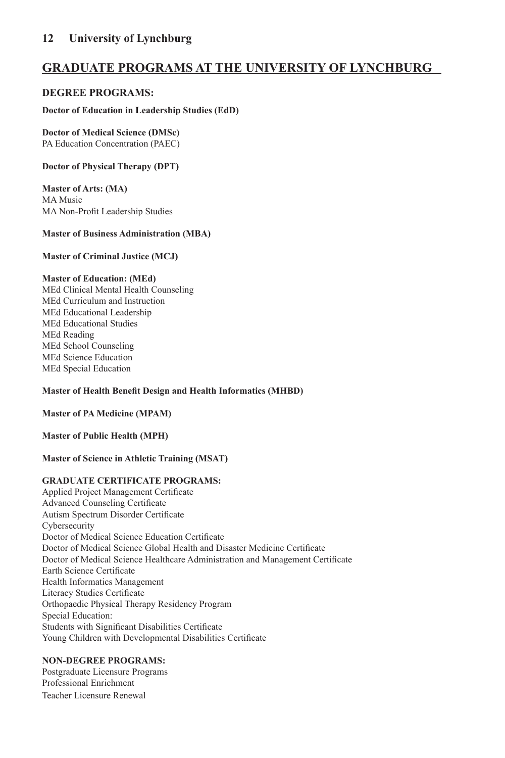# **GRADUATE PROGRAMS AT THE UNIVERSITY OF LYNCHBURG**

# **DEGREE PROGRAMS:**

# **Doctor of Education in Leadership Studies (EdD)**

**Doctor of Medical Science (DMSc)** PA Education Concentration (PAEC)

# **Doctor of Physical Therapy (DPT)**

**Master of Arts: (MA)** MA Music MA Non-Profit Leadership Studies

# **Master of Business Administration (MBA)**

### **Master of Criminal Justice (MCJ)**

# **Master of Education: (MEd)**

MEd Clinical Mental Health Counseling MEd Curriculum and Instruction MEd Educational Leadership MEd Educational Studies MEd Reading MEd School Counseling MEd Science Education MEd Special Education

# **Master of Health Benefit Design and Health Informatics (MHBD)**

# **Master of PA Medicine (MPAM)**

# **Master of Public Health (MPH)**

# **Master of Science in Athletic Training (MSAT)**

### **GRADUATE CERTIFICATE PROGRAMS:**

Applied Project Management Certificate Advanced Counseling Certificate Autism Spectrum Disorder Certificate Cybersecurity Doctor of Medical Science Education Certificate Doctor of Medical Science Global Health and Disaster Medicine Certificate Doctor of Medical Science Healthcare Administration and Management Certificate Earth Science Certificate Health Informatics Management Literacy Studies Certificate Orthopaedic Physical Therapy Residency Program Special Education: Students with Significant Disabilities Certificate Young Children with Developmental Disabilities Certificate

# **NON-DEGREE PROGRAMS:**

Postgraduate Licensure Programs Professional Enrichment Teacher Licensure Renewal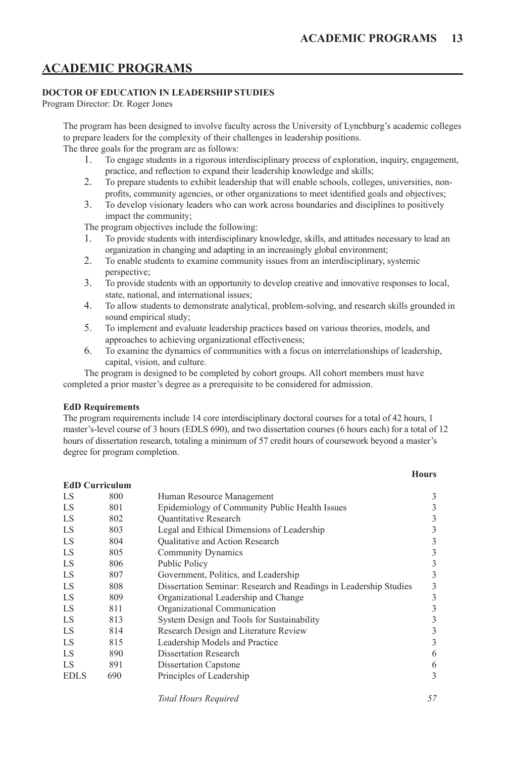# **ACADEMIC PROGRAMS**

### **DOCTOR OF EDUCATION IN LEADERSHIP STUDIES**

Program Director: Dr. Roger Jones

The program has been designed to involve faculty across the University of Lynchburg's academic colleges to prepare leaders for the complexity of their challenges in leadership positions. The three goals for the program are as follows:

- - 1. To engage students in a rigorous interdisciplinary process of exploration, inquiry, engagement, practice, and reflection to expand their leadership knowledge and skills;
	- 2. To prepare students to exhibit leadership that will enable schools, colleges, universities, nonprofits, community agencies, or other organizations to meet identified goals and objectives;
	- 3. To develop visionary leaders who can work across boundaries and disciplines to positively impact the community;

The program objectives include the following:

- 1. To provide students with interdisciplinary knowledge, skills, and attitudes necessary to lead an organization in changing and adapting in an increasingly global environment;
- 2. To enable students to examine community issues from an interdisciplinary, systemic perspective;
- 3. To provide students with an opportunity to develop creative and innovative responses to local, state, national, and international issues;
- 4. To allow students to demonstrate analytical, problem-solving, and research skills grounded in sound empirical study;
- 5. To implement and evaluate leadership practices based on various theories, models, and approaches to achieving organizational effectiveness;
- 6. To examine the dynamics of communities with a focus on interrelationships of leadership, capital, vision, and culture.

The program is designed to be completed by cohort groups. All cohort members must have completed a prior master's degree as a prerequisite to be considered for admission.

### **EdD Requirements**

The program requirements include 14 core interdisciplinary doctoral courses for a total of 42 hours, 1 master's-level course of 3 hours (EDLS 690), and two dissertation courses (6 hours each) for a total of 12 hours of dissertation research, totaling a minimum of 57 credit hours of coursework beyond a master's degree for program completion.

|             |                       |                                                                   | 11vurs |
|-------------|-----------------------|-------------------------------------------------------------------|--------|
|             | <b>EdD Curriculum</b> |                                                                   |        |
| <b>LS</b>   | 800                   | Human Resource Management                                         | 3      |
| <b>LS</b>   | 801                   | Epidemiology of Community Public Health Issues                    | 3      |
| <b>LS</b>   | 802                   | <b>Ouantitative Research</b>                                      | 3      |
| <b>LS</b>   | 803                   | Legal and Ethical Dimensions of Leadership                        | 3      |
| <b>LS</b>   | 804                   | <b>Oualitative and Action Research</b>                            | 3      |
| <b>LS</b>   | 805                   | <b>Community Dynamics</b>                                         | 3      |
| <b>LS</b>   | 806                   | Public Policy                                                     | 3      |
| <b>LS</b>   | 807                   | Government, Politics, and Leadership                              | 3      |
| <b>LS</b>   | 808                   | Dissertation Seminar: Research and Readings in Leadership Studies | 3      |
| <b>LS</b>   | 809                   | Organizational Leadership and Change                              | 3      |
| <b>LS</b>   | 811                   | Organizational Communication                                      | 3      |
| <b>LS</b>   | 813                   | System Design and Tools for Sustainability                        | 3      |
| LS          | 814                   | Research Design and Literature Review                             | 3      |
| <b>LS</b>   | 815                   | Leadership Models and Practice                                    | 3      |
| <b>LS</b>   | 890                   | <b>Dissertation Research</b>                                      | 6      |
| <b>LS</b>   | 891                   | <b>Dissertation Capstone</b>                                      | 6      |
| <b>EDLS</b> | 690                   | Principles of Leadership                                          | 3      |

*Total Hours Required 57*

**Hours**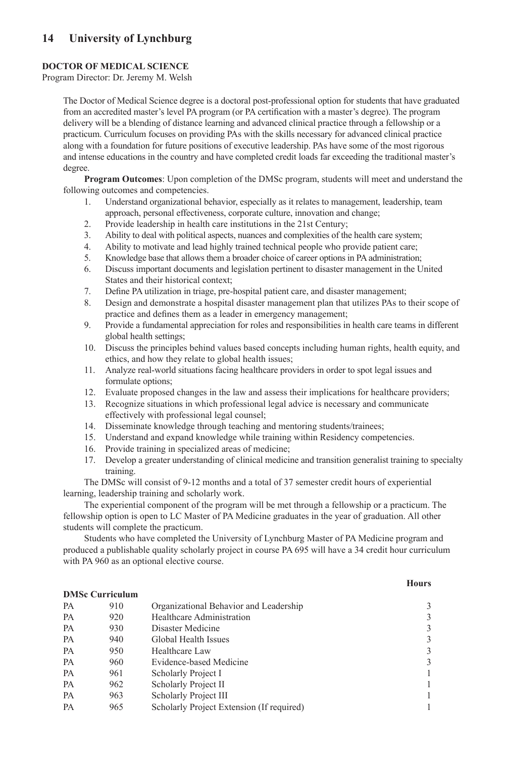# **DOCTOR OF MEDICAL SCIENCE**

Program Director: Dr. Jeremy M. Welsh

The Doctor of Medical Science degree is a doctoral post-professional option for students that have graduated from an accredited master's level PA program (or PA certification with a master's degree). The program delivery will be a blending of distance learning and advanced clinical practice through a fellowship or a practicum. Curriculum focuses on providing PAs with the skills necessary for advanced clinical practice along with a foundation for future positions of executive leadership. PAs have some of the most rigorous and intense educations in the country and have completed credit loads far exceeding the traditional master's degree.

**Program Outcomes**: Upon completion of the DMSc program, students will meet and understand the following outcomes and competencies.

- 1. Understand organizational behavior, especially as it relates to management, leadership, team approach, personal effectiveness, corporate culture, innovation and change;
- 2. Provide leadership in health care institutions in the 21st Century;
- 3. Ability to deal with political aspects, nuances and complexities of the health care system;<br>4. Ability to motivate and lead highly trained technical people who provide patient care;
- 4. Ability to motivate and lead highly trained technical people who provide patient care;
- 5. Knowledge base that allows them a broader choice of career options in PA administration;
- 6. Discuss important documents and legislation pertinent to disaster management in the United States and their historical context;
- 7. Define PA utilization in triage, pre-hospital patient care, and disaster management;
- 8. Design and demonstrate a hospital disaster management plan that utilizes PAs to their scope of practice and defines them as a leader in emergency management;
- 9. Provide a fundamental appreciation for roles and responsibilities in health care teams in different global health settings;
- 10. Discuss the principles behind values based concepts including human rights, health equity, and ethics, and how they relate to global health issues;
- 11. Analyze real-world situations facing healthcare providers in order to spot legal issues and formulate options;
- 12. Evaluate proposed changes in the law and assess their implications for healthcare providers;
- 13. Recognize situations in which professional legal advice is necessary and communicate effectively with professional legal counsel;
- 14. Disseminate knowledge through teaching and mentoring students/trainees;
- 15. Understand and expand knowledge while training within Residency competencies.
- 16. Provide training in specialized areas of medicine;

**DMSc Curriculum**

17. Develop a greater understanding of clinical medicine and transition generalist training to specialty training.

The DMSc will consist of 9-12 months and a total of 37 semester credit hours of experiential learning, leadership training and scholarly work.

The experiential component of the program will be met through a fellowship or a practicum. The fellowship option is open to LC Master of PA Medicine graduates in the year of graduation. All other students will complete the practicum.

Students who have completed the University of Lynchburg Master of PA Medicine program and produced a publishable quality scholarly project in course PA 695 will have a 34 credit hour curriculum with PA 960 as an optional elective course.

### **Hours**

|           | риме санташан |                                           |   |
|-----------|---------------|-------------------------------------------|---|
| <b>PA</b> | 910           | Organizational Behavior and Leadership    | 3 |
| <b>PA</b> | 920           | Healthcare Administration                 | 3 |
| <b>PA</b> | 930           | Disaster Medicine                         | 3 |
| <b>PA</b> | 940           | Global Health Issues                      | 3 |
| PA        | 950           | Healthcare Law                            | 3 |
| <b>PA</b> | 960           | Evidence-based Medicine                   | 3 |
| <b>PA</b> | 961           | Scholarly Project I                       |   |
| PA        | 962           | Scholarly Project II                      |   |
| <b>PA</b> | 963           | Scholarly Project III                     |   |
| <b>PA</b> | 965           | Scholarly Project Extension (If required) |   |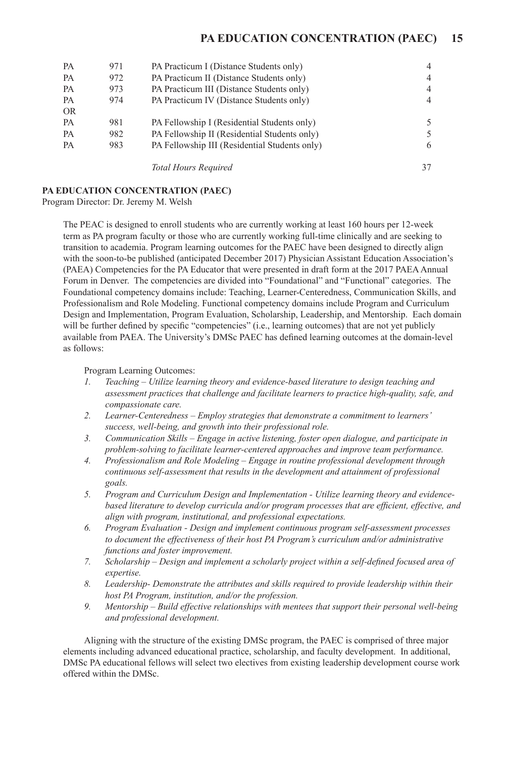# **PA EDUCATION CONCENTRATION (PAEC) 15**

| PA | 971 | PA Practicum I (Distance Students only)       | 4              |
|----|-----|-----------------------------------------------|----------------|
| PА | 972 | PA Practicum II (Distance Students only)      | $\overline{4}$ |
| PA | 973 | PA Practicum III (Distance Students only)     | 4              |
| PA | 974 | PA Practicum IV (Distance Students only)      | 4              |
| OR |     |                                               |                |
| PA | 981 | PA Fellowship I (Residential Students only)   | 5.             |
| PА | 982 | PA Fellowship II (Residential Students only)  | 5              |
| PА | 983 | PA Fellowship III (Residential Students only) | 6              |
|    |     |                                               |                |

*Total Hours Required* 37

### **PA EDUCATION CONCENTRATION (PAEC)**

Program Director: Dr. Jeremy M. Welsh

The PEAC is designed to enroll students who are currently working at least 160 hours per 12-week term as PA program faculty or those who are currently working full-time clinically and are seeking to transition to academia. Program learning outcomes for the PAEC have been designed to directly align with the soon-to-be published (anticipated December 2017) Physician Assistant Education Association's (PAEA) Competencies for the PA Educator that were presented in draft form at the 2017 PAEA Annual Forum in Denver. The competencies are divided into "Foundational" and "Functional" categories. The Foundational competency domains include: Teaching, Learner-Centeredness, Communication Skills, and Professionalism and Role Modeling. Functional competency domains include Program and Curriculum Design and Implementation, Program Evaluation, Scholarship, Leadership, and Mentorship. Each domain will be further defined by specific "competencies" (i.e., learning outcomes) that are not yet publicly available from PAEA. The University's DMSc PAEC has defined learning outcomes at the domain-level as follows:

Program Learning Outcomes:

- *1. Teaching Utilize learning theory and evidence-based literature to design teaching and assessment practices that challenge and facilitate learners to practice high-quality, safe, and compassionate care.*
- *2. Learner-Centeredness Employ strategies that demonstrate a commitment to learners' success, well-being, and growth into their professional role.*
- *3. Communication Skills Engage in active listening, foster open dialogue, and participate in problem-solving to facilitate learner-centered approaches and improve team performance.*
- *4. Professionalism and Role Modeling Engage in routine professional development through continuous self-assessment that results in the development and attainment of professional goals.*
- *5. Program and Curriculum Design and Implementation Utilize learning theory and evidencebased literature to develop curricula and/or program processes that are efficient, effective, and align with program, institutional, and professional expectations.*
- *6. Program Evaluation Design and implement continuous program self-assessment processes to document the effectiveness of their host PA Program's curriculum and/or administrative functions and foster improvement.*
- *7. Scholarship Design and implement a scholarly project within a self-defined focused area of expertise.*
- *8. Leadership- Demonstrate the attributes and skills required to provide leadership within their host PA Program, institution, and/or the profession.*
- *9. Mentorship Build effective relationships with mentees that support their personal well-being and professional development.*

Aligning with the structure of the existing DMSc program, the PAEC is comprised of three major elements including advanced educational practice, scholarship, and faculty development. In additional, DMSc PA educational fellows will select two electives from existing leadership development course work offered within the DMSc.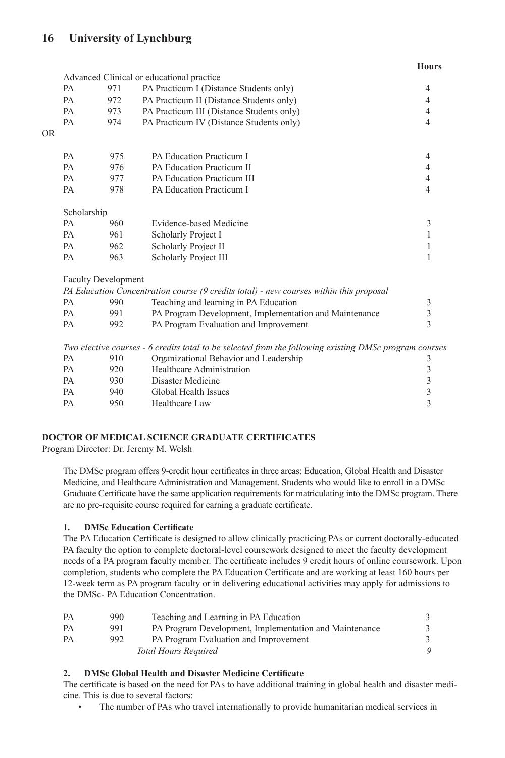|           |                            |     |                                                                                                        | 110ul 5                 |
|-----------|----------------------------|-----|--------------------------------------------------------------------------------------------------------|-------------------------|
|           |                            |     | Advanced Clinical or educational practice                                                              |                         |
|           | PA                         | 971 | PA Practicum I (Distance Students only)                                                                | $\overline{4}$          |
|           | PA                         | 972 | PA Practicum II (Distance Students only)                                                               | $\overline{4}$          |
|           | PA                         | 973 | PA Practicum III (Distance Students only)                                                              | $\overline{4}$          |
|           | <b>PA</b>                  | 974 | PA Practicum IV (Distance Students only)                                                               | $\overline{4}$          |
| <b>OR</b> |                            |     |                                                                                                        |                         |
|           |                            |     |                                                                                                        |                         |
|           | PA                         | 975 | PA Education Practicum I                                                                               | $\overline{4}$          |
|           | PA                         | 976 | PA Education Practicum II                                                                              | $\overline{4}$          |
|           | PA                         | 977 | PA Education Practicum III                                                                             | $\overline{4}$          |
|           | PA                         | 978 | PA Education Practicum I                                                                               | $\overline{4}$          |
|           | Scholarship                |     |                                                                                                        |                         |
|           | PA                         | 960 | Evidence-based Medicine                                                                                | 3                       |
|           | PA                         | 961 | Scholarly Project I                                                                                    | 1                       |
|           | PA                         | 962 | Scholarly Project II                                                                                   | 1                       |
|           | PA                         | 963 | Scholarly Project III                                                                                  | 1                       |
|           | <b>Faculty Development</b> |     |                                                                                                        |                         |
|           |                            |     | PA Education Concentration course (9 credits total) - new courses within this proposal                 |                         |
|           | PA                         | 990 | Teaching and learning in PA Education                                                                  | 3                       |
|           | PA                         | 991 | PA Program Development, Implementation and Maintenance                                                 | $\frac{3}{3}$           |
|           | <b>PA</b>                  | 992 | PA Program Evaluation and Improvement                                                                  |                         |
|           |                            |     | Two elective courses - 6 credits total to be selected from the following existing DMSc program courses |                         |
|           | PA                         | 910 | Organizational Behavior and Leadership                                                                 | 3                       |
|           | PA                         | 920 | Healthcare Administration                                                                              | $\mathfrak{Z}$          |
|           | PA                         | 930 | Disaster Medicine                                                                                      | $\overline{\mathbf{3}}$ |
|           | PA                         | 940 | Global Health Issues                                                                                   | $\overline{\mathbf{3}}$ |
|           | <b>PA</b>                  | 950 | Healthcare Law                                                                                         | $\overline{3}$          |
|           |                            |     |                                                                                                        |                         |

**Hours**

### **DOCTOR OF MEDICAL SCIENCE GRADUATE CERTIFICATES**

Program Director: Dr. Jeremy M. Welsh

The DMSc program offers 9-credit hour certificates in three areas: Education, Global Health and Disaster Medicine, and Healthcare Administration and Management. Students who would like to enroll in a DMSc Graduate Certificate have the same application requirements for matriculating into the DMSc program. There are no pre-requisite course required for earning a graduate certificate.

### **1. DMSc Education Certificate**

The PA Education Certificate is designed to allow clinically practicing PAs or current doctorally-educated PA faculty the option to complete doctoral-level coursework designed to meet the faculty development needs of a PA program faculty member. The certificate includes 9 credit hours of online coursework. Upon completion, students who complete the PA Education Certificate and are working at least 160 hours per 12-week term as PA program faculty or in delivering educational activities may apply for admissions to the DMSc- PA Education Concentration.

| PA | 990  | Teaching and Learning in PA Education                  |  |
|----|------|--------------------------------------------------------|--|
| PA | 991. | PA Program Development, Implementation and Maintenance |  |
| PA | 992. | PA Program Evaluation and Improvement                  |  |
|    |      | <b>Total Hours Required</b>                            |  |

# **2. DMSc Global Health and Disaster Medicine Certificate**

The certificate is based on the need for PAs to have additional training in global health and disaster medicine. This is due to several factors:

• The number of PAs who travel internationally to provide humanitarian medical services in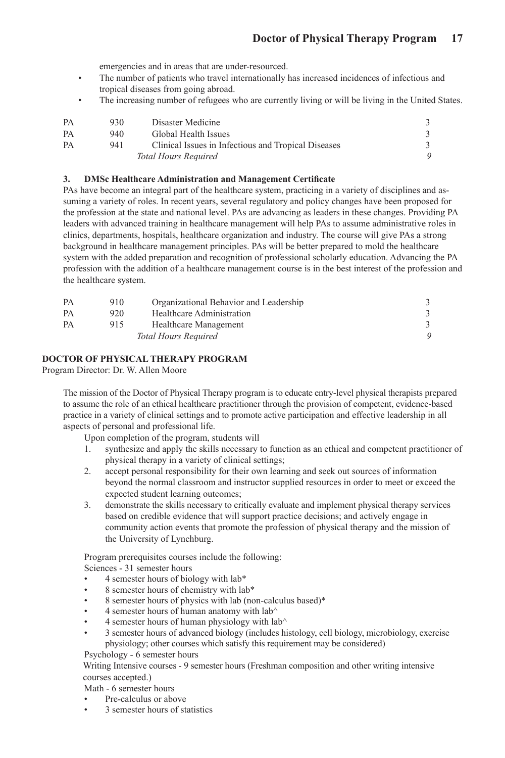emergencies and in areas that are under-resourced.

- The number of patients who travel internationally has increased incidences of infectious and tropical diseases from going abroad.
- The increasing number of refugees who are currently living or will be living in the United States.

| PA | 930. | Disaster Medicine                                   |  |
|----|------|-----------------------------------------------------|--|
| PA | 940. | Global Health Issues                                |  |
| PA | 941  | Clinical Issues in Infectious and Tropical Diseases |  |
|    |      | <b>Total Hours Required</b>                         |  |

# **3. DMSc Healthcare Administration and Management Certificate**

PAs have become an integral part of the healthcare system, practicing in a variety of disciplines and assuming a variety of roles. In recent years, several regulatory and policy changes have been proposed for the profession at the state and national level. PAs are advancing as leaders in these changes. Providing PA leaders with advanced training in healthcare management will help PAs to assume administrative roles in clinics, departments, hospitals, healthcare organization and industry. The course will give PAs a strong background in healthcare management principles. PAs will be better prepared to mold the healthcare system with the added preparation and recognition of professional scholarly education. Advancing the PA profession with the addition of a healthcare management course is in the best interest of the profession and the healthcare system.

| 910 | Organizational Behavior and Leadership |  |
|-----|----------------------------------------|--|
| 920 | Healthcare Administration              |  |
| 915 | Healthcare Management                  |  |
|     | <b>Total Hours Required</b>            |  |
|     |                                        |  |

# **DOCTOR OF PHYSICAL THERAPY PROGRAM**

Program Director: Dr. W. Allen Moore

The mission of the Doctor of Physical Therapy program is to educate entry-level physical therapists prepared to assume the role of an ethical healthcare practitioner through the provision of competent, evidence-based practice in a variety of clinical settings and to promote active participation and effective leadership in all aspects of personal and professional life.

Upon completion of the program, students will

- 1. synthesize and apply the skills necessary to function as an ethical and competent practitioner of physical therapy in a variety of clinical settings;
- 2. accept personal responsibility for their own learning and seek out sources of information beyond the normal classroom and instructor supplied resources in order to meet or exceed the expected student learning outcomes;
- 3. demonstrate the skills necessary to critically evaluate and implement physical therapy services based on credible evidence that will support practice decisions; and actively engage in community action events that promote the profession of physical therapy and the mission of the University of Lynchburg.

Program prerequisites courses include the following: Sciences - 31 semester hours

- 4 semester hours of biology with lab\*
- 8 semester hours of chemistry with lab\*
- 8 semester hours of physics with lab (non-calculus based)\*
- 4 semester hours of human anatomy with lab $\wedge$
- 4 semester hours of human physiology with  $lab^{\wedge}$
- 3 semester hours of advanced biology (includes histology, cell biology, microbiology, exercise physiology; other courses which satisfy this requirement may be considered)

Psychology - 6 semester hours

Writing Intensive courses - 9 semester hours (Freshman composition and other writing intensive courses accepted.)

Math - 6 semester hours

- Pre-calculus or above
- 3 semester hours of statistics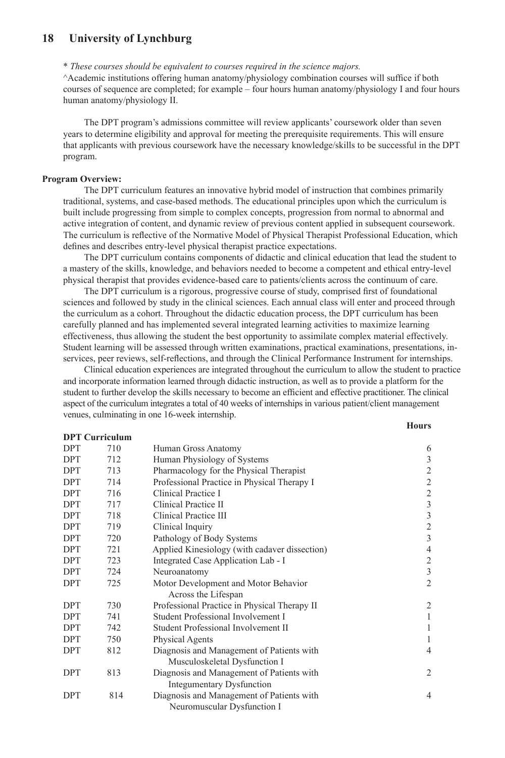\* *These courses should be equivalent to courses required in the science majors.*

^Academic institutions offering human anatomy/physiology combination courses will suffice if both courses of sequence are completed; for example – four hours human anatomy/physiology I and four hours human anatomy/physiology II.

The DPT program's admissions committee will review applicants' coursework older than seven years to determine eligibility and approval for meeting the prerequisite requirements. This will ensure that applicants with previous coursework have the necessary knowledge/skills to be successful in the DPT program.

#### **Program Overview:**

The DPT curriculum features an innovative hybrid model of instruction that combines primarily traditional, systems, and case-based methods. The educational principles upon which the curriculum is built include progressing from simple to complex concepts, progression from normal to abnormal and active integration of content, and dynamic review of previous content applied in subsequent coursework. The curriculum is reflective of the Normative Model of Physical Therapist Professional Education, which defines and describes entry-level physical therapist practice expectations.

The DPT curriculum contains components of didactic and clinical education that lead the student to a mastery of the skills, knowledge, and behaviors needed to become a competent and ethical entry-level physical therapist that provides evidence-based care to patients/clients across the continuum of care.

The DPT curriculum is a rigorous, progressive course of study, comprised first of foundational sciences and followed by study in the clinical sciences. Each annual class will enter and proceed through the curriculum as a cohort. Throughout the didactic education process, the DPT curriculum has been carefully planned and has implemented several integrated learning activities to maximize learning effectiveness, thus allowing the student the best opportunity to assimilate complex material effectively. Student learning will be assessed through written examinations, practical examinations, presentations, inservices, peer reviews, self-reflections, and through the Clinical Performance Instrument for internships.

Clinical education experiences are integrated throughout the curriculum to allow the student to practice and incorporate information learned through didactic instruction, as well as to provide a platform for the student to further develop the skills necessary to become an efficient and effective practitioner. The clinical aspect of the curriculum integrates a total of 40 weeks of internships in various patient/client management venues, culminating in one 16-week internship.

#### **DPT Curriculum**

| I<br>۰.<br>×<br>I |
|-------------------|
|-------------------|

|            | рт т считениш |                                               |                |
|------------|---------------|-----------------------------------------------|----------------|
| <b>DPT</b> | 710           | Human Gross Anatomy                           | 6              |
| <b>DPT</b> | 712           | Human Physiology of Systems                   | 3              |
| <b>DPT</b> | 713           | Pharmacology for the Physical Therapist       | $\overline{2}$ |
| <b>DPT</b> | 714           | Professional Practice in Physical Therapy I   | $\overline{2}$ |
| <b>DPT</b> | 716           | Clinical Practice I                           | $\overline{2}$ |
| <b>DPT</b> | 717           | Clinical Practice II                          | 3              |
| <b>DPT</b> | 718           | Clinical Practice III                         | 3              |
| <b>DPT</b> | 719           | Clinical Inquiry                              | $\overline{2}$ |
| <b>DPT</b> | 720           | Pathology of Body Systems                     | 3              |
| <b>DPT</b> | 721           | Applied Kinesiology (with cadaver dissection) | 4              |
| <b>DPT</b> | 723           | Integrated Case Application Lab - I           | 2              |
| <b>DPT</b> | 724           | Neuroanatomy                                  | 3              |
| <b>DPT</b> | 725           | Motor Development and Motor Behavior          | $\overline{2}$ |
|            |               | Across the Lifespan                           |                |
| <b>DPT</b> | 730           | Professional Practice in Physical Therapy II  | $\overline{c}$ |
| <b>DPT</b> | 741           | Student Professional Involvement I            |                |
| <b>DPT</b> | 742           | Student Professional Involvement II           |                |
| <b>DPT</b> | 750           | Physical Agents                               |                |
| <b>DPT</b> | 812           | Diagnosis and Management of Patients with     | 4              |
|            |               | Musculoskeletal Dysfunction I                 |                |
| <b>DPT</b> | 813           | Diagnosis and Management of Patients with     | $\overline{2}$ |
|            |               | <b>Integumentary Dysfunction</b>              |                |
| <b>DPT</b> | 814           | Diagnosis and Management of Patients with     | 4              |
|            |               | Neuromuscular Dysfunction I                   |                |
|            |               |                                               |                |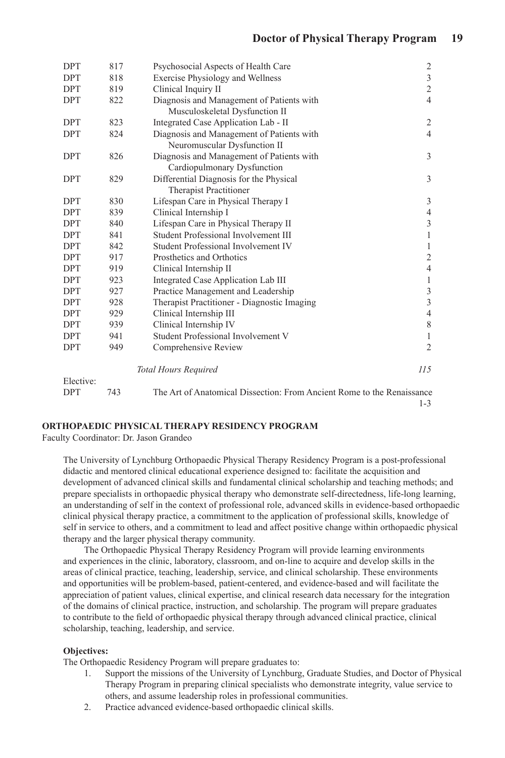| <b>DPT</b> | 817 | Psychosocial Aspects of Health Care                                         | $\overline{c}$ |
|------------|-----|-----------------------------------------------------------------------------|----------------|
| <b>DPT</b> | 818 | Exercise Physiology and Wellness                                            | $\mathfrak{Z}$ |
| <b>DPT</b> | 819 | Clinical Inquiry II                                                         | $\overline{c}$ |
| <b>DPT</b> | 822 | Diagnosis and Management of Patients with<br>Musculoskeletal Dysfunction II | $\overline{4}$ |
| <b>DPT</b> | 823 | Integrated Case Application Lab - II                                        | 2              |
| <b>DPT</b> | 824 | Diagnosis and Management of Patients with<br>Neuromuscular Dysfunction II   | $\overline{4}$ |
| <b>DPT</b> | 826 | Diagnosis and Management of Patients with<br>Cardiopulmonary Dysfunction    | 3              |
| <b>DPT</b> | 829 | Differential Diagnosis for the Physical<br><b>Therapist Practitioner</b>    | 3              |
| <b>DPT</b> | 830 | Lifespan Care in Physical Therapy I                                         | 3              |
| <b>DPT</b> | 839 | Clinical Internship I                                                       | $\overline{4}$ |
| <b>DPT</b> | 840 | Lifespan Care in Physical Therapy II                                        | 3              |
| <b>DPT</b> | 841 | Student Professional Involvement III                                        | 1              |
| <b>DPT</b> | 842 | Student Professional Involvement IV                                         | 1              |
| <b>DPT</b> | 917 | Prosthetics and Orthotics                                                   | $\mathfrak{2}$ |
| <b>DPT</b> | 919 | Clinical Internship II                                                      | $\overline{4}$ |
| <b>DPT</b> | 923 | Integrated Case Application Lab III                                         | $\mathbf{1}$   |
| <b>DPT</b> | 927 | Practice Management and Leadership                                          | 3              |
| <b>DPT</b> | 928 | Therapist Practitioner - Diagnostic Imaging                                 | $\overline{3}$ |
| <b>DPT</b> | 929 | Clinical Internship III                                                     | $\overline{4}$ |
| <b>DPT</b> | 939 | Clinical Internship IV                                                      | 8              |
| <b>DPT</b> | 941 | Student Professional Involvement V                                          | 1              |
| <b>DPT</b> | 949 | Comprehensive Review                                                        | $\overline{2}$ |
|            |     | <b>Total Hours Required</b>                                                 | 115            |
| Elective:  |     |                                                                             |                |
| <b>DPT</b> | 743 | The Art of Anatomical Dissection: From Ancient Rome to the Renaissance      |                |

# 1-3

#### **ORTHOPAEDIC PHYSICAL THERAPY RESIDENCY PROGRAM**

Faculty Coordinator: Dr. Jason Grandeo

The University of Lynchburg Orthopaedic Physical Therapy Residency Program is a post-professional didactic and mentored clinical educational experience designed to: facilitate the acquisition and development of advanced clinical skills and fundamental clinical scholarship and teaching methods; and prepare specialists in orthopaedic physical therapy who demonstrate self-directedness, life-long learning, an understanding of self in the context of professional role, advanced skills in evidence-based orthopaedic clinical physical therapy practice, a commitment to the application of professional skills, knowledge of self in service to others, and a commitment to lead and affect positive change within orthopaedic physical therapy and the larger physical therapy community.

The Orthopaedic Physical Therapy Residency Program will provide learning environments and experiences in the clinic, laboratory, classroom, and on-line to acquire and develop skills in the areas of clinical practice, teaching, leadership, service, and clinical scholarship. These environments and opportunities will be problem-based, patient-centered, and evidence-based and will facilitate the appreciation of patient values, clinical expertise, and clinical research data necessary for the integration of the domains of clinical practice, instruction, and scholarship. The program will prepare graduates to contribute to the field of orthopaedic physical therapy through advanced clinical practice, clinical scholarship, teaching, leadership, and service.

#### **Objectives:**

The Orthopaedic Residency Program will prepare graduates to:

- 1. Support the missions of the University of Lynchburg, Graduate Studies, and Doctor of Physical Therapy Program in preparing clinical specialists who demonstrate integrity, value service to others, and assume leadership roles in professional communities.
- 2. Practice advanced evidence-based orthopaedic clinical skills.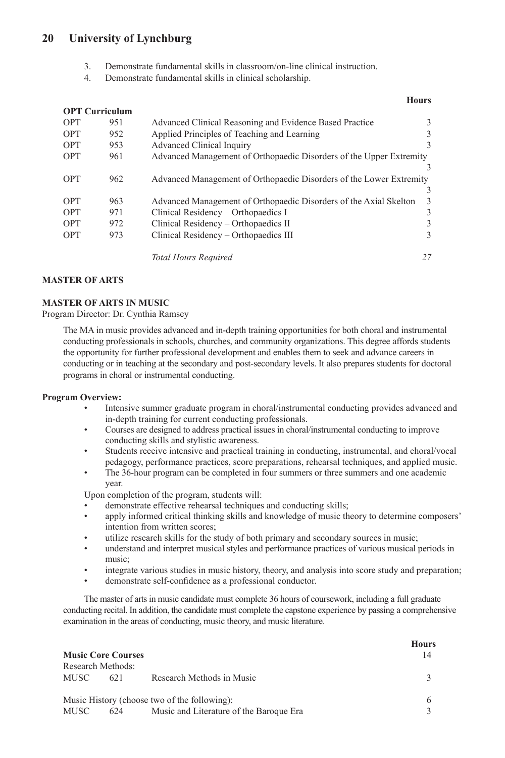- 3. Demonstrate fundamental skills in classroom/on-line clinical instruction.
- 4. Demonstrate fundamental skills in clinical scholarship.

|     |                       |                                                                     | 110ul s       |
|-----|-----------------------|---------------------------------------------------------------------|---------------|
|     | <b>OPT Curriculum</b> |                                                                     |               |
| OPT | 951                   | Advanced Clinical Reasoning and Evidence Based Practice             | 3             |
| OPT | 952                   | Applied Principles of Teaching and Learning                         | 3             |
| OPT | 953                   | Advanced Clinical Inquiry                                           | $\mathcal{F}$ |
| OPT | 961                   | Advanced Management of Orthopaedic Disorders of the Upper Extremity |               |
|     |                       |                                                                     |               |
| OPT | 962                   | Advanced Management of Orthopaedic Disorders of the Lower Extremity |               |
|     |                       |                                                                     | 3             |
| OPT | 963                   | Advanced Management of Orthopaedic Disorders of the Axial Skelton   | 3             |
| OPT | 971                   | Clinical Residency – Orthopaedics I                                 | 3             |
| OPT | 972                   | Clinical Residency – Orthopaedics II                                | 3             |
| OPT | 973                   | Clinical Residency - Orthopaedics III                               | 3             |
|     |                       | <b>Total Hours Required</b>                                         | 27            |

**Hours**

# **MASTER OF ARTS**

### **MASTER OF ARTS IN MUSIC**

Program Director: Dr. Cynthia Ramsey

The MA in music provides advanced and in-depth training opportunities for both choral and instrumental conducting professionals in schools, churches, and community organizations. This degree affords students the opportunity for further professional development and enables them to seek and advance careers in conducting or in teaching at the secondary and post-secondary levels. It also prepares students for doctoral programs in choral or instrumental conducting.

### **Program Overview:**

- Intensive summer graduate program in choral/instrumental conducting provides advanced and in-depth training for current conducting professionals.
- Courses are designed to address practical issues in choral/instrumental conducting to improve conducting skills and stylistic awareness.
- Students receive intensive and practical training in conducting, instrumental, and choral/vocal pedagogy, performance practices, score preparations, rehearsal techniques, and applied music.
- The 36-hour program can be completed in four summers or three summers and one academic year.

Upon completion of the program, students will:

- demonstrate effective rehearsal techniques and conducting skills;
- apply informed critical thinking skills and knowledge of music theory to determine composers' intention from written scores;
- utilize research skills for the study of both primary and secondary sources in music;
- understand and interpret musical styles and performance practices of various musical periods in music;
- integrate various studies in music history, theory, and analysis into score study and preparation;
- demonstrate self-confidence as a professional conductor.

The master of arts in music candidate must complete 36 hours of coursework, including a full graduate conducting recital. In addition, the candidate must complete the capstone experience by passing a comprehensive examination in the areas of conducting, music theory, and music literature.

|                                              | <b>Music Core Courses</b> |                                         |  |
|----------------------------------------------|---------------------------|-----------------------------------------|--|
|                                              | Research Methods:         |                                         |  |
| MUSC                                         | 621                       | Research Methods in Music               |  |
| Music History (choose two of the following): |                           |                                         |  |
| MUSC                                         | 624                       | Music and Literature of the Baroque Era |  |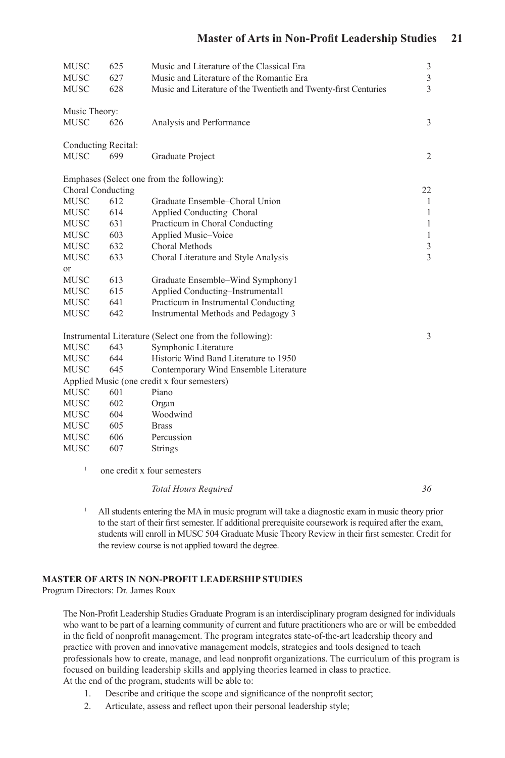| <b>MUSC</b><br><b>MUSC</b><br><b>MUSC</b> | 625<br>627<br>628 | Music and Literature of the Classical Era<br>Music and Literature of the Romantic Era<br>Music and Literature of the Twentieth and Twenty-first Centuries | $\mathfrak{Z}$<br>3<br>3 |
|-------------------------------------------|-------------------|-----------------------------------------------------------------------------------------------------------------------------------------------------------|--------------------------|
| Music Theory:<br><b>MUSC</b>              | 626               | Analysis and Performance                                                                                                                                  | 3                        |
| Conducting Recital:<br><b>MUSC</b>        | 699               | Graduate Project                                                                                                                                          | 2                        |
| Choral Conducting                         |                   | Emphases (Select one from the following):                                                                                                                 | 22                       |
| <b>MUSC</b>                               | 612               | Graduate Ensemble–Choral Union                                                                                                                            | 1                        |
| <b>MUSC</b>                               | 614               | Applied Conducting-Choral                                                                                                                                 | 1                        |
| <b>MUSC</b>                               | 631               | Practicum in Choral Conducting                                                                                                                            | $\mathbf{1}$             |
| <b>MUSC</b>                               | 603               | Applied Music-Voice                                                                                                                                       | $\mathbf{1}$             |
| <b>MUSC</b>                               | 632               | Choral Methods                                                                                                                                            | $\mathfrak z$            |
| <b>MUSC</b>                               | 633               | Choral Literature and Style Analysis                                                                                                                      | $\overline{3}$           |
| <sub>or</sub>                             |                   |                                                                                                                                                           |                          |
| <b>MUSC</b>                               | 613               | Graduate Ensemble–Wind Symphony1                                                                                                                          |                          |
| <b>MUSC</b>                               | 615               | Applied Conducting-Instrumental1                                                                                                                          |                          |
| <b>MUSC</b>                               | 641               | Practicum in Instrumental Conducting                                                                                                                      |                          |
| <b>MUSC</b>                               | 642               | Instrumental Methods and Pedagogy 3                                                                                                                       |                          |
|                                           |                   | Instrumental Literature (Select one from the following):                                                                                                  | 3                        |
| <b>MUSC</b>                               | 643               | Symphonic Literature                                                                                                                                      |                          |
| <b>MUSC</b>                               | 644               | Historic Wind Band Literature to 1950                                                                                                                     |                          |
| <b>MUSC</b>                               | 645               | Contemporary Wind Ensemble Literature                                                                                                                     |                          |
|                                           |                   | Applied Music (one credit x four semesters)                                                                                                               |                          |
| <b>MUSC</b>                               | 601               | Piano                                                                                                                                                     |                          |
| <b>MUSC</b>                               | 602               | Organ                                                                                                                                                     |                          |
| <b>MUSC</b>                               | 604               | Woodwind                                                                                                                                                  |                          |
| <b>MUSC</b>                               | 605               | <b>Brass</b>                                                                                                                                              |                          |
| <b>MUSC</b>                               | 606               | Percussion                                                                                                                                                |                          |
| <b>MUSC</b>                               | 607               | Strings                                                                                                                                                   |                          |
|                                           |                   |                                                                                                                                                           |                          |

<sup>1</sup> one credit x four semesters

### *Total Hours Required 36*

<sup>1</sup> All students entering the MA in music program will take a diagnostic exam in music theory prior to the start of their first semester. If additional prerequisite coursework is required after the exam, students will enroll in MUSC 504 Graduate Music Theory Review in their first semester. Credit for the review course is not applied toward the degree.

# **MASTER OF ARTS IN NON-PROFIT LEADERSHIP STUDIES**

Program Directors: Dr. James Roux

The Non-Profit Leadership Studies Graduate Program is an interdisciplinary program designed for individuals who want to be part of a learning community of current and future practitioners who are or will be embedded in the field of nonprofit management. The program integrates state-of-the-art leadership theory and practice with proven and innovative management models, strategies and tools designed to teach professionals how to create, manage, and lead nonprofit organizations. The curriculum of this program is focused on building leadership skills and applying theories learned in class to practice. At the end of the program, students will be able to:

- 1. Describe and critique the scope and significance of the nonprofit sector;
- 2. Articulate, assess and reflect upon their personal leadership style;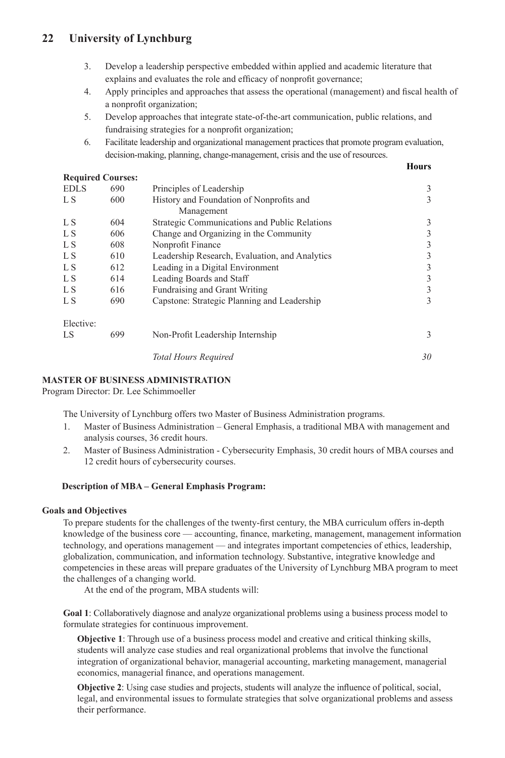- 3. Develop a leadership perspective embedded within applied and academic literature that explains and evaluates the role and efficacy of nonprofit governance;
- 4. Apply principles and approaches that assess the operational (management) and fiscal health of a nonprofit organization;
- 5. Develop approaches that integrate state-of-the-art communication, public relations, and fundraising strategies for a nonprofit organization;
- 6. Facilitate leadership and organizational management practices that promote program evaluation, decision-making, planning, change-management, crisis and the use of resources.

**Hours**

|             | <b>Required Courses:</b> |                                                        |    |
|-------------|--------------------------|--------------------------------------------------------|----|
| <b>EDLS</b> | 690                      | Principles of Leadership                               | 3  |
| L S         | 600                      | History and Foundation of Nonprofits and<br>Management | 3  |
| L S         | 604                      | Strategic Communications and Public Relations          | 3  |
| L S         | 606                      | Change and Organizing in the Community                 | 3  |
| L S         | 608                      | Nonprofit Finance                                      | 3  |
| L S         | 610                      | Leadership Research, Evaluation, and Analytics         | 3  |
| L S         | 612                      | Leading in a Digital Environment                       | 3  |
| L S         | 614                      | Leading Boards and Staff                               | 3  |
| L S         | 616                      | Fundraising and Grant Writing                          | 3  |
| L S         | 690                      | Capstone: Strategic Planning and Leadership            | 3  |
| Elective:   |                          |                                                        |    |
| LS          | 699                      | Non-Profit Leadership Internship                       | 3  |
|             |                          | <b>Total Hours Required</b>                            | 30 |

# **MASTER OF BUSINESS ADMINISTRATION**

Program Director: Dr. Lee Schimmoeller

The University of Lynchburg offers two Master of Business Administration programs.

- 1. Master of Business Administration General Emphasis, a traditional MBA with management and analysis courses, 36 credit hours.
- 2. Master of Business Administration Cybersecurity Emphasis, 30 credit hours of MBA courses and 12 credit hours of cybersecurity courses.

### **Description of MBA – General Emphasis Program:**

### **Goals and Objectives**

To prepare students for the challenges of the twenty-first century, the MBA curriculum offers in-depth knowledge of the business core — accounting, finance, marketing, management, management information technology, and operations management — and integrates important competencies of ethics, leadership, globalization, communication, and information technology. Substantive, integrative knowledge and competencies in these areas will prepare graduates of the University of Lynchburg MBA program to meet the challenges of a changing world.

At the end of the program, MBA students will:

**Goal 1**: Collaboratively diagnose and analyze organizational problems using a business process model to formulate strategies for continuous improvement.

**Objective 1**: Through use of a business process model and creative and critical thinking skills, students will analyze case studies and real organizational problems that involve the functional integration of organizational behavior, managerial accounting, marketing management, managerial economics, managerial finance, and operations management.

**Objective 2**: Using case studies and projects, students will analyze the influence of political, social, legal, and environmental issues to formulate strategies that solve organizational problems and assess their performance.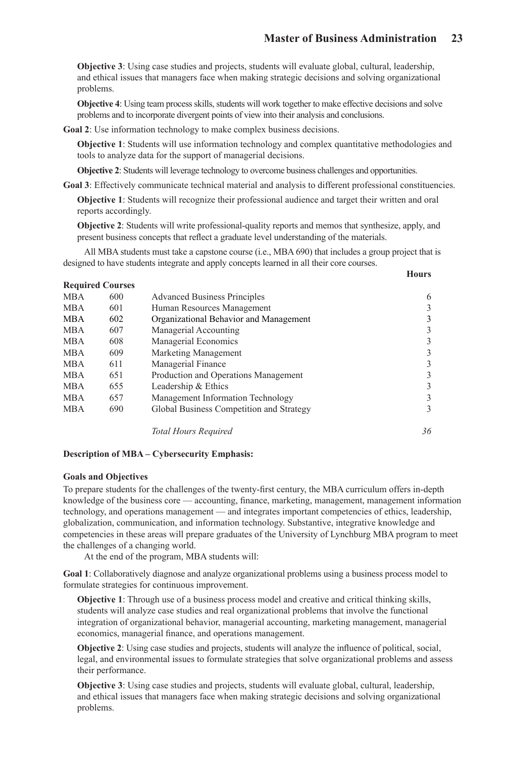**Objective 3**: Using case studies and projects, students will evaluate global, cultural, leadership, and ethical issues that managers face when making strategic decisions and solving organizational problems.

**Objective 4**: Using team process skills, students will work together to make effective decisions and solve problems and to incorporate divergent points of view into their analysis and conclusions.

**Goal 2**: Use information technology to make complex business decisions.

**Objective 1**: Students will use information technology and complex quantitative methodologies and tools to analyze data for the support of managerial decisions.

**Objective 2**: Students will leverage technology to overcome business challenges and opportunities.

**Goal 3**: Effectively communicate technical material and analysis to different professional constituencies.

**Objective 1**: Students will recognize their professional audience and target their written and oral reports accordingly.

**Objective 2**: Students will write professional-quality reports and memos that synthesize, apply, and present business concepts that reflect a graduate level understanding of the materials.

All MBA students must take a capstone course (i.e., MBA 690) that includes a group project that is designed to have students integrate and apply concepts learned in all their core courses.

**Hours**

|            | <b>Required Courses</b> |                                          |   |
|------------|-------------------------|------------------------------------------|---|
| <b>MBA</b> | 600                     | <b>Advanced Business Principles</b>      | 6 |
| <b>MBA</b> | 601                     | Human Resources Management               | 3 |
| <b>MBA</b> | 602                     | Organizational Behavior and Management   | 3 |
| <b>MBA</b> | 607                     | Managerial Accounting                    | 3 |
| <b>MBA</b> | 608                     | Managerial Economics                     | 3 |
| <b>MBA</b> | 609                     | Marketing Management                     | 3 |
| <b>MBA</b> | 611                     | Managerial Finance                       | 3 |
| <b>MBA</b> | 651                     | Production and Operations Management     | 3 |
| <b>MBA</b> | 655                     | Leadership & Ethics                      | 3 |
| <b>MBA</b> | 657                     | Management Information Technology        | 3 |
| <b>MBA</b> | 690                     | Global Business Competition and Strategy | 3 |
|            |                         |                                          |   |

*Total Hours Required 36*

#### **Description of MBA – Cybersecurity Emphasis:**

#### **Goals and Objectives**

To prepare students for the challenges of the twenty-first century, the MBA curriculum offers in-depth knowledge of the business core — accounting, finance, marketing, management, management information technology, and operations management — and integrates important competencies of ethics, leadership, globalization, communication, and information technology. Substantive, integrative knowledge and competencies in these areas will prepare graduates of the University of Lynchburg MBA program to meet the challenges of a changing world.

At the end of the program, MBA students will:

**Goal 1**: Collaboratively diagnose and analyze organizational problems using a business process model to formulate strategies for continuous improvement.

**Objective 1**: Through use of a business process model and creative and critical thinking skills, students will analyze case studies and real organizational problems that involve the functional integration of organizational behavior, managerial accounting, marketing management, managerial economics, managerial finance, and operations management.

**Objective 2**: Using case studies and projects, students will analyze the influence of political, social, legal, and environmental issues to formulate strategies that solve organizational problems and assess their performance.

**Objective 3**: Using case studies and projects, students will evaluate global, cultural, leadership, and ethical issues that managers face when making strategic decisions and solving organizational problems.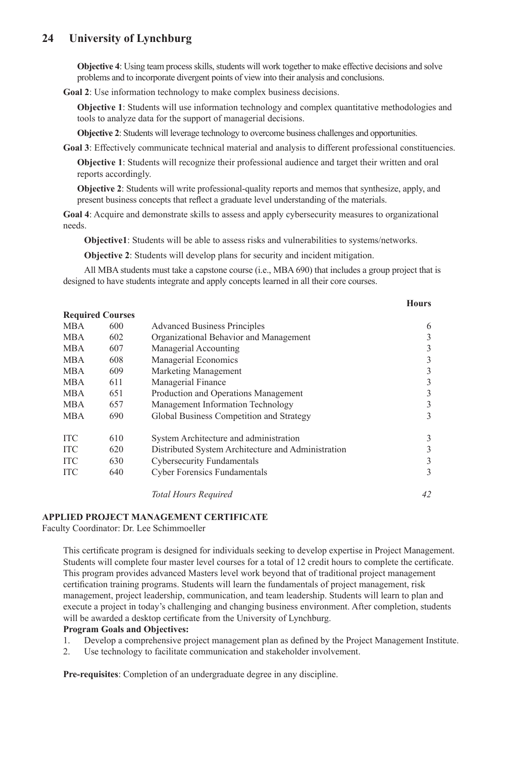**Objective 4**: Using team process skills, students will work together to make effective decisions and solve problems and to incorporate divergent points of view into their analysis and conclusions.

**Goal 2**: Use information technology to make complex business decisions.

**Objective 1**: Students will use information technology and complex quantitative methodologies and tools to analyze data for the support of managerial decisions.

**Objective 2**: Students will leverage technology to overcome business challenges and opportunities.

**Goal 3**: Effectively communicate technical material and analysis to different professional constituencies.

**Objective 1**: Students will recognize their professional audience and target their written and oral reports accordingly.

**Objective 2**: Students will write professional-quality reports and memos that synthesize, apply, and present business concepts that reflect a graduate level understanding of the materials.

**Goal 4**: Acquire and demonstrate skills to assess and apply cybersecurity measures to organizational needs.

**Objective1**: Students will be able to assess risks and vulnerabilities to systems/networks.

**Objective 2**: Students will develop plans for security and incident mitigation.

All MBA students must take a capstone course (i.e., MBA 690) that includes a group project that is designed to have students integrate and apply concepts learned in all their core courses.

#### **Hours**

|            | <b>Required Courses</b> |                                                    |   |
|------------|-------------------------|----------------------------------------------------|---|
| <b>MBA</b> | 600                     | <b>Advanced Business Principles</b>                | 6 |
| <b>MBA</b> | 602                     | Organizational Behavior and Management             | 3 |
| <b>MBA</b> | 607                     | Managerial Accounting                              | 3 |
| <b>MBA</b> | 608                     | Managerial Economics                               | 3 |
| <b>MBA</b> | 609                     | Marketing Management                               | 3 |
| <b>MBA</b> | 611                     | Managerial Finance                                 | 3 |
| <b>MBA</b> | 651                     | Production and Operations Management               | 3 |
| <b>MBA</b> | 657                     | Management Information Technology                  | 3 |
| <b>MBA</b> | 690                     | Global Business Competition and Strategy           | 3 |
| <b>ITC</b> | 610                     | System Architecture and administration             | 3 |
| <b>ITC</b> | 620                     | Distributed System Architecture and Administration | 3 |
| <b>ITC</b> | 630                     | <b>Cybersecurity Fundamentals</b>                  | 3 |
| <b>ITC</b> | 640                     | Cyber Forensics Fundamentals                       | 3 |
|            |                         |                                                    |   |

 *Total Hours Required 42*

### **APPLIED PROJECT MANAGEMENT CERTIFICATE**

Faculty Coordinator: Dr. Lee Schimmoeller

This certificate program is designed for individuals seeking to develop expertise in Project Management. Students will complete four master level courses for a total of 12 credit hours to complete the certificate. This program provides advanced Masters level work beyond that of traditional project management certification training programs. Students will learn the fundamentals of project management, risk management, project leadership, communication, and team leadership. Students will learn to plan and execute a project in today's challenging and changing business environment. After completion, students will be awarded a desktop certificate from the University of Lynchburg.

### **Program Goals and Objectives:**

- 1. Develop a comprehensive project management plan as defined by the Project Management Institute.<br>2. Use technology to facilitate communication and stakeholder involvement.
- Use technology to facilitate communication and stakeholder involvement.

**Pre-requisites**: Completion of an undergraduate degree in any discipline.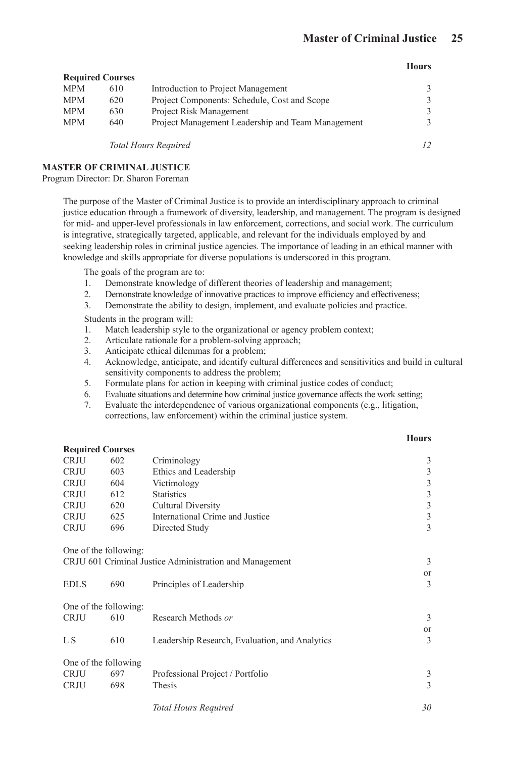#### **Hours**

|            | <b>Required Courses</b> |                                                   |  |
|------------|-------------------------|---------------------------------------------------|--|
| <b>MPM</b> | 610                     | Introduction to Project Management                |  |
| <b>MPM</b> | 620                     | Project Components: Schedule, Cost and Scope      |  |
| <b>MPM</b> | 630                     | Project Risk Management                           |  |
| <b>MPM</b> | 640                     | Project Management Leadership and Team Management |  |
|            |                         | <b>Total Hours Required</b>                       |  |

### **MASTER OF CRIMINAL JUSTICE**

Program Director: Dr. Sharon Foreman

The purpose of the Master of Criminal Justice is to provide an interdisciplinary approach to criminal justice education through a framework of diversity, leadership, and management. The program is designed for mid- and upper-level professionals in law enforcement, corrections, and social work. The curriculum is integrative, strategically targeted, applicable, and relevant for the individuals employed by and seeking leadership roles in criminal justice agencies. The importance of leading in an ethical manner with knowledge and skills appropriate for diverse populations is underscored in this program.

The goals of the program are to:

- 1. Demonstrate knowledge of different theories of leadership and management;
- 2. Demonstrate knowledge of innovative practices to improve efficiency and effectiveness;
- 3. Demonstrate the ability to design, implement, and evaluate policies and practice.

Students in the program will:

- 1. Match leadership style to the organizational or agency problem context;
- 2. Articulate rationale for a problem-solving approach;
- 3. Anticipate ethical dilemmas for a problem;
- 4. Acknowledge, anticipate, and identify cultural differences and sensitivities and build in cultural sensitivity components to address the problem;
- 5. Formulate plans for action in keeping with criminal justice codes of conduct;<br>6. Evaluate situations and determine how criminal justice governance affects the work
- Evaluate situations and determine how criminal justice governance affects the work setting;
- 7. Evaluate the interdependence of various organizational components (e.g., litigation, corrections, law enforcement) within the criminal justice system.

### **Hours**

| <b>Required Courses</b> |                       |                                                         |            |
|-------------------------|-----------------------|---------------------------------------------------------|------------|
| <b>CRJU</b>             | 602                   | Criminology                                             | 3          |
| <b>CRJU</b>             | 603                   | Ethics and Leadership                                   | 3          |
| <b>CRJU</b>             | 604                   | Victimology                                             | 3          |
| <b>CRJU</b>             | 612                   | <b>Statistics</b>                                       | 3          |
| <b>CRJU</b>             | 620                   | Cultural Diversity                                      | $\sqrt{3}$ |
| <b>CRJU</b>             | 625                   | International Crime and Justice                         | 3          |
| <b>CRJU</b>             | 696                   | Directed Study                                          | 3          |
| One of the following:   |                       |                                                         |            |
|                         |                       | CRJU 601 Criminal Justice Administration and Management | 3          |
|                         |                       |                                                         | or         |
| <b>EDLS</b>             | 690                   | Principles of Leadership                                | 3          |
|                         | One of the following: |                                                         |            |
| <b>CRJU</b>             | 610                   | Research Methods or                                     | 3          |
|                         |                       |                                                         | or         |
| L S                     | 610                   | Leadership Research, Evaluation, and Analytics          | 3          |
| One of the following    |                       |                                                         |            |
| <b>CRJU</b>             | 697                   | Professional Project / Portfolio                        | 3          |
| <b>CRJU</b>             | 698                   | Thesis                                                  | 3          |
|                         |                       | <b>Total Hours Required</b>                             | 30         |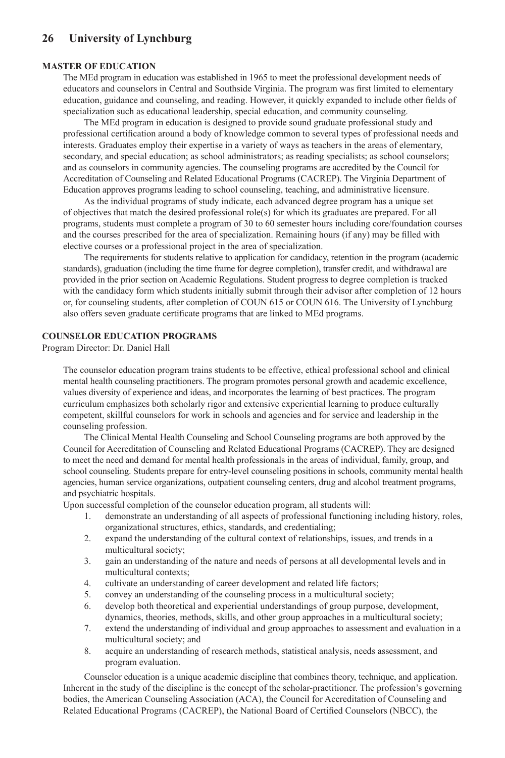### **MASTER OF EDUCATION**

The MEd program in education was established in 1965 to meet the professional development needs of educators and counselors in Central and Southside Virginia. The program was first limited to elementary education, guidance and counseling, and reading. However, it quickly expanded to include other fields of specialization such as educational leadership, special education, and community counseling.

The MEd program in education is designed to provide sound graduate professional study and professional certification around a body of knowledge common to several types of professional needs and interests. Graduates employ their expertise in a variety of ways as teachers in the areas of elementary, secondary, and special education; as school administrators; as reading specialists; as school counselors; and as counselors in community agencies. The counseling programs are accredited by the Council for Accreditation of Counseling and Related Educational Programs (CACREP). The Virginia Department of Education approves programs leading to school counseling, teaching, and administrative licensure.

As the individual programs of study indicate, each advanced degree program has a unique set of objectives that match the desired professional role(s) for which its graduates are prepared. For all programs, students must complete a program of 30 to 60 semester hours including core/foundation courses and the courses prescribed for the area of specialization. Remaining hours (if any) may be filled with elective courses or a professional project in the area of specialization.

The requirements for students relative to application for candidacy, retention in the program (academic standards), graduation (including the time frame for degree completion), transfer credit, and withdrawal are provided in the prior section on Academic Regulations. Student progress to degree completion is tracked with the candidacy form which students initially submit through their advisor after completion of 12 hours or, for counseling students, after completion of COUN 615 or COUN 616. The University of Lynchburg also offers seven graduate certificate programs that are linked to MEd programs.

### **COUNSELOR EDUCATION PROGRAMS**

Program Director: Dr. Daniel Hall

The counselor education program trains students to be effective, ethical professional school and clinical mental health counseling practitioners. The program promotes personal growth and academic excellence, values diversity of experience and ideas, and incorporates the learning of best practices. The program curriculum emphasizes both scholarly rigor and extensive experiential learning to produce culturally competent, skillful counselors for work in schools and agencies and for service and leadership in the counseling profession.

The Clinical Mental Health Counseling and School Counseling programs are both approved by the Council for Accreditation of Counseling and Related Educational Programs (CACREP). They are designed to meet the need and demand for mental health professionals in the areas of individual, family, group, and school counseling. Students prepare for entry-level counseling positions in schools, community mental health agencies, human service organizations, outpatient counseling centers, drug and alcohol treatment programs, and psychiatric hospitals.

Upon successful completion of the counselor education program, all students will:

- 1. demonstrate an understanding of all aspects of professional functioning including history, roles, organizational structures, ethics, standards, and credentialing;
- 2. expand the understanding of the cultural context of relationships, issues, and trends in a multicultural society;
- 3. gain an understanding of the nature and needs of persons at all developmental levels and in multicultural contexts;
- 4. cultivate an understanding of career development and related life factors;
- 5. convey an understanding of the counseling process in a multicultural society;
- 6. develop both theoretical and experiential understandings of group purpose, development, dynamics, theories, methods, skills, and other group approaches in a multicultural society;
- 7. extend the understanding of individual and group approaches to assessment and evaluation in a multicultural society; and
- 8. acquire an understanding of research methods, statistical analysis, needs assessment, and program evaluation.

Counselor education is a unique academic discipline that combines theory, technique, and application. Inherent in the study of the discipline is the concept of the scholar-practitioner. The profession's governing bodies, the American Counseling Association (ACA), the Council for Accreditation of Counseling and Related Educational Programs (CACREP), the National Board of Certified Counselors (NBCC), the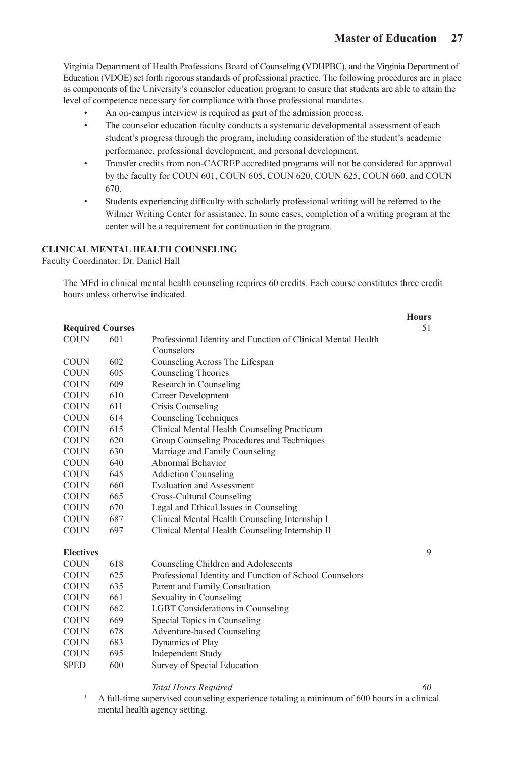**Hours**

Virginia Department of Health Professions Board of Counseling (VDHPBC), and the Virginia Department of Education (VDOE) set forth rigorous standards of professional practice. The following procedures are in place as components of the University's counselor education program to ensure that students are able to attain the level of competence necessary for compliance with those professional mandates.

- An on-campus interview is required as part of the admission process.
- The counselor education faculty conducts a systematic developmental assessment of each student's progress through the program, including consideration of the student's academic performance, professional development, and personal development.
- Transfer credits from non-CACREP accredited programs will not be considered for approval by the faculty for COUN 601, COUN 605, COUN 620, COUN 625, COUN 660, and COUN 670.
- Students experiencing difficulty with scholarly professional writing will be referred to the Wilmer Writing Center for assistance. In some cases, completion of a writing program at the center will be a requirement for continuation in the program.

### **CLINICAL MENTAL HEALTH COUNSELING**

Faculty Coordinator: Dr. Daniel Hall

The MEd in clinical mental health counseling requires 60 credits. Each course constitutes three credit hours unless otherwise indicated.

| <b>Required Courses</b> |     |                                                              | 110ul 5<br>51 |
|-------------------------|-----|--------------------------------------------------------------|---------------|
| <b>COUN</b>             | 601 | Professional Identity and Function of Clinical Mental Health |               |
|                         |     | Counselors                                                   |               |
| COUN                    | 602 | Counseling Across The Lifespan                               |               |
| <b>COUN</b>             | 605 | Counseling Theories                                          |               |
| COUN                    | 609 | Research in Counseling                                       |               |
| <b>COUN</b>             | 610 | Career Development                                           |               |
| <b>COUN</b>             | 611 | Crisis Counseling                                            |               |
| <b>COUN</b>             | 614 | Counseling Techniques                                        |               |
| <b>COUN</b>             | 615 | Clinical Mental Health Counseling Practicum                  |               |
| <b>COUN</b>             | 620 | Group Counseling Procedures and Techniques                   |               |
| <b>COUN</b>             | 630 | Marriage and Family Counseling                               |               |
| <b>COUN</b>             | 640 | Abnormal Behavior                                            |               |
| COUN                    | 645 | <b>Addiction Counseling</b>                                  |               |
| COUN                    | 660 | <b>Evaluation and Assessment</b>                             |               |
| <b>COUN</b>             | 665 | Cross-Cultural Counseling                                    |               |
| <b>COUN</b>             | 670 | Legal and Ethical Issues in Counseling                       |               |
| <b>COUN</b>             | 687 | Clinical Mental Health Counseling Internship I               |               |
| <b>COUN</b>             | 697 | Clinical Mental Health Counseling Internship II              |               |
| <b>Electives</b>        |     |                                                              | 9             |
| <b>COUN</b>             | 618 | Counseling Children and Adolescents                          |               |
| <b>COUN</b>             | 625 | Professional Identity and Function of School Counselors      |               |
| <b>COUN</b>             | 635 | Parent and Family Consultation                               |               |
| <b>COUN</b>             | 661 | Sexuality in Counseling                                      |               |
| <b>COUN</b>             | 662 | <b>LGBT</b> Considerations in Counseling                     |               |
| <b>COUN</b>             | 669 | Special Topics in Counseling                                 |               |
| COUN                    | 678 | Adventure-based Counseling                                   |               |
| <b>COUN</b>             | 683 | Dynamics of Play                                             |               |
| COUN                    | 695 | <b>Independent Study</b>                                     |               |
| <b>SPED</b>             | 600 | Survey of Special Education                                  |               |

#### *Fotal Hours Required* 60

<sup>1</sup> A full-time supervised counseling experience totaling a minimum of 600 hours in a clinical mental health agency setting.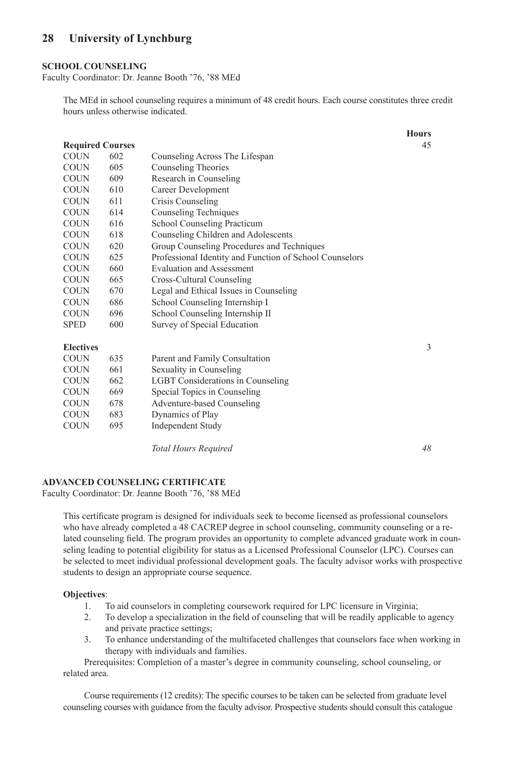### **SCHOOL COUNSELING**

Faculty Coordinator: Dr. Jeanne Booth '76, '88 MEd

The MEd in school counseling requires a minimum of 48 credit hours. Each course constitutes three credit hours unless otherwise indicated.

|                  | <b>Required Courses</b> |                                                         | 45 |
|------------------|-------------------------|---------------------------------------------------------|----|
| <b>COUN</b>      | 602                     | Counseling Across The Lifespan                          |    |
| <b>COUN</b>      | 605                     | Counseling Theories                                     |    |
| <b>COUN</b>      | 609                     | Research in Counseling                                  |    |
| COUN             | 610                     | Career Development                                      |    |
| <b>COUN</b>      | 611                     | Crisis Counseling                                       |    |
| <b>COUN</b>      | 614                     | Counseling Techniques                                   |    |
| <b>COUN</b>      | 616                     | School Counseling Practicum                             |    |
| COUN             | 618                     | Counseling Children and Adolescents                     |    |
| <b>COUN</b>      | 620                     | Group Counseling Procedures and Techniques              |    |
| <b>COUN</b>      | 625                     | Professional Identity and Function of School Counselors |    |
| <b>COUN</b>      | 660                     | <b>Evaluation and Assessment</b>                        |    |
| <b>COUN</b>      | 665                     | Cross-Cultural Counseling                               |    |
| COUN             | 670                     | Legal and Ethical Issues in Counseling                  |    |
| <b>COUN</b>      | 686                     | School Counseling Internship I                          |    |
| COUN             | 696                     | School Counseling Internship II                         |    |
| <b>SPED</b>      | 600                     | Survey of Special Education                             |    |
| <b>Electives</b> |                         |                                                         | 3  |
| <b>COUN</b>      | 635                     | Parent and Family Consultation                          |    |
| <b>COUN</b>      | 661                     | Sexuality in Counseling                                 |    |
| COUN             | 662                     | <b>LGBT</b> Considerations in Counseling                |    |
| <b>COUN</b>      | 669                     | Special Topics in Counseling                            |    |
| COUN             | 678                     | Adventure-based Counseling                              |    |
| COUN             | 683                     | Dynamics of Play                                        |    |
| <b>COUN</b>      | 695                     | <b>Independent Study</b>                                |    |
|                  |                         |                                                         |    |

 *Total Hours Required 48*

**Hours**

### **ADVANCED COUNSELING CERTIFICATE**

Faculty Coordinator: Dr. Jeanne Booth '76, '88 MEd

This certificate program is designed for individuals seek to become licensed as professional counselors who have already completed a 48 CACREP degree in school counseling, community counseling or a related counseling field. The program provides an opportunity to complete advanced graduate work in counseling leading to potential eligibility for status as a Licensed Professional Counselor (LPC). Courses can be selected to meet individual professional development goals. The faculty advisor works with prospective students to design an appropriate course sequence.

#### **Objectives**:

- 1. To aid counselors in completing coursework required for LPC licensure in Virginia;
- 2. To develop a specialization in the field of counseling that will be readily applicable to agency and private practice settings;
- 3. To enhance understanding of the multifaceted challenges that counselors face when working in therapy with individuals and families.

Prerequisites: Completion of a master's degree in community counseling, school counseling, or related area.

Course requirements (12 credits): The specific courses to be taken can be selected from graduate level counseling courses with guidance from the faculty advisor. Prospective students should consult this catalogue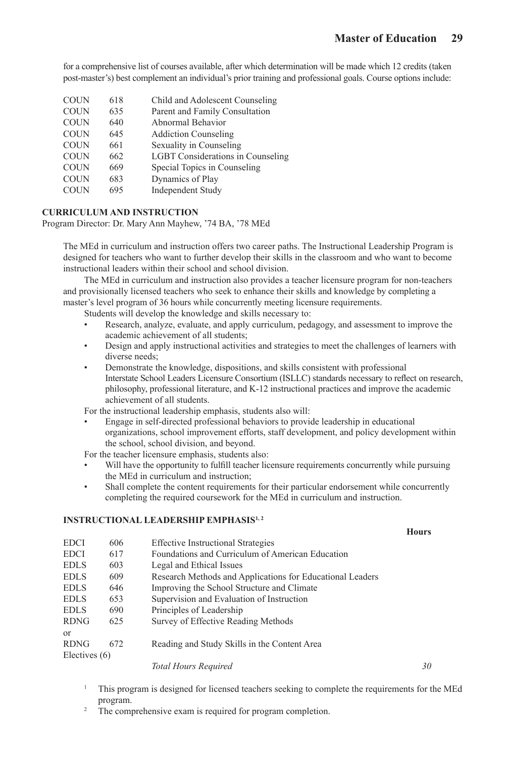for a comprehensive list of courses available, after which determination will be made which 12 credits (taken post-master's) best complement an individual's prior training and professional goals. Course options include:

| COUN | 618 | Child and Adolescent Counseling          |
|------|-----|------------------------------------------|
| COUN | 635 | Parent and Family Consultation           |
| COUN | 640 | Abnormal Behavior                        |
| COUN | 645 | <b>Addiction Counseling</b>              |
| COUN | 661 | Sexuality in Counseling                  |
| COUN | 662 | <b>LGBT</b> Considerations in Counseling |
| COUN | 669 | Special Topics in Counseling             |
| COUN | 683 | Dynamics of Play                         |
| COUN | 695 | <b>Independent Study</b>                 |
|      |     |                                          |

### **CURRICULUM AND INSTRUCTION**

Program Director: Dr. Mary Ann Mayhew, '74 BA, '78 MEd

The MEd in curriculum and instruction offers two career paths. The Instructional Leadership Program is designed for teachers who want to further develop their skills in the classroom and who want to become instructional leaders within their school and school division.

The MEd in curriculum and instruction also provides a teacher licensure program for non-teachers and provisionally licensed teachers who seek to enhance their skills and knowledge by completing a master's level program of 36 hours while concurrently meeting licensure requirements.

Students will develop the knowledge and skills necessary to:

- Research, analyze, evaluate, and apply curriculum, pedagogy, and assessment to improve the academic achievement of all students;
- Design and apply instructional activities and strategies to meet the challenges of learners with diverse needs;
- Demonstrate the knowledge, dispositions, and skills consistent with professional Interstate School Leaders Licensure Consortium (ISLLC) standards necessary to reflect on research, philosophy, professional literature, and K-12 instructional practices and improve the academic achievement of all students.

For the instructional leadership emphasis, students also will:

• Engage in self-directed professional behaviors to provide leadership in educational organizations, school improvement efforts, staff development, and policy development within the school, school division, and beyond.

For the teacher licensure emphasis, students also:

- Will have the opportunity to fulfill teacher licensure requirements concurrently while pursuing the MEd in curriculum and instruction;
- Shall complete the content requirements for their particular endorsement while concurrently completing the required coursework for the MEd in curriculum and instruction.

### **INSTRUCTIONAL LEADERSHIP EMPHASIS<sup>1,2</sup>**

| <b>EDCI</b>     | 606 | <b>Effective Instructional Strategies</b>                 |    |
|-----------------|-----|-----------------------------------------------------------|----|
| <b>EDCI</b>     | 617 | Foundations and Curriculum of American Education          |    |
| <b>EDLS</b>     | 603 | Legal and Ethical Issues                                  |    |
| <b>EDLS</b>     | 609 | Research Methods and Applications for Educational Leaders |    |
| <b>EDLS</b>     | 646 | Improving the School Structure and Climate                |    |
| <b>EDLS</b>     | 653 | Supervision and Evaluation of Instruction                 |    |
| <b>EDLS</b>     | 690 | Principles of Leadership                                  |    |
| <b>RDNG</b>     | 625 | Survey of Effective Reading Methods                       |    |
| <sub>or</sub>   |     |                                                           |    |
| <b>RDNG</b>     | 672 | Reading and Study Skills in the Content Area              |    |
| Electives $(6)$ |     |                                                           |    |
|                 |     | <b>Total Hours Required</b>                               | 30 |

- <sup>1</sup> This program is designed for licensed teachers seeking to complete the requirements for the MEd program.
- <sup>2</sup> The comprehensive exam is required for program completion.

#### **Hours**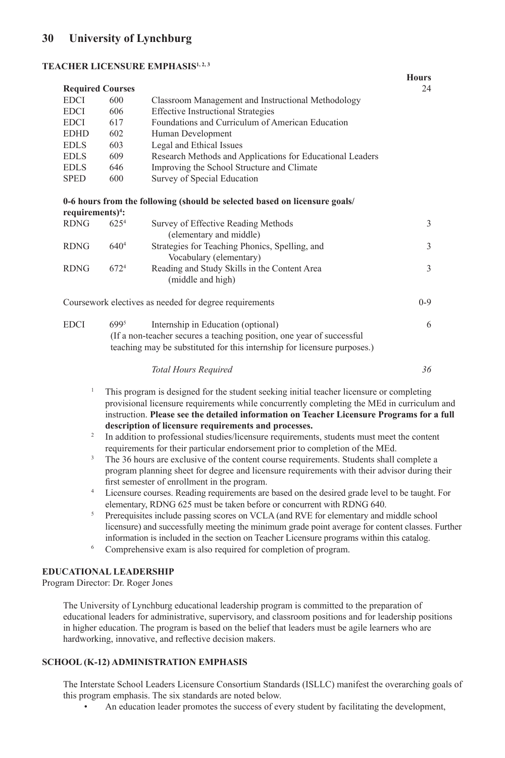### **TEACHER LICENSURE EMPHASIS<sup>1, 2, 3</sup>**

|                         |                  |                                                                            | <b>Hours</b> |
|-------------------------|------------------|----------------------------------------------------------------------------|--------------|
| <b>Required Courses</b> |                  |                                                                            | 24           |
| <b>EDCI</b>             | 600              | Classroom Management and Instructional Methodology                         |              |
| <b>EDCI</b>             | 606              | <b>Effective Instructional Strategies</b>                                  |              |
| <b>EDCI</b>             | 617              | Foundations and Curriculum of American Education                           |              |
| <b>EDHD</b>             | 602              | Human Development                                                          |              |
| <b>EDLS</b>             | 603              | Legal and Ethical Issues                                                   |              |
| EDLS.                   | 609              | Research Methods and Applications for Educational Leaders                  |              |
| <b>EDLS</b>             | 646              | Improving the School Structure and Climate                                 |              |
| <b>SPED</b>             | 600              | Survey of Special Education                                                |              |
|                         |                  |                                                                            |              |
|                         |                  | 0-6 hours from the following (should be selected based on licensure goals/ |              |
| requirements $)^4$ :    |                  |                                                                            |              |
| <b>RDNG</b>             | 625 <sup>4</sup> | Survey of Effective Reading Methods                                        | 3            |
|                         |                  | (elementary and middle)                                                    |              |
| <b>RDNG</b>             | 640 <sup>4</sup> | Strategies for Teaching Phonics, Spelling, and                             | 3            |
|                         |                  | Vocabulary (elementary)                                                    |              |
| <b>RDNG</b>             | 6724             | Reading and Study Skills in the Content Area                               | 3            |
|                         |                  | (middle and high)                                                          |              |
|                         |                  |                                                                            |              |
|                         |                  | Coursework electives as needed for degree requirements                     | $0 - 9$      |
|                         |                  |                                                                            |              |
| <b>EDCI</b>             | 6995             | Internship in Education (optional)                                         | 6            |
|                         |                  | (If a non-teacher secures a teaching position, one year of successful      |              |
|                         |                  | teaching may be substituted for this internship for licensure purposes.)   |              |
|                         |                  |                                                                            |              |

### *Total Hours Required 36*

- <sup>1</sup> This program is designed for the student seeking initial teacher licensure or completing provisional licensure requirements while concurrently completing the MEd in curriculum and instruction. **Please see the detailed information on Teacher Licensure Programs for a full description of licensure requirements and processes.**
- <sup>2</sup> In addition to professional studies/licensure requirements, students must meet the content requirements for their particular endorsement prior to completion of the MEd.
- <sup>3</sup> The 36 hours are exclusive of the content course requirements. Students shall complete a program planning sheet for degree and licensure requirements with their advisor during their first semester of enrollment in the program.
- 4 Licensure courses. Reading requirements are based on the desired grade level to be taught. For elementary, RDNG 625 must be taken before or concurrent with RDNG 640.
- <sup>5</sup> Prerequisites include passing scores on VCLA (and RVE for elementary and middle school licensure) and successfully meeting the minimum grade point average for content classes. Further information is included in the section on Teacher Licensure programs within this catalog.
- 6 Comprehensive exam is also required for completion of program.

# **EDUCATIONAL LEADERSHIP**

Program Director: Dr. Roger Jones

The University of Lynchburg educational leadership program is committed to the preparation of educational leaders for administrative, supervisory, and classroom positions and for leadership positions in higher education. The program is based on the belief that leaders must be agile learners who are hardworking, innovative, and reflective decision makers.

# **SCHOOL (K-12) ADMINISTRATION EMPHASIS**

The Interstate School Leaders Licensure Consortium Standards (ISLLC) manifest the overarching goals of this program emphasis. The six standards are noted below.

• An education leader promotes the success of every student by facilitating the development,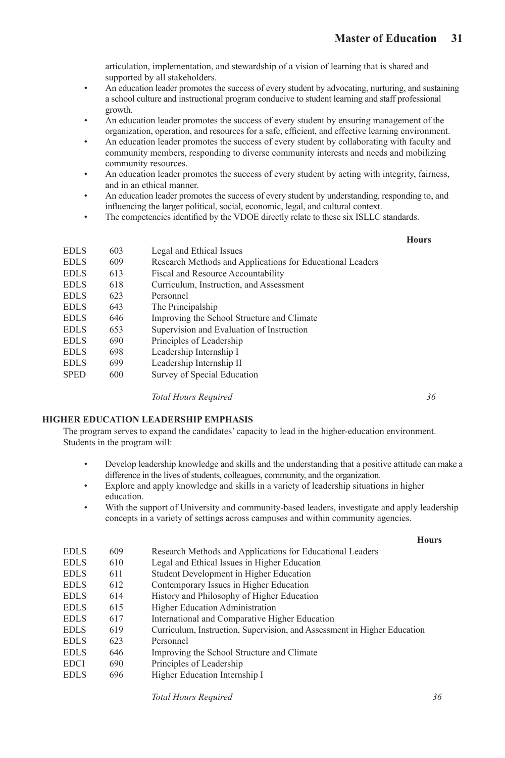articulation, implementation, and stewardship of a vision of learning that is shared and supported by all stakeholders.

- An education leader promotes the success of every student by advocating, nurturing, and sustaining a school culture and instructional program conducive to student learning and staff professional growth.
- An education leader promotes the success of every student by ensuring management of the organization, operation, and resources for a safe, efficient, and effective learning environment.
- An education leader promotes the success of every student by collaborating with faculty and community members, responding to diverse community interests and needs and mobilizing community resources.
- An education leader promotes the success of every student by acting with integrity, fairness, and in an ethical manner.
- An education leader promotes the success of every student by understanding, responding to, and influencing the larger political, social, economic, legal, and cultural context.
- The competencies identified by the VDOE directly relate to these six ISLLC standards.

| <b>EDLS</b> | 603 | Legal and Ethical Issues                                  |
|-------------|-----|-----------------------------------------------------------|
| <b>EDLS</b> | 609 | Research Methods and Applications for Educational Leaders |
| <b>EDLS</b> | 613 | Fiscal and Resource Accountability                        |
| <b>EDLS</b> | 618 | Curriculum, Instruction, and Assessment                   |
| <b>EDLS</b> | 623 | Personnel                                                 |
| <b>EDLS</b> | 643 | The Principalship                                         |
| <b>EDLS</b> | 646 | Improving the School Structure and Climate                |
| <b>EDLS</b> | 653 | Supervision and Evaluation of Instruction                 |
| <b>EDLS</b> | 690 | Principles of Leadership                                  |
| <b>EDLS</b> | 698 | Leadership Internship I                                   |
| <b>EDLS</b> | 699 | Leadership Internship II                                  |
| <b>SPED</b> | 600 | Survey of Special Education                               |

 *Total Hours Required 36*

### **HIGHER EDUCATION LEADERSHIP EMPHASIS**

The program serves to expand the candidates' capacity to lead in the higher-education environment. Students in the program will:

- Develop leadership knowledge and skills and the understanding that a positive attitude can make a difference in the lives of students, colleagues, community, and the organization.
- Explore and apply knowledge and skills in a variety of leadership situations in higher education.
- With the support of University and community-based leaders, investigate and apply leadership concepts in a variety of settings across campuses and within community agencies.

### **Hours**

| EDL S | 609 | Research Methods and Applications for Educational Leaders                |
|-------|-----|--------------------------------------------------------------------------|
| EDLS  | 610 | Legal and Ethical Issues in Higher Education                             |
| EDLS  | 611 | Student Development in Higher Education                                  |
| EDL S | 612 | Contemporary Issues in Higher Education                                  |
| EDLS  | 614 | History and Philosophy of Higher Education                               |
| EDL S | 615 | <b>Higher Education Administration</b>                                   |
| EDLS  | 617 | International and Comparative Higher Education                           |
| EDLS  | 619 | Curriculum, Instruction, Supervision, and Assessment in Higher Education |
| EDL S | 623 | Personnel                                                                |
| EDLS  | 646 | Improving the School Structure and Climate                               |
| EDCI  | 690 | Principles of Leadership                                                 |
| EDLS  | 696 | Higher Education Internship I                                            |
|       |     |                                                                          |

 *Total Hours Required 36*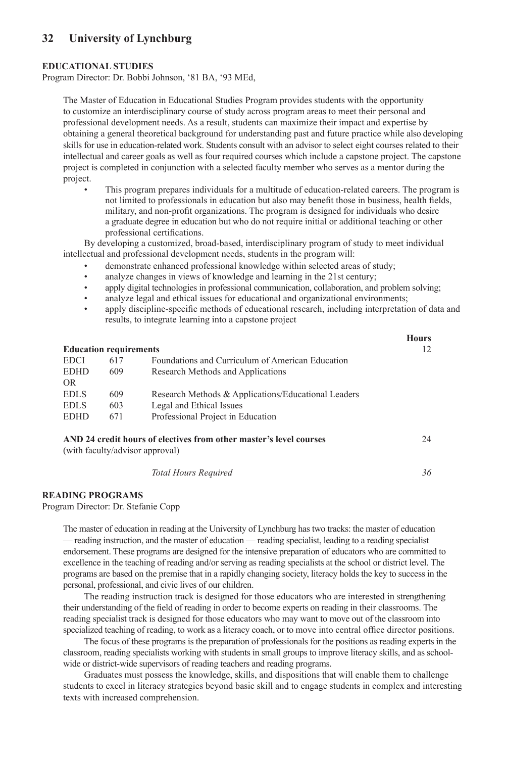### **EDUCATIONAL STUDIES**

Program Director: Dr. Bobbi Johnson, '81 BA, '93 MEd,

The Master of Education in Educational Studies Program provides students with the opportunity to customize an interdisciplinary course of study across program areas to meet their personal and professional development needs. As a result, students can maximize their impact and expertise by obtaining a general theoretical background for understanding past and future practice while also developing skills for use in education-related work. Students consult with an advisor to select eight courses related to their intellectual and career goals as well as four required courses which include a capstone project. The capstone project is completed in conjunction with a selected faculty member who serves as a mentor during the project.

• This program prepares individuals for a multitude of education-related careers. The program is not limited to professionals in education but also may benefit those in business, health fields, military, and non-profit organizations. The program is designed for individuals who desire a graduate degree in education but who do not require initial or additional teaching or other professional certifications.

By developing a customized, broad-based, interdisciplinary program of study to meet individual intellectual and professional development needs, students in the program will:

- demonstrate enhanced professional knowledge within selected areas of study;
- analyze changes in views of knowledge and learning in the 21st century;
- apply digital technologies in professional communication, collaboration, and problem solving;
- analyze legal and ethical issues for educational and organizational environments;
- apply discipline-specific methods of educational research, including interpretation of data and results, to integrate learning into a capstone project

|             |                               |                                                                    | <b>Hours</b> |
|-------------|-------------------------------|--------------------------------------------------------------------|--------------|
|             | <b>Education requirements</b> |                                                                    | 12           |
| <b>EDCI</b> | 617                           | Foundations and Curriculum of American Education                   |              |
| <b>EDHD</b> | 609                           | Research Methods and Applications                                  |              |
| <b>OR</b>   |                               |                                                                    |              |
| <b>EDLS</b> | 609                           | Research Methods & Applications/Educational Leaders                |              |
| <b>EDLS</b> | 603                           | Legal and Ethical Issues                                           |              |
| <b>EDHD</b> | 671                           | Professional Project in Education                                  |              |
|             |                               | AND 24 credit hours of electives from other master's level courses | 24           |

(with faculty/advisor approval)

 *Total Hours Required 36*

**READING PROGRAMS**

Program Director: Dr. Stefanie Copp

The master of education in reading at the University of Lynchburg has two tracks: the master of education — reading instruction, and the master of education — reading specialist, leading to a reading specialist endorsement. These programs are designed for the intensive preparation of educators who are committed to excellence in the teaching of reading and/or serving as reading specialists at the school or district level. The programs are based on the premise that in a rapidly changing society, literacy holds the key to success in the personal, professional, and civic lives of our children.

The reading instruction track is designed for those educators who are interested in strengthening their understanding of the field of reading in order to become experts on reading in their classrooms. The reading specialist track is designed for those educators who may want to move out of the classroom into specialized teaching of reading, to work as a literacy coach, or to move into central office director positions.

The focus of these programs is the preparation of professionals for the positions as reading experts in the classroom, reading specialists working with students in small groups to improve literacy skills, and as schoolwide or district-wide supervisors of reading teachers and reading programs.

Graduates must possess the knowledge, skills, and dispositions that will enable them to challenge students to excel in literacy strategies beyond basic skill and to engage students in complex and interesting texts with increased comprehension.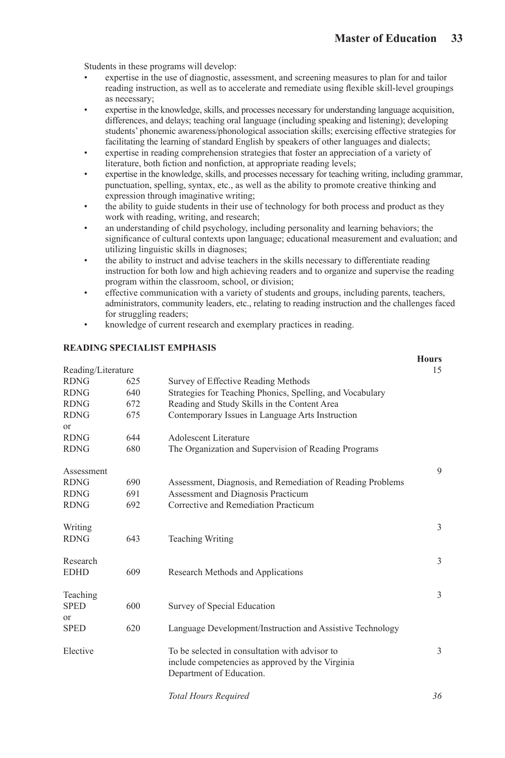Students in these programs will develop:

- expertise in the use of diagnostic, assessment, and screening measures to plan for and tailor reading instruction, as well as to accelerate and remediate using flexible skill-level groupings as necessary;
- expertise in the knowledge, skills, and processes necessary for understanding language acquisition, differences, and delays; teaching oral language (including speaking and listening); developing students' phonemic awareness/phonological association skills; exercising effective strategies for facilitating the learning of standard English by speakers of other languages and dialects;
- expertise in reading comprehension strategies that foster an appreciation of a variety of literature, both fiction and nonfiction, at appropriate reading levels;
- expertise in the knowledge, skills, and processes necessary for teaching writing, including grammar, punctuation, spelling, syntax, etc., as well as the ability to promote creative thinking and expression through imaginative writing;
- the ability to guide students in their use of technology for both process and product as they work with reading, writing, and research;
- an understanding of child psychology, including personality and learning behaviors; the significance of cultural contexts upon language; educational measurement and evaluation; and utilizing linguistic skills in diagnoses;
- the ability to instruct and advise teachers in the skills necessary to differentiate reading instruction for both low and high achieving readers and to organize and supervise the reading program within the classroom, school, or division;
- effective communication with a variety of students and groups, including parents, teachers, administrators, community leaders, etc., relating to reading instruction and the challenges faced for struggling readers;
- knowledge of current research and exemplary practices in reading.

# **READING SPECIALIST EMPHASIS**

|                    |     |                                                                                                                                | <b>Hours</b> |
|--------------------|-----|--------------------------------------------------------------------------------------------------------------------------------|--------------|
| Reading/Literature |     |                                                                                                                                | 15           |
| <b>RDNG</b>        | 625 | Survey of Effective Reading Methods                                                                                            |              |
| <b>RDNG</b>        | 640 | Strategies for Teaching Phonics, Spelling, and Vocabulary                                                                      |              |
| <b>RDNG</b>        | 672 | Reading and Study Skills in the Content Area                                                                                   |              |
| <b>RDNG</b>        | 675 | Contemporary Issues in Language Arts Instruction                                                                               |              |
| or                 |     |                                                                                                                                |              |
| <b>RDNG</b>        | 644 | Adolescent Literature                                                                                                          |              |
| <b>RDNG</b>        | 680 | The Organization and Supervision of Reading Programs                                                                           |              |
| Assessment         |     |                                                                                                                                | 9            |
| <b>RDNG</b>        | 690 | Assessment, Diagnosis, and Remediation of Reading Problems                                                                     |              |
| <b>RDNG</b>        | 691 | Assessment and Diagnosis Practicum                                                                                             |              |
| <b>RDNG</b>        | 692 | Corrective and Remediation Practicum                                                                                           |              |
| Writing            |     |                                                                                                                                | 3            |
| <b>RDNG</b>        | 643 | <b>Teaching Writing</b>                                                                                                        |              |
| Research           |     |                                                                                                                                | 3            |
| <b>EDHD</b>        | 609 | Research Methods and Applications                                                                                              |              |
| Teaching           |     |                                                                                                                                | 3            |
| <b>SPED</b>        | 600 | Survey of Special Education                                                                                                    |              |
| or                 |     |                                                                                                                                |              |
| <b>SPED</b>        | 620 | Language Development/Instruction and Assistive Technology                                                                      |              |
| Elective           |     | To be selected in consultation with advisor to<br>include competencies as approved by the Virginia<br>Department of Education. | 3            |
|                    |     |                                                                                                                                |              |

*Total Hours Required 36*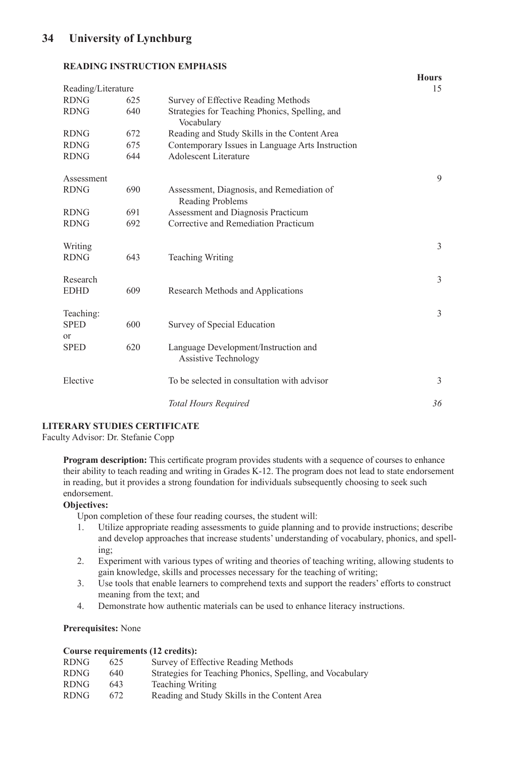### **READING INSTRUCTION EMPHASIS**

|                    |     |                                                               | <b>Hours</b> |
|--------------------|-----|---------------------------------------------------------------|--------------|
| Reading/Literature |     |                                                               | 15           |
| <b>RDNG</b>        | 625 | Survey of Effective Reading Methods                           |              |
| <b>RDNG</b>        | 640 | Strategies for Teaching Phonics, Spelling, and<br>Vocabulary  |              |
| <b>RDNG</b>        | 672 | Reading and Study Skills in the Content Area                  |              |
| <b>RDNG</b>        | 675 | Contemporary Issues in Language Arts Instruction              |              |
| <b>RDNG</b>        | 644 | Adolescent Literature                                         |              |
| Assessment         |     |                                                               | 9            |
| <b>RDNG</b>        | 690 | Assessment, Diagnosis, and Remediation of<br>Reading Problems |              |
| <b>RDNG</b>        | 691 | Assessment and Diagnosis Practicum                            |              |
| <b>RDNG</b>        | 692 | Corrective and Remediation Practicum                          |              |
| Writing            |     |                                                               | 3            |
| <b>RDNG</b>        | 643 | Teaching Writing                                              |              |
| Research           |     |                                                               | 3            |
| <b>EDHD</b>        | 609 | Research Methods and Applications                             |              |
| Teaching:          |     |                                                               | 3            |
| <b>SPED</b>        | 600 | Survey of Special Education                                   |              |
| or                 |     |                                                               |              |
| <b>SPED</b>        | 620 | Language Development/Instruction and<br>Assistive Technology  |              |
| Elective           |     | To be selected in consultation with advisor                   | 3            |
|                    |     | <b>Total Hours Required</b>                                   | 36           |

# **LITERARY STUDIES CERTIFICATE**

Faculty Advisor: Dr. Stefanie Copp

**Program description:** This certificate program provides students with a sequence of courses to enhance their ability to teach reading and writing in Grades K-12. The program does not lead to state endorsement in reading, but it provides a strong foundation for individuals subsequently choosing to seek such endorsement.

### **Objectives:**

Upon completion of these four reading courses, the student will:

- 1. Utilize appropriate reading assessments to guide planning and to provide instructions; describe and develop approaches that increase students' understanding of vocabulary, phonics, and spelling;
- 2. Experiment with various types of writing and theories of teaching writing, allowing students to gain knowledge, skills and processes necessary for the teaching of writing;
- 3. Use tools that enable learners to comprehend texts and support the readers' efforts to construct meaning from the text; and
- 4. Demonstrate how authentic materials can be used to enhance literacy instructions.

**Prerequisites:** None

### **Course requirements (12 credits):**

| <b>RDNG</b> | 625 | Survey of Effective Reading Methods                       |
|-------------|-----|-----------------------------------------------------------|
| <b>RDNG</b> | 640 | Strategies for Teaching Phonics, Spelling, and Vocabulary |
| <b>RDNG</b> | 643 | <b>Teaching Writing</b>                                   |
| <b>RDNG</b> | 672 | Reading and Study Skills in the Content Area              |
|             |     |                                                           |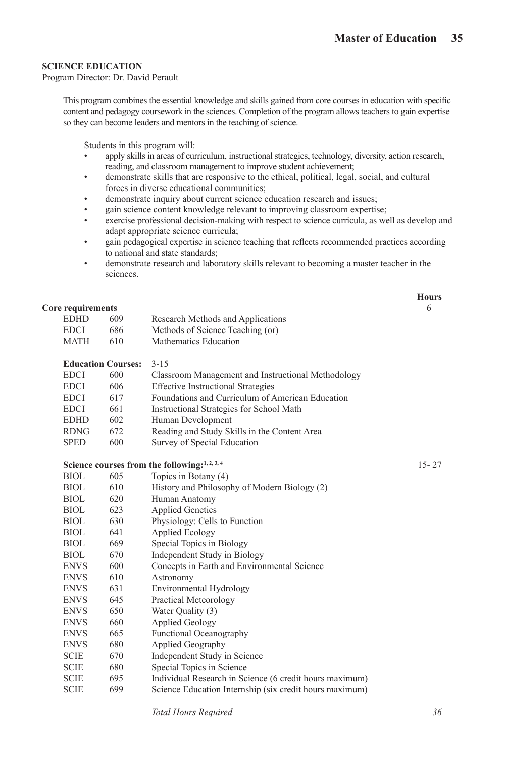### **SCIENCE EDUCATION**

Program Director: Dr. David Perault

This program combines the essential knowledge and skills gained from core courses in education with specific content and pedagogy coursework in the sciences. Completion of the program allows teachers to gain expertise so they can become leaders and mentors in the teaching of science.

Students in this program will:

- apply skills in areas of curriculum, instructional strategies, technology, diversity, action research, reading, and classroom management to improve student achievement;
- demonstrate skills that are responsive to the ethical, political, legal, social, and cultural forces in diverse educational communities;
- demonstrate inquiry about current science education research and issues;
- gain science content knowledge relevant to improving classroom expertise;
- exercise professional decision-making with respect to science curricula, as well as develop and adapt appropriate science curricula;
- gain pedagogical expertise in science teaching that reflects recommended practices according to national and state standards;
- demonstrate research and laboratory skills relevant to becoming a master teacher in the sciences.

### **Core requirements**

| EDHD | 609 | Research Methods and Applications |
|------|-----|-----------------------------------|
| EDCI | 686 | Methods of Science Teaching (or)  |
| MATH | 610 | Mathematics Education             |

| <b>Education Courses:</b> |     | $3 - 15$                                           |
|---------------------------|-----|----------------------------------------------------|
| EDCI                      | 600 | Classroom Management and Instructional Methodology |
| <b>EDCI</b>               | 606 | <b>Effective Instructional Strategies</b>          |
| <b>EDCI</b>               | 617 | Foundations and Curriculum of American Education   |
| <b>EDCI</b>               | 661 | Instructional Strategies for School Math           |
| <b>EDHD</b>               | 602 | Human Development                                  |
| <b>RDNG</b>               | 672 | Reading and Study Skills in the Content Area       |
| <b>SPED</b>               | 600 | Survey of Special Education                        |

### **Science courses from the following:**<sup>1, 2, 3, 4</sup> 15- 27

| BIOL        | 605 | Topics in Botany (4)                                    |
|-------------|-----|---------------------------------------------------------|
| BIOL        | 610 | History and Philosophy of Modern Biology (2)            |
| BIOL        | 620 | Human Anatomy                                           |
| BIOL        | 623 | <b>Applied Genetics</b>                                 |
| BIOL        | 630 | Physiology: Cells to Function                           |
| BIOL        | 641 | Applied Ecology                                         |
| BIOL        | 669 | Special Topics in Biology                               |
| BIOL        | 670 | Independent Study in Biology                            |
| <b>ENVS</b> | 600 | Concepts in Earth and Environmental Science             |
| ENVS        | 610 | Astronomy                                               |
| <b>ENVS</b> | 631 | Environmental Hydrology                                 |
| ENVS        | 645 | Practical Meteorology                                   |
| ENVS        | 650 | Water Quality (3)                                       |
| <b>ENVS</b> | 660 | Applied Geology                                         |
| ENVS        | 665 | <b>Functional Oceanography</b>                          |
| ENVS        | 680 | Applied Geography                                       |
| SCIE        | 670 | Independent Study in Science                            |
| SCIE        | 680 | Special Topics in Science                               |
| SCIE        | 695 | Individual Research in Science (6 credit hours maximum) |
|             |     |                                                         |

SCIE 699 Science Education Internship (six credit hours maximum)

*Total Hours Required 36*

**Hours**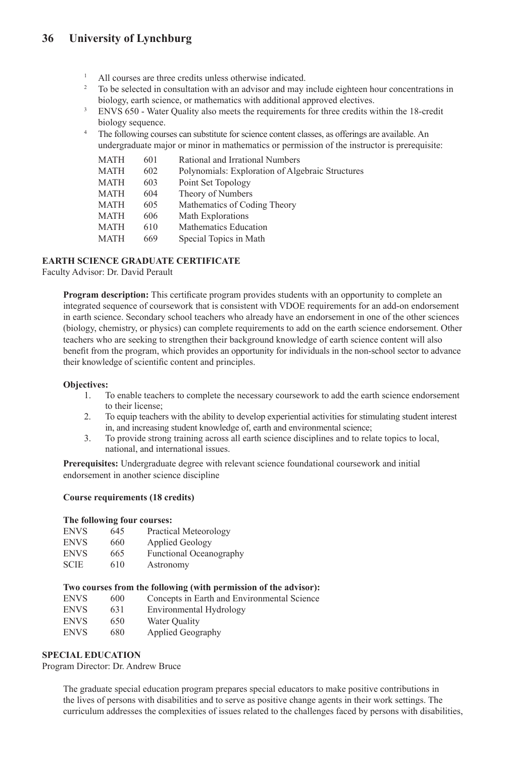- <sup>1</sup> All courses are three credits unless otherwise indicated.
- 2 To be selected in consultation with an advisor and may include eighteen hour concentrations in biology, earth science, or mathematics with additional approved electives.
- 3 ENVS 650 Water Quality also meets the requirements for three credits within the 18-credit biology sequence.
- <sup>4</sup> The following courses can substitute for science content classes, as offerings are available. An undergraduate major or minor in mathematics or permission of the instructor is prerequisite:

| <b>MATH</b> | 601 | Rational and Irrational Numbers                  |
|-------------|-----|--------------------------------------------------|
| <b>MATH</b> | 602 | Polynomials: Exploration of Algebraic Structures |
| <b>MATH</b> | 603 | Point Set Topology                               |
| <b>MATH</b> | 604 | Theory of Numbers                                |
| <b>MATH</b> | 605 | Mathematics of Coding Theory                     |
| <b>MATH</b> | 606 | Math Explorations                                |
| <b>MATH</b> | 610 | Mathematics Education                            |
| <b>MATH</b> | 669 | Special Topics in Math                           |
|             |     |                                                  |

# **EARTH SCIENCE GRADUATE CERTIFICATE**

Faculty Advisor: Dr. David Perault

**Program description:** This certificate program provides students with an opportunity to complete an integrated sequence of coursework that is consistent with VDOE requirements for an add-on endorsement in earth science. Secondary school teachers who already have an endorsement in one of the other sciences (biology, chemistry, or physics) can complete requirements to add on the earth science endorsement. Other teachers who are seeking to strengthen their background knowledge of earth science content will also benefit from the program, which provides an opportunity for individuals in the non-school sector to advance their knowledge of scientific content and principles.

### **Objectives:**

- 1. To enable teachers to complete the necessary coursework to add the earth science endorsement to their license;
- 2. To equip teachers with the ability to develop experiential activities for stimulating student interest in, and increasing student knowledge of, earth and environmental science;
- 3. To provide strong training across all earth science disciplines and to relate topics to local, national, and international issues.

**Prerequisites:** Undergraduate degree with relevant science foundational coursework and initial endorsement in another science discipline

### **Course requirements (18 credits)**

### **The following four courses:**

| <b>ENVS</b> | 645 | Practical Meteorology          |
|-------------|-----|--------------------------------|
| <b>ENVS</b> | 660 | Applied Geology                |
| <b>ENVS</b> | 665 | <b>Functional Oceanography</b> |
| SCIE        | 610 | Astronomy                      |

### **Two courses from the following (with permission of the advisor):**

| <b>ENVS</b> | 600 | Concepts in Earth and Environmental Science |
|-------------|-----|---------------------------------------------|
| <b>ENVS</b> | 631 | Environmental Hydrology                     |
| <b>ENVS</b> | 650 | Water Quality                               |
| <b>ENVS</b> | 680 | Applied Geography                           |

### **SPECIAL EDUCATION**

Program Director: Dr. Andrew Bruce

The graduate special education program prepares special educators to make positive contributions in the lives of persons with disabilities and to serve as positive change agents in their work settings. The curriculum addresses the complexities of issues related to the challenges faced by persons with disabilities,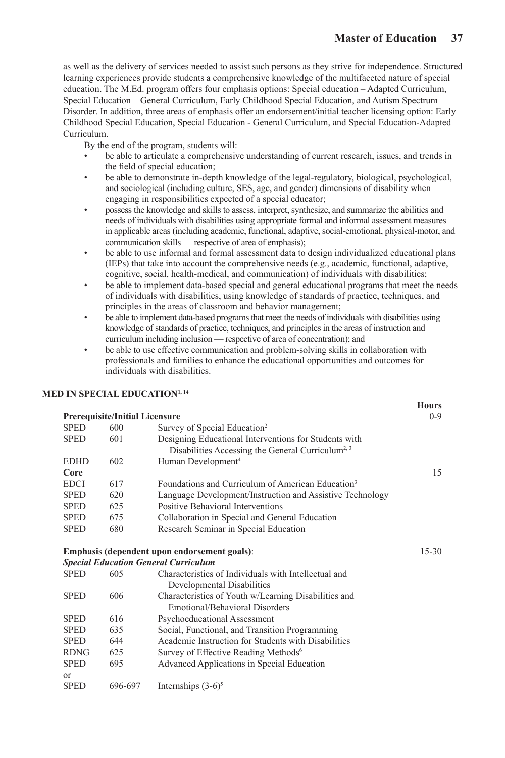**Hours**

as well as the delivery of services needed to assist such persons as they strive for independence. Structured learning experiences provide students a comprehensive knowledge of the multifaceted nature of special education. The M.Ed. program offers four emphasis options: Special education – Adapted Curriculum, Special Education – General Curriculum, Early Childhood Special Education, and Autism Spectrum Disorder. In addition, three areas of emphasis offer an endorsement/initial teacher licensing option: Early Childhood Special Education, Special Education - General Curriculum, and Special Education-Adapted Curriculum.

By the end of the program, students will:

- be able to articulate a comprehensive understanding of current research, issues, and trends in the field of special education;
- be able to demonstrate in-depth knowledge of the legal-regulatory, biological, psychological, and sociological (including culture, SES, age, and gender) dimensions of disability when engaging in responsibilities expected of a special educator;
- possess the knowledge and skills to assess, interpret, synthesize, and summarize the abilities and needs of individuals with disabilities using appropriate formal and informal assessment measures in applicable areas (including academic, functional, adaptive, social-emotional, physical-motor, and communication skills — respective of area of emphasis);
- be able to use informal and formal assessment data to design individualized educational plans (IEPs) that take into account the comprehensive needs (e.g., academic, functional, adaptive, cognitive, social, health-medical, and communication) of individuals with disabilities;
- be able to implement data-based special and general educational programs that meet the needs of individuals with disabilities, using knowledge of standards of practice, techniques, and principles in the areas of classroom and behavior management;
- be able to implement data-based programs that meet the needs of individuals with disabilities using knowledge of standards of practice, techniques, and principles in the areas of instruction and curriculum including inclusion — respective of area of concentration); and
- be able to use effective communication and problem-solving skills in collaboration with professionals and families to enhance the educational opportunities and outcomes for individuals with disabilities.

## **MED IN SPECIAL EDUCATION1, 14**

|             | <b>Prerequisite/Initial Licensure</b> |                                                                                                                                                     | $0 - 9$   |
|-------------|---------------------------------------|-----------------------------------------------------------------------------------------------------------------------------------------------------|-----------|
| <b>SPED</b> | 600                                   | Survey of Special Education <sup>2</sup>                                                                                                            |           |
| <b>SPED</b> | 601                                   | Designing Educational Interventions for Students with<br>Disabilities Accessing the General Curriculum <sup>2, 3</sup>                              |           |
| <b>EDHD</b> | 602                                   | Human Development <sup>4</sup>                                                                                                                      |           |
| Core        |                                       |                                                                                                                                                     | 15        |
| <b>EDCI</b> | 617                                   | Foundations and Curriculum of American Education <sup>3</sup>                                                                                       |           |
| <b>SPED</b> | 620                                   | Language Development/Instruction and Assistive Technology                                                                                           |           |
| <b>SPED</b> | 625                                   | Positive Behavioral Interventions                                                                                                                   |           |
| <b>SPED</b> | 675                                   | Collaboration in Special and General Education                                                                                                      |           |
| <b>SPED</b> | 680                                   | Research Seminar in Special Education                                                                                                               |           |
| <b>SPED</b> | 605                                   | Emphasis (dependent upon endorsement goals):<br><b>Special Education General Curriculum</b><br>Characteristics of Individuals with Intellectual and | $15 - 30$ |
|             |                                       | Developmental Disabilities                                                                                                                          |           |
| <b>SPED</b> | 606                                   | Characteristics of Youth w/Learning Disabilities and<br>Emotional/Behavioral Disorders                                                              |           |
| <b>SPED</b> | 616                                   | Psychoeducational Assessment                                                                                                                        |           |
| <b>SPED</b> | 635                                   | Social, Functional, and Transition Programming                                                                                                      |           |
| <b>SPED</b> | 644                                   | Academic Instruction for Students with Disabilities                                                                                                 |           |
| <b>RDNG</b> | 625                                   | Survey of Effective Reading Methods <sup>6</sup>                                                                                                    |           |
| <b>SPED</b> | 695                                   | Advanced Applications in Special Education                                                                                                          |           |
| or          |                                       |                                                                                                                                                     |           |
| <b>SPED</b> | 696-697                               | Internships $(3-6)^5$                                                                                                                               |           |
|             |                                       |                                                                                                                                                     |           |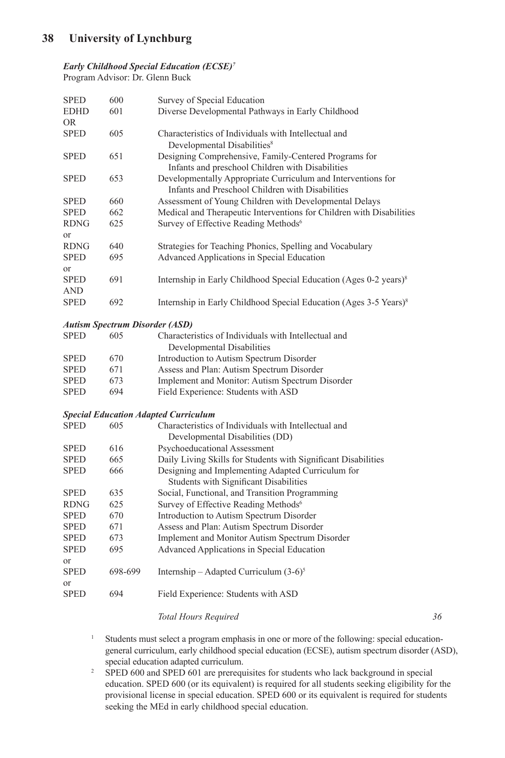### *Early Childhood Special Education (ECSE)7*

Program Advisor: Dr. Glenn Buck

| <b>SPED</b>       | 600                                   | Survey of Special Education                                                                                      |
|-------------------|---------------------------------------|------------------------------------------------------------------------------------------------------------------|
| <b>EDHD</b>       | 601                                   | Diverse Developmental Pathways in Early Childhood                                                                |
| OR                |                                       |                                                                                                                  |
| <b>SPED</b>       | 605                                   | Characteristics of Individuals with Intellectual and<br>Developmental Disabilities <sup>8</sup>                  |
| <b>SPED</b>       | 651                                   | Designing Comprehensive, Family-Centered Programs for<br>Infants and preschool Children with Disabilities        |
| <b>SPED</b>       | 653                                   | Developmentally Appropriate Curriculum and Interventions for<br>Infants and Preschool Children with Disabilities |
| <b>SPED</b>       | 660                                   | Assessment of Young Children with Developmental Delays                                                           |
| <b>SPED</b>       | 662                                   | Medical and Therapeutic Interventions for Children with Disabilities                                             |
| <b>RDNG</b><br>or | 625                                   | Survey of Effective Reading Methods <sup>6</sup>                                                                 |
| RDNG              | 640                                   | Strategies for Teaching Phonics, Spelling and Vocabulary                                                         |
| <b>SPED</b>       | 695                                   | Advanced Applications in Special Education                                                                       |
| or                |                                       |                                                                                                                  |
| <b>SPED</b>       | 691                                   | Internship in Early Childhood Special Education (Ages 0-2 years) <sup>8</sup>                                    |
| AND               |                                       |                                                                                                                  |
| <b>SPED</b>       | 692                                   | Internship in Early Childhood Special Education (Ages 3-5 Years) <sup>8</sup>                                    |
|                   | <b>Autism Spectrum Disorder (ASD)</b> |                                                                                                                  |
| <b>SPED</b>       | 605                                   | Characteristics of Individuals with Intellectual and<br>Developmental Disabilities                               |
| <b>SPED</b>       | 670                                   | Introduction to Autism Spectrum Disorder                                                                         |
| <b>SPED</b>       | 671                                   | Assess and Plan: Autism Spectrum Disorder                                                                        |
| <b>SPED</b>       | 673                                   | Implement and Monitor: Autism Spectrum Disorder                                                                  |
| <b>SPED</b>       | 694                                   | Field Experience: Students with ASD                                                                              |
|                   |                                       | <b>Special Education Adapted Curriculum</b>                                                                      |
| <b>SPED</b>       | 605                                   | Characteristics of Individuals with Intellectual and<br>Developmental Disabilities (DD)                          |
| <b>SPED</b>       | 616                                   | Psychoeducational Assessment                                                                                     |
| <b>SPED</b>       | 665                                   | Daily Living Skills for Students with Significant Disabilities                                                   |
| <b>SPED</b>       | 666                                   | Designing and Implementing Adapted Curriculum for                                                                |
|                   |                                       | Students with Significant Disabilities                                                                           |
| <b>SPED</b>       | 635                                   | Social, Functional, and Transition Programming                                                                   |
| <b>RDNG</b>       | 625                                   | Survey of Effective Reading Methods <sup>6</sup>                                                                 |
| <b>SPED</b>       | 670                                   | Introduction to Autism Spectrum Disorder                                                                         |
| <b>SPED</b>       | 671                                   | Assess and Plan: Autism Spectrum Disorder                                                                        |
| <b>SPED</b>       | 673                                   | Implement and Monitor Autism Spectrum Disorder                                                                   |
| <b>SPED</b>       | 695                                   | Advanced Applications in Special Education                                                                       |
| or                |                                       |                                                                                                                  |
| <b>SPED</b>       | 698-699                               | Internship - Adapted Curriculum $(3-6)^5$                                                                        |
| or                |                                       |                                                                                                                  |
| <b>SPED</b>       | 694                                   | Field Experience: Students with ASD                                                                              |
|                   |                                       |                                                                                                                  |

 *Total Hours Required 36*

- <sup>1</sup> Students must select a program emphasis in one or more of the following: special educationgeneral curriculum, early childhood special education (ECSE), autism spectrum disorder (ASD), special education adapted curriculum.
- <sup>2</sup> SPED 600 and SPED 601 are prerequisites for students who lack background in special education. SPED 600 (or its equivalent) is required for all students seeking eligibility for the provisional license in special education. SPED 600 or its equivalent is required for students seeking the MEd in early childhood special education.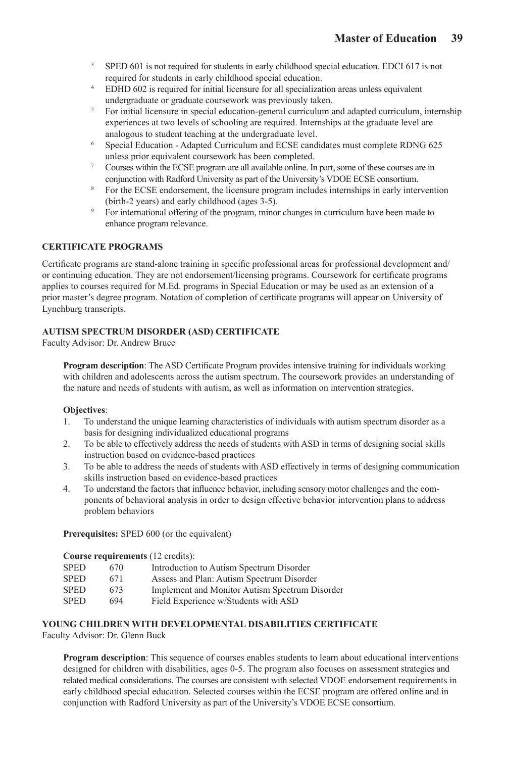- <sup>3</sup> SPED 601 is not required for students in early childhood special education. EDCI 617 is not required for students in early childhood special education.
- <sup>4</sup> EDHD 602 is required for initial licensure for all specialization areas unless equivalent undergraduate or graduate coursework was previously taken.
- $5$  For initial licensure in special education-general curriculum and adapted curriculum, internship experiences at two levels of schooling are required. Internships at the graduate level are analogous to student teaching at the undergraduate level.
- <sup>6</sup> Special Education Adapted Curriculum and ECSE candidates must complete RDNG 625 unless prior equivalent coursework has been completed.
- <sup>7</sup> Courses within the ECSE program are all available online. In part, some of these courses are in conjunction with Radford University as part of the University's VDOE ECSE consortium.
- <sup>8</sup> For the ECSE endorsement, the licensure program includes internships in early intervention (birth-2 years) and early childhood (ages 3-5).<br><sup>9</sup> For international offering of the program, minor changes in curriculum have been made to
- enhance program relevance.

## **CERTIFICATE PROGRAMS**

Certificate programs are stand-alone training in specific professional areas for professional development and/ or continuing education. They are not endorsement/licensing programs. Coursework for certificate programs applies to courses required for M.Ed. programs in Special Education or may be used as an extension of a prior master's degree program. Notation of completion of certificate programs will appear on University of Lynchburg transcripts.

## **AUTISM SPECTRUM DISORDER (ASD) CERTIFICATE**

Faculty Advisor: Dr. Andrew Bruce

**Program description**: The ASD Certificate Program provides intensive training for individuals working with children and adolescents across the autism spectrum. The coursework provides an understanding of the nature and needs of students with autism, as well as information on intervention strategies.

#### **Objectives**:

- 1. To understand the unique learning characteristics of individuals with autism spectrum disorder as a basis for designing individualized educational programs
- 2. To be able to effectively address the needs of students with ASD in terms of designing social skills instruction based on evidence-based practices
- 3. To be able to address the needs of students with ASD effectively in terms of designing communication skills instruction based on evidence-based practices
- 4. To understand the factors that influence behavior, including sensory motor challenges and the components of behavioral analysis in order to design effective behavior intervention plans to address problem behaviors

**Prerequisites:** SPED 600 (or the equivalent)

#### **Course requirements** (12 credits):

| <b>SPED</b> | 670 | Introduction to Autism Spectrum Disorder       |
|-------------|-----|------------------------------------------------|
| <b>SPED</b> | 671 | Assess and Plan: Autism Spectrum Disorder      |
| <b>SPED</b> | 673 | Implement and Monitor Autism Spectrum Disorder |
| <b>SPED</b> | 694 | Field Experience w/Students with ASD           |

# **YOUNG CHILDREN WITH DEVELOPMENTAL DISABILITIES CERTIFICATE**

Faculty Advisor: Dr. Glenn Buck

**Program description**: This sequence of courses enables students to learn about educational interventions designed for children with disabilities, ages 0-5. The program also focuses on assessment strategies and related medical considerations. The courses are consistent with selected VDOE endorsement requirements in early childhood special education. Selected courses within the ECSE program are offered online and in conjunction with Radford University as part of the University's VDOE ECSE consortium.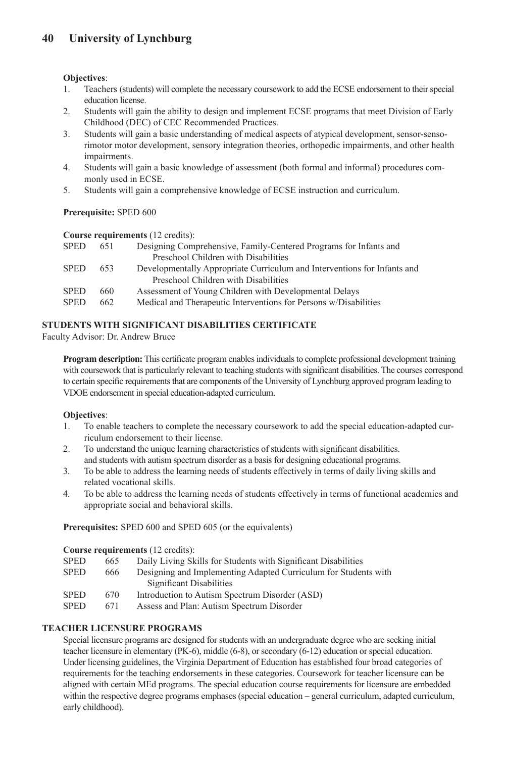## **Objectives**:

- 1. Teachers (students) will complete the necessary coursework to add the ECSE endorsement to their special education license.
- 2. Students will gain the ability to design and implement ECSE programs that meet Division of Early Childhood (DEC) of CEC Recommended Practices.
- 3. Students will gain a basic understanding of medical aspects of atypical development, sensor-sensorimotor motor development, sensory integration theories, orthopedic impairments, and other health impairments.
- 4. Students will gain a basic knowledge of assessment (both formal and informal) procedures commonly used in ECSE.
- 5. Students will gain a comprehensive knowledge of ECSE instruction and curriculum.

## **Prerequisite:** SPED 600

## **Course requirements** (12 credits):

| <b>SPED</b> | 651 | Designing Comprehensive, Family-Centered Programs for Infants and        |
|-------------|-----|--------------------------------------------------------------------------|
|             |     | Preschool Children with Disabilities                                     |
| <b>SPED</b> | 653 | Developmentally Appropriate Curriculum and Interventions for Infants and |
|             |     | Preschool Children with Disabilities                                     |
| <b>SPED</b> | 660 | Assessment of Young Children with Developmental Delays                   |
| <b>SPED</b> | 662 | Medical and Therapeutic Interventions for Persons w/Disabilities         |
|             |     |                                                                          |

## **STUDENTS WITH SIGNIFICANT DISABILITIES CERTIFICATE**

Faculty Advisor: Dr. Andrew Bruce

**Program description:** This certificate program enables individuals to complete professional development training with coursework that is particularly relevant to teaching students with significant disabilities. The courses correspond to certain specific requirements that are components of the University of Lynchburg approved program leading to VDOE endorsement in special education-adapted curriculum.

## **Objectives**:

- 1. To enable teachers to complete the necessary coursework to add the special education-adapted curriculum endorsement to their license.
- 2. To understand the unique learning characteristics of students with significant disabilities. and students with autism spectrum disorder as a basis for designing educational programs.
- 3. To be able to address the learning needs of students effectively in terms of daily living skills and related vocational skills.
- 4. To be able to address the learning needs of students effectively in terms of functional academics and appropriate social and behavioral skills.

**Prerequisites:** SPED 600 and SPED 605 (or the equivalents)

## **Course requirements** (12 credits):

| SPED        | 665 | Daily Living Skills for Students with Significant Disabilities  |
|-------------|-----|-----------------------------------------------------------------|
| SPED        | 666 | Designing and Implementing Adapted Curriculum for Students with |
|             |     | Significant Disabilities                                        |
| <b>SPED</b> | 670 | Introduction to Autism Spectrum Disorder (ASD)                  |
| <b>SPED</b> | 671 | Assess and Plan: Autism Spectrum Disorder                       |
|             |     |                                                                 |

## **TEACHER LICENSURE PROGRAMS**

Special licensure programs are designed for students with an undergraduate degree who are seeking initial teacher licensure in elementary (PK-6), middle (6-8), or secondary (6-12) education or special education. Under licensing guidelines, the Virginia Department of Education has established four broad categories of requirements for the teaching endorsements in these categories. Coursework for teacher licensure can be aligned with certain MEd programs. The special education course requirements for licensure are embedded within the respective degree programs emphases (special education – general curriculum, adapted curriculum, early childhood).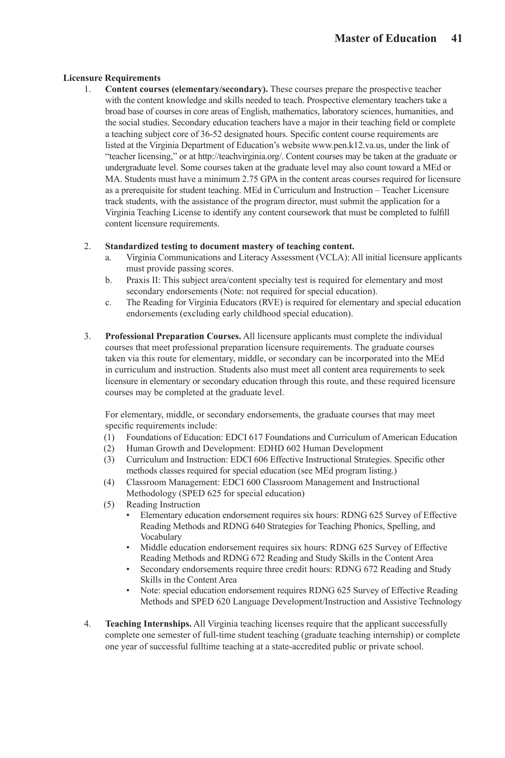#### **Licensure Requirements**

1. **Content courses (elementary/secondary).** These courses prepare the prospective teacher with the content knowledge and skills needed to teach. Prospective elementary teachers take a broad base of courses in core areas of English, mathematics, laboratory sciences, humanities, and the social studies. Secondary education teachers have a major in their teaching field or complete a teaching subject core of 36-52 designated hours. Specific content course requirements are listed at the Virginia Department of Education's website www.pen.k12.va.us, under the link of "teacher licensing," or at http://teachvirginia.org/. Content courses may be taken at the graduate or undergraduate level. Some courses taken at the graduate level may also count toward a MEd or MA. Students must have a minimum 2.75 GPA in the content areas courses required for licensure as a prerequisite for student teaching. MEd in Curriculum and Instruction – Teacher Licensure track students, with the assistance of the program director, must submit the application for a Virginia Teaching License to identify any content coursework that must be completed to fulfill content licensure requirements.

## 2. **Standardized testing to document mastery of teaching content.**

- a. Virginia Communications and Literacy Assessment (VCLA): All initial licensure applicants must provide passing scores.
- b. Praxis II: This subject area/content specialty test is required for elementary and most secondary endorsements (Note: not required for special education).
- c. The Reading for Virginia Educators (RVE) is required for elementary and special education endorsements (excluding early childhood special education).
- 3. **Professional Preparation Courses.** All licensure applicants must complete the individual courses that meet professional preparation licensure requirements. The graduate courses taken via this route for elementary, middle, or secondary can be incorporated into the MEd in curriculum and instruction. Students also must meet all content area requirements to seek licensure in elementary or secondary education through this route, and these required licensure courses may be completed at the graduate level.

For elementary, middle, or secondary endorsements, the graduate courses that may meet specific requirements include:

- (1) Foundations of Education: EDCI 617 Foundations and Curriculum of American Education
- (2) Human Growth and Development: EDHD 602 Human Development
- (3) Curriculum and Instruction: EDCI 606 Effective Instructional Strategies. Specific other methods classes required for special education (see MEd program listing.)
- (4) Classroom Management: EDCI 600 Classroom Management and Instructional Methodology (SPED 625 for special education)
- (5) Reading Instruction
	- Elementary education endorsement requires six hours: RDNG 625 Survey of Effective Reading Methods and RDNG 640 Strategies for Teaching Phonics, Spelling, and Vocabulary
	- Middle education endorsement requires six hours: RDNG 625 Survey of Effective Reading Methods and RDNG 672 Reading and Study Skills in the Content Area
	- Secondary endorsements require three credit hours: RDNG 672 Reading and Study Skills in the Content Area
	- Note: special education endorsement requires RDNG 625 Survey of Effective Reading Methods and SPED 620 Language Development/Instruction and Assistive Technology
- 4. **Teaching Internships.** All Virginia teaching licenses require that the applicant successfully complete one semester of full-time student teaching (graduate teaching internship) or complete one year of successful fulltime teaching at a state-accredited public or private school.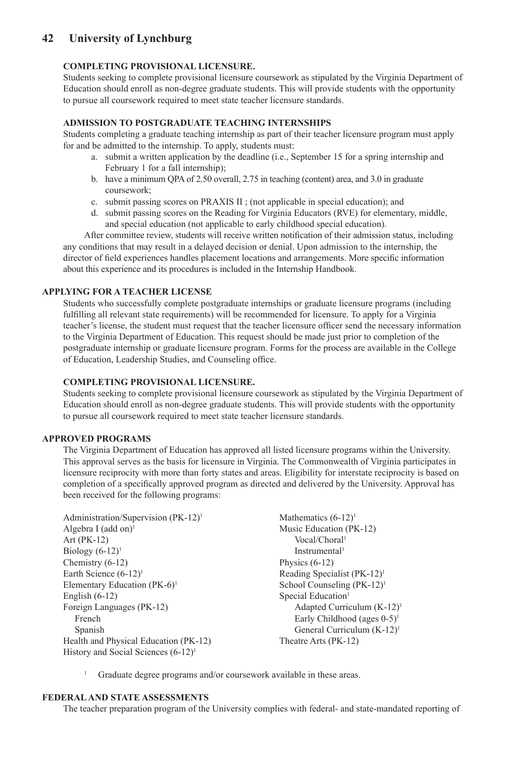## **COMPLETING PROVISIONAL LICENSURE.**

Students seeking to complete provisional licensure coursework as stipulated by the Virginia Department of Education should enroll as non-degree graduate students. This will provide students with the opportunity to pursue all coursework required to meet state teacher licensure standards.

## **ADMISSION TO POSTGRADUATE TEACHING INTERNSHIPS**

Students completing a graduate teaching internship as part of their teacher licensure program must apply for and be admitted to the internship. To apply, students must:

- a. submit a written application by the deadline (i.e., September 15 for a spring internship and February 1 for a fall internship);
- b. have a minimum QPA of 2.50 overall, 2.75 in teaching (content) area, and 3.0 in graduate coursework;
- c. submit passing scores on PRAXIS II ; (not applicable in special education); and
- d. submit passing scores on the Reading for Virginia Educators (RVE) for elementary, middle, and special education (not applicable to early childhood special education).

After committee review, students will receive written notification of their admission status, including any conditions that may result in a delayed decision or denial. Upon admission to the internship, the director of field experiences handles placement locations and arrangements. More specific information about this experience and its procedures is included in the Internship Handbook.

## **APPLYING FOR A TEACHER LICENSE**

Students who successfully complete postgraduate internships or graduate licensure programs (including fulfilling all relevant state requirements) will be recommended for licensure. To apply for a Virginia teacher's license, the student must request that the teacher licensure officer send the necessary information to the Virginia Department of Education. This request should be made just prior to completion of the postgraduate internship or graduate licensure program. Forms for the process are available in the College of Education, Leadership Studies, and Counseling office.

#### **COMPLETING PROVISIONAL LICENSURE.**

Students seeking to complete provisional licensure coursework as stipulated by the Virginia Department of Education should enroll as non-degree graduate students. This will provide students with the opportunity to pursue all coursework required to meet state teacher licensure standards.

#### **APPROVED PROGRAMS**

The Virginia Department of Education has approved all listed licensure programs within the University. This approval serves as the basis for licensure in Virginia. The Commonwealth of Virginia participates in licensure reciprocity with more than forty states and areas. Eligibility for interstate reciprocity is based on completion of a specifically approved program as directed and delivered by the University. Approval has been received for the following programs:

| Administration/Supervision (PK-12) <sup>1</sup> | Mathematics $(6-12)^1$                     |
|-------------------------------------------------|--------------------------------------------|
| Algebra I (add on) <sup>1</sup>                 | Music Education (PK-12)                    |
| Art $(PK-12)$                                   | Vocal/Choral <sup>1</sup>                  |
| Biology $(6-12)^1$                              | Instrumental <sup>1</sup>                  |
| Chemistry $(6-12)$                              | Physics $(6-12)$                           |
| Earth Science $(6-12)^1$                        | Reading Specialist $(PK-12)^1$             |
| Elementary Education $(PK-6)^1$                 | School Counseling $(PK-12)^1$              |
| English $(6-12)$                                | Special Education <sup>1</sup>             |
| Foreign Languages (PK-12)                       | Adapted Curriculum $(K-12)^1$              |
| French                                          | Early Childhood (ages $0-5$ ) <sup>1</sup> |
| Spanish                                         | General Curriculum $(K-12)^1$              |
| Health and Physical Education (PK-12)           | Theatre Arts (PK-12)                       |
| History and Social Sciences $(6-12)^1$          |                                            |

<sup>1</sup> Graduate degree programs and/or coursework available in these areas.

#### **FEDERAL AND STATE ASSESSMENTS**

The teacher preparation program of the University complies with federal- and state-mandated reporting of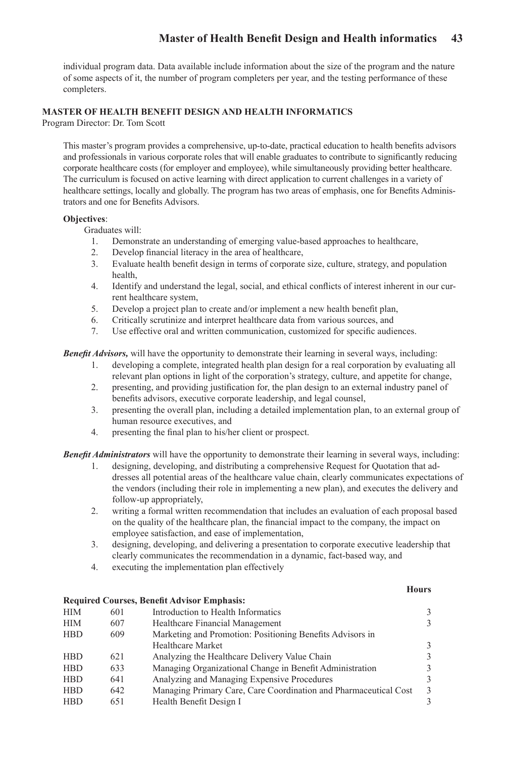# **Master of Health Benefit Design and Health informatics 43**

individual program data. Data available include information about the size of the program and the nature of some aspects of it, the number of program completers per year, and the testing performance of these completers.

## **MASTER OF HEALTH BENEFIT DESIGN AND HEALTH INFORMATICS**

Program Director: Dr. Tom Scott

This master's program provides a comprehensive, up-to-date, practical education to health benefits advisors and professionals in various corporate roles that will enable graduates to contribute to significantly reducing corporate healthcare costs (for employer and employee), while simultaneously providing better healthcare. The curriculum is focused on active learning with direct application to current challenges in a variety of healthcare settings, locally and globally. The program has two areas of emphasis, one for Benefits Administrators and one for Benefits Advisors.

## **Objectives**:

Graduates will:

- 1. Demonstrate an understanding of emerging value-based approaches to healthcare,<br>2. Develop financial literacy in the area of healthcare.
- Develop financial literacy in the area of healthcare,
- 3. Evaluate health benefit design in terms of corporate size, culture, strategy, and population health,
- 4. Identify and understand the legal, social, and ethical conflicts of interest inherent in our current healthcare system,
- 5. Develop a project plan to create and/or implement a new health benefit plan,
- 6. Critically scrutinize and interpret healthcare data from various sources, and
- 7. Use effective oral and written communication, customized for specific audiences.

*Benefit Advisors,* will have the opportunity to demonstrate their learning in several ways, including:

- 1. developing a complete, integrated health plan design for a real corporation by evaluating all relevant plan options in light of the corporation's strategy, culture, and appetite for change,
- 2. presenting, and providing justification for, the plan design to an external industry panel of benefits advisors, executive corporate leadership, and legal counsel,
- 3. presenting the overall plan, including a detailed implementation plan, to an external group of human resource executives, and
- 4. presenting the final plan to his/her client or prospect.

*Benefit Administrators* will have the opportunity to demonstrate their learning in several ways, including:

- 1. designing, developing, and distributing a comprehensive Request for Quotation that addresses all potential areas of the healthcare value chain, clearly communicates expectations of the vendors (including their role in implementing a new plan), and executes the delivery and follow-up appropriately,
- 2. writing a formal written recommendation that includes an evaluation of each proposal based on the quality of the healthcare plan, the financial impact to the company, the impact on employee satisfaction, and ease of implementation,
- 3. designing, developing, and delivering a presentation to corporate executive leadership that clearly communicates the recommendation in a dynamic, fact-based way, and
- 4. executing the implementation plan effectively

#### **Hours**

|            |     | <b>Required Courses, Benefit Advisor Emphasis:</b>               |               |
|------------|-----|------------------------------------------------------------------|---------------|
| <b>HIM</b> | 601 | Introduction to Health Informatics                               | 3             |
| <b>HIM</b> | 607 | Healthcare Financial Management                                  | $\mathcal{L}$ |
| <b>HBD</b> | 609 | Marketing and Promotion: Positioning Benefits Advisors in        |               |
|            |     | Healthcare Market                                                | 3             |
| <b>HBD</b> | 621 | Analyzing the Healthcare Delivery Value Chain                    | 3             |
| <b>HBD</b> | 633 | Managing Organizational Change in Benefit Administration         | 3             |
| <b>HBD</b> | 641 | Analyzing and Managing Expensive Procedures                      | 3             |
| <b>HBD</b> | 642 | Managing Primary Care, Care Coordination and Pharmaceutical Cost | $\mathcal{R}$ |
| <b>HBD</b> | 651 | Health Benefit Design I                                          |               |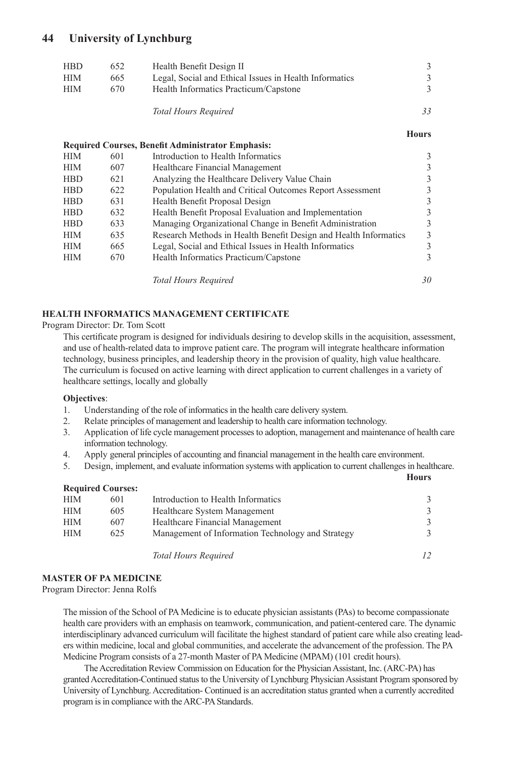| HBD | 652  | Health Benefit Design II                               |  |
|-----|------|--------------------------------------------------------|--|
| НIМ | 665  | Legal, Social and Ethical Issues in Health Informatics |  |
| НIМ | 670. | Health Informatics Practicum/Capstone                  |  |
|     |      |                                                        |  |

**Hours**

*Total Hours Required 33*

|            |     | <b>Required Courses, Benefit Administrator Emphasis:</b>         |    |
|------------|-----|------------------------------------------------------------------|----|
| HІM        | 601 | Introduction to Health Informatics                               | 3  |
| HIM        | 607 | Healthcare Financial Management                                  | 3  |
| HBD        | 621 | Analyzing the Healthcare Delivery Value Chain                    | 3  |
| HBD        | 622 | Population Health and Critical Outcomes Report Assessment        | 3  |
| HBD        | 631 | Health Benefit Proposal Design                                   | 3  |
| HBD        | 632 | Health Benefit Proposal Evaluation and Implementation            | 3  |
| HBD        | 633 | Managing Organizational Change in Benefit Administration         | 3  |
| HIM        | 635 | Research Methods in Health Benefit Design and Health Informatics | 3  |
| HІM        | 665 | Legal, Social and Ethical Issues in Health Informatics           | 3  |
| <b>HIM</b> | 670 | Health Informatics Practicum/Capstone                            | 3  |
|            |     | <b>Total Hours Required</b>                                      | 30 |

## **HEALTH INFORMATICS MANAGEMENT CERTIFICATE**

Program Director: Dr. Tom Scott

This certificate program is designed for individuals desiring to develop skills in the acquisition, assessment, and use of health-related data to improve patient care. The program will integrate healthcare information technology, business principles, and leadership theory in the provision of quality, high value healthcare. The curriculum is focused on active learning with direct application to current challenges in a variety of healthcare settings, locally and globally

#### **Objectives**:

- 1. Understanding of the role of informatics in the health care delivery system.<br>2. Relate principles of management and leadership to health care information t
- Relate principles of management and leadership to health care information technology.
- 3. Application of life cycle management processes to adoption, management and maintenance of health care information technology.
- 4. Apply general principles of accounting and financial management in the health care environment.
- 5. Design, implement, and evaluate information systems with application to current challenges in healthcare.

|            |                          |                                                   | <b>Hours</b> |
|------------|--------------------------|---------------------------------------------------|--------------|
|            | <b>Required Courses:</b> |                                                   |              |
| <b>HIM</b> | 601                      | Introduction to Health Informatics                |              |
| <b>HIM</b> | 605                      | Healthcare System Management                      |              |
| <b>HIM</b> | 607                      | Healthcare Financial Management                   |              |
| <b>HIM</b> | 625                      | Management of Information Technology and Strategy |              |
|            |                          |                                                   |              |

*Total Hours Required 12*

## **MASTER OF PA MEDICINE**

Program Director: Jenna Rolfs

The mission of the School of PA Medicine is to educate physician assistants (PAs) to become compassionate health care providers with an emphasis on teamwork, communication, and patient-centered care. The dynamic interdisciplinary advanced curriculum will facilitate the highest standard of patient care while also creating leaders within medicine, local and global communities, and accelerate the advancement of the profession. The PA Medicine Program consists of a 27-month Master of PA Medicine (MPAM) (101 credit hours).

The Accreditation Review Commission on Education for the Physician Assistant, Inc. (ARC-PA) has granted Accreditation-Continued status to the University of Lynchburg Physician Assistant Program sponsored by University of Lynchburg. Accreditation- Continued is an accreditation status granted when a currently accredited program is in compliance with the ARC-PA Standards.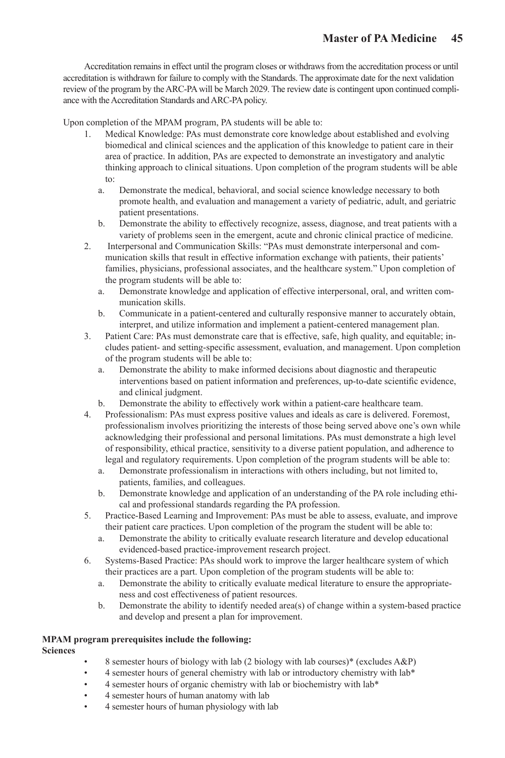Accreditation remains in effect until the program closes or withdraws from the accreditation process or until accreditation is withdrawn for failure to comply with the Standards. The approximate date for the next validation review of the program by the ARC-PA will be March 2029. The review date is contingent upon continued compliance with the Accreditation Standards and ARC-PA policy.

Upon completion of the MPAM program, PA students will be able to:

- 1. Medical Knowledge: PAs must demonstrate core knowledge about established and evolving biomedical and clinical sciences and the application of this knowledge to patient care in their area of practice. In addition, PAs are expected to demonstrate an investigatory and analytic thinking approach to clinical situations. Upon completion of the program students will be able to:
	- a. Demonstrate the medical, behavioral, and social science knowledge necessary to both promote health, and evaluation and management a variety of pediatric, adult, and geriatric patient presentations.
	- b. Demonstrate the ability to effectively recognize, assess, diagnose, and treat patients with a variety of problems seen in the emergent, acute and chronic clinical practice of medicine.
- 2. Interpersonal and Communication Skills: "PAs must demonstrate interpersonal and communication skills that result in effective information exchange with patients, their patients' families, physicians, professional associates, and the healthcare system." Upon completion of the program students will be able to:
	- a. Demonstrate knowledge and application of effective interpersonal, oral, and written communication skills.
	- b. Communicate in a patient-centered and culturally responsive manner to accurately obtain, interpret, and utilize information and implement a patient-centered management plan.
- 3. Patient Care: PAs must demonstrate care that is effective, safe, high quality, and equitable; includes patient- and setting-specific assessment, evaluation, and management. Upon completion of the program students will be able to:
	- a. Demonstrate the ability to make informed decisions about diagnostic and therapeutic interventions based on patient information and preferences, up-to-date scientific evidence, and clinical judgment.
	- b. Demonstrate the ability to effectively work within a patient-care healthcare team.
- 4. Professionalism: PAs must express positive values and ideals as care is delivered. Foremost, professionalism involves prioritizing the interests of those being served above one's own while acknowledging their professional and personal limitations. PAs must demonstrate a high level of responsibility, ethical practice, sensitivity to a diverse patient population, and adherence to legal and regulatory requirements. Upon completion of the program students will be able to:
	- a. Demonstrate professionalism in interactions with others including, but not limited to, patients, families, and colleagues.
	- b. Demonstrate knowledge and application of an understanding of the PA role including ethical and professional standards regarding the PA profession.
- 5. Practice-Based Learning and Improvement: PAs must be able to assess, evaluate, and improve their patient care practices. Upon completion of the program the student will be able to:
	- a. Demonstrate the ability to critically evaluate research literature and develop educational evidenced-based practice-improvement research project.
- 6. Systems-Based Practice: PAs should work to improve the larger healthcare system of which their practices are a part. Upon completion of the program students will be able to:
	- a. Demonstrate the ability to critically evaluate medical literature to ensure the appropriateness and cost effectiveness of patient resources.
	- b. Demonstrate the ability to identify needed area(s) of change within a system-based practice and develop and present a plan for improvement.

#### **MPAM program prerequisites include the following:**

**Sciences**

- 8 semester hours of biology with lab (2 biology with lab courses)\* (excludes A&P)
- 4 semester hours of general chemistry with lab or introductory chemistry with lab\*
- 4 semester hours of organic chemistry with lab or biochemistry with lab\*
- 4 semester hours of human anatomy with lab
- 4 semester hours of human physiology with lab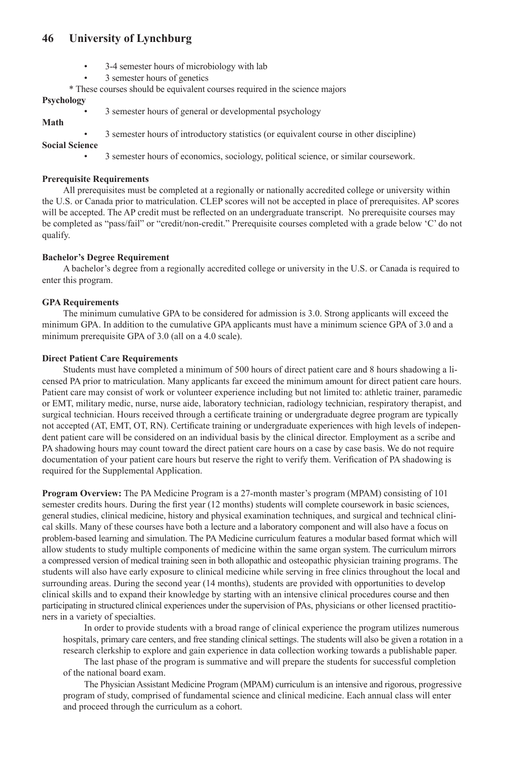- 3-4 semester hours of microbiology with lab
- 3 semester hours of genetics
- \* These courses should be equivalent courses required in the science majors

#### **Psychology**

• 3 semester hours of general or developmental psychology

**Math**

• 3 semester hours of introductory statistics (or equivalent course in other discipline)

#### **Social Science**

• 3 semester hours of economics, sociology, political science, or similar coursework.

#### **Prerequisite Requirements**

All prerequisites must be completed at a regionally or nationally accredited college or university within the U.S. or Canada prior to matriculation. CLEP scores will not be accepted in place of prerequisites. AP scores will be accepted. The AP credit must be reflected on an undergraduate transcript. No prerequisite courses may be completed as "pass/fail" or "credit/non-credit." Prerequisite courses completed with a grade below 'C' do not qualify.

#### **Bachelor's Degree Requirement**

A bachelor's degree from a regionally accredited college or university in the U.S. or Canada is required to enter this program.

## **GPA Requirements**

The minimum cumulative GPA to be considered for admission is 3.0. Strong applicants will exceed the minimum GPA. In addition to the cumulative GPA applicants must have a minimum science GPA of 3.0 and a minimum prerequisite GPA of 3.0 (all on a 4.0 scale).

#### **Direct Patient Care Requirements**

Students must have completed a minimum of 500 hours of direct patient care and 8 hours shadowing a licensed PA prior to matriculation. Many applicants far exceed the minimum amount for direct patient care hours. Patient care may consist of work or volunteer experience including but not limited to: athletic trainer, paramedic or EMT, military medic, nurse, nurse aide, laboratory technician, radiology technician, respiratory therapist, and surgical technician. Hours received through a certificate training or undergraduate degree program are typically not accepted (AT, EMT, OT, RN). Certificate training or undergraduate experiences with high levels of independent patient care will be considered on an individual basis by the clinical director. Employment as a scribe and PA shadowing hours may count toward the direct patient care hours on a case by case basis. We do not require documentation of your patient care hours but reserve the right to verify them. Verification of PA shadowing is required for the Supplemental Application.

**Program Overview:** The PA Medicine Program is a 27-month master's program (MPAM) consisting of 101 semester credits hours. During the first year (12 months) students will complete coursework in basic sciences, general studies, clinical medicine, history and physical examination techniques, and surgical and technical clinical skills. Many of these courses have both a lecture and a laboratory component and will also have a focus on problem-based learning and simulation. The PA Medicine curriculum features a modular based format which will allow students to study multiple components of medicine within the same organ system. The curriculum mirrors a compressed version of medical training seen in both allopathic and osteopathic physician training programs. The students will also have early exposure to clinical medicine while serving in free clinics throughout the local and surrounding areas. During the second year (14 months), students are provided with opportunities to develop clinical skills and to expand their knowledge by starting with an intensive clinical procedures course and then participating in structured clinical experiences under the supervision of PAs, physicians or other licensed practitioners in a variety of specialties.

In order to provide students with a broad range of clinical experience the program utilizes numerous hospitals, primary care centers, and free standing clinical settings. The students will also be given a rotation in a research clerkship to explore and gain experience in data collection working towards a publishable paper.

The last phase of the program is summative and will prepare the students for successful completion of the national board exam.

The Physician Assistant Medicine Program (MPAM) curriculum is an intensive and rigorous, progressive program of study, comprised of fundamental science and clinical medicine. Each annual class will enter and proceed through the curriculum as a cohort.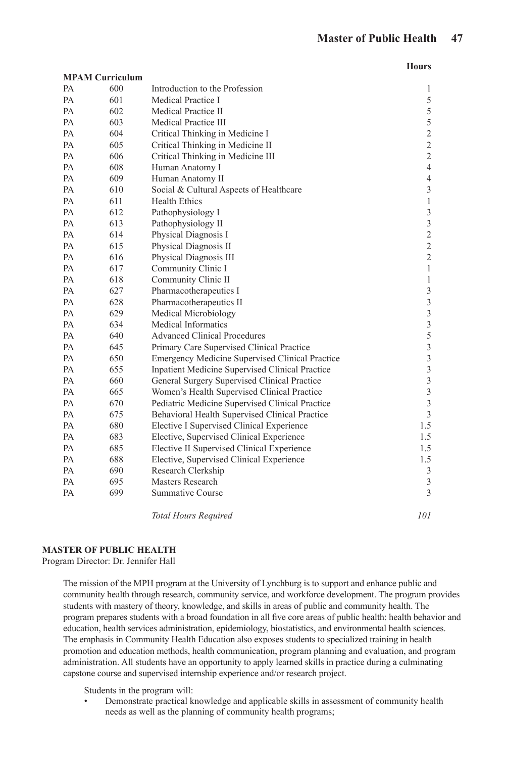| ٠<br>۰.<br>×<br>٠ |  |
|-------------------|--|

|    | <b>MPAM Curriculum</b> |                                                 |                         |
|----|------------------------|-------------------------------------------------|-------------------------|
| PA | 600                    | Introduction to the Profession                  | 1                       |
| PA | 601                    | Medical Practice I                              | 5                       |
| PA | 602                    | Medical Practice II                             | 5                       |
| PA | 603                    | Medical Practice III                            | 5                       |
| PA | 604                    | Critical Thinking in Medicine I                 | $\sqrt{2}$              |
| PA | 605                    | Critical Thinking in Medicine II                | $\overline{c}$          |
| PA | 606                    | Critical Thinking in Medicine III               | $\overline{2}$          |
| PA | 608                    | Human Anatomy I                                 | $\overline{4}$          |
| PA | 609                    | Human Anatomy II                                | $\overline{4}$          |
| PA | 610                    | Social & Cultural Aspects of Healthcare         | 3                       |
| PA | 611                    | <b>Health Ethics</b>                            | $\mathbf{1}$            |
| PA | 612                    | Pathophysiology I                               | $\overline{3}$          |
| PA | 613                    | Pathophysiology II                              | $\overline{3}$          |
| PA | 614                    | Physical Diagnosis I                            | $\overline{2}$          |
| PA | 615                    | Physical Diagnosis II                           | $\overline{2}$          |
| PA | 616                    | Physical Diagnosis III                          | $\overline{c}$          |
| PA | 617                    | Community Clinic I                              | $\mathbf{1}$            |
| PA | 618                    | Community Clinic II                             | 1                       |
| PA | 627                    | Pharmacotherapeutics I                          | 3                       |
| PA | 628                    | Pharmacotherapeutics II                         | $\overline{3}$          |
| PA | 629                    | Medical Microbiology                            | $\overline{3}$          |
| PA | 634                    | <b>Medical Informatics</b>                      | $\overline{3}$          |
| PA | 640                    | <b>Advanced Clinical Procedures</b>             | 5                       |
| PA | 645                    | Primary Care Supervised Clinical Practice       | $\mathfrak{Z}$          |
| PA | 650                    | Emergency Medicine Supervised Clinical Practice | $\overline{3}$          |
| PA | 655                    | Inpatient Medicine Supervised Clinical Practice | $\overline{\mathbf{3}}$ |
| PA | 660                    | General Surgery Supervised Clinical Practice    | $\overline{\mathbf{3}}$ |
| PA | 665                    | Women's Health Supervised Clinical Practice     | $\overline{\mathbf{3}}$ |
| PA | 670                    | Pediatric Medicine Supervised Clinical Practice | $\overline{\mathbf{3}}$ |
| PA | 675                    | Behavioral Health Supervised Clinical Practice  | $\overline{3}$          |
| PA | 680                    | Elective I Supervised Clinical Experience       | 1.5                     |
| PA | 683                    | Elective, Supervised Clinical Experience        | 1.5                     |
| PA | 685                    | Elective II Supervised Clinical Experience      | 1.5                     |
| PA | 688                    | Elective, Supervised Clinical Experience        | 1.5                     |
| PA | 690                    | Research Clerkship                              | $\mathfrak{Z}$          |
| PA | 695                    | Masters Research                                | $\sqrt{3}$              |
| РA | 699                    | Summative Course                                | 3                       |
|    |                        | <b>Total Hours Required</b>                     | 101                     |

#### **MASTER OF PUBLIC HEALTH**

Program Director: Dr. Jennifer Hall

The mission of the MPH program at the University of Lynchburg is to support and enhance public and community health through research, community service, and workforce development. The program provides students with mastery of theory, knowledge, and skills in areas of public and community health. The program prepares students with a broad foundation in all five core areas of public health: health behavior and education, health services administration, epidemiology, biostatistics, and environmental health sciences. The emphasis in Community Health Education also exposes students to specialized training in health promotion and education methods, health communication, program planning and evaluation, and program administration. All students have an opportunity to apply learned skills in practice during a culminating capstone course and supervised internship experience and/or research project.

Students in the program will:

• Demonstrate practical knowledge and applicable skills in assessment of community health needs as well as the planning of community health programs;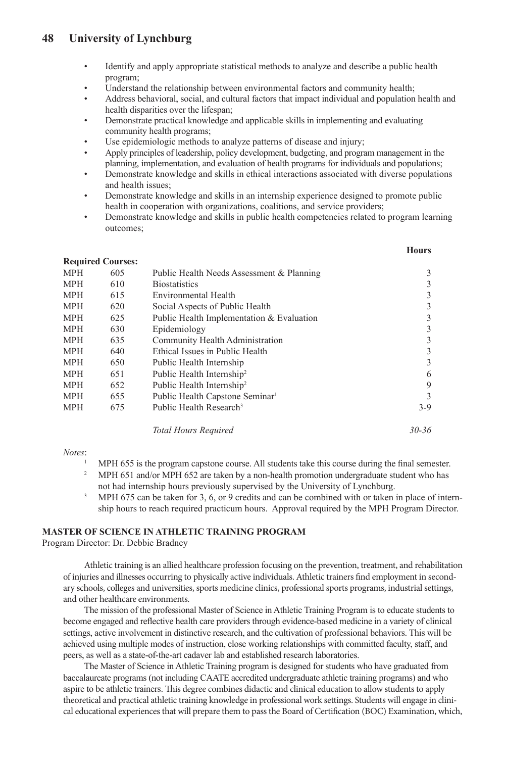- Identify and apply appropriate statistical methods to analyze and describe a public health program;
- Understand the relationship between environmental factors and community health;
- Address behavioral, social, and cultural factors that impact individual and population health and health disparities over the lifespan;
- Demonstrate practical knowledge and applicable skills in implementing and evaluating community health programs;
- Use epidemiologic methods to analyze patterns of disease and injury;
- Apply principles of leadership, policy development, budgeting, and program management in the planning, implementation, and evaluation of health programs for individuals and populations;
- Demonstrate knowledge and skills in ethical interactions associated with diverse populations and health issues;
- Demonstrate knowledge and skills in an internship experience designed to promote public health in cooperation with organizations, coalitions, and service providers;
- Demonstrate knowledge and skills in public health competencies related to program learning outcomes;

|            |                          |                                             | <b>Hours</b> |
|------------|--------------------------|---------------------------------------------|--------------|
|            | <b>Required Courses:</b> |                                             |              |
| <b>MPH</b> | 605                      | Public Health Needs Assessment & Planning   | 3            |
| <b>MPH</b> | 610                      | <b>Biostatistics</b>                        | 3            |
| <b>MPH</b> | 615                      | Environmental Health                        | 3            |
| <b>MPH</b> | 620                      | Social Aspects of Public Health             | 3            |
| <b>MPH</b> | 625                      | Public Health Implementation & Evaluation   | 3            |
| <b>MPH</b> | 630                      | Epidemiology                                | 3            |
| <b>MPH</b> | 635                      | Community Health Administration             | 3            |
| <b>MPH</b> | 640                      | Ethical Issues in Public Health             | 3            |
| <b>MPH</b> | 650                      | Public Health Internship                    | 3            |
| <b>MPH</b> | 651                      | Public Health Internship <sup>2</sup>       | 6            |
| <b>MPH</b> | 652                      | Public Health Internship <sup>2</sup>       | 9            |
| <b>MPH</b> | 655                      | Public Health Capstone Seminar <sup>1</sup> | 3            |
| <b>MPH</b> | 675                      | Public Health Research <sup>3</sup>         | 3-9          |

*Total Hours Required 30-36*

#### *Notes*:

- <sup>1</sup> MPH 655 is the program capstone course. All students take this course during the final semester.<br><sup>2</sup> MPH 651 and/or MPH 653 are taken by a non-haalth promotion undergraduate student ushe has 2 MPH 651 and/or MPH 652 are taken by a non-health promotion undergraduate student who has
- not had internship hours previously supervised by the University of Lynchburg.<br><sup>3</sup> MPH 675 can be taken for 3, 6, or 9 credits and can be combined with or taken in place of intern-
- ship hours to reach required practicum hours. Approval required by the MPH Program Director.

### **MASTER OF SCIENCE IN ATHLETIC TRAINING PROGRAM**

Program Director: Dr. Debbie Bradney

Athletic training is an allied healthcare profession focusing on the prevention, treatment, and rehabilitation of injuries and illnesses occurring to physically active individuals. Athletic trainers find employment in secondary schools, colleges and universities, sports medicine clinics, professional sports programs, industrial settings, and other healthcare environments.

The mission of the professional Master of Science in Athletic Training Program is to educate students to become engaged and reflective health care providers through evidence-based medicine in a variety of clinical settings, active involvement in distinctive research, and the cultivation of professional behaviors. This will be achieved using multiple modes of instruction, close working relationships with committed faculty, staff, and peers, as well as a state-of-the-art cadaver lab and established research laboratories.

The Master of Science in Athletic Training program is designed for students who have graduated from baccalaureate programs (not including CAATE accredited undergraduate athletic training programs) and who aspire to be athletic trainers. This degree combines didactic and clinical education to allow students to apply theoretical and practical athletic training knowledge in professional work settings. Students will engage in clinical educational experiences that will prepare them to pass the Board of Certification (BOC) Examination, which,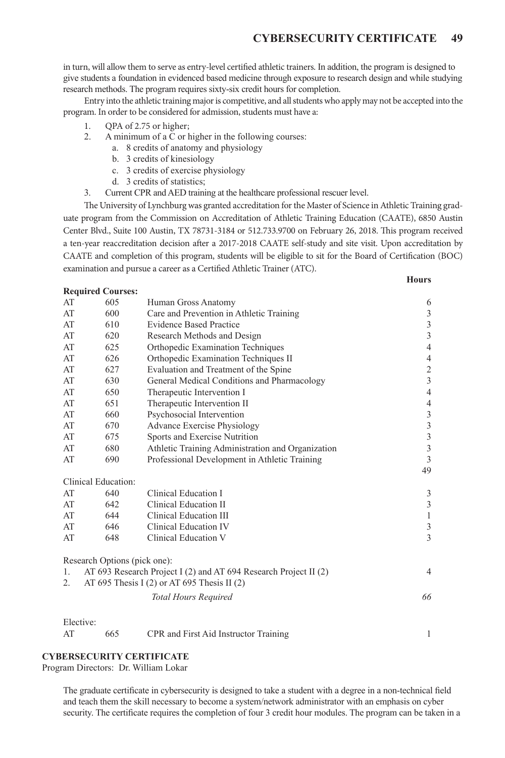in turn, will allow them to serve as entry-level certified athletic trainers. In addition, the program is designed to give students a foundation in evidenced based medicine through exposure to research design and while studying research methods. The program requires sixty-six credit hours for completion.

Entry into the athletic training major is competitive, and all students who apply may not be accepted into the program. In order to be considered for admission, students must have a:

- 1. QPA of 2.75 or higher;
- 2. A minimum of a  $\tilde{C}$  or higher in the following courses:
	- a. 8 credits of anatomy and physiology
	- b. 3 credits of kinesiology
	- c. 3 credits of exercise physiology
	- d. 3 credits of statistics;
- 3. Current CPR and AED training at the healthcare professional rescuer level.

The University of Lynchburg was granted accreditation for the Master of Science in Athletic Training graduate program from the Commission on Accreditation of Athletic Training Education (CAATE), 6850 Austin Center Blvd., Suite 100 Austin, TX 78731-3184 or 512.733.9700 on February 26, 2018. This program received a ten-year reaccreditation decision after a 2017-2018 CAATE self-study and site visit. Upon accreditation by CAATE and completion of this program, students will be eligible to sit for the Board of Certification (BOC) examination and pursue a career as a Certified Athletic Trainer (ATC).

*Hours* 

## **Required Courses:**

| AT        | 605                                                              | Human Gross Anatomy                               | 6                                          |  |  |
|-----------|------------------------------------------------------------------|---------------------------------------------------|--------------------------------------------|--|--|
| AT        | 600                                                              | Care and Prevention in Athletic Training          |                                            |  |  |
| AT        | 610                                                              | <b>Evidence Based Practice</b>                    | $\frac{3}{3}$                              |  |  |
| AT        | 620                                                              | Research Methods and Design                       | $\overline{3}$                             |  |  |
| AT        | 625                                                              | Orthopedic Examination Techniques                 | $\overline{4}$                             |  |  |
| AT        | 626                                                              | Orthopedic Examination Techniques II              | $\overline{4}$                             |  |  |
| AT        | 627                                                              | Evaluation and Treatment of the Spine             | $\frac{2}{3}$                              |  |  |
| AT        | 630                                                              | General Medical Conditions and Pharmacology       |                                            |  |  |
| AT        | 650                                                              | Therapeutic Intervention I                        | $\overline{4}$                             |  |  |
| AT        | 651                                                              | Therapeutic Intervention II                       | $\overline{4}$                             |  |  |
| AT        | 660                                                              | Psychosocial Intervention                         |                                            |  |  |
| AT        | 670                                                              | <b>Advance Exercise Physiology</b>                | $\begin{array}{c} 3 \\ 3 \\ 3 \end{array}$ |  |  |
| AT        | 675                                                              | Sports and Exercise Nutrition                     |                                            |  |  |
| AT        | 680                                                              | Athletic Training Administration and Organization | $\overline{3}$                             |  |  |
| AT        | 690                                                              | Professional Development in Athletic Training     | 3                                          |  |  |
|           |                                                                  |                                                   | 49                                         |  |  |
|           | Clinical Education:                                              |                                                   |                                            |  |  |
| AT        | 640                                                              | Clinical Education I                              | 3                                          |  |  |
| AT        | 642                                                              | Clinical Education II                             | $\sqrt{3}$                                 |  |  |
| AT        | 644                                                              | Clinical Education III                            | $\mathbf{1}$                               |  |  |
| AT        | 646                                                              | Clinical Education IV                             | $\mathfrak{Z}$                             |  |  |
| AT        | 648                                                              | Clinical Education V                              | 3                                          |  |  |
|           | Research Options (pick one):                                     |                                                   |                                            |  |  |
| 1.        | AT 693 Research Project I (2) and AT 694 Research Project II (2) |                                                   |                                            |  |  |
| 2.        |                                                                  | AT 695 Thesis I $(2)$ or AT 695 Thesis II $(2)$   |                                            |  |  |
|           |                                                                  | <b>Total Hours Required</b>                       | 66                                         |  |  |
| Elective: |                                                                  |                                                   |                                            |  |  |

AT 665 CPR and First Aid Instructor Training 1

## **CYBERSECURITY CERTIFICATE**

Program Directors: Dr. William Lokar

The graduate certificate in cybersecurity is designed to take a student with a degree in a non-technical field and teach them the skill necessary to become a system/network administrator with an emphasis on cyber security. The certificate requires the completion of four 3 credit hour modules. The program can be taken in a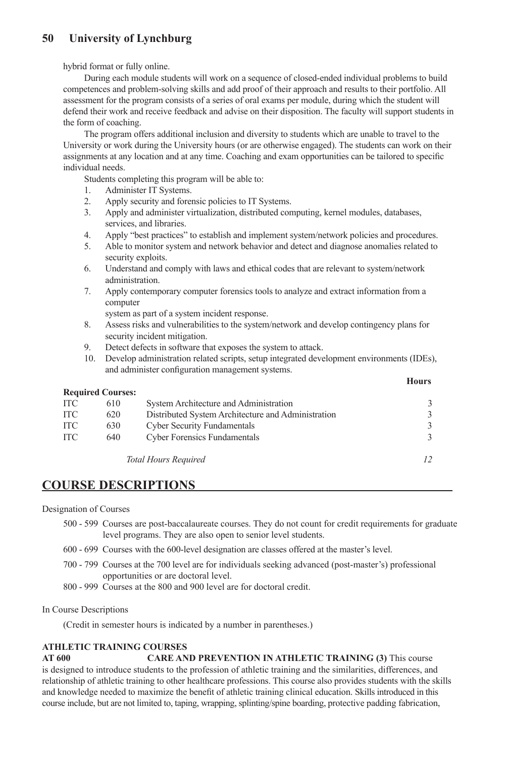hybrid format or fully online.

During each module students will work on a sequence of closed-ended individual problems to build competences and problem-solving skills and add proof of their approach and results to their portfolio. All assessment for the program consists of a series of oral exams per module, during which the student will defend their work and receive feedback and advise on their disposition. The faculty will support students in the form of coaching.

The program offers additional inclusion and diversity to students which are unable to travel to the University or work during the University hours (or are otherwise engaged). The students can work on their assignments at any location and at any time. Coaching and exam opportunities can be tailored to specific individual needs.

Students completing this program will be able to:

- 1. Administer IT Systems.
- 2. Apply security and forensic policies to IT Systems.
- 3. Apply and administer virtualization, distributed computing, kernel modules, databases, services, and libraries.
- 4. Apply "best practices" to establish and implement system/network policies and procedures.
- 5. Able to monitor system and network behavior and detect and diagnose anomalies related to security exploits.
- 6. Understand and comply with laws and ethical codes that are relevant to system/network administration.
- 7. Apply contemporary computer forensics tools to analyze and extract information from a computer

system as part of a system incident response.

- 8. Assess risks and vulnerabilities to the system/network and develop contingency plans for security incident mitigation.
- 9. Detect defects in software that exposes the system to attack.
- 10. Develop administration related scripts, setup integrated development environments (IDEs), and administer configuration management systems.

|            |                          |                                                    | <b>Hours</b> |
|------------|--------------------------|----------------------------------------------------|--------------|
|            | <b>Required Courses:</b> |                                                    |              |
| <b>ITC</b> | 610                      | System Architecture and Administration             |              |
| <b>ITC</b> | 620                      | Distributed System Architecture and Administration |              |
| ITC .      | 630                      | <b>Cyber Security Fundamentals</b>                 |              |
| <b>ITC</b> | 640                      | <b>Cyber Forensics Fundamentals</b>                |              |
|            |                          | <b>Total Hours Required</b>                        |              |

# **COURSE DESCRIPTIONS**

Designation of Courses

- 500 599 Courses are post-baccalaureate courses. They do not count for credit requirements for graduate level programs. They are also open to senior level students.
- 600 699 Courses with the 600-level designation are classes offered at the master's level.
- 700 799 Courses at the 700 level are for individuals seeking advanced (post-master's) professional opportunities or are doctoral level.
- 800 999 Courses at the 800 and 900 level are for doctoral credit.

In Course Descriptions

(Credit in semester hours is indicated by a number in parentheses.)

## **ATHLETIC TRAINING COURSES**

**AT 600 CARE AND PREVENTION IN ATHLETIC TRAINING (3)** This course is designed to introduce students to the profession of athletic training and the similarities, differences, and relationship of athletic training to other healthcare professions. This course also provides students with the skills and knowledge needed to maximize the benefit of athletic training clinical education. Skills introduced in this course include, but are not limited to, taping, wrapping, splinting/spine boarding, protective padding fabrication,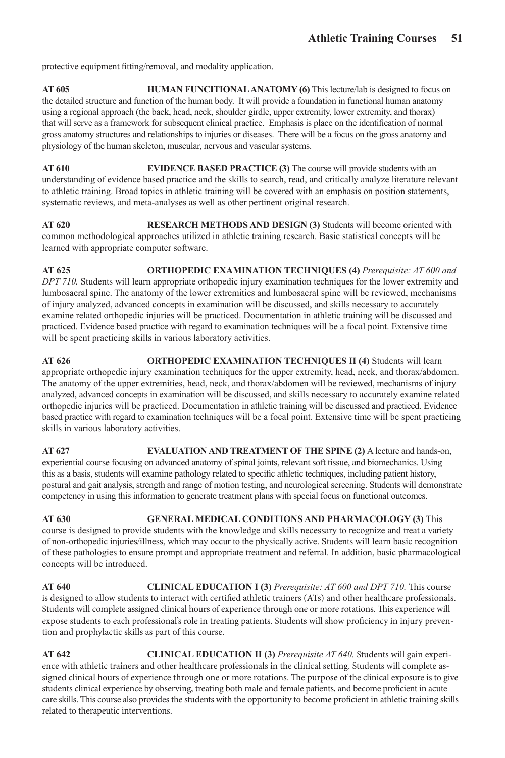protective equipment fitting/removal, and modality application.

**AT 605 HUMAN FUNCITIONAL ANATOMY (6)** This lecture/lab is designed to focus on the detailed structure and function of the human body. It will provide a foundation in functional human anatomy using a regional approach (the back, head, neck, shoulder girdle, upper extremity, lower extremity, and thorax) that will serve as a framework for subsequent clinical practice. Emphasis is place on the identification of normal gross anatomy structures and relationships to injuries or diseases. There will be a focus on the gross anatomy and physiology of the human skeleton, muscular, nervous and vascular systems.

**AT 610 EVIDENCE BASED PRACTICE (3)** The course will provide students with an understanding of evidence based practice and the skills to search, read, and critically analyze literature relevant to athletic training. Broad topics in athletic training will be covered with an emphasis on position statements, systematic reviews, and meta-analyses as well as other pertinent original research.

**AT 620 RESEARCH METHODS AND DESIGN (3)** Students will become oriented with common methodological approaches utilized in athletic training research. Basic statistical concepts will be learned with appropriate computer software.

**AT 625 ORTHOPEDIC EXAMINATION TECHNIQUES (4)** *Prerequisite: AT 600 and DPT 710.* Students will learn appropriate orthopedic injury examination techniques for the lower extremity and lumbosacral spine. The anatomy of the lower extremities and lumbosacral spine will be reviewed, mechanisms of injury analyzed, advanced concepts in examination will be discussed, and skills necessary to accurately examine related orthopedic injuries will be practiced. Documentation in athletic training will be discussed and practiced. Evidence based practice with regard to examination techniques will be a focal point. Extensive time will be spent practicing skills in various laboratory activities.

**AT 626 ORTHOPEDIC EXAMINATION TECHNIQUES II (4)** Students will learn appropriate orthopedic injury examination techniques for the upper extremity, head, neck, and thorax/abdomen. The anatomy of the upper extremities, head, neck, and thorax/abdomen will be reviewed, mechanisms of injury analyzed, advanced concepts in examination will be discussed, and skills necessary to accurately examine related orthopedic injuries will be practiced. Documentation in athletic training will be discussed and practiced. Evidence based practice with regard to examination techniques will be a focal point. Extensive time will be spent practicing skills in various laboratory activities.

**AT 627 EVALUATION AND TREATMENT OF THE SPINE (2)** A lecture and hands-on, experiential course focusing on advanced anatomy of spinal joints, relevant soft tissue, and biomechanics. Using this as a basis, students will examine pathology related to specific athletic techniques, including patient history, postural and gait analysis, strength and range of motion testing, and neurological screening. Students will demonstrate competency in using this information to generate treatment plans with special focus on functional outcomes.

**AT 630 GENERAL MEDICAL CONDITIONS AND PHARMACOLOGY (3)** This course is designed to provide students with the knowledge and skills necessary to recognize and treat a variety of non-orthopedic injuries/illness, which may occur to the physically active. Students will learn basic recognition of these pathologies to ensure prompt and appropriate treatment and referral. In addition, basic pharmacological concepts will be introduced.

**AT 640 CLINICAL EDUCATION I (3)** *Prerequisite: AT 600 and DPT 710.* This course is designed to allow students to interact with certified athletic trainers (ATs) and other healthcare professionals. Students will complete assigned clinical hours of experience through one or more rotations. This experience will expose students to each professional's role in treating patients. Students will show proficiency in injury prevention and prophylactic skills as part of this course.

**AT 642 CLINICAL EDUCATION II (3)** *Prerequisite AT 640.* Students will gain experience with athletic trainers and other healthcare professionals in the clinical setting. Students will complete assigned clinical hours of experience through one or more rotations. The purpose of the clinical exposure is to give students clinical experience by observing, treating both male and female patients, and become proficient in acute care skills. This course also provides the students with the opportunity to become proficient in athletic training skills related to therapeutic interventions.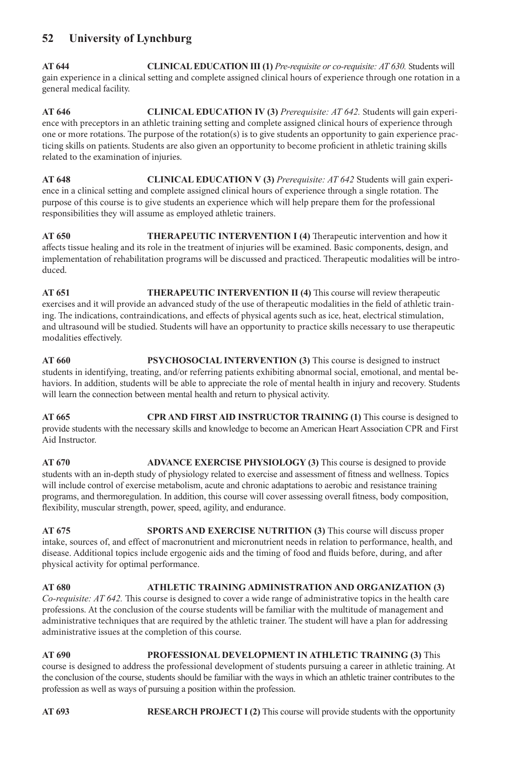**AT 644 CLINICAL EDUCATION III (1)** *Pre-requisite or co-requisite: AT 630.* Students will gain experience in a clinical setting and complete assigned clinical hours of experience through one rotation in a general medical facility.

**AT 646 CLINICAL EDUCATION IV (3)** *Prerequisite: AT 642.* Students will gain experience with preceptors in an athletic training setting and complete assigned clinical hours of experience through one or more rotations. The purpose of the rotation(s) is to give students an opportunity to gain experience practicing skills on patients. Students are also given an opportunity to become proficient in athletic training skills related to the examination of injuries.

**AT 648 CLINICAL EDUCATION V (3)** *Prerequisite: AT 642* Students will gain experience in a clinical setting and complete assigned clinical hours of experience through a single rotation. The purpose of this course is to give students an experience which will help prepare them for the professional responsibilities they will assume as employed athletic trainers.

**AT 650 THERAPEUTIC INTERVENTION I (4)** Therapeutic intervention and how it affects tissue healing and its role in the treatment of injuries will be examined. Basic components, design, and implementation of rehabilitation programs will be discussed and practiced. Therapeutic modalities will be introduced.

**AT 651 THERAPEUTIC INTERVENTION II (4)** This course will review therapeutic exercises and it will provide an advanced study of the use of therapeutic modalities in the field of athletic training. The indications, contraindications, and effects of physical agents such as ice, heat, electrical stimulation, and ultrasound will be studied. Students will have an opportunity to practice skills necessary to use therapeutic modalities effectively.

**AT 660 PSYCHOSOCIAL INTERVENTION (3)** This course is designed to instruct students in identifying, treating, and/or referring patients exhibiting abnormal social, emotional, and mental behaviors. In addition, students will be able to appreciate the role of mental health in injury and recovery. Students will learn the connection between mental health and return to physical activity.

**AT 665 CPR AND FIRST AID INSTRUCTOR TRAINING (1)** This course is designed to provide students with the necessary skills and knowledge to become an American Heart Association CPR and First Aid Instructor.

**AT 670 ADVANCE EXERCISE PHYSIOLOGY (3)** This course is designed to provide students with an in-depth study of physiology related to exercise and assessment of fitness and wellness. Topics will include control of exercise metabolism, acute and chronic adaptations to aerobic and resistance training programs, and thermoregulation. In addition, this course will cover assessing overall fitness, body composition, flexibility, muscular strength, power, speed, agility, and endurance.

**AT 675 SPORTS AND EXERCISE NUTRITION (3)** This course will discuss proper intake, sources of, and effect of macronutrient and micronutrient needs in relation to performance, health, and disease. Additional topics include ergogenic aids and the timing of food and fluids before, during, and after physical activity for optimal performance.

#### **AT 680 ATHLETIC TRAINING ADMINISTRATION AND ORGANIZATION (3)**  *Co-requisite: AT 642.* This course is designed to cover a wide range of administrative topics in the health care professions. At the conclusion of the course students will be familiar with the multitude of management and administrative techniques that are required by the athletic trainer. The student will have a plan for addressing administrative issues at the completion of this course.

#### **AT 690 PROFESSIONAL DEVELOPMENT IN ATHLETIC TRAINING (3)** This course is designed to address the professional development of students pursuing a career in athletic training. At the conclusion of the course, students should be familiar with the ways in which an athletic trainer contributes to the profession as well as ways of pursuing a position within the profession.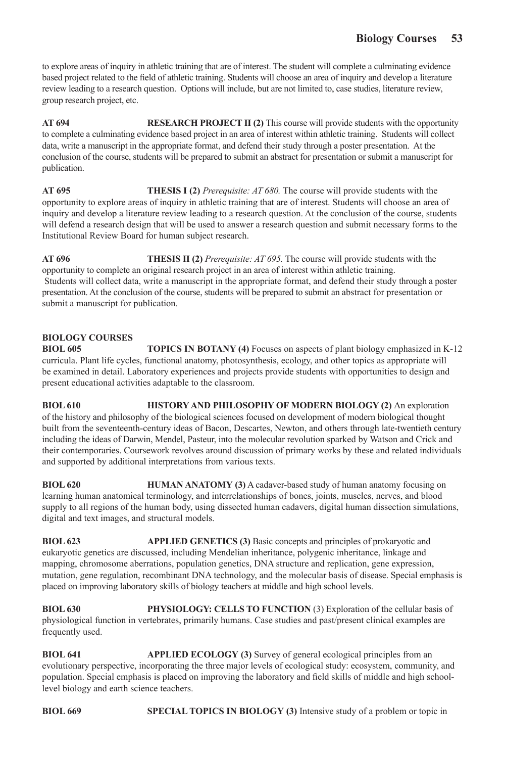to explore areas of inquiry in athletic training that are of interest. The student will complete a culminating evidence based project related to the field of athletic training. Students will choose an area of inquiry and develop a literature review leading to a research question. Options will include, but are not limited to, case studies, literature review, group research project, etc.

**AT 694 RESEARCH PROJECT II (2)** This course will provide students with the opportunity to complete a culminating evidence based project in an area of interest within athletic training. Students will collect data, write a manuscript in the appropriate format, and defend their study through a poster presentation. At the conclusion of the course, students will be prepared to submit an abstract for presentation or submit a manuscript for publication.

**AT 695 THESIS I (2)** *Prerequisite: AT 680.* The course will provide students with the opportunity to explore areas of inquiry in athletic training that are of interest. Students will choose an area of inquiry and develop a literature review leading to a research question. At the conclusion of the course, students will defend a research design that will be used to answer a research question and submit necessary forms to the Institutional Review Board for human subject research.

**AT 696 THESIS II (2)** *Prerequisite: AT 695.* The course will provide students with the opportunity to complete an original research project in an area of interest within athletic training. Students will collect data, write a manuscript in the appropriate format, and defend their study through a poster presentation. At the conclusion of the course, students will be prepared to submit an abstract for presentation or submit a manuscript for publication.

## **BIOLOGY COURSES**

**BIOL 605 TOPICS IN BOTANY (4)** Focuses on aspects of plant biology emphasized in K-12 curricula. Plant life cycles, functional anatomy, photosynthesis, ecology, and other topics as appropriate will be examined in detail. Laboratory experiences and projects provide students with opportunities to design and present educational activities adaptable to the classroom.

**BIOL 610 HISTORY AND PHILOSOPHY OF MODERN BIOLOGY (2)** An exploration of the history and philosophy of the biological sciences focused on development of modern biological thought built from the seventeenth-century ideas of Bacon, Descartes, Newton, and others through late-twentieth century including the ideas of Darwin, Mendel, Pasteur, into the molecular revolution sparked by Watson and Crick and their contemporaries. Coursework revolves around discussion of primary works by these and related individuals and supported by additional interpretations from various texts.

**BIOL 620 HUMAN ANATOMY (3)** A cadaver-based study of human anatomy focusing on learning human anatomical terminology, and interrelationships of bones, joints, muscles, nerves, and blood supply to all regions of the human body, using dissected human cadavers, digital human dissection simulations, digital and text images, and structural models.

**BIOL 623 APPLIED GENETICS (3)** Basic concepts and principles of prokaryotic and eukaryotic genetics are discussed, including Mendelian inheritance, polygenic inheritance, linkage and mapping, chromosome aberrations, population genetics, DNA structure and replication, gene expression, mutation, gene regulation, recombinant DNA technology, and the molecular basis of disease. Special emphasis is placed on improving laboratory skills of biology teachers at middle and high school levels.

**BIOL 630 PHYSIOLOGY: CELLS TO FUNCTION** (3) Exploration of the cellular basis of physiological function in vertebrates, primarily humans. Case studies and past/present clinical examples are frequently used.

**BIOL 641 APPLIED ECOLOGY (3)** Survey of general ecological principles from an evolutionary perspective, incorporating the three major levels of ecological study: ecosystem, community, and population. Special emphasis is placed on improving the laboratory and field skills of middle and high schoollevel biology and earth science teachers.

**BIOL 669 SPECIAL TOPICS IN BIOLOGY (3)** Intensive study of a problem or topic in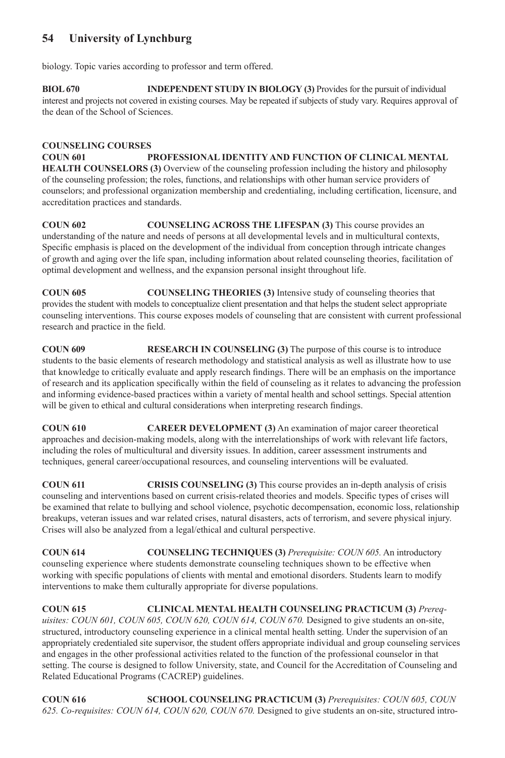biology. Topic varies according to professor and term offered.

**BIOL 670 INDEPENDENT STUDY IN BIOLOGY (3)** Provides for the pursuit of individual interest and projects not covered in existing courses. May be repeated if subjects of study vary. Requires approval of the dean of the School of Sciences.

## **COUNSELING COURSES**

**COUN 601 PROFESSIONAL IDENTITY AND FUNCTION OF CLINICAL MENTAL HEALTH COUNSELORS (3)** Overview of the counseling profession including the history and philosophy of the counseling profession; the roles, functions, and relationships with other human service providers of counselors; and professional organization membership and credentialing, including certification, licensure, and accreditation practices and standards.

**COUN 602 COUNSELING ACROSS THE LIFESPAN (3)** This course provides an understanding of the nature and needs of persons at all developmental levels and in multicultural contexts, Specific emphasis is placed on the development of the individual from conception through intricate changes of growth and aging over the life span, including information about related counseling theories, facilitation of optimal development and wellness, and the expansion personal insight throughout life.

**COUN 605 COUNSELING THEORIES (3)** Intensive study of counseling theories that provides the student with models to conceptualize client presentation and that helps the student select appropriate counseling interventions. This course exposes models of counseling that are consistent with current professional research and practice in the field.

**COUN 609 RESEARCH IN COUNSELING (3)** The purpose of this course is to introduce students to the basic elements of research methodology and statistical analysis as well as illustrate how to use that knowledge to critically evaluate and apply research findings. There will be an emphasis on the importance of research and its application specifically within the field of counseling as it relates to advancing the profession and informing evidence-based practices within a variety of mental health and school settings. Special attention will be given to ethical and cultural considerations when interpreting research findings.

**COUN 610 CAREER DEVELOPMENT (3)** An examination of major career theoretical approaches and decision-making models, along with the interrelationships of work with relevant life factors, including the roles of multicultural and diversity issues. In addition, career assessment instruments and techniques, general career/occupational resources, and counseling interventions will be evaluated.

**COUN 611 CRISIS COUNSELING (3)** This course provides an in-depth analysis of crisis counseling and interventions based on current crisis-related theories and models. Specific types of crises will be examined that relate to bullying and school violence, psychotic decompensation, economic loss, relationship breakups, veteran issues and war related crises, natural disasters, acts of terrorism, and severe physical injury. Crises will also be analyzed from a legal/ethical and cultural perspective.

**COUN 614 COUNSELING TECHNIQUES (3)** *Prerequisite: COUN 605.* An introductory counseling experience where students demonstrate counseling techniques shown to be effective when working with specific populations of clients with mental and emotional disorders. Students learn to modify interventions to make them culturally appropriate for diverse populations.

**COUN 615 CLINICAL MENTAL HEALTH COUNSELING PRACTICUM (3)** *Prerequisites: COUN 601, COUN 605, COUN 620, COUN 614, COUN 670.* Designed to give students an on-site, structured, introductory counseling experience in a clinical mental health setting. Under the supervision of an appropriately credentialed site supervisor, the student offers appropriate individual and group counseling services and engages in the other professional activities related to the function of the professional counselor in that setting. The course is designed to follow University, state, and Council for the Accreditation of Counseling and Related Educational Programs (CACREP) guidelines.

**COUN 616 SCHOOL COUNSELING PRACTICUM (3)** *Prerequisites: COUN 605, COUN 625. Co-requisites: COUN 614, COUN 620, COUN 670.* Designed to give students an on-site, structured intro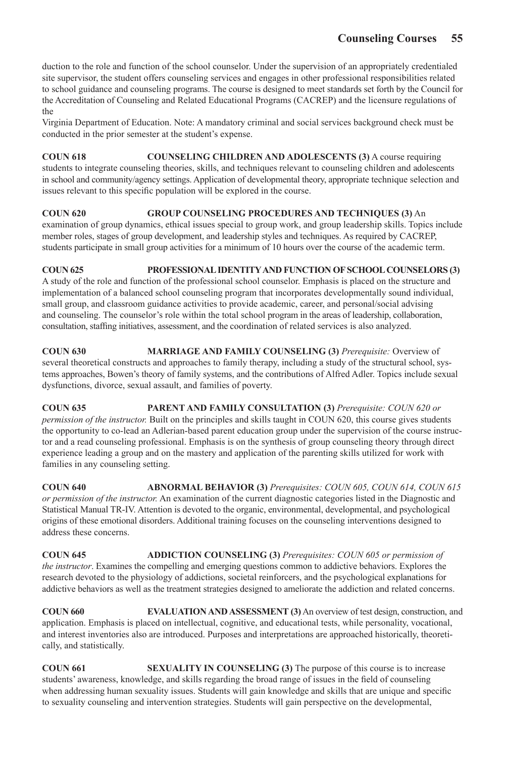duction to the role and function of the school counselor. Under the supervision of an appropriately credentialed site supervisor, the student offers counseling services and engages in other professional responsibilities related to school guidance and counseling programs. The course is designed to meet standards set forth by the Council for the Accreditation of Counseling and Related Educational Programs (CACREP) and the licensure regulations of the

Virginia Department of Education. Note: A mandatory criminal and social services background check must be conducted in the prior semester at the student's expense.

## **COUN 618 COUNSELING CHILDREN AND ADOLESCENTS (3)** A course requiring students to integrate counseling theories, skills, and techniques relevant to counseling children and adolescents

in school and community/agency settings. Application of developmental theory, appropriate technique selection and issues relevant to this specific population will be explored in the course.

# **COUN 620 GROUP COUNSELING PROCEDURES AND TECHNIQUES (3)** An

examination of group dynamics, ethical issues special to group work, and group leadership skills. Topics include member roles, stages of group development, and leadership styles and techniques. As required by CACREP, students participate in small group activities for a minimum of 10 hours over the course of the academic term.

**COUN 625 PROFESSIONAL IDENTITY AND FUNCTION OF SCHOOL COUNSELORS (3)**  A study of the role and function of the professional school counselor. Emphasis is placed on the structure and implementation of a balanced school counseling program that incorporates developmentally sound individual, small group, and classroom guidance activities to provide academic, career, and personal/social advising and counseling. The counselor's role within the total school program in the areas of leadership, collaboration, consultation, staffing initiatives, assessment, and the coordination of related services is also analyzed.

**COUN 630 MARRIAGE AND FAMILY COUNSELING (3)** *Prerequisite:* Overview of several theoretical constructs and approaches to family therapy, including a study of the structural school, systems approaches, Bowen's theory of family systems, and the contributions of Alfred Adler. Topics include sexual dysfunctions, divorce, sexual assault, and families of poverty.

**COUN 635 PARENT AND FAMILY CONSULTATION (3)** *Prerequisite: COUN 620 or permission of the instructor.* Built on the principles and skills taught in COUN 620, this course gives students the opportunity to co-lead an Adlerian-based parent education group under the supervision of the course instructor and a read counseling professional. Emphasis is on the synthesis of group counseling theory through direct experience leading a group and on the mastery and application of the parenting skills utilized for work with families in any counseling setting.

**COUN 640 ABNORMAL BEHAVIOR (3)** *Prerequisites: COUN 605, COUN 614, COUN 615 or permission of the instructor.* An examination of the current diagnostic categories listed in the Diagnostic and Statistical Manual TR-IV. Attention is devoted to the organic, environmental, developmental, and psychological origins of these emotional disorders. Additional training focuses on the counseling interventions designed to address these concerns.

**COUN 645 ADDICTION COUNSELING (3)** *Prerequisites: COUN 605 or permission of the instructor*. Examines the compelling and emerging questions common to addictive behaviors. Explores the research devoted to the physiology of addictions, societal reinforcers, and the psychological explanations for addictive behaviors as well as the treatment strategies designed to ameliorate the addiction and related concerns.

**COUN 660 EVALUATION AND ASSESSMENT (3)** An overview of test design, construction, and application. Emphasis is placed on intellectual, cognitive, and educational tests, while personality, vocational, and interest inventories also are introduced. Purposes and interpretations are approached historically, theoretically, and statistically.

**COUN 661 SEXUALITY IN COUNSELING (3)** The purpose of this course is to increase students' awareness, knowledge, and skills regarding the broad range of issues in the field of counseling when addressing human sexuality issues. Students will gain knowledge and skills that are unique and specific to sexuality counseling and intervention strategies. Students will gain perspective on the developmental,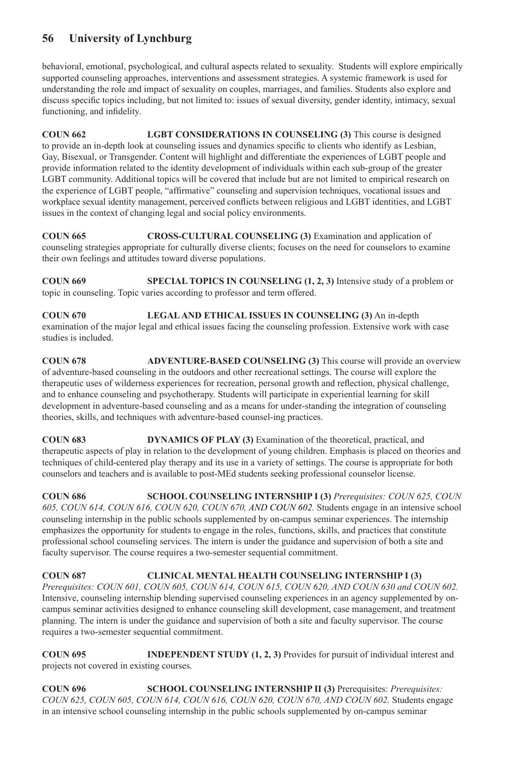behavioral, emotional, psychological, and cultural aspects related to sexuality. Students will explore empirically supported counseling approaches, interventions and assessment strategies. A systemic framework is used for understanding the role and impact of sexuality on couples, marriages, and families. Students also explore and discuss specific topics including, but not limited to: issues of sexual diversity, gender identity, intimacy, sexual functioning, and infidelity.

**COUN 662 LGBT CONSIDERATIONS IN COUNSELING (3)** This course is designed to provide an in-depth look at counseling issues and dynamics specific to clients who identify as Lesbian, Gay, Bisexual, or Transgender. Content will highlight and differentiate the experiences of LGBT people and provide information related to the identity development of individuals within each sub-group of the greater LGBT community. Additional topics will be covered that include but are not limited to empirical research on the experience of LGBT people, "affirmative" counseling and supervision techniques, vocational issues and workplace sexual identity management, perceived conflicts between religious and LGBT identities, and LGBT issues in the context of changing legal and social policy environments.

**COUN 665 CROSS-CULTURAL COUNSELING (3)** Examination and application of counseling strategies appropriate for culturally diverse clients; focuses on the need for counselors to examine their own feelings and attitudes toward diverse populations.

**COUN 669 SPECIAL TOPICS IN COUNSELING (1, 2, 3)** Intensive study of a problem or topic in counseling. Topic varies according to professor and term offered.

**COUN 670 LEGAL AND ETHICAL ISSUES IN COUNSELING (3)** An in-depth examination of the major legal and ethical issues facing the counseling profession. Extensive work with case studies is included.

**COUN 678 ADVENTURE-BASED COUNSELING (3)** This course will provide an overview of adventure-based counseling in the outdoors and other recreational settings. The course will explore the therapeutic uses of wilderness experiences for recreation, personal growth and reflection, physical challenge, and to enhance counseling and psychotherapy. Students will participate in experiential learning for skill development in adventure-based counseling and as a means for under-standing the integration of counseling theories, skills, and techniques with adventure-based counsel-ing practices.

**COUN 683 DYNAMICS OF PLAY (3)** Examination of the theoretical, practical, and therapeutic aspects of play in relation to the development of young children. Emphasis is placed on theories and techniques of child-centered play therapy and its use in a variety of settings. The course is appropriate for both counselors and teachers and is available to post-MEd students seeking professional counselor license.

**COUN 686 SCHOOL COUNSELING INTERNSHIP I (3)** *Prerequisites: COUN 625, COUN 605, COUN 614, COUN 616, COUN 620, COUN 670, AND COUN 602.* Students engage in an intensive school counseling internship in the public schools supplemented by on-campus seminar experiences. The internship emphasizes the opportunity for students to engage in the roles, functions, skills, and practices that constitute professional school counseling services. The intern is under the guidance and supervision of both a site and faculty supervisor. The course requires a two-semester sequential commitment.

**COUN 687 CLINICAL MENTAL HEALTH COUNSELING INTERNSHIP I (3)** *Prerequisites: COUN 601, COUN 605, COUN 614, COUN 615, COUN 620, AND COUN 630 and COUN 602.*  Intensive, counseling internship blending supervised counseling experiences in an agency supplemented by oncampus seminar activities designed to enhance counseling skill development, case management, and treatment planning. The intern is under the guidance and supervision of both a site and faculty supervisor. The course requires a two-semester sequential commitment.

**COUN 695 INDEPENDENT STUDY (1, 2, 3)** Provides for pursuit of individual interest and projects not covered in existing courses.

**COUN 696 SCHOOL COUNSELING INTERNSHIP II (3)** Prerequisites: *Prerequisites: COUN 625, COUN 605, COUN 614, COUN 616, COUN 620, COUN 670, AND COUN 602.* Students engage in an intensive school counseling internship in the public schools supplemented by on-campus seminar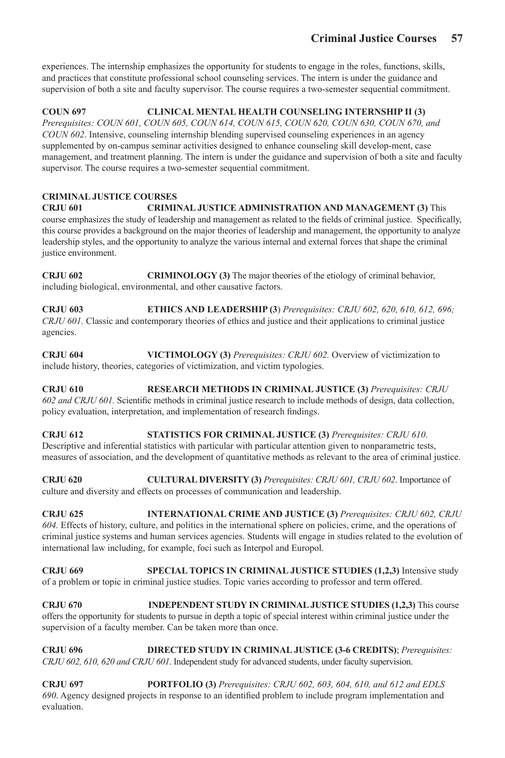experiences. The internship emphasizes the opportunity for students to engage in the roles, functions, skills, and practices that constitute professional school counseling services. The intern is under the guidance and supervision of both a site and faculty supervisor. The course requires a two-semester sequential commitment.

**COUN 697 CLINICAL MENTAL HEALTH COUNSELING INTERNSHIP II (3)** *Prerequisites: COUN 601, COUN 605, COUN 614, COUN 615, COUN 620, COUN 630, COUN 670, and COUN 602*. Intensive, counseling internship blending supervised counseling experiences in an agency supplemented by on-campus seminar activities designed to enhance counseling skill develop-ment, case management, and treatment planning. The intern is under the guidance and supervision of both a site and faculty supervisor. The course requires a two-semester sequential commitment.

## **CRIMINAL JUSTICE COURSES**

**CRJU 601 CRIMINAL JUSTICE ADMINISTRATION AND MANAGEMENT (3)** This course emphasizes the study of leadership and management as related to the fields of criminal justice. Specifically, this course provides a background on the major theories of leadership and management, the opportunity to analyze leadership styles, and the opportunity to analyze the various internal and external forces that shape the criminal justice environment.

**CRJU 602 CRIMINOLOGY (3)** The major theories of the etiology of criminal behavior, including biological, environmental, and other causative factors.

**CRJU 603 ETHICS AND LEADERSHIP (3**) *Prerequisites: CRJU 602, 620, 610, 612, 696; CRJU 601.* Classic and contemporary theories of ethics and justice and their applications to criminal justice agencies.

**CRJU 604 VICTIMOLOGY (3)** *Prerequisites: CRJU 602.* Overview of victimization to include history, theories, categories of victimization, and victim typologies.

**CRJU 610 RESEARCH METHODS IN CRIMINAL JUSTICE (3)** *Prerequisites: CRJU 602 and CRJU 601.* Scientific methods in criminal justice research to include methods of design, data collection, policy evaluation, interpretation, and implementation of research findings.

**CRJU 612 STATISTICS FOR CRIMINAL JUSTICE (3)** *Prerequisites: CRJU 610*. Descriptive and inferential statistics with particular with particular attention given to nonparametric tests, measures of association, and the development of quantitative methods as relevant to the area of criminal justice.

**CRJU 620 CULTURAL DIVERSITY (3)** *Prerequisites: CRJU 601, CRJU 602*. Importance of culture and diversity and effects on processes of communication and leadership.

**CRJU 625 INTERNATIONAL CRIME AND JUSTICE (3)** *Prerequisites: CRJU 602, CRJU 604.* Effects of history, culture, and politics in the international sphere on policies, crime, and the operations of criminal justice systems and human services agencies. Students will engage in studies related to the evolution of international law including, for example, foci such as Interpol and Europol.

**CRJU 669 SPECIAL TOPICS IN CRIMINAL JUSTICE STUDIES (1,2,3)** Intensive study of a problem or topic in criminal justice studies. Topic varies according to professor and term offered.

**CRJU 670 INDEPENDENT STUDY IN CRIMINAL JUSTICE STUDIES (1,2,3)** This course offers the opportunity for students to pursue in depth a topic of special interest within criminal justice under the supervision of a faculty member. Can be taken more than once.

**CRJU 696 DIRECTED STUDY IN CRIMINAL JUSTICE (3-6 CREDITS)**; *Prerequisites: CRJU 602, 610, 620 and CRJU 601*. Independent study for advanced students, under faculty supervision.

**CRJU 697 PORTFOLIO (3)** *Prerequisites: CRJU 602, 603, 604, 610, and 612 and EDLS 690*. Agency designed projects in response to an identified problem to include program implementation and evaluation.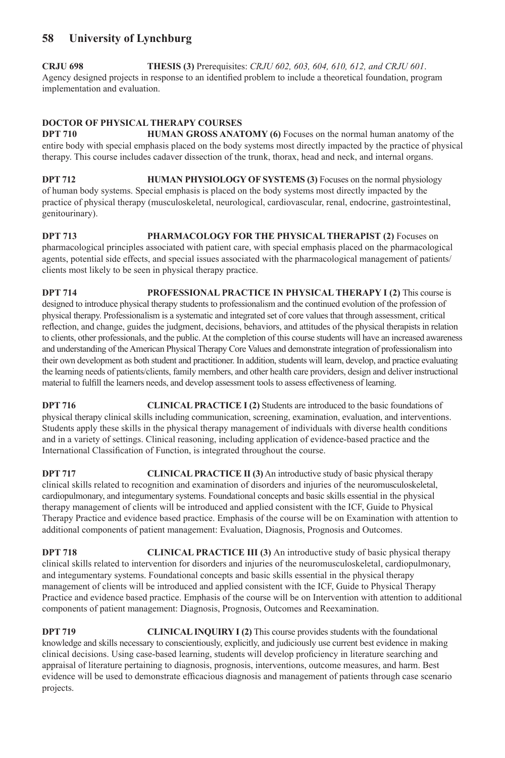**CRJU 698 THESIS (3)** Prerequisites: *CRJU 602, 603, 604, 610, 612, and CRJU 601*. Agency designed projects in response to an identified problem to include a theoretical foundation, program implementation and evaluation.

## **DOCTOR OF PHYSICAL THERAPY COURSES**

**DPT 710 HUMAN GROSS ANATOMY (6)** Focuses on the normal human anatomy of the entire body with special emphasis placed on the body systems most directly impacted by the practice of physical therapy. This course includes cadaver dissection of the trunk, thorax, head and neck, and internal organs.

**DPT 712 HUMAN PHYSIOLOGY OF SYSTEMS (3)** Focuses on the normal physiology of human body systems. Special emphasis is placed on the body systems most directly impacted by the practice of physical therapy (musculoskeletal, neurological, cardiovascular, renal, endocrine, gastrointestinal, genitourinary).

**DPT 713 PHARMACOLOGY FOR THE PHYSICAL THERAPIST (2)** Focuses on pharmacological principles associated with patient care, with special emphasis placed on the pharmacological agents, potential side effects, and special issues associated with the pharmacological management of patients/ clients most likely to be seen in physical therapy practice.

**DPT 714 PROFESSIONAL PRACTICE IN PHYSICAL THERAPY I (2)** This course is designed to introduce physical therapy students to professionalism and the continued evolution of the profession of physical therapy. Professionalism is a systematic and integrated set of core values that through assessment, critical reflection, and change, guides the judgment, decisions, behaviors, and attitudes of the physical therapists in relation to clients, other professionals, and the public. At the completion of this course students will have an increased awareness and understanding of the American Physical Therapy Core Values and demonstrate integration of professionalism into their own development as both student and practitioner. In addition, students will learn, develop, and practice evaluating the learning needs of patients/clients, family members, and other health care providers, design and deliver instructional material to fulfill the learners needs, and develop assessment tools to assess effectiveness of learning.

**DPT 716 CLINICAL PRACTICE I (2)** Students are introduced to the basic foundations of physical therapy clinical skills including communication, screening, examination, evaluation, and interventions. Students apply these skills in the physical therapy management of individuals with diverse health conditions and in a variety of settings. Clinical reasoning, including application of evidence-based practice and the International Classification of Function, is integrated throughout the course.

**DPT 717 CLINICAL PRACTICE II (3)** An introductive study of basic physical therapy clinical skills related to recognition and examination of disorders and injuries of the neuromusculoskeletal, cardiopulmonary, and integumentary systems. Foundational concepts and basic skills essential in the physical therapy management of clients will be introduced and applied consistent with the ICF, Guide to Physical Therapy Practice and evidence based practice. Emphasis of the course will be on Examination with attention to additional components of patient management: Evaluation, Diagnosis, Prognosis and Outcomes.

**DPT 718 CLINICAL PRACTICE III** (3) An introductive study of basic physical therapy clinical skills related to intervention for disorders and injuries of the neuromusculoskeletal, cardiopulmonary, and integumentary systems. Foundational concepts and basic skills essential in the physical therapy management of clients will be introduced and applied consistent with the ICF, Guide to Physical Therapy Practice and evidence based practice. Emphasis of the course will be on Intervention with attention to additional components of patient management: Diagnosis, Prognosis, Outcomes and Reexamination.

**DPT 719 CLINICAL INQUIRY I (2)** This course provides students with the foundational knowledge and skills necessary to conscientiously, explicitly, and judiciously use current best evidence in making clinical decisions. Using case-based learning, students will develop proficiency in literature searching and appraisal of literature pertaining to diagnosis, prognosis, interventions, outcome measures, and harm. Best evidence will be used to demonstrate efficacious diagnosis and management of patients through case scenario projects.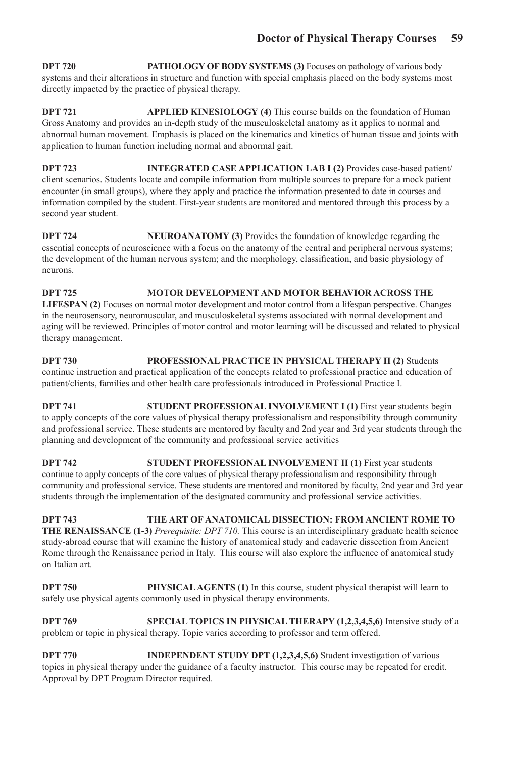**DPT 720 PATHOLOGY OF BODY SYSTEMS (3)** Focuses on pathology of various body systems and their alterations in structure and function with special emphasis placed on the body systems most directly impacted by the practice of physical therapy.

**DPT 721 APPLIED KINESIOLOGY (4)** This course builds on the foundation of Human Gross Anatomy and provides an in-depth study of the musculoskeletal anatomy as it applies to normal and abnormal human movement. Emphasis is placed on the kinematics and kinetics of human tissue and joints with application to human function including normal and abnormal gait.

**DPT 723 INTEGRATED CASE APPLICATION LAB I (2)** Provides case-based patient/ client scenarios. Students locate and compile information from multiple sources to prepare for a mock patient encounter (in small groups), where they apply and practice the information presented to date in courses and information compiled by the student. First-year students are monitored and mentored through this process by a second year student.

**DPT 724 NEUROANATOMY (3)** Provides the foundation of knowledge regarding the essential concepts of neuroscience with a focus on the anatomy of the central and peripheral nervous systems; the development of the human nervous system; and the morphology, classification, and basic physiology of neurons.

**DPT 725 MOTOR DEVELOPMENT AND MOTOR BEHAVIOR ACROSS THE LIFESPAN (2)** Focuses on normal motor development and motor control from a lifespan perspective. Changes in the neurosensory, neuromuscular, and musculoskeletal systems associated with normal development and aging will be reviewed. Principles of motor control and motor learning will be discussed and related to physical therapy management.

**DPT 730 PROFESSIONAL PRACTICE IN PHYSICAL THERAPY II (2)** Students continue instruction and practical application of the concepts related to professional practice and education of patient/clients, families and other health care professionals introduced in Professional Practice I.

**DPT 741 STUDENT PROFESSIONAL INVOLVEMENT I (1)** First year students begin to apply concepts of the core values of physical therapy professionalism and responsibility through community and professional service. These students are mentored by faculty and 2nd year and 3rd year students through the planning and development of the community and professional service activities

**DPT 742** STUDENT PROFESSIONAL INVOLVEMENT II (1) First year students continue to apply concepts of the core values of physical therapy professionalism and responsibility through community and professional service. These students are mentored and monitored by faculty, 2nd year and 3rd year students through the implementation of the designated community and professional service activities.

**DPT 743 THE ART OF ANATOMICAL DISSECTION: FROM ANCIENT ROME TO THE RENAISSANCE (1-3)** *Prerequisite: DPT 710.* This course is an interdisciplinary graduate health science study-abroad course that will examine the history of anatomical study and cadaveric dissection from Ancient Rome through the Renaissance period in Italy. This course will also explore the influence of anatomical study on Italian art.

**DPT 750 PHYSICAL AGENTS (1)** In this course, student physical therapist will learn to safely use physical agents commonly used in physical therapy environments.

**DPT 769 SPECIAL TOPICS IN PHYSICAL THERAPY (1,2,3,4,5,6)** Intensive study of a problem or topic in physical therapy. Topic varies according to professor and term offered.

**DPT 770 INDEPENDENT STUDY DPT (1,2,3,4,5,6)** Student investigation of various topics in physical therapy under the guidance of a faculty instructor. This course may be repeated for credit. Approval by DPT Program Director required.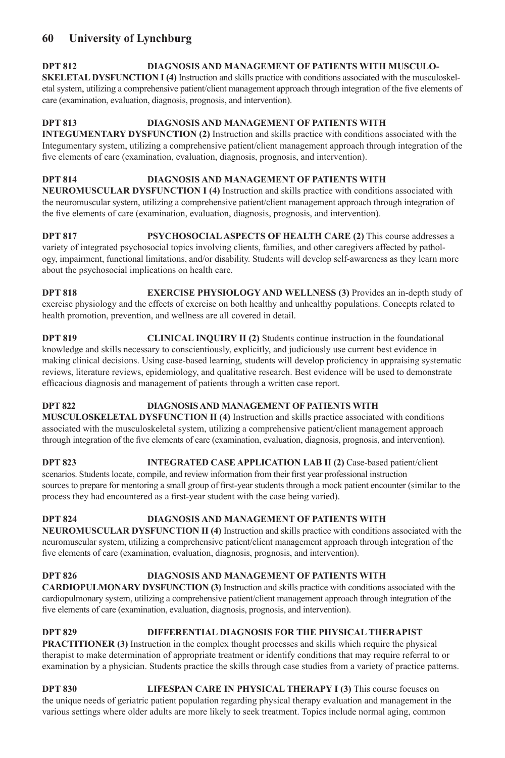## **DPT 812 DIAGNOSIS AND MANAGEMENT OF PATIENTS WITH MUSCULO-SKELETAL DYSFUNCTION I (4)** Instruction and skills practice with conditions associated with the musculoskeletal system, utilizing a comprehensive patient/client management approach through integration of the five elements of care (examination, evaluation, diagnosis, prognosis, and intervention).

## **DPT 813 DIAGNOSIS AND MANAGEMENT OF PATIENTS WITH**

**INTEGUMENTARY DYSFUNCTION (2)** Instruction and skills practice with conditions associated with the Integumentary system, utilizing a comprehensive patient/client management approach through integration of the five elements of care (examination, evaluation, diagnosis, prognosis, and intervention).

## **DPT 814 DIAGNOSIS AND MANAGEMENT OF PATIENTS WITH**

**NEUROMUSCULAR DYSFUNCTION I (4)** Instruction and skills practice with conditions associated with the neuromuscular system, utilizing a comprehensive patient/client management approach through integration of the five elements of care (examination, evaluation, diagnosis, prognosis, and intervention).

**DPT 817 PSYCHOSOCIAL ASPECTS OF HEALTH CARE (2)** This course addresses a variety of integrated psychosocial topics involving clients, families, and other caregivers affected by pathology, impairment, functional limitations, and/or disability. Students will develop self-awareness as they learn more about the psychosocial implications on health care.

**DPT 818 EXERCISE PHYSIOLOGY AND WELLNESS (3)** Provides an in-depth study of exercise physiology and the effects of exercise on both healthy and unhealthy populations. Concepts related to health promotion, prevention, and wellness are all covered in detail.

**DPT 819 CLINICAL INQUIRY II (2)** Students continue instruction in the foundational knowledge and skills necessary to conscientiously, explicitly, and judiciously use current best evidence in making clinical decisions. Using case-based learning, students will develop proficiency in appraising systematic reviews, literature reviews, epidemiology, and qualitative research. Best evidence will be used to demonstrate efficacious diagnosis and management of patients through a written case report.

## **DPT 822 DIAGNOSIS AND MANAGEMENT OF PATIENTS WITH**

**MUSCULOSKELETAL DYSFUNCTION II (4)** Instruction and skills practice associated with conditions associated with the musculoskeletal system, utilizing a comprehensive patient/client management approach through integration of the five elements of care (examination, evaluation, diagnosis, prognosis, and intervention).

**DPT 823 INTEGRATED CASE APPLICATION LAB II (2)** Case-based patient/client scenarios. Students locate, compile, and review information from their first year professional instruction sources to prepare for mentoring a small group of first-year students through a mock patient encounter (similar to the process they had encountered as a first-year student with the case being varied).

## **DPT 824 DIAGNOSIS AND MANAGEMENT OF PATIENTS WITH**

**NEUROMUSCULAR DYSFUNCTION II (4)** Instruction and skills practice with conditions associated with the neuromuscular system, utilizing a comprehensive patient/client management approach through integration of the five elements of care (examination, evaluation, diagnosis, prognosis, and intervention).

## **DPT 826 DIAGNOSIS AND MANAGEMENT OF PATIENTS WITH**

**CARDIOPULMONARY DYSFUNCTION (3)** Instruction and skills practice with conditions associated with the cardiopulmonary system, utilizing a comprehensive patient/client management approach through integration of the five elements of care (examination, evaluation, diagnosis, prognosis, and intervention).

**DPT 829 DIFFERENTIAL DIAGNOSIS FOR THE PHYSICAL THERAPIST PRACTITIONER (3)** Instruction in the complex thought processes and skills which require the physical therapist to make determination of appropriate treatment or identify conditions that may require referral to or examination by a physician. Students practice the skills through case studies from a variety of practice patterns.

**DPT 830 LIFESPAN CARE IN PHYSICAL THERAPY I (3)** This course focuses on the unique needs of geriatric patient population regarding physical therapy evaluation and management in the various settings where older adults are more likely to seek treatment. Topics include normal aging, common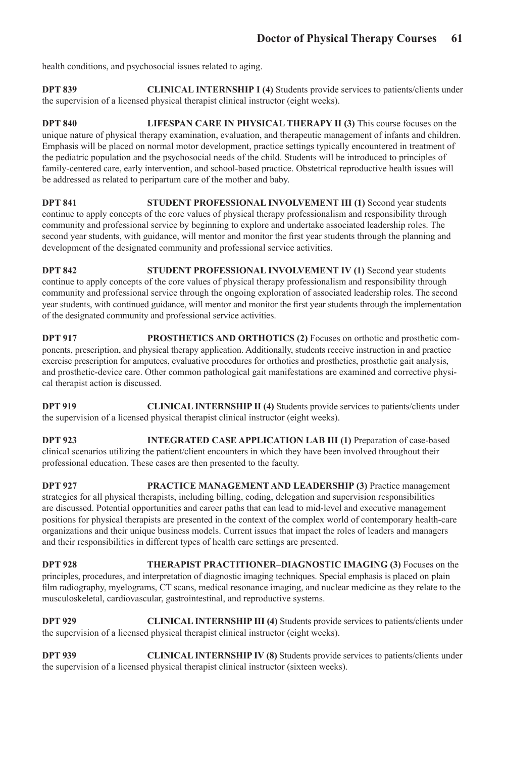health conditions, and psychosocial issues related to aging.

**DPT 839 CLINICAL INTERNSHIP I (4)** Students provide services to patients/clients under the supervision of a licensed physical therapist clinical instructor (eight weeks).

**DPT 840 LIFESPAN CARE IN PHYSICAL THERAPY II (3)** This course focuses on the unique nature of physical therapy examination, evaluation, and therapeutic management of infants and children. Emphasis will be placed on normal motor development, practice settings typically encountered in treatment of the pediatric population and the psychosocial needs of the child. Students will be introduced to principles of family-centered care, early intervention, and school-based practice. Obstetrical reproductive health issues will be addressed as related to peripartum care of the mother and baby.

**DPT 841 STUDENT PROFESSIONAL INVOLVEMENT III (1)** Second year students continue to apply concepts of the core values of physical therapy professionalism and responsibility through community and professional service by beginning to explore and undertake associated leadership roles. The second year students, with guidance, will mentor and monitor the first year students through the planning and development of the designated community and professional service activities.

**DPT 842 STUDENT PROFESSIONAL INVOLVEMENT IV (1)** Second year students continue to apply concepts of the core values of physical therapy professionalism and responsibility through community and professional service through the ongoing exploration of associated leadership roles. The second year students, with continued guidance, will mentor and monitor the first year students through the implementation of the designated community and professional service activities.

**DPT 917 PROSTHETICS AND ORTHOTICS (2)** Focuses on orthotic and prosthetic components, prescription, and physical therapy application. Additionally, students receive instruction in and practice exercise prescription for amputees, evaluative procedures for orthotics and prosthetics, prosthetic gait analysis, and prosthetic-device care. Other common pathological gait manifestations are examined and corrective physical therapist action is discussed.

**DPT 919 CLINICAL INTERNSHIP II (4)** Students provide services to patients/clients under the supervision of a licensed physical therapist clinical instructor (eight weeks).

**DPT 923 INTEGRATED CASE APPLICATION LAB III (1)** Preparation of case-based clinical scenarios utilizing the patient/client encounters in which they have been involved throughout their professional education. These cases are then presented to the faculty.

**DPT 927 PRACTICE MANAGEMENT AND LEADERSHIP (3)** Practice management strategies for all physical therapists, including billing, coding, delegation and supervision responsibilities are discussed. Potential opportunities and career paths that can lead to mid-level and executive management positions for physical therapists are presented in the context of the complex world of contemporary health-care organizations and their unique business models. Current issues that impact the roles of leaders and managers and their responsibilities in different types of health care settings are presented.

**DPT 928 THERAPIST PRACTITIONER–DIAGNOSTIC IMAGING (3)** Focuses on the principles, procedures, and interpretation of diagnostic imaging techniques. Special emphasis is placed on plain film radiography, myelograms, CT scans, medical resonance imaging, and nuclear medicine as they relate to the musculoskeletal, cardiovascular, gastrointestinal, and reproductive systems.

**DPT 929 CLINICAL INTERNSHIP III (4)** Students provide services to patients/clients under the supervision of a licensed physical therapist clinical instructor (eight weeks).

**DPT 939 CLINICAL INTERNSHIP IV (8)** Students provide services to patients/clients under the supervision of a licensed physical therapist clinical instructor (sixteen weeks).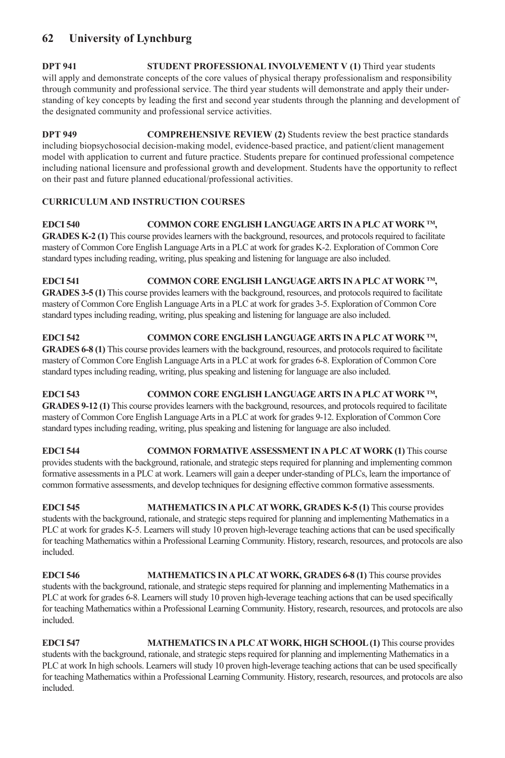**DPT 941 STUDENT PROFESSIONAL INVOLVEMENT V (1)** Third year students will apply and demonstrate concepts of the core values of physical therapy professionalism and responsibility through community and professional service. The third year students will demonstrate and apply their understanding of key concepts by leading the first and second year students through the planning and development of the designated community and professional service activities.

**DPT 949 COMPREHENSIVE REVIEW (2)** Students review the best practice standards including biopsychosocial decision-making model, evidence-based practice, and patient/client management model with application to current and future practice. Students prepare for continued professional competence including national licensure and professional growth and development. Students have the opportunity to reflect on their past and future planned educational/professional activities.

## **CURRICULUM AND INSTRUCTION COURSES**

**EDCI 540 COMMON CORE ENGLISH LANGUAGE ARTS IN A PLC AT WORK TM, GRADES K-2 (1)** This course provides learners with the background, resources, and protocols required to facilitate mastery of Common Core English Language Arts in a PLC at work for grades K-2. Exploration of Common Core standard types including reading, writing, plus speaking and listening for language are also included.

**EDCI 541 COMMON CORE ENGLISH LANGUAGE ARTS IN A PLC AT WORK TM, GRADES 3-5 (1)** This course provides learners with the background, resources, and protocols required to facilitate mastery of Common Core English Language Arts in a PLC at work for grades 3-5. Exploration of Common Core standard types including reading, writing, plus speaking and listening for language are also included.

**EDCI 542 COMMON CORE ENGLISH LANGUAGE ARTS IN A PLC AT WORK TM, GRADES 6-8 (1)** This course provides learners with the background, resources, and protocols required to facilitate mastery of Common Core English Language Arts in a PLC at work for grades 6-8. Exploration of Common Core standard types including reading, writing, plus speaking and listening for language are also included.

**EDCI 543 COMMON CORE ENGLISH LANGUAGE ARTS IN A PLC AT WORK TM, GRADES 9-12 (1)** This course provides learners with the background, resources, and protocols required to facilitate mastery of Common Core English Language Arts in a PLC at work for grades 9-12. Exploration of Common Core standard types including reading, writing, plus speaking and listening for language are also included.

**EDCI 544 COMMON FORMATIVE ASSESSMENT IN A PLC AT WORK (1)** This course provides students with the background, rationale, and strategic steps required for planning and implementing common formative assessments in a PLC at work. Learners will gain a deeper under-standing of PLCs, learn the importance of common formative assessments, and develop techniques for designing effective common formative assessments.

**EDCI 545 MATHEMATICS IN A PLC AT WORK, GRADES K-5 (1)** This course provides students with the background, rationale, and strategic steps required for planning and implementing Mathematics in a PLC at work for grades K-5. Learners will study 10 proven high-leverage teaching actions that can be used specifically for teaching Mathematics within a Professional Learning Community. History, research, resources, and protocols are also included.

**EDCI 546 MATHEMATICS IN A PLC AT WORK, GRADES 6-8 (1)** This course provides students with the background, rationale, and strategic steps required for planning and implementing Mathematics in a PLC at work for grades 6-8. Learners will study 10 proven high-leverage teaching actions that can be used specifically for teaching Mathematics within a Professional Learning Community. History, research, resources, and protocols are also included.

**EDCI 547 MATHEMATICS IN A PLC AT WORK, HIGH SCHOOL (1)** This course provides students with the background, rationale, and strategic steps required for planning and implementing Mathematics in a PLC at work In high schools. Learners will study 10 proven high-leverage teaching actions that can be used specifically for teaching Mathematics within a Professional Learning Community. History, research, resources, and protocols are also included.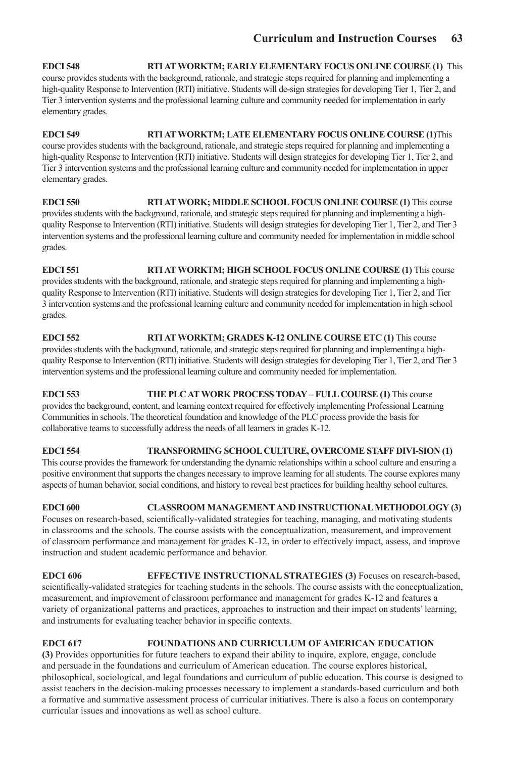**EDCI 548 RTI AT WORKTM; EARLY ELEMENTARY FOCUS ONLINE COURSE (1)** This course provides students with the background, rationale, and strategic steps required for planning and implementing a high-quality Response to Intervention (RTI) initiative. Students will de-sign strategies for developing Tier 1, Tier 2, and Tier 3 intervention systems and the professional learning culture and community needed for implementation in early elementary grades.

**EDCI 549 RTI AT WORKTM; LATE ELEMENTARY FOCUS ONLINE COURSE (1)**This course provides students with the background, rationale, and strategic steps required for planning and implementing a high-quality Response to Intervention (RTI) initiative. Students will design strategies for developing Tier 1, Tier 2, and Tier 3 intervention systems and the professional learning culture and community needed for implementation in upper elementary grades.

**EDCI 550 RTI AT WORK; MIDDLE SCHOOL FOCUS ONLINE COURSE (1)** This course provides students with the background, rationale, and strategic steps required for planning and implementing a highquality Response to Intervention (RTI) initiative. Students will design strategies for developing Tier 1, Tier 2, and Tier 3 intervention systems and the professional learning culture and community needed for implementation in middle school grades.

**EDCI 551 RTI AT WORKTM; HIGH SCHOOL FOCUS ONLINE COURSE (1)** This course provides students with the background, rationale, and strategic steps required for planning and implementing a highquality Response to Intervention (RTI) initiative. Students will design strategies for developing Tier 1, Tier 2, and Tier 3 intervention systems and the professional learning culture and community needed for implementation in high school grades.

**EDCI 552 RTI AT WORKTM; GRADES K-12 ONLINE COURSE ETC (1)** This course provides students with the background, rationale, and strategic steps required for planning and implementing a highquality Response to Intervention (RTI) initiative. Students will design strategies for developing Tier 1, Tier 2, and Tier 3 intervention systems and the professional learning culture and community needed for implementation.

**EDCI 553 THE PLC AT WORK PROCESS TODAY – FULL COURSE (1)** This course provides the background, content, and learning context required for effectively implementing Professional Learning Communities in schools. The theoretical foundation and knowledge of the PLC process provide the basis for collaborative teams to successfully address the needs of all learners in grades K-12.

**EDCI 554 TRANSFORMING SCHOOL CULTURE, OVERCOME STAFF DIVI-SION (1)**  This course provides the framework for understanding the dynamic relationships within a school culture and ensuring a positive environment that supports the changes necessary to improve learning for all students. The course explores many aspects of human behavior, social conditions, and history to reveal best practices for building healthy school cultures.

**EDCI 600 CLASSROOM MANAGEMENT AND INSTRUCTIONAL METHODOLOGY (3)** Focuses on research-based, scientifically-validated strategies for teaching, managing, and motivating students in classrooms and the schools. The course assists with the conceptualization, measurement, and improvement of classroom performance and management for grades K-12, in order to effectively impact, assess, and improve instruction and student academic performance and behavior.

**EDCI 606 EFFECTIVE INSTRUCTIONAL STRATEGIES (3)** Focuses on research-based, scientifically-validated strategies for teaching students in the schools. The course assists with the conceptualization, measurement, and improvement of classroom performance and management for grades K-12 and features a variety of organizational patterns and practices, approaches to instruction and their impact on students' learning, and instruments for evaluating teacher behavior in specific contexts.

**EDCI 617 FOUNDATIONS AND CURRICULUM OF AMERICAN EDUCATION (3)** Provides opportunities for future teachers to expand their ability to inquire, explore, engage, conclude and persuade in the foundations and curriculum of American education. The course explores historical, philosophical, sociological, and legal foundations and curriculum of public education. This course is designed to assist teachers in the decision-making processes necessary to implement a standards-based curriculum and both a formative and summative assessment process of curricular initiatives. There is also a focus on contemporary curricular issues and innovations as well as school culture.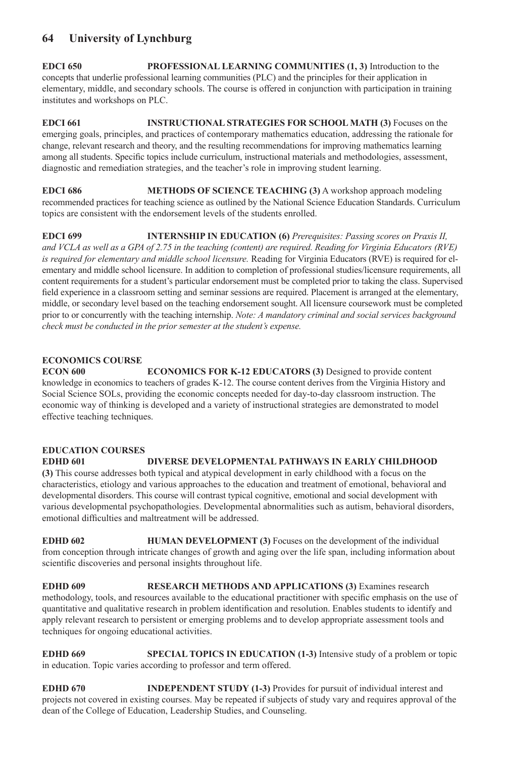**EDCI 650 PROFESSIONAL LEARNING COMMUNITIES (1, 3)** Introduction to the concepts that underlie professional learning communities (PLC) and the principles for their application in elementary, middle, and secondary schools. The course is offered in conjunction with participation in training institutes and workshops on PLC.

**EDCI 661 INSTRUCTIONAL STRATEGIES FOR SCHOOL MATH (3)** Focuses on the emerging goals, principles, and practices of contemporary mathematics education, addressing the rationale for change, relevant research and theory, and the resulting recommendations for improving mathematics learning among all students. Specific topics include curriculum, instructional materials and methodologies, assessment, diagnostic and remediation strategies, and the teacher's role in improving student learning.

**EDCI 686 METHODS OF SCIENCE TEACHING (3)** A workshop approach modeling recommended practices for teaching science as outlined by the National Science Education Standards. Curriculum topics are consistent with the endorsement levels of the students enrolled.

**EDCI 699 INTERNSHIP IN EDUCATION (6)** *Prerequisites: Passing scores on Praxis II, and VCLA as well as a GPA of 2.75 in the teaching (content) are required. Reading for Virginia Educators (RVE) is required for elementary and middle school licensure.* Reading for Virginia Educators (RVE) is required for elementary and middle school licensure. In addition to completion of professional studies/licensure requirements, all content requirements for a student's particular endorsement must be completed prior to taking the class. Supervised field experience in a classroom setting and seminar sessions are required. Placement is arranged at the elementary, middle, or secondary level based on the teaching endorsement sought. All licensure coursework must be completed prior to or concurrently with the teaching internship. *Note: A mandatory criminal and social services background check must be conducted in the prior semester at the student's expense.*

## **ECONOMICS COURSE**

**ECON 600 ECONOMICS FOR K-12 EDUCATORS (3)** Designed to provide content knowledge in economics to teachers of grades K-12. The course content derives from the Virginia History and Social Science SOLs, providing the economic concepts needed for day-to-day classroom instruction. The economic way of thinking is developed and a variety of instructional strategies are demonstrated to model effective teaching techniques.

## **EDUCATION COURSES EDHD 601 DIVERSE DEVELOPMENTAL PATHWAYS IN EARLY CHILDHOOD**

**(3)** This course addresses both typical and atypical development in early childhood with a focus on the characteristics, etiology and various approaches to the education and treatment of emotional, behavioral and developmental disorders. This course will contrast typical cognitive, emotional and social development with various developmental psychopathologies. Developmental abnormalities such as autism, behavioral disorders, emotional difficulties and maltreatment will be addressed.

**EDHD 602 HUMAN DEVELOPMENT (3)** Focuses on the development of the individual from conception through intricate changes of growth and aging over the life span, including information about scientific discoveries and personal insights throughout life.

**EDHD 609 RESEARCH METHODS AND APPLICATIONS (3)** Examines research methodology, tools, and resources available to the educational practitioner with specific emphasis on the use of quantitative and qualitative research in problem identification and resolution. Enables students to identify and apply relevant research to persistent or emerging problems and to develop appropriate assessment tools and techniques for ongoing educational activities.

**EDHD 669 SPECIAL TOPICS IN EDUCATION (1-3)** Intensive study of a problem or topic in education. Topic varies according to professor and term offered.

**EDHD 670 INDEPENDENT STUDY (1-3)** Provides for pursuit of individual interest and projects not covered in existing courses. May be repeated if subjects of study vary and requires approval of the dean of the College of Education, Leadership Studies, and Counseling.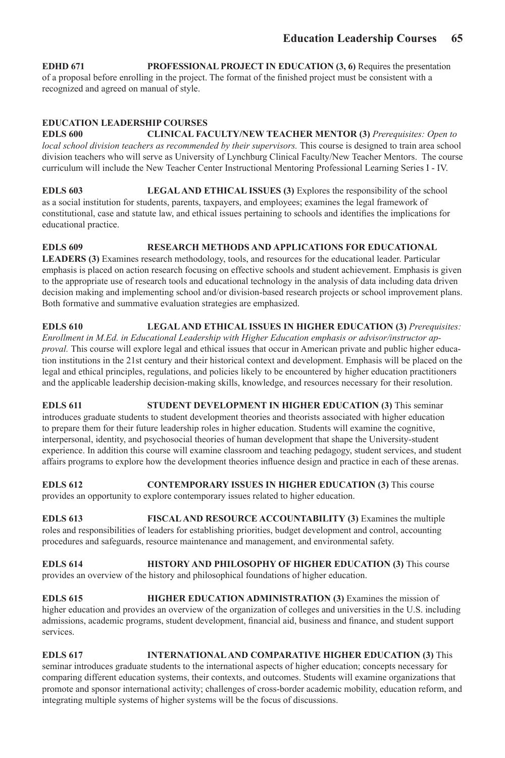**EDHD 671 PROFESSIONAL PROJECT IN EDUCATION** (3, 6) Requires the presentation of a proposal before enrolling in the project. The format of the finished project must be consistent with a recognized and agreed on manual of style.

## **EDUCATION LEADERSHIP COURSES**

**EDLS 600 CLINICAL FACULTY/NEW TEACHER MENTOR (3)** *Prerequisites: Open to local school division teachers as recommended by their supervisors.* This course is designed to train area school division teachers who will serve as University of Lynchburg Clinical Faculty/New Teacher Mentors. The course curriculum will include the New Teacher Center Instructional Mentoring Professional Learning Series I - IV.

**EDLS 603 LEGAL AND ETHICAL ISSUES (3)** Explores the responsibility of the school as a social institution for students, parents, taxpayers, and employees; examines the legal framework of constitutional, case and statute law, and ethical issues pertaining to schools and identifies the implications for educational practice.

**EDLS 609 RESEARCH METHODS AND APPLICATIONS FOR EDUCATIONAL LEADERS (3)** Examines research methodology, tools, and resources for the educational leader. Particular emphasis is placed on action research focusing on effective schools and student achievement. Emphasis is given to the appropriate use of research tools and educational technology in the analysis of data including data driven decision making and implementing school and/or division-based research projects or school improvement plans. Both formative and summative evaluation strategies are emphasized.

**EDLS 610 LEGAL AND ETHICAL ISSUES IN HIGHER EDUCATION (3)** *Prerequisites: Enrollment in M.Ed. in Educational Leadership with Higher Education emphasis or advisor/instructor approval.* This course will explore legal and ethical issues that occur in American private and public higher education institutions in the 21st century and their historical context and development. Emphasis will be placed on the legal and ethical principles, regulations, and policies likely to be encountered by higher education practitioners and the applicable leadership decision-making skills, knowledge, and resources necessary for their resolution.

**EDLS 611 STUDENT DEVELOPMENT IN HIGHER EDUCATION (3)** This seminar introduces graduate students to student development theories and theorists associated with higher education to prepare them for their future leadership roles in higher education. Students will examine the cognitive, interpersonal, identity, and psychosocial theories of human development that shape the University-student experience. In addition this course will examine classroom and teaching pedagogy, student services, and student affairs programs to explore how the development theories influence design and practice in each of these arenas.

**EDLS 612 CONTEMPORARY ISSUES IN HIGHER EDUCATION (3)** This course provides an opportunity to explore contemporary issues related to higher education.

**EDLS 613 FISCAL AND RESOURCE ACCOUNTABILITY (3)** Examines the multiple roles and responsibilities of leaders for establishing priorities, budget development and control, accounting procedures and safeguards, resource maintenance and management, and environmental safety.

**EDLS 614 HISTORY AND PHILOSOPHY OF HIGHER EDUCATION (3)** This course provides an overview of the history and philosophical foundations of higher education.

**EDLS 615 HIGHER EDUCATION ADMINISTRATION (3)** Examines the mission of higher education and provides an overview of the organization of colleges and universities in the U.S. including admissions, academic programs, student development, financial aid, business and finance, and student support services.

**EDLS 617 INTERNATIONAL AND COMPARATIVE HIGHER EDUCATION (3)** This seminar introduces graduate students to the international aspects of higher education; concepts necessary for comparing different education systems, their contexts, and outcomes. Students will examine organizations that promote and sponsor international activity; challenges of cross-border academic mobility, education reform, and integrating multiple systems of higher systems will be the focus of discussions.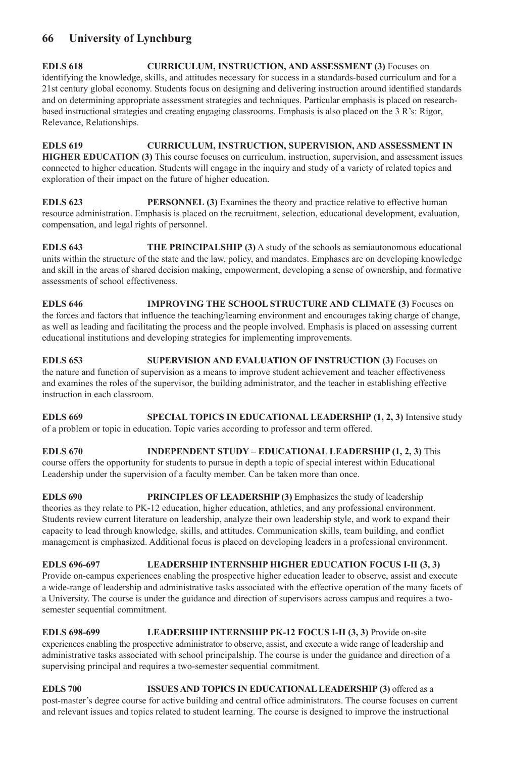**EDLS 618 CURRICULUM, INSTRUCTION, AND ASSESSMENT (3)** Focuses on identifying the knowledge, skills, and attitudes necessary for success in a standards-based curriculum and for a 21st century global economy. Students focus on designing and delivering instruction around identified standards and on determining appropriate assessment strategies and techniques. Particular emphasis is placed on researchbased instructional strategies and creating engaging classrooms. Emphasis is also placed on the 3 R's: Rigor, Relevance, Relationships.

**EDLS 619 CURRICULUM, INSTRUCTION, SUPERVISION, AND ASSESSMENT IN HIGHER EDUCATION (3)** This course focuses on curriculum, instruction, supervision, and assessment issues connected to higher education. Students will engage in the inquiry and study of a variety of related topics and exploration of their impact on the future of higher education.

**EDLS 623 PERSONNEL (3)** Examines the theory and practice relative to effective human resource administration. Emphasis is placed on the recruitment, selection, educational development, evaluation, compensation, and legal rights of personnel.

**EDLS 643 THE PRINCIPALSHIP (3)** A study of the schools as semiautonomous educational units within the structure of the state and the law, policy, and mandates. Emphases are on developing knowledge and skill in the areas of shared decision making, empowerment, developing a sense of ownership, and formative assessments of school effectiveness.

**EDLS 646 IMPROVING THE SCHOOL STRUCTURE AND CLIMATE (3)** Focuses on the forces and factors that influence the teaching/learning environment and encourages taking charge of change, as well as leading and facilitating the process and the people involved. Emphasis is placed on assessing current educational institutions and developing strategies for implementing improvements.

**EDLS 653 SUPERVISION AND EVALUATION OF INSTRUCTION (3)** Focuses on the nature and function of supervision as a means to improve student achievement and teacher effectiveness and examines the roles of the supervisor, the building administrator, and the teacher in establishing effective instruction in each classroom.

**EDLS 669 SPECIAL TOPICS IN EDUCATIONAL LEADERSHIP (1, 2, 3)** Intensive study of a problem or topic in education. Topic varies according to professor and term offered.

**EDLS 670 INDEPENDENT STUDY – EDUCATIONAL LEADERSHIP (1, 2, 3)** This course offers the opportunity for students to pursue in depth a topic of special interest within Educational Leadership under the supervision of a faculty member. Can be taken more than once.

**EDLS 690 PRINCIPLES OF LEADERSHIP (3)** Emphasizes the study of leadership theories as they relate to PK-12 education, higher education, athletics, and any professional environment. Students review current literature on leadership, analyze their own leadership style, and work to expand their capacity to lead through knowledge, skills, and attitudes. Communication skills, team building, and conflict management is emphasized. Additional focus is placed on developing leaders in a professional environment.

**EDLS 696-697 LEADERSHIP INTERNSHIP HIGHER EDUCATION FOCUS I-II (3, 3)** Provide on-campus experiences enabling the prospective higher education leader to observe, assist and execute a wide-range of leadership and administrative tasks associated with the effective operation of the many facets of a University. The course is under the guidance and direction of supervisors across campus and requires a twosemester sequential commitment.

**EDLS 698-699 LEADERSHIP INTERNSHIP PK-12 FOCUS I-II (3, 3)** Provide on-site experiences enabling the prospective administrator to observe, assist, and execute a wide range of leadership and administrative tasks associated with school principalship. The course is under the guidance and direction of a supervising principal and requires a two-semester sequential commitment.

**EDLS 700 ISSUES AND TOPICS IN EDUCATIONAL LEADERSHIP (3)** offered as a post-master's degree course for active building and central office administrators. The course focuses on current and relevant issues and topics related to student learning. The course is designed to improve the instructional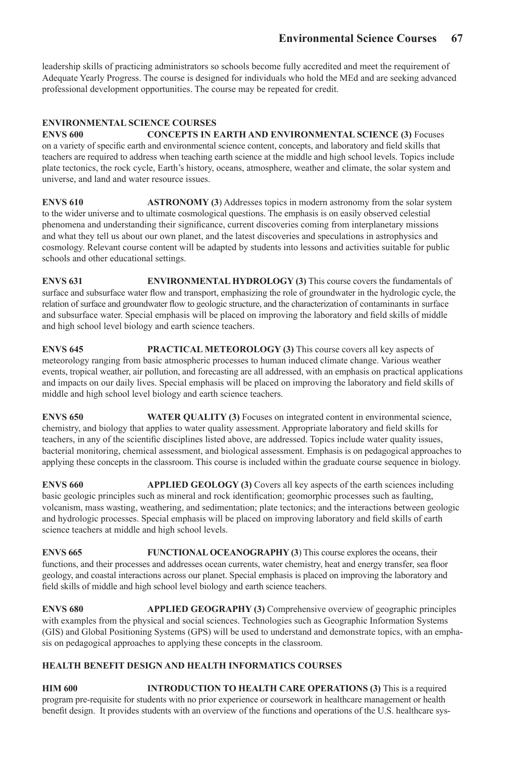leadership skills of practicing administrators so schools become fully accredited and meet the requirement of Adequate Yearly Progress. The course is designed for individuals who hold the MEd and are seeking advanced professional development opportunities. The course may be repeated for credit.

## **ENVIRONMENTAL SCIENCE COURSES**

**ENVS 600 CONCEPTS IN EARTH AND ENVIRONMENTAL SCIENCE (3)** Focuses on a variety of specific earth and environmental science content, concepts, and laboratory and field skills that teachers are required to address when teaching earth science at the middle and high school levels. Topics include plate tectonics, the rock cycle, Earth's history, oceans, atmosphere, weather and climate, the solar system and universe, and land and water resource issues.

**ENVS 610 ASTRONOMY (3)** Addresses topics in modern astronomy from the solar system to the wider universe and to ultimate cosmological questions. The emphasis is on easily observed celestial phenomena and understanding their significance, current discoveries coming from interplanetary missions and what they tell us about our own planet, and the latest discoveries and speculations in astrophysics and cosmology. Relevant course content will be adapted by students into lessons and activities suitable for public schools and other educational settings.

**ENVS 631 ENVIRONMENTAL HYDROLOGY (3)** This course covers the fundamentals of surface and subsurface water flow and transport, emphasizing the role of groundwater in the hydrologic cycle, the relation of surface and groundwater flow to geologic structure, and the characterization of contaminants in surface and subsurface water. Special emphasis will be placed on improving the laboratory and field skills of middle and high school level biology and earth science teachers.

**ENVS 645 PRACTICAL METEOROLOGY (3)** This course covers all key aspects of meteorology ranging from basic atmospheric processes to human induced climate change. Various weather events, tropical weather, air pollution, and forecasting are all addressed, with an emphasis on practical applications and impacts on our daily lives. Special emphasis will be placed on improving the laboratory and field skills of middle and high school level biology and earth science teachers.

**ENVS 650 WATER QUALITY (3)** Focuses on integrated content in environmental science, chemistry, and biology that applies to water quality assessment. Appropriate laboratory and field skills for teachers, in any of the scientific disciplines listed above, are addressed. Topics include water quality issues, bacterial monitoring, chemical assessment, and biological assessment. Emphasis is on pedagogical approaches to applying these concepts in the classroom. This course is included within the graduate course sequence in biology.

**ENVS 660 APPLIED GEOLOGY (3)** Covers all key aspects of the earth sciences including basic geologic principles such as mineral and rock identification; geomorphic processes such as faulting, volcanism, mass wasting, weathering, and sedimentation; plate tectonics; and the interactions between geologic and hydrologic processes. Special emphasis will be placed on improving laboratory and field skills of earth science teachers at middle and high school levels.

**ENVS 665 FUNCTIONAL OCEANOGRAPHY (3**) This course explores the oceans, their functions, and their processes and addresses ocean currents, water chemistry, heat and energy transfer, sea floor geology, and coastal interactions across our planet. Special emphasis is placed on improving the laboratory and field skills of middle and high school level biology and earth science teachers.

**ENVS 680 APPLIED GEOGRAPHY (3)** Comprehensive overview of geographic principles with examples from the physical and social sciences. Technologies such as Geographic Information Systems (GIS) and Global Positioning Systems (GPS) will be used to understand and demonstrate topics, with an emphasis on pedagogical approaches to applying these concepts in the classroom.

## **HEALTH BENEFIT DESIGN AND HEALTH INFORMATICS COURSES**

**HIM 600 INTRODUCTION TO HEALTH CARE OPERATIONS (3)** This is a required program pre-requisite for students with no prior experience or coursework in healthcare management or health benefit design. It provides students with an overview of the functions and operations of the U.S. healthcare sys-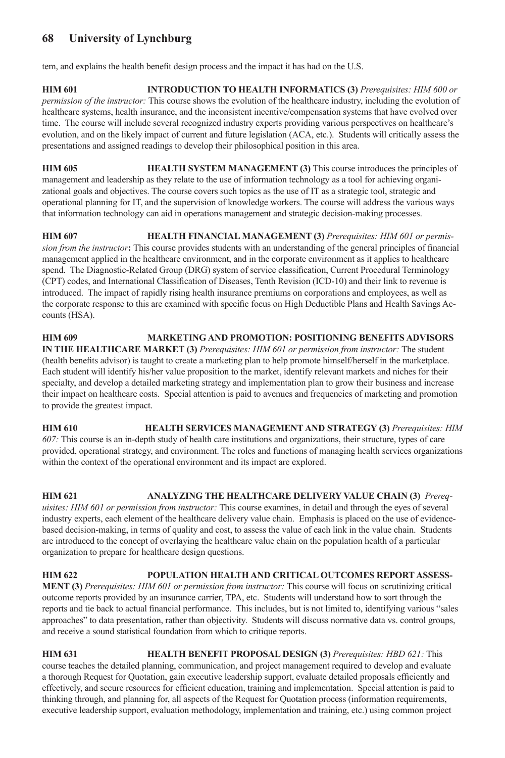tem, and explains the health benefit design process and the impact it has had on the U.S.

**HIM 601 INTRODUCTION TO HEALTH INFORMATICS (3)** *Prerequisites: HIM 600 or permission of the instructor:* This course shows the evolution of the healthcare industry, including the evolution of healthcare systems, health insurance, and the inconsistent incentive/compensation systems that have evolved over time. The course will include several recognized industry experts providing various perspectives on healthcare's evolution, and on the likely impact of current and future legislation (ACA, etc.). Students will critically assess the presentations and assigned readings to develop their philosophical position in this area.

**HIM 605 HEALTH SYSTEM MANAGEMENT (3)** This course introduces the principles of management and leadership as they relate to the use of information technology as a tool for achieving organizational goals and objectives. The course covers such topics as the use of IT as a strategic tool, strategic and operational planning for IT, and the supervision of knowledge workers. The course will address the various ways that information technology can aid in operations management and strategic decision-making processes.

**HIM 607 HEALTH FINANCIAL MANAGEMENT (3)** *Prerequisites: HIM 601 or permission from the instructor***:** This course provides students with an understanding of the general principles of financial management applied in the healthcare environment, and in the corporate environment as it applies to healthcare spend. The Diagnostic-Related Group (DRG) system of service classification, Current Procedural Terminology (CPT) codes, and International Classification of Diseases, Tenth Revision (ICD-10) and their link to revenue is introduced. The impact of rapidly rising health insurance premiums on corporations and employees, as well as the corporate response to this are examined with specific focus on High Deductible Plans and Health Savings Accounts (HSA).

**HIM 609 MARKETING AND PROMOTION: POSITIONING BENEFITS ADVISORS IN THE HEALTHCARE MARKET (3)** *Prerequisites: HIM 601 or permission from instructor:* The student (health benefits advisor) is taught to create a marketing plan to help promote himself/herself in the marketplace. Each student will identify his/her value proposition to the market, identify relevant markets and niches for their specialty, and develop a detailed marketing strategy and implementation plan to grow their business and increase their impact on healthcare costs. Special attention is paid to avenues and frequencies of marketing and promotion to provide the greatest impact.

**HIM 610 HEALTH SERVICES MANAGEMENT AND STRATEGY (3)** *Prerequisites: HIM 607:* This course is an in-depth study of health care institutions and organizations, their structure, types of care provided, operational strategy, and environment. The roles and functions of managing health services organizations within the context of the operational environment and its impact are explored.

**HIM 621 ANALYZING THE HEALTHCARE DELIVERY VALUE CHAIN (3)** *Prerequisites: HIM 601 or permission from instructor:* This course examines, in detail and through the eyes of several industry experts, each element of the healthcare delivery value chain. Emphasis is placed on the use of evidencebased decision-making, in terms of quality and cost, to assess the value of each link in the value chain. Students are introduced to the concept of overlaying the healthcare value chain on the population health of a particular organization to prepare for healthcare design questions.

**HIM 622 POPULATION HEALTH AND CRITICAL OUTCOMES REPORT ASSESS-MENT (3)** *Prerequisites: HIM 601 or permission from instructor:* This course will focus on scrutinizing critical outcome reports provided by an insurance carrier, TPA, etc. Students will understand how to sort through the reports and tie back to actual financial performance. This includes, but is not limited to, identifying various "sales approaches" to data presentation, rather than objectivity. Students will discuss normative data vs. control groups, and receive a sound statistical foundation from which to critique reports.

**HIM 631 HEALTH BENEFIT PROPOSAL DESIGN (3)** *Prerequisites: HBD 621:* This course teaches the detailed planning, communication, and project management required to develop and evaluate a thorough Request for Quotation, gain executive leadership support, evaluate detailed proposals efficiently and effectively, and secure resources for efficient education, training and implementation. Special attention is paid to thinking through, and planning for, all aspects of the Request for Quotation process (information requirements, executive leadership support, evaluation methodology, implementation and training, etc.) using common project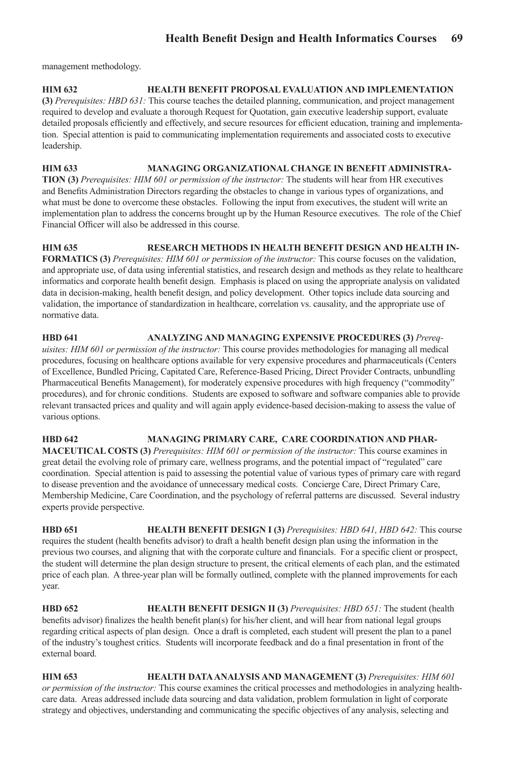management methodology.

#### **HIM 632 HEALTH BENEFIT PROPOSAL EVALUATION AND IMPLEMENTATION (3)** *Prerequisites: HBD 631:* This course teaches the detailed planning, communication, and project management required to develop and evaluate a thorough Request for Quotation, gain executive leadership support, evaluate detailed proposals efficiently and effectively, and secure resources for efficient education, training and implementation. Special attention is paid to communicating implementation requirements and associated costs to executive leadership.

**HIM 633 MANAGING ORGANIZATIONAL CHANGE IN BENEFIT ADMINISTRA-TION (3)** *Prerequisites: HIM 601 or permission of the instructor:* The students will hear from HR executives and Benefits Administration Directors regarding the obstacles to change in various types of organizations, and what must be done to overcome these obstacles. Following the input from executives, the student will write an implementation plan to address the concerns brought up by the Human Resource executives. The role of the Chief Financial Officer will also be addressed in this course.

**HIM 635 RESEARCH METHODS IN HEALTH BENEFIT DESIGN AND HEALTH IN-FORMATICS (3)** *Prerequisites: HIM 601 or permission of the instructor:* This course focuses on the validation, and appropriate use, of data using inferential statistics, and research design and methods as they relate to healthcare informatics and corporate health benefit design. Emphasis is placed on using the appropriate analysis on validated data in decision-making, health benefit design, and policy development. Other topics include data sourcing and validation, the importance of standardization in healthcare, correlation vs. causality, and the appropriate use of normative data.

**HBD 641 ANALYZING AND MANAGING EXPENSIVE PROCEDURES (3)** *Prerequisites: HIM 601 or permission of the instructor:* This course provides methodologies for managing all medical procedures, focusing on healthcare options available for very expensive procedures and pharmaceuticals (Centers of Excellence, Bundled Pricing, Capitated Care, Reference-Based Pricing, Direct Provider Contracts, unbundling Pharmaceutical Benefits Management), for moderately expensive procedures with high frequency ("commodity" procedures), and for chronic conditions. Students are exposed to software and software companies able to provide relevant transacted prices and quality and will again apply evidence-based decision-making to assess the value of various options.

**HBD 642 MANAGING PRIMARY CARE, CARE COORDINATION AND PHAR-MACEUTICAL COSTS (3)** *Prerequisites: HIM 601 or permission of the instructor:* This course examines in great detail the evolving role of primary care, wellness programs, and the potential impact of "regulated" care coordination. Special attention is paid to assessing the potential value of various types of primary care with regard to disease prevention and the avoidance of unnecessary medical costs. Concierge Care, Direct Primary Care, Membership Medicine, Care Coordination, and the psychology of referral patterns are discussed. Several industry experts provide perspective.

**HBD 651 HEALTH BENEFIT DESIGN I (3)** *Prerequisites: HBD 641, HBD 642:* This course requires the student (health benefits advisor) to draft a health benefit design plan using the information in the previous two courses, and aligning that with the corporate culture and financials. For a specific client or prospect, the student will determine the plan design structure to present, the critical elements of each plan, and the estimated price of each plan. A three-year plan will be formally outlined, complete with the planned improvements for each year.

**HBD 652 HEALTH BENEFIT DESIGN II (3)** *Prerequisites: HBD 651:* The student (health benefits advisor) finalizes the health benefit plan(s) for his/her client, and will hear from national legal groups regarding critical aspects of plan design. Once a draft is completed, each student will present the plan to a panel of the industry's toughest critics. Students will incorporate feedback and do a final presentation in front of the external board.

**HIM 653 HEALTH DATA ANALYSIS AND MANAGEMENT (3)** *Prerequisites: HIM 601 or permission of the instructor:* This course examines the critical processes and methodologies in analyzing healthcare data. Areas addressed include data sourcing and data validation, problem formulation in light of corporate strategy and objectives, understanding and communicating the specific objectives of any analysis, selecting and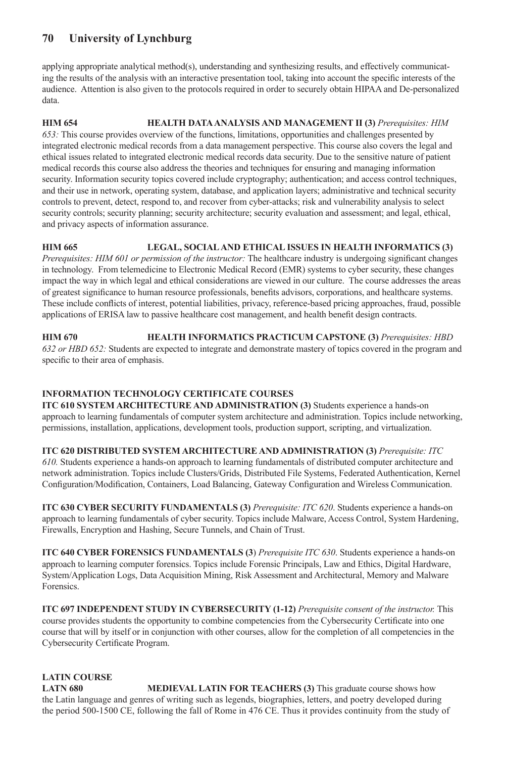applying appropriate analytical method(s), understanding and synthesizing results, and effectively communicating the results of the analysis with an interactive presentation tool, taking into account the specific interests of the audience. Attention is also given to the protocols required in order to securely obtain HIPAA and De-personalized data.

**HIM 654 HEALTH DATA ANALYSIS AND MANAGEMENT II (3)** *Prerequisites: HIM 653:* This course provides overview of the functions, limitations, opportunities and challenges presented by integrated electronic medical records from a data management perspective. This course also covers the legal and ethical issues related to integrated electronic medical records data security. Due to the sensitive nature of patient medical records this course also address the theories and techniques for ensuring and managing information security. Information security topics covered include cryptography; authentication; and access control techniques, and their use in network, operating system, database, and application layers; administrative and technical security controls to prevent, detect, respond to, and recover from cyber-attacks; risk and vulnerability analysis to select security controls; security planning; security architecture; security evaluation and assessment; and legal, ethical, and privacy aspects of information assurance.

**HIM 665 LEGAL, SOCIAL AND ETHICAL ISSUES IN HEALTH INFORMATICS (3)**  *Prerequisites: HIM 601 or permission of the instructor:* The healthcare industry is undergoing significant changes in technology. From telemedicine to Electronic Medical Record (EMR) systems to cyber security, these changes impact the way in which legal and ethical considerations are viewed in our culture. The course addresses the areas of greatest significance to human resource professionals, benefits advisors, corporations, and healthcare systems. These include conflicts of interest, potential liabilities, privacy, reference-based pricing approaches, fraud, possible applications of ERISA law to passive healthcare cost management, and health benefit design contracts.

**HIM 670 HEALTH INFORMATICS PRACTICUM CAPSTONE (3)** *Prerequisites: HBD 632 or HBD 652:* Students are expected to integrate and demonstrate mastery of topics covered in the program and specific to their area of emphasis.

## **INFORMATION TECHNOLOGY CERTIFICATE COURSES**

**ITC 610 SYSTEM ARCHITECTURE AND ADMINISTRATION (3)** Students experience a hands-on approach to learning fundamentals of computer system architecture and administration. Topics include networking, permissions, installation, applications, development tools, production support, scripting, and virtualization.

**ITC 620 DISTRIBUTED SYSTEM ARCHITECTURE AND ADMINISTRATION (3)** *Prerequisite: ITC 610.* Students experience a hands-on approach to learning fundamentals of distributed computer architecture and network administration. Topics include Clusters/Grids, Distributed File Systems, Federated Authentication, Kernel Configuration/Modification, Containers, Load Balancing, Gateway Configuration and Wireless Communication.

**ITC 630 CYBER SECURITY FUNDAMENTALS (3)** *Prerequisite: ITC 620*. Students experience a hands-on approach to learning fundamentals of cyber security. Topics include Malware, Access Control, System Hardening, Firewalls, Encryption and Hashing, Secure Tunnels, and Chain of Trust.

**ITC 640 CYBER FORENSICS FUNDAMENTALS (3**) *Prerequisite ITC 630*. Students experience a hands-on approach to learning computer forensics. Topics include Forensic Principals, Law and Ethics, Digital Hardware, System/Application Logs, Data Acquisition Mining, Risk Assessment and Architectural, Memory and Malware Forensics.

**ITC 697 INDEPENDENT STUDY IN CYBERSECURITY (1-12)** *Prerequisite consent of the instructor.* This course provides students the opportunity to combine competencies from the Cybersecurity Certificate into one course that will by itself or in conjunction with other courses, allow for the completion of all competencies in the Cybersecurity Certificate Program.

**LATIN COURSE LATN 680 MEDIEVAL LATIN FOR TEACHERS (3)** This graduate course shows how the Latin language and genres of writing such as legends, biographies, letters, and poetry developed during the period 500-1500 CE, following the fall of Rome in 476 CE. Thus it provides continuity from the study of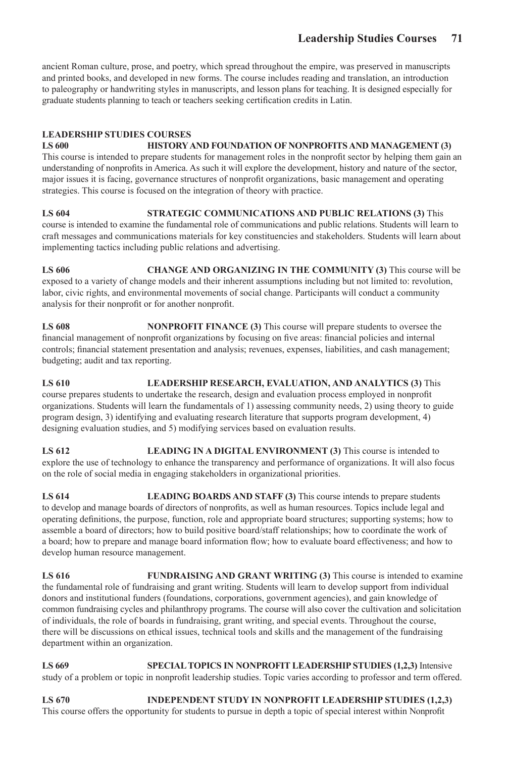ancient Roman culture, prose, and poetry, which spread throughout the empire, was preserved in manuscripts and printed books, and developed in new forms. The course includes reading and translation, an introduction to paleography or handwriting styles in manuscripts, and lesson plans for teaching. It is designed especially for graduate students planning to teach or teachers seeking certification credits in Latin.

# **LEADERSHIP STUDIES COURSES**

## **LS 600 HISTORY AND FOUNDATION OF NONPROFITS AND MANAGEMENT (3)**

This course is intended to prepare students for management roles in the nonprofit sector by helping them gain an understanding of nonprofits in America. As such it will explore the development, history and nature of the sector, major issues it is facing, governance structures of nonprofit organizations, basic management and operating strategies. This course is focused on the integration of theory with practice.

**LS 604 STRATEGIC COMMUNICATIONS AND PUBLIC RELATIONS (3)** This course is intended to examine the fundamental role of communications and public relations. Students will learn to craft messages and communications materials for key constituencies and stakeholders. Students will learn about implementing tactics including public relations and advertising.

**LS 606 CHANGE AND ORGANIZING IN THE COMMUNITY (3)** This course will be exposed to a variety of change models and their inherent assumptions including but not limited to: revolution, labor, civic rights, and environmental movements of social change. Participants will conduct a community analysis for their nonprofit or for another nonprofit.

**LS 608 NONPROFIT FINANCE (3)** This course will prepare students to oversee the financial management of nonprofit organizations by focusing on five areas: financial policies and internal controls; financial statement presentation and analysis; revenues, expenses, liabilities, and cash management; budgeting; audit and tax reporting.

**LS 610 LEADERSHIP RESEARCH, EVALUATION, AND ANALYTICS (3)** This course prepares students to undertake the research, design and evaluation process employed in nonprofit organizations. Students will learn the fundamentals of 1) assessing community needs, 2) using theory to guide program design, 3) identifying and evaluating research literature that supports program development, 4) designing evaluation studies, and 5) modifying services based on evaluation results.

**LS 612 LEADING IN A DIGITAL ENVIRONMENT (3)** This course is intended to explore the use of technology to enhance the transparency and performance of organizations. It will also focus on the role of social media in engaging stakeholders in organizational priorities.

**LS 614 LEADING BOARDS AND STAFF (3)** This course intends to prepare students to develop and manage boards of directors of nonprofits, as well as human resources. Topics include legal and operating definitions, the purpose, function, role and appropriate board structures; supporting systems; how to assemble a board of directors; how to build positive board/staff relationships; how to coordinate the work of a board; how to prepare and manage board information flow; how to evaluate board effectiveness; and how to develop human resource management.

**LS 616 FUNDRAISING AND GRANT WRITING (3)** This course is intended to examine the fundamental role of fundraising and grant writing. Students will learn to develop support from individual donors and institutional funders (foundations, corporations, government agencies), and gain knowledge of common fundraising cycles and philanthropy programs. The course will also cover the cultivation and solicitation of individuals, the role of boards in fundraising, grant writing, and special events. Throughout the course, there will be discussions on ethical issues, technical tools and skills and the management of the fundraising department within an organization.

**LS 669 SPECIAL TOPICS IN NONPROFIT LEADERSHIP STUDIES (1,2,3)** Intensive study of a problem or topic in nonprofit leadership studies. Topic varies according to professor and term offered.

**LS 670 INDEPENDENT STUDY IN NONPROFIT LEADERSHIP STUDIES (1,2,3)**  This course offers the opportunity for students to pursue in depth a topic of special interest within Nonprofit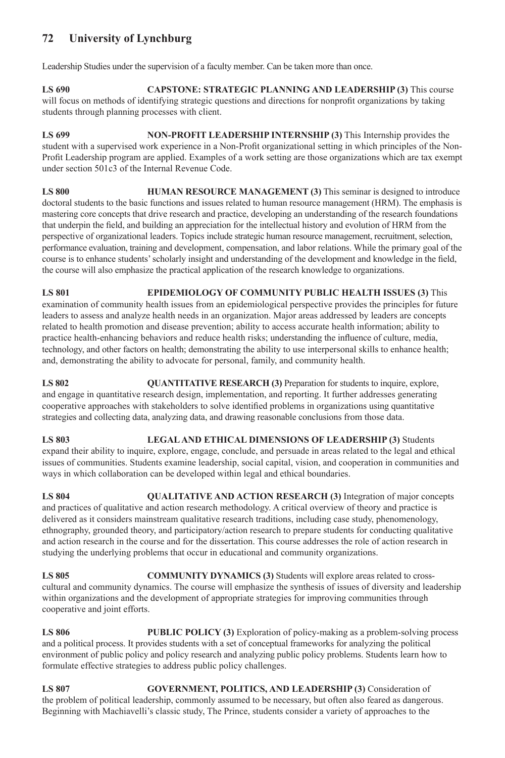Leadership Studies under the supervision of a faculty member. Can be taken more than once.

**LS 690 CAPSTONE: STRATEGIC PLANNING AND LEADERSHIP (3)** This course will focus on methods of identifying strategic questions and directions for nonprofit organizations by taking students through planning processes with client.

**LS 699 NON-PROFIT LEADERSHIP INTERNSHIP (3)** This Internship provides the student with a supervised work experience in a Non-Profit organizational setting in which principles of the Non-Profit Leadership program are applied. Examples of a work setting are those organizations which are tax exempt under section 501c3 of the Internal Revenue Code.

**LS 800 HUMAN RESOURCE MANAGEMENT (3)** This seminar is designed to introduce doctoral students to the basic functions and issues related to human resource management (HRM). The emphasis is mastering core concepts that drive research and practice, developing an understanding of the research foundations that underpin the field, and building an appreciation for the intellectual history and evolution of HRM from the perspective of organizational leaders. Topics include strategic human resource management, recruitment, selection, performance evaluation, training and development, compensation, and labor relations. While the primary goal of the course is to enhance students' scholarly insight and understanding of the development and knowledge in the field, the course will also emphasize the practical application of the research knowledge to organizations.

**LS 801 EPIDEMIOLOGY OF COMMUNITY PUBLIC HEALTH ISSUES (3)** This examination of community health issues from an epidemiological perspective provides the principles for future leaders to assess and analyze health needs in an organization. Major areas addressed by leaders are concepts related to health promotion and disease prevention; ability to access accurate health information; ability to practice health-enhancing behaviors and reduce health risks; understanding the influence of culture, media, technology, and other factors on health; demonstrating the ability to use interpersonal skills to enhance health; and, demonstrating the ability to advocate for personal, family, and community health.

**LS 802 QUANTITATIVE RESEARCH (3)** Preparation for students to inquire, explore, and engage in quantitative research design, implementation, and reporting. It further addresses generating cooperative approaches with stakeholders to solve identified problems in organizations using quantitative strategies and collecting data, analyzing data, and drawing reasonable conclusions from those data.

**LS 803 LEGAL AND ETHICAL DIMENSIONS OF LEADERSHIP (3)** Students expand their ability to inquire, explore, engage, conclude, and persuade in areas related to the legal and ethical issues of communities. Students examine leadership, social capital, vision, and cooperation in communities and ways in which collaboration can be developed within legal and ethical boundaries.

**LS 804 QUALITATIVE AND ACTION RESEARCH (3)** Integration of major concepts and practices of qualitative and action research methodology. A critical overview of theory and practice is delivered as it considers mainstream qualitative research traditions, including case study, phenomenology, ethnography, grounded theory, and participatory/action research to prepare students for conducting qualitative and action research in the course and for the dissertation. This course addresses the role of action research in studying the underlying problems that occur in educational and community organizations.

**LS 805 COMMUNITY DYNAMICS (3)** Students will explore areas related to crosscultural and community dynamics. The course will emphasize the synthesis of issues of diversity and leadership within organizations and the development of appropriate strategies for improving communities through cooperative and joint efforts.

**LS 806 PUBLIC POLICY (3)** Exploration of policy-making as a problem-solving process and a political process. It provides students with a set of conceptual frameworks for analyzing the political environment of public policy and policy research and analyzing public policy problems. Students learn how to formulate effective strategies to address public policy challenges.

**LS 807 GOVERNMENT, POLITICS, AND LEADERSHIP (3)** Consideration of the problem of political leadership, commonly assumed to be necessary, but often also feared as dangerous. Beginning with Machiavelli's classic study, The Prince, students consider a variety of approaches to the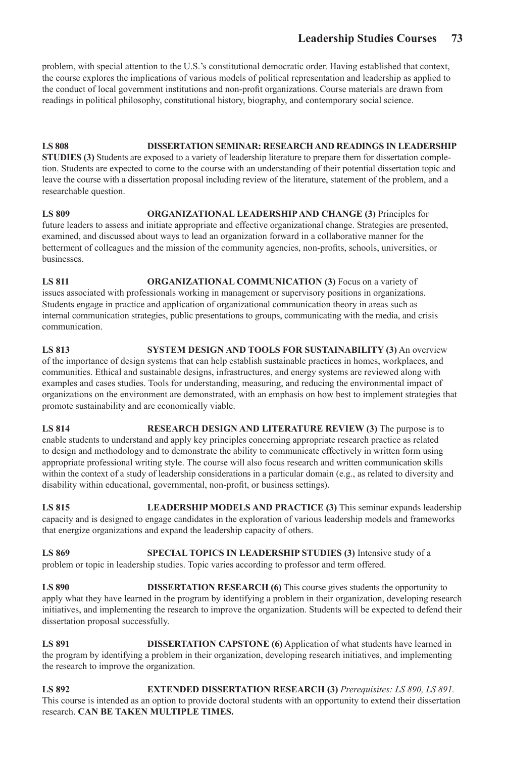# **Leadership Studies Courses 73**

problem, with special attention to the U.S.'s constitutional democratic order. Having established that context, the course explores the implications of various models of political representation and leadership as applied to the conduct of local government institutions and non-profit organizations. Course materials are drawn from readings in political philosophy, constitutional history, biography, and contemporary social science.

### **LS 808 DISSERTATION SEMINAR: RESEARCH AND READINGS IN LEADERSHIP**

**STUDIES (3)** Students are exposed to a variety of leadership literature to prepare them for dissertation completion. Students are expected to come to the course with an understanding of their potential dissertation topic and leave the course with a dissertation proposal including review of the literature, statement of the problem, and a researchable question.

**LS 809 ORGANIZATIONAL LEADERSHIP AND CHANGE (3)** Principles for future leaders to assess and initiate appropriate and effective organizational change. Strategies are presented, examined, and discussed about ways to lead an organization forward in a collaborative manner for the betterment of colleagues and the mission of the community agencies, non-profits, schools, universities, or businesses.

**LS 811 ORGANIZATIONAL COMMUNICATION (3)** Focus on a variety of issues associated with professionals working in management or supervisory positions in organizations. Students engage in practice and application of organizational communication theory in areas such as internal communication strategies, public presentations to groups, communicating with the media, and crisis communication.

**LS 813 SYSTEM DESIGN AND TOOLS FOR SUSTAINABILITY (3)** An overview of the importance of design systems that can help establish sustainable practices in homes, workplaces, and communities. Ethical and sustainable designs, infrastructures, and energy systems are reviewed along with examples and cases studies. Tools for understanding, measuring, and reducing the environmental impact of organizations on the environment are demonstrated, with an emphasis on how best to implement strategies that promote sustainability and are economically viable.

**LS 814 RESEARCH DESIGN AND LITERATURE REVIEW (3)** The purpose is to enable students to understand and apply key principles concerning appropriate research practice as related to design and methodology and to demonstrate the ability to communicate effectively in written form using appropriate professional writing style. The course will also focus research and written communication skills within the context of a study of leadership considerations in a particular domain (e.g., as related to diversity and disability within educational, governmental, non-profit, or business settings).

**LS 815 LEADERSHIP MODELS AND PRACTICE (3)** This seminar expands leadership capacity and is designed to engage candidates in the exploration of various leadership models and frameworks that energize organizations and expand the leadership capacity of others.

**LS 869 SPECIAL TOPICS IN LEADERSHIP STUDIES (3)** Intensive study of a problem or topic in leadership studies. Topic varies according to professor and term offered.

**LS 890 DISSERTATION RESEARCH (6)** This course gives students the opportunity to apply what they have learned in the program by identifying a problem in their organization, developing research initiatives, and implementing the research to improve the organization. Students will be expected to defend their dissertation proposal successfully.

**LS 891 DISSERTATION CAPSTONE (6)** Application of what students have learned in the program by identifying a problem in their organization, developing research initiatives, and implementing the research to improve the organization.

**LS 892 EXTENDED DISSERTATION RESEARCH (3)** *Prerequisites: LS 890, LS 891.* This course is intended as an option to provide doctoral students with an opportunity to extend their dissertation research. **CAN BE TAKEN MULTIPLE TIMES.**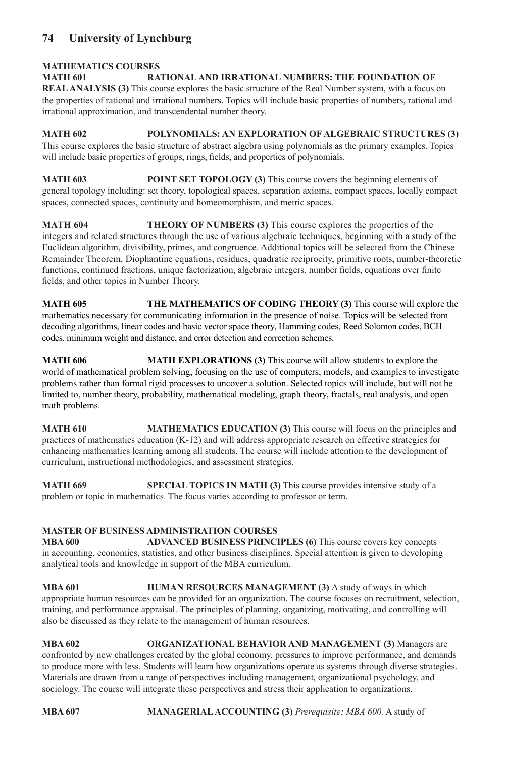#### **MATHEMATICS COURSES**

**MATH 601 RATIONAL AND IRRATIONAL NUMBERS: THE FOUNDATION OF REAL ANALYSIS (3)** This course explores the basic structure of the Real Number system, with a focus on the properties of rational and irrational numbers. Topics will include basic properties of numbers, rational and irrational approximation, and transcendental number theory.

**MATH 602 POLYNOMIALS: AN EXPLORATION OF ALGEBRAIC STRUCTURES (3)** This course explores the basic structure of abstract algebra using polynomials as the primary examples. Topics will include basic properties of groups, rings, fields, and properties of polynomials.

**MATH 603 POINT SET TOPOLOGY (3)** This course covers the beginning elements of general topology including: set theory, topological spaces, separation axioms, compact spaces, locally compact spaces, connected spaces, continuity and homeomorphism, and metric spaces.

**MATH 604 THEORY OF NUMBERS (3)** This course explores the properties of the integers and related structures through the use of various algebraic techniques, beginning with a study of the Euclidean algorithm, divisibility, primes, and congruence. Additional topics will be selected from the Chinese Remainder Theorem, Diophantine equations, residues, quadratic reciprocity, primitive roots, number-theoretic functions, continued fractions, unique factorization, algebraic integers, number fields, equations over finite fields, and other topics in Number Theory.

**MATH 605 THE MATHEMATICS OF CODING THEORY (3)** This course will explore the mathematics necessary for communicating information in the presence of noise. Topics will be selected from decoding algorithms, linear codes and basic vector space theory, Hamming codes, Reed Solomon codes, BCH codes, minimum weight and distance, and error detection and correction schemes.

**MATH 606 MATH EXPLORATIONS (3)** This course will allow students to explore the world of mathematical problem solving, focusing on the use of computers, models, and examples to investigate problems rather than formal rigid processes to uncover a solution. Selected topics will include, but will not be limited to, number theory, probability, mathematical modeling, graph theory, fractals, real analysis, and open math problems.

**MATH 610 MATHEMATICS EDUCATION (3)** This course will focus on the principles and practices of mathematics education (K-12) and will address appropriate research on effective strategies for enhancing mathematics learning among all students. The course will include attention to the development of curriculum, instructional methodologies, and assessment strategies.

**MATH 669 SPECIAL TOPICS IN MATH (3)** This course provides intensive study of a problem or topic in mathematics. The focus varies according to professor or term.

### **MASTER OF BUSINESS ADMINISTRATION COURSES**

**MBA 600 ADVANCED BUSINESS PRINCIPLES (6)** This course covers key concepts in accounting, economics, statistics, and other business disciplines. Special attention is given to developing analytical tools and knowledge in support of the MBA curriculum.

**MBA 601 HUMAN RESOURCES MANAGEMENT (3)** A study of ways in which appropriate human resources can be provided for an organization. The course focuses on recruitment, selection, training, and performance appraisal. The principles of planning, organizing, motivating, and controlling will also be discussed as they relate to the management of human resources.

**MBA 602 ORGANIZATIONAL BEHAVIOR AND MANAGEMENT (3)** Managers are confronted by new challenges created by the global economy, pressures to improve performance, and demands to produce more with less. Students will learn how organizations operate as systems through diverse strategies. Materials are drawn from a range of perspectives including management, organizational psychology, and sociology. The course will integrate these perspectives and stress their application to organizations.

**MBA 607 MANAGERIAL ACCOUNTING (3)** *Prerequisite: MBA 600.* A study of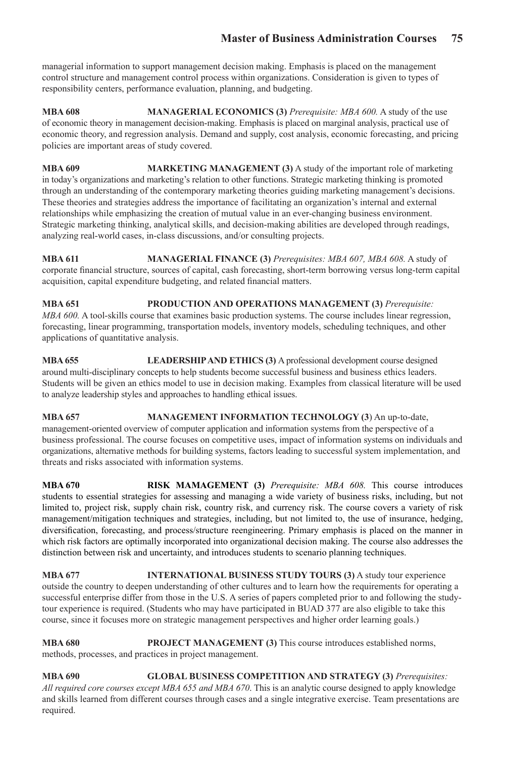managerial information to support management decision making. Emphasis is placed on the management control structure and management control process within organizations. Consideration is given to types of responsibility centers, performance evaluation, planning, and budgeting.

**MBA 608 MANAGERIAL ECONOMICS (3)** *Prerequisite: MBA 600.* A study of the use of economic theory in management decision-making. Emphasis is placed on marginal analysis, practical use of economic theory, and regression analysis. Demand and supply, cost analysis, economic forecasting, and pricing policies are important areas of study covered.

**MBA 609 MARKETING MANAGEMENT (3)** A study of the important role of marketing in today's organizations and marketing's relation to other functions. Strategic marketing thinking is promoted through an understanding of the contemporary marketing theories guiding marketing management's decisions. These theories and strategies address the importance of facilitating an organization's internal and external relationships while emphasizing the creation of mutual value in an ever-changing business environment. Strategic marketing thinking, analytical skills, and decision-making abilities are developed through readings, analyzing real-world cases, in-class discussions, and/or consulting projects.

**MBA 611 MANAGERIAL FINANCE (3)** *Prerequisites: MBA 607, MBA 608.* A study of corporate financial structure, sources of capital, cash forecasting, short-term borrowing versus long-term capital acquisition, capital expenditure budgeting, and related financial matters.

**MBA 651 PRODUCTION AND OPERATIONS MANAGEMENT (3)** *Prerequisite: MBA 600.* A tool-skills course that examines basic production systems. The course includes linear regression, forecasting, linear programming, transportation models, inventory models, scheduling techniques, and other applications of quantitative analysis.

**MBA 655 LEADERSHIP AND ETHICS (3)** A professional development course designed around multi-disciplinary concepts to help students become successful business and business ethics leaders. Students will be given an ethics model to use in decision making. Examples from classical literature will be used to analyze leadership styles and approaches to handling ethical issues.

**MBA 657 MANAGEMENT INFORMATION TECHNOLOGY (3**) An up-to-date, management-oriented overview of computer application and information systems from the perspective of a business professional. The course focuses on competitive uses, impact of information systems on individuals and organizations, alternative methods for building systems, factors leading to successful system implementation, and threats and risks associated with information systems.

**MBA 670 RISK MAMAGEMENT (3)** *Prerequisite: MBA 608.* This course introduces students to essential strategies for assessing and managing a wide variety of business risks, including, but not limited to, project risk, supply chain risk, country risk, and currency risk. The course covers a variety of risk management/mitigation techniques and strategies, including, but not limited to, the use of insurance, hedging, diversification, forecasting, and process/structure reengineering. Primary emphasis is placed on the manner in which risk factors are optimally incorporated into organizational decision making. The course also addresses the distinction between risk and uncertainty, and introduces students to scenario planning techniques.

**MBA 677 INTERNATIONAL BUSINESS STUDY TOURS (3)** A study tour experience outside the country to deepen understanding of other cultures and to learn how the requirements for operating a successful enterprise differ from those in the U.S. A series of papers completed prior to and following the studytour experience is required. (Students who may have participated in BUAD 377 are also eligible to take this course, since it focuses more on strategic management perspectives and higher order learning goals.)

**MBA 680 PROJECT MANAGEMENT (3)** This course introduces established norms, methods, processes, and practices in project management.

**MBA 690 GLOBAL BUSINESS COMPETITION AND STRATEGY (3)** *Prerequisites: All required core courses except MBA 655 and MBA 670*. This is an analytic course designed to apply knowledge and skills learned from different courses through cases and a single integrative exercise. Team presentations are required.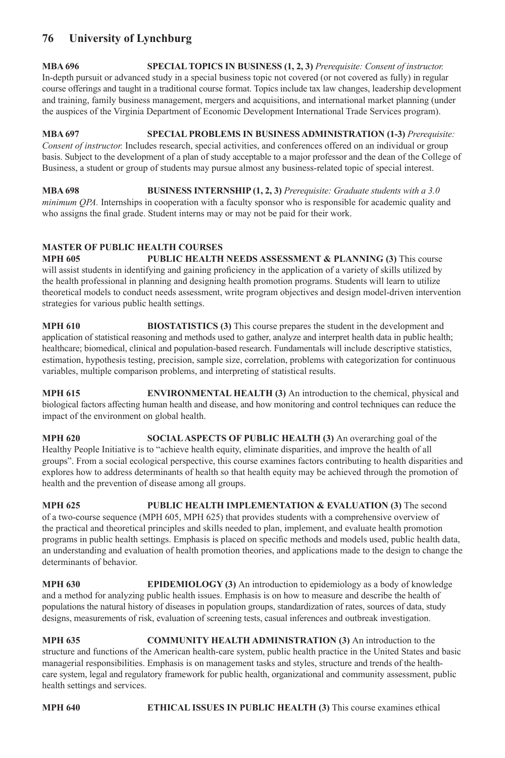**MBA 696 SPECIAL TOPICS IN BUSINESS (1, 2, 3)** *Prerequisite: Consent of instructor.* In-depth pursuit or advanced study in a special business topic not covered (or not covered as fully) in regular course offerings and taught in a traditional course format. Topics include tax law changes, leadership development and training, family business management, mergers and acquisitions, and international market planning (under the auspices of the Virginia Department of Economic Development International Trade Services program).

**MBA 697 SPECIAL PROBLEMS IN BUSINESS ADMINISTRATION (1-3)** *Prerequisite: Consent of instructor.* Includes research, special activities, and conferences offered on an individual or group basis. Subject to the development of a plan of study acceptable to a major professor and the dean of the College of Business, a student or group of students may pursue almost any business-related topic of special interest.

**MBA 698 BUSINESS INTERNSHIP (1, 2, 3)** *Prerequisite: Graduate students with a 3.0 minimum QPA.* Internships in cooperation with a faculty sponsor who is responsible for academic quality and who assigns the final grade. Student interns may or may not be paid for their work.

### **MASTER OF PUBLIC HEALTH COURSES**

**MPH 605 PUBLIC HEALTH NEEDS ASSESSMENT & PLANNING (3)** This course will assist students in identifying and gaining proficiency in the application of a variety of skills utilized by the health professional in planning and designing health promotion programs. Students will learn to utilize theoretical models to conduct needs assessment, write program objectives and design model-driven intervention strategies for various public health settings.

**MPH 610 BIOSTATISTICS (3)** This course prepares the student in the development and application of statistical reasoning and methods used to gather, analyze and interpret health data in public health; healthcare; biomedical, clinical and population-based research. Fundamentals will include descriptive statistics, estimation, hypothesis testing, precision, sample size, correlation, problems with categorization for continuous variables, multiple comparison problems, and interpreting of statistical results.

**MPH 615 ENVIRONMENTAL HEALTH (3)** An introduction to the chemical, physical and biological factors affecting human health and disease, and how monitoring and control techniques can reduce the impact of the environment on global health.

**MPH 620 SOCIAL ASPECTS OF PUBLIC HEALTH (3)** An overarching goal of the Healthy People Initiative is to "achieve health equity, eliminate disparities, and improve the health of all groups". From a social ecological perspective, this course examines factors contributing to health disparities and explores how to address determinants of health so that health equity may be achieved through the promotion of health and the prevention of disease among all groups.

**MPH 625 PUBLIC HEALTH IMPLEMENTATION & EVALUATION (3)** The second of a two-course sequence (MPH 605, MPH 625) that provides students with a comprehensive overview of the practical and theoretical principles and skills needed to plan, implement, and evaluate health promotion programs in public health settings. Emphasis is placed on specific methods and models used, public health data, an understanding and evaluation of health promotion theories, and applications made to the design to change the determinants of behavior.

**MPH 630 EPIDEMIOLOGY (3)** An introduction to epidemiology as a body of knowledge and a method for analyzing public health issues. Emphasis is on how to measure and describe the health of populations the natural history of diseases in population groups, standardization of rates, sources of data, study designs, measurements of risk, evaluation of screening tests, casual inferences and outbreak investigation.

**MPH 635 COMMUNITY HEALTH ADMINISTRATION (3)** An introduction to the structure and functions of the American health-care system, public health practice in the United States and basic managerial responsibilities. Emphasis is on management tasks and styles, structure and trends of the healthcare system, legal and regulatory framework for public health, organizational and community assessment, public health settings and services.

**MPH 640 ETHICAL ISSUES IN PUBLIC HEALTH (3)** This course examines ethical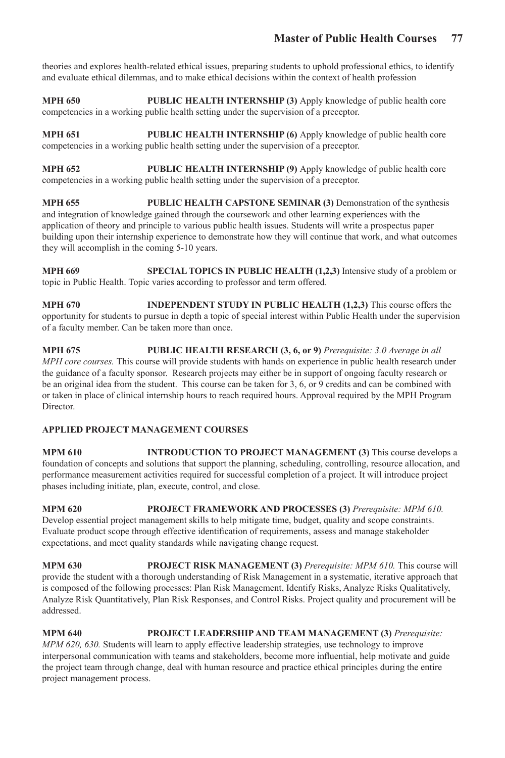theories and explores health-related ethical issues, preparing students to uphold professional ethics, to identify and evaluate ethical dilemmas, and to make ethical decisions within the context of health profession

**MPH 650 PUBLIC HEALTH INTERNSHIP (3)** Apply knowledge of public health core competencies in a working public health setting under the supervision of a preceptor.

**MPH 651 PUBLIC HEALTH INTERNSHIP (6)** Apply knowledge of public health core competencies in a working public health setting under the supervision of a preceptor.

**MPH 652 PUBLIC HEALTH INTERNSHIP (9)** Apply knowledge of public health core competencies in a working public health setting under the supervision of a preceptor.

**MPH 655 PUBLIC HEALTH CAPSTONE SEMINAR (3)** Demonstration of the synthesis and integration of knowledge gained through the coursework and other learning experiences with the application of theory and principle to various public health issues. Students will write a prospectus paper building upon their internship experience to demonstrate how they will continue that work, and what outcomes they will accomplish in the coming 5-10 years.

**MPH 669 SPECIAL TOPICS IN PUBLIC HEALTH (1,2,3)** Intensive study of a problem or topic in Public Health. Topic varies according to professor and term offered.

**MPH 670 INDEPENDENT STUDY IN PUBLIC HEALTH (1,2,3)** This course offers the opportunity for students to pursue in depth a topic of special interest within Public Health under the supervision of a faculty member. Can be taken more than once.

**MPH 675 PUBLIC HEALTH RESEARCH (3, 6, or 9)** *Prerequisite: 3.0 Average in all MPH core courses.* This course will provide students with hands on experience in public health research under the guidance of a faculty sponsor. Research projects may either be in support of ongoing faculty research or be an original idea from the student. This course can be taken for 3, 6, or 9 credits and can be combined with or taken in place of clinical internship hours to reach required hours. Approval required by the MPH Program Director.

### **APPLIED PROJECT MANAGEMENT COURSES**

**MPM 610 INTRODUCTION TO PROJECT MANAGEMENT (3)** This course develops a foundation of concepts and solutions that support the planning, scheduling, controlling, resource allocation, and performance measurement activities required for successful completion of a project. It will introduce project phases including initiate, plan, execute, control, and close.

**MPM 620 PROJECT FRAMEWORK AND PROCESSES (3)** *Prerequisite: MPM 610.*  Develop essential project management skills to help mitigate time, budget, quality and scope constraints. Evaluate product scope through effective identification of requirements, assess and manage stakeholder expectations, and meet quality standards while navigating change request.

**MPM 630 PROJECT RISK MANAGEMENT (3)** *Prerequisite: MPM 610.* This course will provide the student with a thorough understanding of Risk Management in a systematic, iterative approach that is composed of the following processes: Plan Risk Management, Identify Risks, Analyze Risks Qualitatively, Analyze Risk Quantitatively, Plan Risk Responses, and Control Risks. Project quality and procurement will be addressed.

**MPM 640 PROJECT LEADERSHIP AND TEAM MANAGEMENT (3)** *Prerequisite: MPM 620, 630.* Students will learn to apply effective leadership strategies, use technology to improve interpersonal communication with teams and stakeholders, become more influential, help motivate and guide the project team through change, deal with human resource and practice ethical principles during the entire project management process.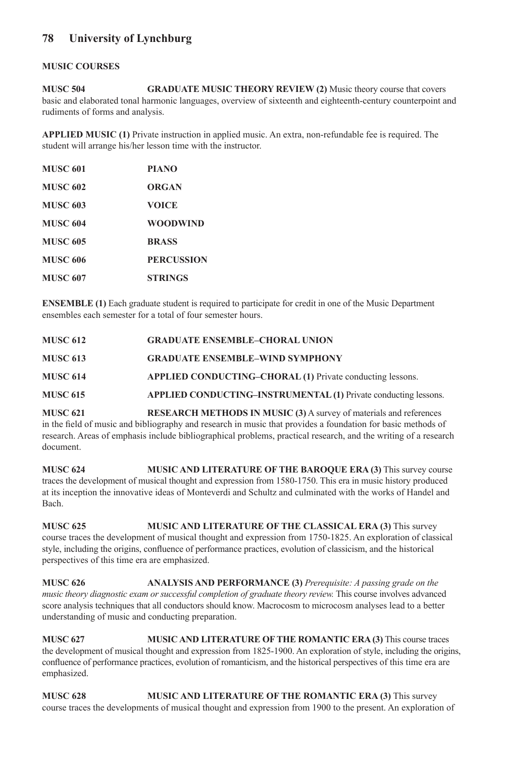#### **MUSIC COURSES**

**MUSC 504 GRADUATE MUSIC THEORY REVIEW (2)** Music theory course that covers basic and elaborated tonal harmonic languages, overview of sixteenth and eighteenth-century counterpoint and rudiments of forms and analysis.

**APPLIED MUSIC (1)** Private instruction in applied music. An extra, non-refundable fee is required. The student will arrange his/her lesson time with the instructor.

| <b>MUSC 601</b> | <b>PIANO</b>      |
|-----------------|-------------------|
| <b>MUSC 602</b> | <b>ORGAN</b>      |
| <b>MUSC 603</b> | <b>VOICE</b>      |
| <b>MUSC 604</b> | WOODWIND          |
| <b>MUSC 605</b> | <b>BRASS</b>      |
| <b>MUSC 606</b> | <b>PERCUSSION</b> |
| <b>MUSC 607</b> | <b>STRINGS</b>    |
|                 |                   |

**ENSEMBLE (1)** Each graduate student is required to participate for credit in one of the Music Department ensembles each semester for a total of four semester hours.

| <b>MUSC 612</b> | <b>GRADUATE ENSEMBLE-CHORAL UNION</b>                                     |
|-----------------|---------------------------------------------------------------------------|
| <b>MUSC 613</b> | <b>GRADUATE ENSEMBLE-WIND SYMPHONY</b>                                    |
| <b>MUSC 614</b> | <b>APPLIED CONDUCTING–CHORAL (1) Private conducting lessons.</b>          |
| <b>MUSC 615</b> | APPLIED CONDUCTING-INSTRUMENTAL (1) Private conducting lessons.           |
| <b>MUSC 621</b> | <b>RESEARCH METHODS IN MUSIC (3)</b> A survey of materials and references |

in the field of music and bibliography and research in music that provides a foundation for basic methods of research. Areas of emphasis include bibliographical problems, practical research, and the writing of a research document.

**MUSC 624 MUSIC AND LITERATURE OF THE BAROQUE ERA (3)** This survey course traces the development of musical thought and expression from 1580-1750. This era in music history produced at its inception the innovative ideas of Monteverdi and Schultz and culminated with the works of Handel and Bach.

**MUSC 625 MUSIC AND LITERATURE OF THE CLASSICAL ERA (3)** This survey course traces the development of musical thought and expression from 1750-1825. An exploration of classical style, including the origins, confluence of performance practices, evolution of classicism, and the historical perspectives of this time era are emphasized.

**MUSC 626 ANALYSIS AND PERFORMANCE (3)** *Prerequisite: A passing grade on the music theory diagnostic exam or successful completion of graduate theory review.* This course involves advanced score analysis techniques that all conductors should know. Macrocosm to microcosm analyses lead to a better understanding of music and conducting preparation.

**MUSC 627 MUSIC AND LITERATURE OF THE ROMANTIC ERA (3)** This course traces the development of musical thought and expression from 1825-1900. An exploration of style, including the origins, confluence of performance practices, evolution of romanticism, and the historical perspectives of this time era are emphasized.

**MUSC 628 MUSIC AND LITERATURE OF THE ROMANTIC ERA (3)** This survey course traces the developments of musical thought and expression from 1900 to the present. An exploration of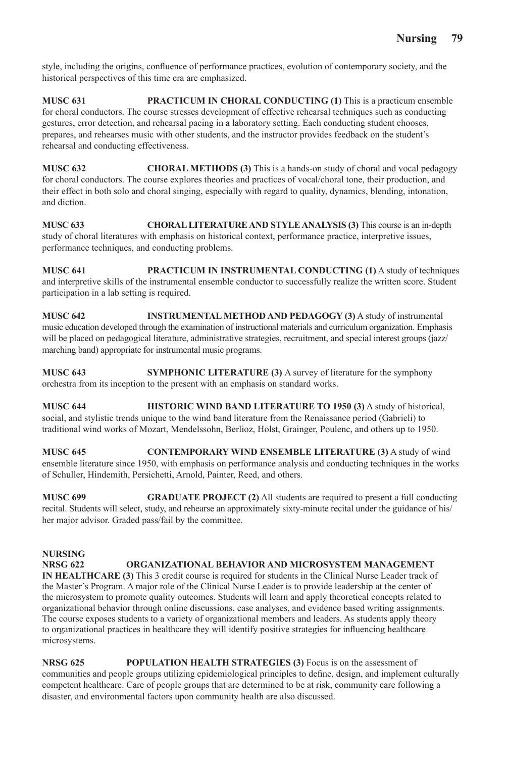style, including the origins, confluence of performance practices, evolution of contemporary society, and the historical perspectives of this time era are emphasized.

**MUSC 631 PRACTICUM IN CHORAL CONDUCTING (1)** This is a practicum ensemble for choral conductors. The course stresses development of effective rehearsal techniques such as conducting gestures, error detection, and rehearsal pacing in a laboratory setting. Each conducting student chooses, prepares, and rehearses music with other students, and the instructor provides feedback on the student's rehearsal and conducting effectiveness.

**MUSC 632 CHORAL METHODS (3)** This is a hands-on study of choral and vocal pedagogy for choral conductors. The course explores theories and practices of vocal/choral tone, their production, and their effect in both solo and choral singing, especially with regard to quality, dynamics, blending, intonation, and diction.

**MUSC 633 CHORAL LITERATURE AND STYLE ANALYSIS (3)** This course is an in-depth study of choral literatures with emphasis on historical context, performance practice, interpretive issues, performance techniques, and conducting problems.

**MUSC 641 PRACTICUM IN INSTRUMENTAL CONDUCTING (1)** A study of techniques and interpretive skills of the instrumental ensemble conductor to successfully realize the written score. Student participation in a lab setting is required.

**MUSC 642 INSTRUMENTAL METHOD AND PEDAGOGY (3)** A study of instrumental music education developed through the examination of instructional materials and curriculum organization. Emphasis will be placed on pedagogical literature, administrative strategies, recruitment, and special interest groups (jazz/ marching band) appropriate for instrumental music programs.

**MUSC 643 SYMPHONIC LITERATURE (3)** A survey of literature for the symphony orchestra from its inception to the present with an emphasis on standard works.

**MUSC 644 HISTORIC WIND BAND LITERATURE TO 1950 (3)** A study of historical, social, and stylistic trends unique to the wind band literature from the Renaissance period (Gabrieli) to traditional wind works of Mozart, Mendelssohn, Berlioz, Holst, Grainger, Poulenc, and others up to 1950.

**MUSC 645 CONTEMPORARY WIND ENSEMBLE LITERATURE (3)** A study of wind ensemble literature since 1950, with emphasis on performance analysis and conducting techniques in the works of Schuller, Hindemith, Persichetti, Arnold, Painter, Reed, and others.

**MUSC 699 GRADUATE PROJECT (2)** All students are required to present a full conducting recital. Students will select, study, and rehearse an approximately sixty-minute recital under the guidance of his/ her major advisor. Graded pass/fail by the committee.

# **NURSING**<br>NRSG 622 **NRSG 622 ORGANIZATIONAL BEHAVIOR AND MICROSYSTEM MANAGEMENT IN HEALTHCARE (3)** This 3 credit course is required for students in the Clinical Nurse Leader track of

the Master's Program. A major role of the Clinical Nurse Leader is to provide leadership at the center of the microsystem to promote quality outcomes. Students will learn and apply theoretical concepts related to organizational behavior through online discussions, case analyses, and evidence based writing assignments. The course exposes students to a variety of organizational members and leaders. As students apply theory to organizational practices in healthcare they will identify positive strategies for influencing healthcare microsystems.

**NRSG 625 POPULATION HEALTH STRATEGIES (3)** Focus is on the assessment of communities and people groups utilizing epidemiological principles to define, design, and implement culturally competent healthcare. Care of people groups that are determined to be at risk, community care following a disaster, and environmental factors upon community health are also discussed.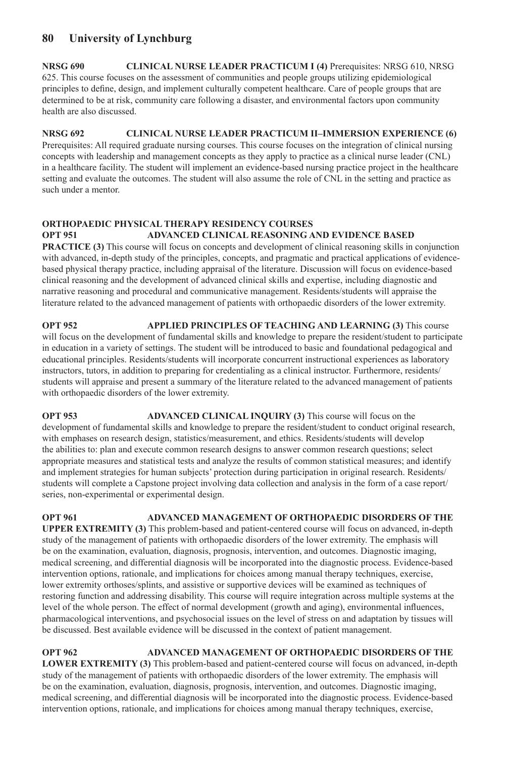**NRSG 690 CLINICAL NURSE LEADER PRACTICUM I (4)** Prerequisites: NRSG 610, NRSG 625. This course focuses on the assessment of communities and people groups utilizing epidemiological principles to define, design, and implement culturally competent healthcare. Care of people groups that are determined to be at risk, community care following a disaster, and environmental factors upon community health are also discussed.

#### **NRSG 692 CLINICAL NURSE LEADER PRACTICUM II–IMMERSION EXPERIENCE (6)** Prerequisites: All required graduate nursing courses. This course focuses on the integration of clinical nursing concepts with leadership and management concepts as they apply to practice as a clinical nurse leader (CNL) in a healthcare facility. The student will implement an evidence-based nursing practice project in the healthcare setting and evaluate the outcomes. The student will also assume the role of CNL in the setting and practice as such under a mentor.

### **ORTHOPAEDIC PHYSICAL THERAPY RESIDENCY COURSES OPT 951 ADVANCED CLINICAL REASONING AND EVIDENCE BASED**

**PRACTICE (3)** This course will focus on concepts and development of clinical reasoning skills in conjunction with advanced, in-depth study of the principles, concepts, and pragmatic and practical applications of evidencebased physical therapy practice, including appraisal of the literature. Discussion will focus on evidence-based clinical reasoning and the development of advanced clinical skills and expertise, including diagnostic and narrative reasoning and procedural and communicative management. Residents/students will appraise the literature related to the advanced management of patients with orthopaedic disorders of the lower extremity.

**OPT 952 APPLIED PRINCIPLES OF TEACHING AND LEARNING (3)** This course will focus on the development of fundamental skills and knowledge to prepare the resident/student to participate in education in a variety of settings. The student will be introduced to basic and foundational pedagogical and educational principles. Residents/students will incorporate concurrent instructional experiences as laboratory instructors, tutors, in addition to preparing for credentialing as a clinical instructor. Furthermore, residents/ students will appraise and present a summary of the literature related to the advanced management of patients with orthopaedic disorders of the lower extremity.

**OPT 953** ADVANCED CLINICAL INQUIRY (3) This course will focus on the development of fundamental skills and knowledge to prepare the resident/student to conduct original research, with emphases on research design, statistics/measurement, and ethics. Residents/students will develop the abilities to: plan and execute common research designs to answer common research questions; select appropriate measures and statistical tests and analyze the results of common statistical measures; and identify and implement strategies for human subjects' protection during participation in original research. Residents/ students will complete a Capstone project involving data collection and analysis in the form of a case report/ series, non-experimental or experimental design.

**OPT 961 ADVANCED MANAGEMENT OF ORTHOPAEDIC DISORDERS OF THE UPPER EXTREMITY (3)** This problem-based and patient-centered course will focus on advanced, in-depth study of the management of patients with orthopaedic disorders of the lower extremity. The emphasis will be on the examination, evaluation, diagnosis, prognosis, intervention, and outcomes. Diagnostic imaging, medical screening, and differential diagnosis will be incorporated into the diagnostic process. Evidence-based intervention options, rationale, and implications for choices among manual therapy techniques, exercise, lower extremity orthoses/splints, and assistive or supportive devices will be examined as techniques of restoring function and addressing disability. This course will require integration across multiple systems at the level of the whole person. The effect of normal development (growth and aging), environmental influences, pharmacological interventions, and psychosocial issues on the level of stress on and adaptation by tissues will be discussed. Best available evidence will be discussed in the context of patient management.

**OPT 962 ADVANCED MANAGEMENT OF ORTHOPAEDIC DISORDERS OF THE LOWER EXTREMITY (3)** This problem-based and patient-centered course will focus on advanced, in-depth study of the management of patients with orthopaedic disorders of the lower extremity. The emphasis will be on the examination, evaluation, diagnosis, prognosis, intervention, and outcomes. Diagnostic imaging, medical screening, and differential diagnosis will be incorporated into the diagnostic process. Evidence-based intervention options, rationale, and implications for choices among manual therapy techniques, exercise,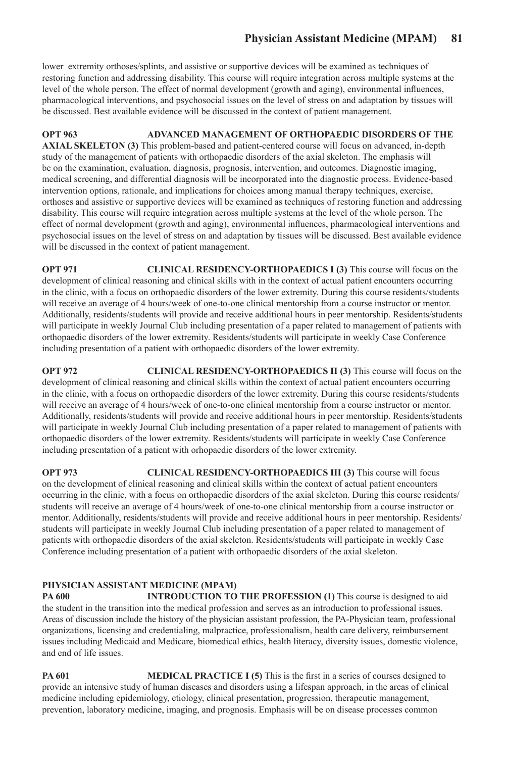lower extremity orthoses/splints, and assistive or supportive devices will be examined as techniques of restoring function and addressing disability. This course will require integration across multiple systems at the level of the whole person. The effect of normal development (growth and aging), environmental influences, pharmacological interventions, and psychosocial issues on the level of stress on and adaptation by tissues will be discussed. Best available evidence will be discussed in the context of patient management.

**OPT 963 ADVANCED MANAGEMENT OF ORTHOPAEDIC DISORDERS OF THE AXIAL SKELETON (3)** This problem-based and patient-centered course will focus on advanced, in-depth study of the management of patients with orthopaedic disorders of the axial skeleton. The emphasis will be on the examination, evaluation, diagnosis, prognosis, intervention, and outcomes. Diagnostic imaging, medical screening, and differential diagnosis will be incorporated into the diagnostic process. Evidence-based intervention options, rationale, and implications for choices among manual therapy techniques, exercise, orthoses and assistive or supportive devices will be examined as techniques of restoring function and addressing disability. This course will require integration across multiple systems at the level of the whole person. The effect of normal development (growth and aging), environmental influences, pharmacological interventions and psychosocial issues on the level of stress on and adaptation by tissues will be discussed. Best available evidence will be discussed in the context of patient management.

**OPT 971 CLINICAL RESIDENCY-ORTHOPAEDICS I (3)** This course will focus on the development of clinical reasoning and clinical skills with in the context of actual patient encounters occurring in the clinic, with a focus on orthopaedic disorders of the lower extremity. During this course residents/students will receive an average of 4 hours/week of one-to-one clinical mentorship from a course instructor or mentor. Additionally, residents/students will provide and receive additional hours in peer mentorship. Residents/students will participate in weekly Journal Club including presentation of a paper related to management of patients with orthopaedic disorders of the lower extremity. Residents/students will participate in weekly Case Conference including presentation of a patient with orthopaedic disorders of the lower extremity.

**OPT 972 CLINICAL RESIDENCY-ORTHOPAEDICS II (3)** This course will focus on the development of clinical reasoning and clinical skills within the context of actual patient encounters occurring in the clinic, with a focus on orthopaedic disorders of the lower extremity. During this course residents/students will receive an average of 4 hours/week of one-to-one clinical mentorship from a course instructor or mentor. Additionally, residents/students will provide and receive additional hours in peer mentorship. Residents/students will participate in weekly Journal Club including presentation of a paper related to management of patients with orthopaedic disorders of the lower extremity. Residents/students will participate in weekly Case Conference including presentation of a patient with orhopaedic disorders of the lower extremity.

**OPT 973** CLINICAL RESIDENCY-ORTHOPAEDICS III (3) This course will focus on the development of clinical reasoning and clinical skills within the context of actual patient encounters occurring in the clinic, with a focus on orthopaedic disorders of the axial skeleton. During this course residents/ students will receive an average of 4 hours/week of one-to-one clinical mentorship from a course instructor or mentor. Additionally, residents/students will provide and receive additional hours in peer mentorship. Residents/ students will participate in weekly Journal Club including presentation of a paper related to management of patients with orthopaedic disorders of the axial skeleton. Residents/students will participate in weekly Case Conference including presentation of a patient with orthopaedic disorders of the axial skeleton.

### **PHYSICIAN ASSISTANT MEDICINE (MPAM)**

**PA 600 INTRODUCTION TO THE PROFESSION (1)** This course is designed to aid the student in the transition into the medical profession and serves as an introduction to professional issues. Areas of discussion include the history of the physician assistant profession, the PA-Physician team, professional organizations, licensing and credentialing, malpractice, professionalism, health care delivery, reimbursement issues including Medicaid and Medicare, biomedical ethics, health literacy, diversity issues, domestic violence, and end of life issues.

**PA 601 MEDICAL PRACTICE I (5)** This is the first in a series of courses designed to provide an intensive study of human diseases and disorders using a lifespan approach, in the areas of clinical medicine including epidemiology, etiology, clinical presentation, progression, therapeutic management, prevention, laboratory medicine, imaging, and prognosis. Emphasis will be on disease processes common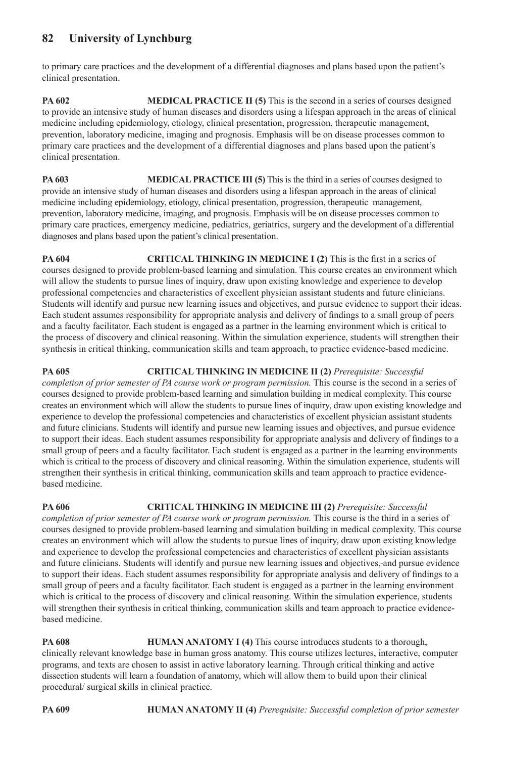to primary care practices and the development of a differential diagnoses and plans based upon the patient's clinical presentation.

**PA 602 MEDICAL PRACTICE II (5)** This is the second in a series of courses designed to provide an intensive study of human diseases and disorders using a lifespan approach in the areas of clinical medicine including epidemiology, etiology, clinical presentation, progression, therapeutic management, prevention, laboratory medicine, imaging and prognosis. Emphasis will be on disease processes common to primary care practices and the development of a differential diagnoses and plans based upon the patient's clinical presentation.

**PA 603 MEDICAL PRACTICE III (5)** This is the third in a series of courses designed to provide an intensive study of human diseases and disorders using a lifespan approach in the areas of clinical medicine including epidemiology, etiology, clinical presentation, progression, therapeutic management, prevention, laboratory medicine, imaging, and prognosis. Emphasis will be on disease processes common to primary care practices, emergency medicine, pediatrics, geriatrics, surgery and the development of a differential diagnoses and plans based upon the patient's clinical presentation.

**PA 604 CRITICAL THINKING IN MEDICINE I (2)** This is the first in a series of courses designed to provide problem-based learning and simulation. This course creates an environment which will allow the students to pursue lines of inquiry, draw upon existing knowledge and experience to develop professional competencies and characteristics of excellent physician assistant students and future clinicians. Students will identify and pursue new learning issues and objectives, and pursue evidence to support their ideas. Each student assumes responsibility for appropriate analysis and delivery of findings to a small group of peers and a faculty facilitator. Each student is engaged as a partner in the learning environment which is critical to the process of discovery and clinical reasoning. Within the simulation experience, students will strengthen their synthesis in critical thinking, communication skills and team approach, to practice evidence-based medicine.

**PA 605 CRITICAL THINKING IN MEDICINE II (2)** *Prerequisite: Successful completion of prior semester of PA course work or program permission.* This course is the second in a series of courses designed to provide problem-based learning and simulation building in medical complexity. This course creates an environment which will allow the students to pursue lines of inquiry, draw upon existing knowledge and experience to develop the professional competencies and characteristics of excellent physician assistant students and future clinicians. Students will identify and pursue new learning issues and objectives, and pursue evidence to support their ideas. Each student assumes responsibility for appropriate analysis and delivery of findings to a small group of peers and a faculty facilitator. Each student is engaged as a partner in the learning environments which is critical to the process of discovery and clinical reasoning. Within the simulation experience, students will strengthen their synthesis in critical thinking, communication skills and team approach to practice evidencebased medicine.

**PA 606 CRITICAL THINKING IN MEDICINE III (2)** *Prerequisite: Successful completion of prior semester of PA course work or program permission.* This course is the third in a series of courses designed to provide problem-based learning and simulation building in medical complexity. This course creates an environment which will allow the students to pursue lines of inquiry, draw upon existing knowledge and experience to develop the professional competencies and characteristics of excellent physician assistants and future clinicians. Students will identify and pursue new learning issues and objectives, and pursue evidence to support their ideas. Each student assumes responsibility for appropriate analysis and delivery of findings to a small group of peers and a faculty facilitator. Each student is engaged as a partner in the learning environment which is critical to the process of discovery and clinical reasoning. Within the simulation experience, students will strengthen their synthesis in critical thinking, communication skills and team approach to practice evidencebased medicine.

**PA 608 HUMAN ANATOMY I (4)** This course introduces students to a thorough, clinically relevant knowledge base in human gross anatomy. This course utilizes lectures, interactive, computer programs, and texts are chosen to assist in active laboratory learning. Through critical thinking and active dissection students will learn a foundation of anatomy, which will allow them to build upon their clinical procedural/ surgical skills in clinical practice.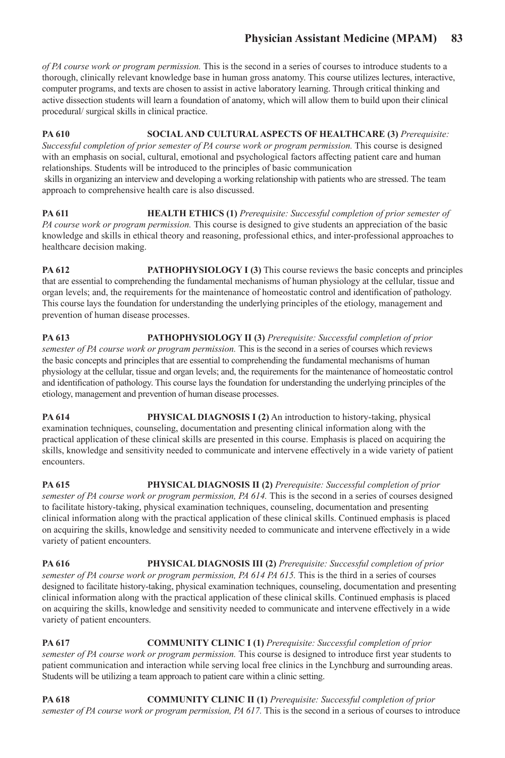*of PA course work or program permission.* This is the second in a series of courses to introduce students to a thorough, clinically relevant knowledge base in human gross anatomy. This course utilizes lectures, interactive, computer programs, and texts are chosen to assist in active laboratory learning. Through critical thinking and active dissection students will learn a foundation of anatomy, which will allow them to build upon their clinical procedural/ surgical skills in clinical practice.

**PA 610 SOCIAL AND CULTURAL ASPECTS OF HEALTHCARE (3)** *Prerequisite: Successful completion of prior semester of PA course work or program permission.* This course is designed with an emphasis on social, cultural, emotional and psychological factors affecting patient care and human relationships. Students will be introduced to the principles of basic communication skills in organizing an interview and developing a working relationship with patients who are stressed. The team approach to comprehensive health care is also discussed.

**PA 611 HEALTH ETHICS (1)** *Prerequisite: Successful completion of prior semester of PA course work or program permission.* This course is designed to give students an appreciation of the basic knowledge and skills in ethical theory and reasoning, professional ethics, and inter-professional approaches to healthcare decision making.

**PA 612 PATHOPHYSIOLOGY I (3)** This course reviews the basic concepts and principles that are essential to comprehending the fundamental mechanisms of human physiology at the cellular, tissue and organ levels; and, the requirements for the maintenance of homeostatic control and identification of pathology. This course lays the foundation for understanding the underlying principles of the etiology, management and prevention of human disease processes.

**PA 613 PATHOPHYSIOLOGY II (3)** *Prerequisite: Successful completion of prior semester of PA course work or program permission.* This is the second in a series of courses which reviews the basic concepts and principles that are essential to comprehending the fundamental mechanisms of human physiology at the cellular, tissue and organ levels; and, the requirements for the maintenance of homeostatic control and identification of pathology. This course lays the foundation for understanding the underlying principles of the etiology, management and prevention of human disease processes.

**PA 614 PHYSICAL DIAGNOSIS I (2)** An introduction to history-taking, physical examination techniques, counseling, documentation and presenting clinical information along with the practical application of these clinical skills are presented in this course. Emphasis is placed on acquiring the skills, knowledge and sensitivity needed to communicate and intervene effectively in a wide variety of patient encounters.

**PA 615 PHYSICAL DIAGNOSIS II (2)** *Prerequisite: Successful completion of prior semester of PA course work or program permission, PA 614.* This is the second in a series of courses designed to facilitate history-taking, physical examination techniques, counseling, documentation and presenting clinical information along with the practical application of these clinical skills. Continued emphasis is placed on acquiring the skills, knowledge and sensitivity needed to communicate and intervene effectively in a wide variety of patient encounters.

**PA 616 PHYSICAL DIAGNOSIS III (2)** *Prerequisite: Successful completion of prior*  semester of PA course work or program permission, PA 614 PA 615. This is the third in a series of courses designed to facilitate history-taking, physical examination techniques, counseling, documentation and presenting clinical information along with the practical application of these clinical skills. Continued emphasis is placed on acquiring the skills, knowledge and sensitivity needed to communicate and intervene effectively in a wide variety of patient encounters.

**PA 617 COMMUNITY CLINIC I (1)** *Prerequisite: Successful completion of prior semester of PA course work or program permission.* This course is designed to introduce first year students to patient communication and interaction while serving local free clinics in the Lynchburg and surrounding areas. Students will be utilizing a team approach to patient care within a clinic setting.

**PA 618 COMMUNITY CLINIC II (1)** *Prerequisite: Successful completion of prior*  semester of PA course work or program permission, PA 617. This is the second in a serious of courses to introduce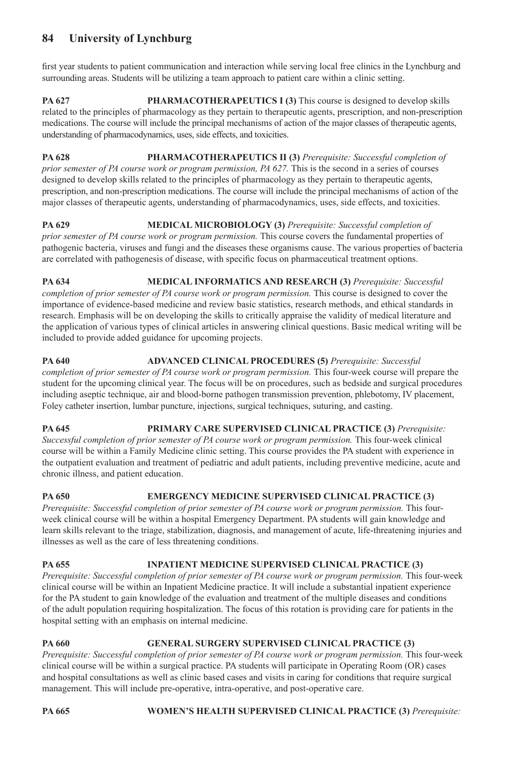first year students to patient communication and interaction while serving local free clinics in the Lynchburg and surrounding areas. Students will be utilizing a team approach to patient care within a clinic setting.

**PA 627 PHARMACOTHERAPEUTICS I (3)** This course is designed to develop skills related to the principles of pharmacology as they pertain to therapeutic agents, prescription, and non-prescription medications. The course will include the principal mechanisms of action of the major classes of therapeutic agents, understanding of pharmacodynamics, uses, side effects, and toxicities.

**PA 628 PHARMACOTHERAPEUTICS II (3)** *Prerequisite: Successful completion of prior semester of PA course work or program permission, PA 627.* This is the second in a series of courses designed to develop skills related to the principles of pharmacology as they pertain to therapeutic agents, prescription, and non-prescription medications. The course will include the principal mechanisms of action of the major classes of therapeutic agents, understanding of pharmacodynamics, uses, side effects, and toxicities.

**PA 629 MEDICAL MICROBIOLOGY (3)** *Prerequisite: Successful completion of prior semester of PA course work or program permission.* This course covers the fundamental properties of pathogenic bacteria, viruses and fungi and the diseases these organisms cause. The various properties of bacteria are correlated with pathogenesis of disease, with specific focus on pharmaceutical treatment options.

**PA 634 MEDICAL INFORMATICS AND RESEARCH (3)** *Prerequisite: Successful completion of prior semester of PA course work or program permission*. This course is designed to cover the importance of evidence-based medicine and review basic statistics, research methods, and ethical standards in research. Emphasis will be on developing the skills to critically appraise the validity of medical literature and the application of various types of clinical articles in answering clinical questions. Basic medical writing will be included to provide added guidance for upcoming projects.

#### **PA 640 ADVANCED CLINICAL PROCEDURES (5)** *Prerequisite: Successful completion of prior semester of PA course work or program permission.* This four-week course will prepare the student for the upcoming clinical year. The focus will be on procedures, such as bedside and surgical procedures including aseptic technique, air and blood-borne pathogen transmission prevention, phlebotomy, IV placement, Foley catheter insertion, lumbar puncture, injections, surgical techniques, suturing, and casting.

**PA 645 PRIMARY CARE SUPERVISED CLINICAL PRACTICE (3)** *Prerequisite: Successful completion of prior semester of PA course work or program permission.* This four-week clinical course will be within a Family Medicine clinic setting. This course provides the PA student with experience in the outpatient evaluation and treatment of pediatric and adult patients, including preventive medicine, acute and chronic illness, and patient education.

#### **PA 650 EMERGENCY MEDICINE SUPERVISED CLINICAL PRACTICE (3)** *Prerequisite: Successful completion of prior semester of PA course work or program permission.* This four-

week clinical course will be within a hospital Emergency Department. PA students will gain knowledge and learn skills relevant to the triage, stabilization, diagnosis, and management of acute, life-threatening injuries and illnesses as well as the care of less threatening conditions.

### **PA 655 INPATIENT MEDICINE SUPERVISED CLINICAL PRACTICE (3)**

*Prerequisite: Successful completion of prior semester of PA course work or program permission.* This four-week clinical course will be within an Inpatient Medicine practice. It will include a substantial inpatient experience for the PA student to gain knowledge of the evaluation and treatment of the multiple diseases and conditions of the adult population requiring hospitalization. The focus of this rotation is providing care for patients in the hospital setting with an emphasis on internal medicine.

### **PA 660 GENERAL SURGERY SUPERVISED CLINICAL PRACTICE (3)**

*Prerequisite: Successful completion of prior semester of PA course work or program permission.* This four-week clinical course will be within a surgical practice. PA students will participate in Operating Room (OR) cases and hospital consultations as well as clinic based cases and visits in caring for conditions that require surgical management. This will include pre-operative, intra-operative, and post-operative care.

#### **PA 665 WOMEN'S HEALTH SUPERVISED CLINICAL PRACTICE (3)** *Prerequisite:*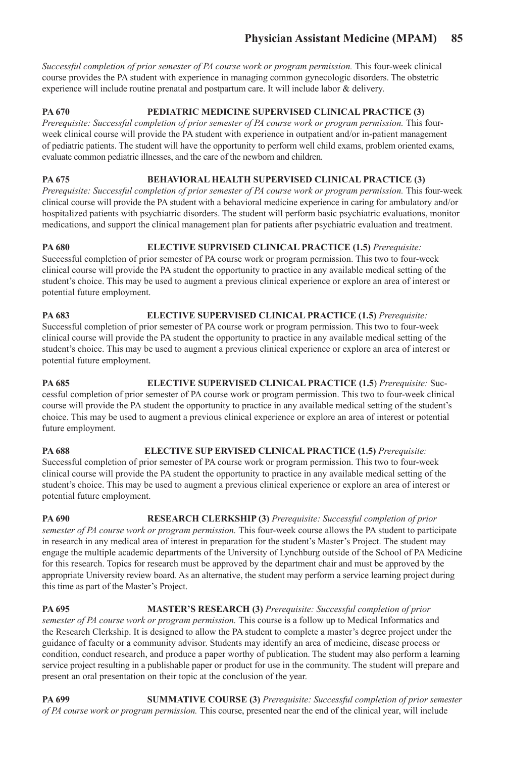*Successful completion of prior semester of PA course work or program permission.* This four-week clinical course provides the PA student with experience in managing common gynecologic disorders. The obstetric experience will include routine prenatal and postpartum care. It will include labor & delivery.

### **PA 670 PEDIATRIC MEDICINE SUPERVISED CLINICAL PRACTICE (3)**

*Prerequisite: Successful completion of prior semester of PA course work or program permission.* This fourweek clinical course will provide the PA student with experience in outpatient and/or in-patient management of pediatric patients. The student will have the opportunity to perform well child exams, problem oriented exams, evaluate common pediatric illnesses, and the care of the newborn and children.

### **PA 675 BEHAVIORAL HEALTH SUPERVISED CLINICAL PRACTICE (3)**

*Prerequisite: Successful completion of prior semester of PA course work or program permission.* This four-week clinical course will provide the PA student with a behavioral medicine experience in caring for ambulatory and/or hospitalized patients with psychiatric disorders. The student will perform basic psychiatric evaluations, monitor medications, and support the clinical management plan for patients after psychiatric evaluation and treatment.

# **PA 680 ELECTIVE SUPRVISED CLINICAL PRACTICE (1.5)** *Prerequisite:*

Successful completion of prior semester of PA course work or program permission. This two to four-week clinical course will provide the PA student the opportunity to practice in any available medical setting of the student's choice. This may be used to augment a previous clinical experience or explore an area of interest or potential future employment.

**PA 683 ELECTIVE SUPERVISED CLINICAL PRACTICE (1.5)** *Prerequisite:* Successful completion of prior semester of PA course work or program permission. This two to four-week clinical course will provide the PA student the opportunity to practice in any available medical setting of the student's choice. This may be used to augment a previous clinical experience or explore an area of interest or potential future employment.

**PA 685 ELECTIVE SUPERVISED CLINICAL PRACTICE (1.5**) *Prerequisite:* Successful completion of prior semester of PA course work or program permission. This two to four-week clinical course will provide the PA student the opportunity to practice in any available medical setting of the student's choice. This may be used to augment a previous clinical experience or explore an area of interest or potential future employment.

**PA 688 ELECTIVE SUP ERVISED CLINICAL PRACTICE (1.5)** *Prerequisite:*  Successful completion of prior semester of PA course work or program permission. This two to four-week clinical course will provide the PA student the opportunity to practice in any available medical setting of the student's choice. This may be used to augment a previous clinical experience or explore an area of interest or potential future employment.

**PA 690 RESEARCH CLERKSHIP (3)** *Prerequisite: Successful completion of prior semester of PA course work or program permission.* This four-week course allows the PA student to participate in research in any medical area of interest in preparation for the student's Master's Project. The student may engage the multiple academic departments of the University of Lynchburg outside of the School of PA Medicine for this research. Topics for research must be approved by the department chair and must be approved by the appropriate University review board. As an alternative, the student may perform a service learning project during this time as part of the Master's Project.

**PA 695 MASTER'S RESEARCH (3)** *Prerequisite: Successful completion of prior semester of PA course work or program permission.* This course is a follow up to Medical Informatics and the Research Clerkship. It is designed to allow the PA student to complete a master's degree project under the guidance of faculty or a community advisor. Students may identify an area of medicine, disease process or condition, conduct research, and produce a paper worthy of publication. The student may also perform a learning service project resulting in a publishable paper or product for use in the community. The student will prepare and present an oral presentation on their topic at the conclusion of the year.

**PA 699 SUMMATIVE COURSE (3)** *Prerequisite: Successful completion of prior semester of PA course work or program permission.* This course, presented near the end of the clinical year, will include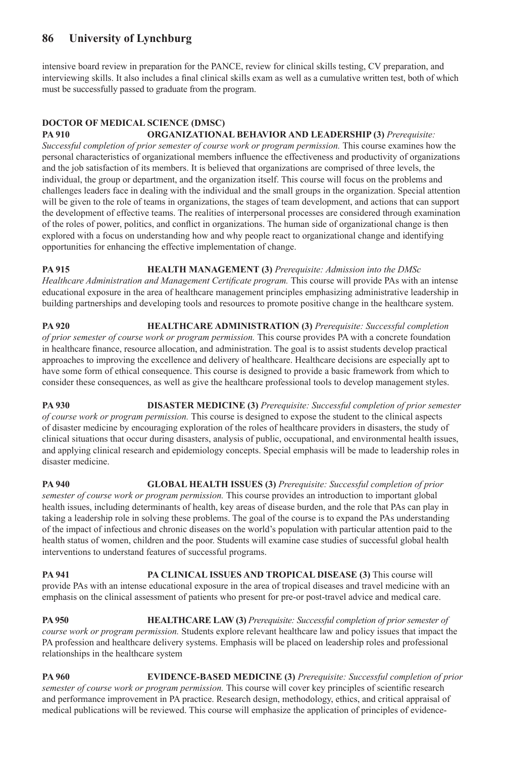intensive board review in preparation for the PANCE, review for clinical skills testing, CV preparation, and interviewing skills. It also includes a final clinical skills exam as well as a cumulative written test, both of which must be successfully passed to graduate from the program.

#### **DOCTOR OF MEDICAL SCIENCE (DMSC) PA 910 ORGANIZATIONAL BEHAVIOR AND LEADERSHIP (3)** *Prerequisite:*

*Successful completion of prior semester of course work or program permission.* This course examines how the personal characteristics of organizational members influence the effectiveness and productivity of organizations and the job satisfaction of its members. It is believed that organizations are comprised of three levels, the individual, the group or department, and the organization itself. This course will focus on the problems and challenges leaders face in dealing with the individual and the small groups in the organization. Special attention will be given to the role of teams in organizations, the stages of team development, and actions that can support the development of effective teams. The realities of interpersonal processes are considered through examination of the roles of power, politics, and conflict in organizations. The human side of organizational change is then explored with a focus on understanding how and why people react to organizational change and identifying opportunities for enhancing the effective implementation of change.

**PA 915 HEALTH MANAGEMENT (3)** *Prerequisite: Admission into the DMSc Healthcare Administration and Management Certificate program.* This course will provide PAs with an intense educational exposure in the area of healthcare management principles emphasizing administrative leadership in building partnerships and developing tools and resources to promote positive change in the healthcare system.

**PA 920 HEALTHCARE ADMINISTRATION (3)** *Prerequisite: Successful completion of prior semester of course work or program permission.* This course provides PA with a concrete foundation in healthcare finance, resource allocation, and administration. The goal is to assist students develop practical approaches to improving the excellence and delivery of healthcare. Healthcare decisions are especially apt to have some form of ethical consequence. This course is designed to provide a basic framework from which to consider these consequences, as well as give the healthcare professional tools to develop management styles.

**PA 930 DISASTER MEDICINE (3)** *Prerequisite: Successful completion of prior semester of course work or program permission.* This course is designed to expose the student to the clinical aspects of disaster medicine by encouraging exploration of the roles of healthcare providers in disasters, the study of clinical situations that occur during disasters, analysis of public, occupational, and environmental health issues, and applying clinical research and epidemiology concepts. Special emphasis will be made to leadership roles in disaster medicine.

**PA 940 GLOBAL HEALTH ISSUES (3)** *Prerequisite: Successful completion of prior semester of course work or program permission.* This course provides an introduction to important global health issues, including determinants of health, key areas of disease burden, and the role that PAs can play in taking a leadership role in solving these problems. The goal of the course is to expand the PAs understanding of the impact of infectious and chronic diseases on the world's population with particular attention paid to the health status of women, children and the poor. Students will examine case studies of successful global health interventions to understand features of successful programs.

**PA 941 PA CLINICAL ISSUES AND TROPICAL DISEASE (3)** This course will provide PAs with an intense educational exposure in the area of tropical diseases and travel medicine with an emphasis on the clinical assessment of patients who present for pre-or post-travel advice and medical care.

**PA 950 HEALTHCARE LAW (3)** *Prerequisite: Successful completion of prior semester of course work or program permission.* Students explore relevant healthcare law and policy issues that impact the PA profession and healthcare delivery systems. Emphasis will be placed on leadership roles and professional relationships in the healthcare system

**PA 960 EVIDENCE-BASED MEDICINE (3)** *Prerequisite: Successful completion of prior semester of course work or program permission.* This course will cover key principles of scientific research and performance improvement in PA practice. Research design, methodology, ethics, and critical appraisal of medical publications will be reviewed. This course will emphasize the application of principles of evidence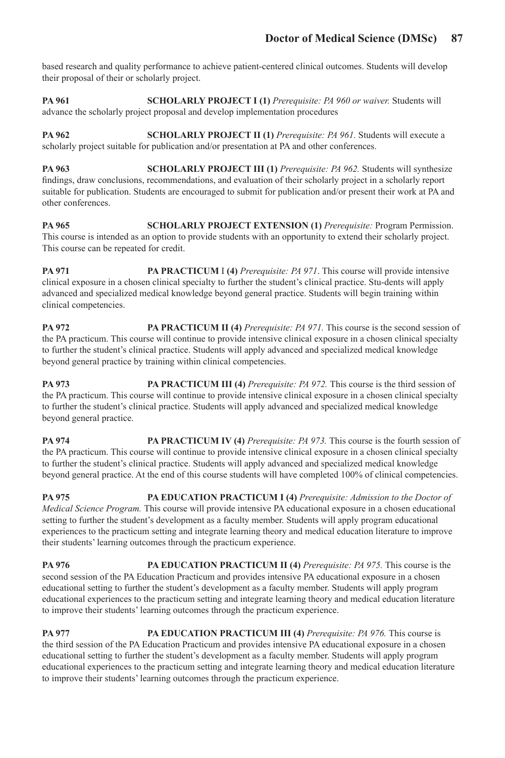based research and quality performance to achieve patient-centered clinical outcomes. Students will develop their proposal of their or scholarly project.

**PA 961 SCHOLARLY PROJECT I (1)** *Prerequisite: PA 960 or waiver.* Students will advance the scholarly project proposal and develop implementation procedures

**PA 962 SCHOLARLY PROJECT II (1)** *Prerequisite: PA 961.* Students will execute a scholarly project suitable for publication and/or presentation at PA and other conferences.

**PA 963 SCHOLARLY PROJECT III (1)** *Prerequisite: PA 962.* Students will synthesize findings, draw conclusions, recommendations, and evaluation of their scholarly project in a scholarly report suitable for publication. Students are encouraged to submit for publication and/or present their work at PA and other conferences.

**PA 965 SCHOLARLY PROJECT EXTENSION (1)** *Prerequisite:* Program Permission. This course is intended as an option to provide students with an opportunity to extend their scholarly project. This course can be repeated for credit.

**PA 971 PA PRACTICUM** I **(4)** *Prerequisite: PA 971*. This course will provide intensive clinical exposure in a chosen clinical specialty to further the student's clinical practice. Stu-dents will apply advanced and specialized medical knowledge beyond general practice. Students will begin training within clinical competencies.

**PA 972 PA PRACTICUM II (4)** *Prerequisite: PA 971*. This course is the second session of the PA practicum. This course will continue to provide intensive clinical exposure in a chosen clinical specialty to further the student's clinical practice. Students will apply advanced and specialized medical knowledge beyond general practice by training within clinical competencies.

**PA 973 PA PRACTICUM III (4)** *Prerequisite: PA 972.* This course is the third session of the PA practicum. This course will continue to provide intensive clinical exposure in a chosen clinical specialty to further the student's clinical practice. Students will apply advanced and specialized medical knowledge beyond general practice.

**PA 974 PA PRACTICUM IV (4)** *Prerequisite: PA 973.* This course is the fourth session of the PA practicum. This course will continue to provide intensive clinical exposure in a chosen clinical specialty to further the student's clinical practice. Students will apply advanced and specialized medical knowledge beyond general practice. At the end of this course students will have completed 100% of clinical competencies.

**PA 975 PA EDUCATION PRACTICUM I (4)** *Prerequisite: Admission to the Doctor of Medical Science Program.* This course will provide intensive PA educational exposure in a chosen educational setting to further the student's development as a faculty member. Students will apply program educational experiences to the practicum setting and integrate learning theory and medical education literature to improve their students' learning outcomes through the practicum experience.

**PA 976 PA EDUCATION PRACTICUM II (4)** *Prerequisite: PA 975.* This course is the second session of the PA Education Practicum and provides intensive PA educational exposure in a chosen educational setting to further the student's development as a faculty member. Students will apply program educational experiences to the practicum setting and integrate learning theory and medical education literature to improve their students' learning outcomes through the practicum experience.

**PA 977 PA EDUCATION PRACTICUM III (4)** *Prerequisite: PA 976.* This course is the third session of the PA Education Practicum and provides intensive PA educational exposure in a chosen educational setting to further the student's development as a faculty member. Students will apply program educational experiences to the practicum setting and integrate learning theory and medical education literature to improve their students' learning outcomes through the practicum experience.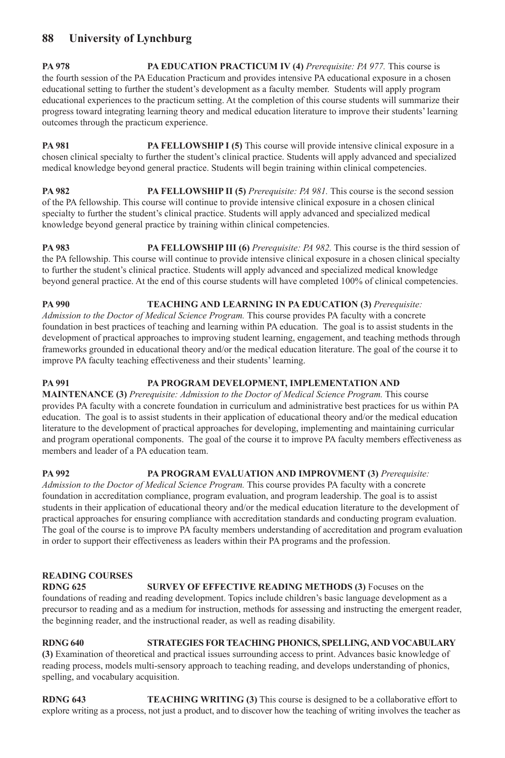**PA 978 PA EDUCATION PRACTICUM IV (4)** *Prerequisite: PA 977.* This course is the fourth session of the PA Education Practicum and provides intensive PA educational exposure in a chosen educational setting to further the student's development as a faculty member. Students will apply program educational experiences to the practicum setting. At the completion of this course students will summarize their progress toward integrating learning theory and medical education literature to improve their students' learning outcomes through the practicum experience.

**PA 981 PA FELLOWSHIP I (5)** This course will provide intensive clinical exposure in a chosen clinical specialty to further the student's clinical practice. Students will apply advanced and specialized medical knowledge beyond general practice. Students will begin training within clinical competencies.

**PA 982 PA FELLOWSHIP II (5)** *Prerequisite: PA 981.* This course is the second session of the PA fellowship. This course will continue to provide intensive clinical exposure in a chosen clinical specialty to further the student's clinical practice. Students will apply advanced and specialized medical knowledge beyond general practice by training within clinical competencies.

**PA 983 PA FELLOWSHIP III (6)** *Prerequisite: PA 982*. This course is the third session of the PA fellowship. This course will continue to provide intensive clinical exposure in a chosen clinical specialty to further the student's clinical practice. Students will apply advanced and specialized medical knowledge beyond general practice. At the end of this course students will have completed 100% of clinical competencies.

**PA 990 TEACHING AND LEARNING IN PA EDUCATION (3)** *Prerequisite: Admission to the Doctor of Medical Science Program.* This course provides PA faculty with a concrete foundation in best practices of teaching and learning within PA education. The goal is to assist students in the development of practical approaches to improving student learning, engagement, and teaching methods through frameworks grounded in educational theory and/or the medical education literature. The goal of the course it to improve PA faculty teaching effectiveness and their students' learning.

### **PA 991 PA PROGRAM DEVELOPMENT, IMPLEMENTATION AND**

**MAINTENANCE (3)** *Prerequisite: Admission to the Doctor of Medical Science Program.* This course provides PA faculty with a concrete foundation in curriculum and administrative best practices for us within PA education. The goal is to assist students in their application of educational theory and/or the medical education literature to the development of practical approaches for developing, implementing and maintaining curricular and program operational components. The goal of the course it to improve PA faculty members effectiveness as members and leader of a PA education team.

**PA 992 PA PROGRAM EVALUATION AND IMPROVMENT (3)** *Prerequisite: Admission to the Doctor of Medical Science Program.* This course provides PA faculty with a concrete foundation in accreditation compliance, program evaluation, and program leadership. The goal is to assist students in their application of educational theory and/or the medical education literature to the development of

practical approaches for ensuring compliance with accreditation standards and conducting program evaluation. The goal of the course is to improve PA faculty members understanding of accreditation and program evaluation in order to support their effectiveness as leaders within their PA programs and the profession.

# **READING COURSES SURVEY OF EFFECTIVE READING METHODS (3)** Focuses on the foundations of reading and reading development. Topics include children's basic language development as a

precursor to reading and as a medium for instruction, methods for assessing and instructing the emergent reader, the beginning reader, and the instructional reader, as well as reading disability.

**RDNG 640 STRATEGIES FOR TEACHING PHONICS, SPELLING, AND VOCABULARY (3)** Examination of theoretical and practical issues surrounding access to print. Advances basic knowledge of reading process, models multi-sensory approach to teaching reading, and develops understanding of phonics, spelling, and vocabulary acquisition.

**RDNG 643 TEACHING WRITING (3)** This course is designed to be a collaborative effort to explore writing as a process, not just a product, and to discover how the teaching of writing involves the teacher as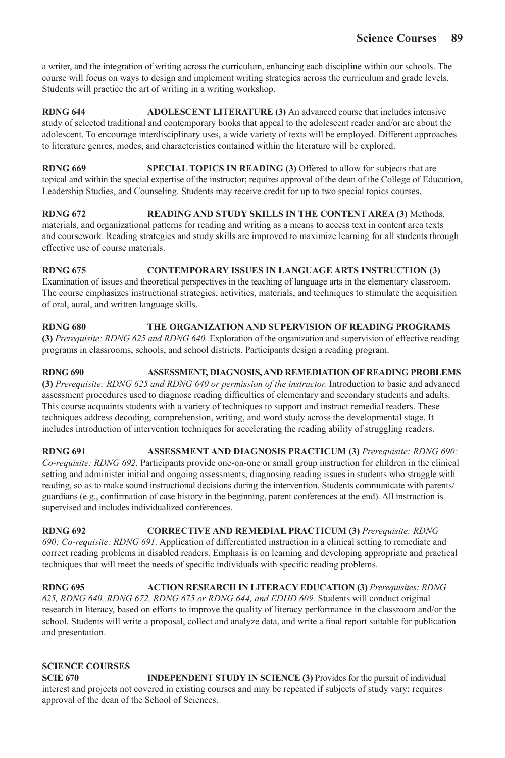a writer, and the integration of writing across the curriculum, enhancing each discipline within our schools. The course will focus on ways to design and implement writing strategies across the curriculum and grade levels. Students will practice the art of writing in a writing workshop.

**RDNG 644 ADOLESCENT LITERATURE (3)** An advanced course that includes intensive study of selected traditional and contemporary books that appeal to the adolescent reader and/or are about the adolescent. To encourage interdisciplinary uses, a wide variety of texts will be employed. Different approaches to literature genres, modes, and characteristics contained within the literature will be explored.

**RDNG 669 SPECIAL TOPICS IN READING (3)** Offered to allow for subjects that are topical and within the special expertise of the instructor; requires approval of the dean of the College of Education, Leadership Studies, and Counseling. Students may receive credit for up to two special topics courses.

**RDNG 672 READING AND STUDY SKILLS IN THE CONTENT AREA (3)** Methods, materials, and organizational patterns for reading and writing as a means to access text in content area texts and coursework. Reading strategies and study skills are improved to maximize learning for all students through effective use of course materials.

**RDNG 675 CONTEMPORARY ISSUES IN LANGUAGE ARTS INSTRUCTION (3)** Examination of issues and theoretical perspectives in the teaching of language arts in the elementary classroom. The course emphasizes instructional strategies, activities, materials, and techniques to stimulate the acquisition of oral, aural, and written language skills.

#### **RDNG 680 THE ORGANIZATION AND SUPERVISION OF READING PROGRAMS (3)** *Prerequisite: RDNG 625 and RDNG 640.* Exploration of the organization and supervision of effective reading programs in classrooms, schools, and school districts. Participants design a reading program.

**RDNG 690 ASSESSMENT, DIAGNOSIS, AND REMEDIATION OF READING PROBLEMS (3)** *Prerequisite: RDNG 625 and RDNG 640 or permission of the instructor.* Introduction to basic and advanced assessment procedures used to diagnose reading difficulties of elementary and secondary students and adults. This course acquaints students with a variety of techniques to support and instruct remedial readers. These techniques address decoding, comprehension, writing, and word study across the developmental stage. It includes introduction of intervention techniques for accelerating the reading ability of struggling readers.

**RDNG 691 ASSESSMENT AND DIAGNOSIS PRACTICUM (3)** *Prerequisite: RDNG 690; Co-requisite: RDNG 692.* Participants provide one-on-one or small group instruction for children in the clinical setting and administer initial and ongoing assessments, diagnosing reading issues in students who struggle with reading, so as to make sound instructional decisions during the intervention. Students communicate with parents/ guardians (e.g., confirmation of case history in the beginning, parent conferences at the end). All instruction is supervised and includes individualized conferences.

**RDNG 692 CORRECTIVE AND REMEDIAL PRACTICUM (3)** *Prerequisite: RDNG 690; Co-requisite: RDNG 691.* Application of differentiated instruction in a clinical setting to remediate and correct reading problems in disabled readers. Emphasis is on learning and developing appropriate and practical techniques that will meet the needs of specific individuals with specific reading problems.

**RDNG 695 ACTION RESEARCH IN LITERACY EDUCATION (3)** *Prerequisites: RDNG 625, RDNG 640, RDNG 672, RDNG 675 or RDNG 644, and EDHD 609.* Students will conduct original research in literacy, based on efforts to improve the quality of literacy performance in the classroom and/or the school. Students will write a proposal, collect and analyze data, and write a final report suitable for publication and presentation.

### **SCIENCE COURSES**

**SCIE 670 INDEPENDENT STUDY IN SCIENCE (3)** Provides for the pursuit of individual interest and projects not covered in existing courses and may be repeated if subjects of study vary; requires approval of the dean of the School of Sciences.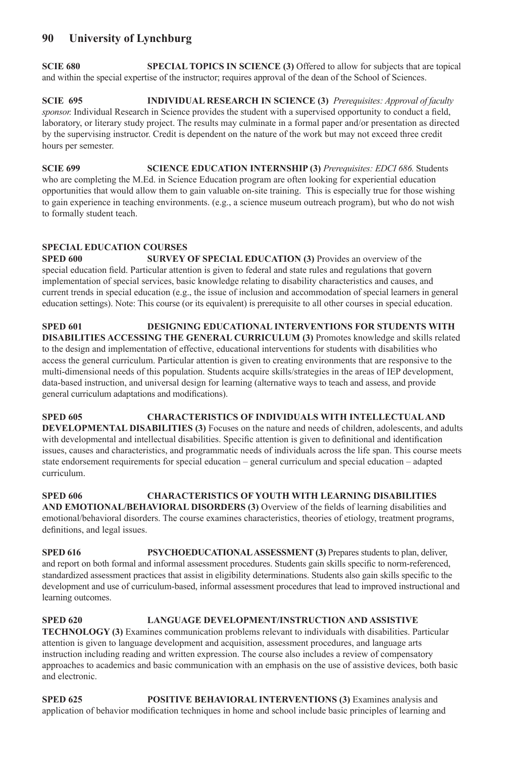**SCIE 680 SPECIAL TOPICS IN SCIENCE (3)** Offered to allow for subjects that are topical and within the special expertise of the instructor; requires approval of the dean of the School of Sciences.

**SCIE 695 INDIVIDUAL RESEARCH IN SCIENCE (3)** *Prerequisites: Approval of faculty sponsor.* Individual Research in Science provides the student with a supervised opportunity to conduct a field, laboratory, or literary study project. The results may culminate in a formal paper and/or presentation as directed by the supervising instructor. Credit is dependent on the nature of the work but may not exceed three credit hours per semester.

**SCIE 699 SCIENCE EDUCATION INTERNSHIP (3)** *Prerequisites: EDCI 686.* Students who are completing the M.Ed. in Science Education program are often looking for experiential education opportunities that would allow them to gain valuable on-site training. This is especially true for those wishing to gain experience in teaching environments. (e.g., a science museum outreach program), but who do not wish to formally student teach.

### **SPECIAL EDUCATION COURSES**

**SPED 600 SURVEY OF SPECIAL EDUCATION (3)** Provides an overview of the special education field. Particular attention is given to federal and state rules and regulations that govern implementation of special services, basic knowledge relating to disability characteristics and causes, and current trends in special education (e.g., the issue of inclusion and accommodation of special learners in general education settings). Note: This course (or its equivalent) is prerequisite to all other courses in special education.

**SPED 601 DESIGNING EDUCATIONAL INTERVENTIONS FOR STUDENTS WITH DISABILITIES ACCESSING THE GENERAL CURRICULUM (3)** Promotes knowledge and skills related to the design and implementation of effective, educational interventions for students with disabilities who access the general curriculum. Particular attention is given to creating environments that are responsive to the multi-dimensional needs of this population. Students acquire skills/strategies in the areas of IEP development, data-based instruction, and universal design for learning (alternative ways to teach and assess, and provide general curriculum adaptations and modifications).

**SPED 605 CHARACTERISTICS OF INDIVIDUALS WITH INTELLECTUAL AND DEVELOPMENTAL DISABILITIES (3)** Focuses on the nature and needs of children, adolescents, and adults with developmental and intellectual disabilities. Specific attention is given to definitional and identification issues, causes and characteristics, and programmatic needs of individuals across the life span. This course meets state endorsement requirements for special education – general curriculum and special education – adapted curriculum.

**SPED 606 CHARACTERISTICS OF YOUTH WITH LEARNING DISABILITIES AND EMOTIONAL/BEHAVIORAL DISORDERS (3)** Overview of the fields of learning disabilities and emotional/behavioral disorders. The course examines characteristics, theories of etiology, treatment programs, definitions, and legal issues.

**SPED 616 PSYCHOEDUCATIONAL ASSESSMENT (3)** Prepares students to plan, deliver, and report on both formal and informal assessment procedures. Students gain skills specific to norm-referenced, standardized assessment practices that assist in eligibility determinations. Students also gain skills specific to the development and use of curriculum-based, informal assessment procedures that lead to improved instructional and learning outcomes.

**SPED 620 LANGUAGE DEVELOPMENT/INSTRUCTION AND ASSISTIVE TECHNOLOGY (3)** Examines communication problems relevant to individuals with disabilities. Particular attention is given to language development and acquisition, assessment procedures, and language arts instruction including reading and written expression. The course also includes a review of compensatory approaches to academics and basic communication with an emphasis on the use of assistive devices, both basic and electronic.

**SPED 625 POSITIVE BEHAVIORAL INTERVENTIONS (3)** Examines analysis and application of behavior modification techniques in home and school include basic principles of learning and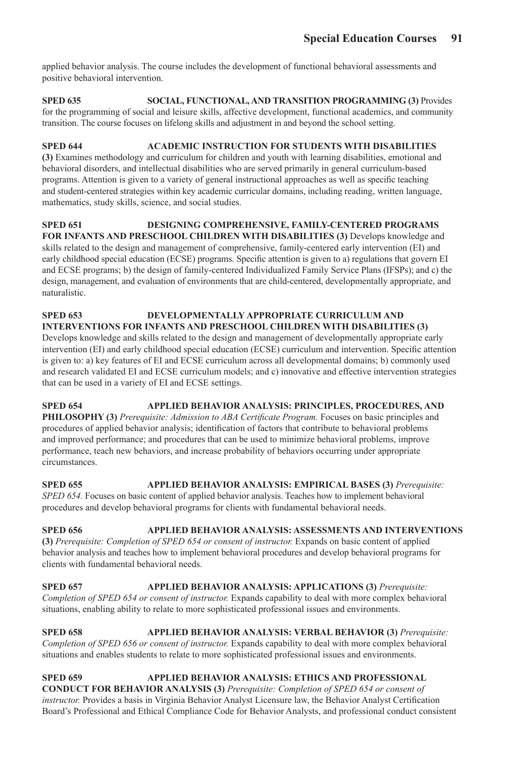applied behavior analysis. The course includes the development of functional behavioral assessments and positive behavioral intervention.

**SPED 635 SOCIAL, FUNCTIONAL, AND TRANSITION PROGRAMMING (3)** Provides for the programming of social and leisure skills, affective development, functional academics, and community transition. The course focuses on lifelong skills and adjustment in and beyond the school setting.

# **SPED 644 ACADEMIC INSTRUCTION FOR STUDENTS WITH DISABILITIES**

**(3)** Examines methodology and curriculum for children and youth with learning disabilities, emotional and behavioral disorders, and intellectual disabilities who are served primarily in general curriculum-based programs. Attention is given to a variety of general instructional approaches as well as specific teaching and student-centered strategies within key academic curricular domains, including reading, written language, mathematics, study skills, science, and social studies.

### **SPED 651 DESIGNING COMPREHENSIVE, FAMILY-CENTERED PROGRAMS**

**FOR INFANTS AND PRESCHOOL CHILDREN WITH DISABILITIES (3)** Develops knowledge and skills related to the design and management of comprehensive, family-centered early intervention (EI) and early childhood special education (ECSE) programs. Specific attention is given to a) regulations that govern EI and ECSE programs; b) the design of family-centered Individualized Family Service Plans (IFSPs); and c) the design, management, and evaluation of environments that are child-centered, developmentally appropriate, and naturalistic.

#### **SPED 653 DEVELOPMENTALLY APPROPRIATE CURRICULUM AND INTERVENTIONS FOR INFANTS AND PRESCHOOL CHILDREN WITH DISABILITIES (3)**

Develops knowledge and skills related to the design and management of developmentally appropriate early intervention (EI) and early childhood special education (ECSE) curriculum and intervention. Specific attention is given to: a) key features of EI and ECSE curriculum across all developmental domains; b) commonly used and research validated EI and ECSE curriculum models; and c) innovative and effective intervention strategies that can be used in a variety of EI and ECSE settings.

**SPED 654 APPLIED BEHAVIOR ANALYSIS: PRINCIPLES, PROCEDURES, AND PHILOSOPHY (3)** *Prerequisite: Admission to ABA Certificate Program.* Focuses on basic principles and procedures of applied behavior analysis; identification of factors that contribute to behavioral problems and improved performance; and procedures that can be used to minimize behavioral problems, improve performance, teach new behaviors, and increase probability of behaviors occurring under appropriate circumstances.

**SPED 655 APPLIED BEHAVIOR ANALYSIS: EMPIRICAL BASES (3)** *Prerequisite: SPED 654.* Focuses on basic content of applied behavior analysis. Teaches how to implement behavioral procedures and develop behavioral programs for clients with fundamental behavioral needs.

**SPED 656 APPLIED BEHAVIOR ANALYSIS: ASSESSMENTS AND INTERVENTIONS (3)** *Prerequisite: Completion of SPED 654 or consent of instructor.* Expands on basic content of applied behavior analysis and teaches how to implement behavioral procedures and develop behavioral programs for clients with fundamental behavioral needs.

#### **SPED 657 APPLIED BEHAVIOR ANALYSIS: APPLICATIONS (3)** *Prerequisite: Completion of SPED 654 or consent of instructor.* Expands capability to deal with more complex behavioral situations, enabling ability to relate to more sophisticated professional issues and environments.

**SPED 658 APPLIED BEHAVIOR ANALYSIS: VERBAL BEHAVIOR (3)** *Prerequisite: Completion of SPED 656 or consent of instructor.* Expands capability to deal with more complex behavioral situations and enables students to relate to more sophisticated professional issues and environments.

**SPED 659 APPLIED BEHAVIOR ANALYSIS: ETHICS AND PROFESSIONAL CONDUCT FOR BEHAVIOR ANALYSIS (3)** *Prerequisite: Completion of SPED 654 or consent of instructor.* Provides a basis in Virginia Behavior Analyst Licensure law, the Behavior Analyst Certification Board's Professional and Ethical Compliance Code for Behavior Analysts, and professional conduct consistent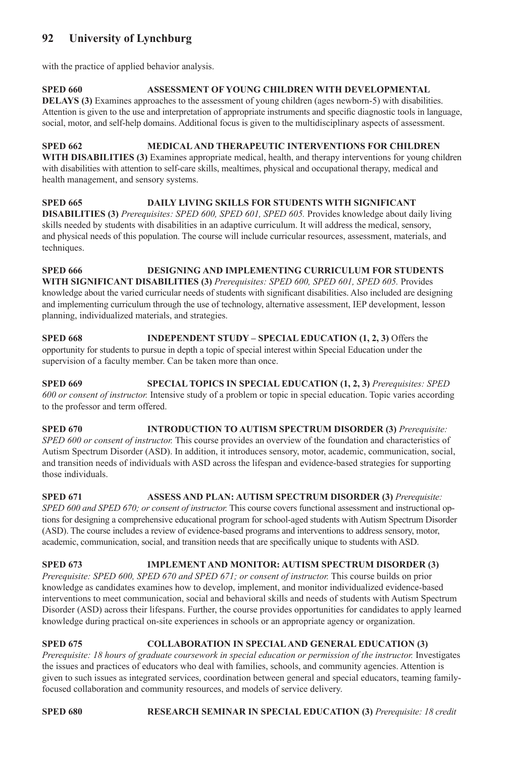with the practice of applied behavior analysis.

### **SPED 660 ASSESSMENT OF YOUNG CHILDREN WITH DEVELOPMENTAL DELAYS (3)** Examines approaches to the assessment of young children (ages newborn-5) with disabilities.

Attention is given to the use and interpretation of appropriate instruments and specific diagnostic tools in language, social, motor, and self-help domains. Additional focus is given to the multidisciplinary aspects of assessment.

#### **SPED 662 MEDICAL AND THERAPEUTIC INTERVENTIONS FOR CHILDREN WITH DISABILITIES (3)** Examines appropriate medical, health, and therapy interventions for young children with disabilities with attention to self-care skills, mealtimes, physical and occupational therapy, medical and health management, and sensory systems.

**SPED 665 DAILY LIVING SKILLS FOR STUDENTS WITH SIGNIFICANT DISABILITIES (3)** *Prerequisites: SPED 600, SPED 601, SPED 605.* Provides knowledge about daily living skills needed by students with disabilities in an adaptive curriculum. It will address the medical, sensory, and physical needs of this population. The course will include curricular resources, assessment, materials, and techniques.

**SPED 666 DESIGNING AND IMPLEMENTING CURRICULUM FOR STUDENTS WITH SIGNIFICANT DISABILITIES (3)** *Prerequisites: SPED 600, SPED 601, SPED 605.* Provides knowledge about the varied curricular needs of students with significant disabilities. Also included are designing and implementing curriculum through the use of technology, alternative assessment, IEP development, lesson planning, individualized materials, and strategies.

**SPED 668 INDEPENDENT STUDY – SPECIAL EDUCATION (1, 2, 3)** Offers the opportunity for students to pursue in depth a topic of special interest within Special Education under the supervision of a faculty member. Can be taken more than once.

**SPED 669 SPECIAL TOPICS IN SPECIAL EDUCATION (1, 2, 3)** *Prerequisites: SPED 600 or consent of instructor.* Intensive study of a problem or topic in special education. Topic varies according to the professor and term offered.

**SPED 670 INTRODUCTION TO AUTISM SPECTRUM DISORDER (3)** *Prerequisite: SPED 600 or consent of instructor.* This course provides an overview of the foundation and characteristics of Autism Spectrum Disorder (ASD). In addition, it introduces sensory, motor, academic, communication, social, and transition needs of individuals with ASD across the lifespan and evidence-based strategies for supporting those individuals.

**SPED 671 ASSESS AND PLAN: AUTISM SPECTRUM DISORDER (3)** *Prerequisite: SPED 600 and SPED 670; or consent of instructor.* This course covers functional assessment and instructional options for designing a comprehensive educational program for school-aged students with Autism Spectrum Disorder (ASD). The course includes a review of evidence-based programs and interventions to address sensory, motor, academic, communication, social, and transition needs that are specifically unique to students with ASD.

**SPED 673 IMPLEMENT AND MONITOR: AUTISM SPECTRUM DISORDER (3)**  *Prerequisite: SPED 600, SPED 670 and SPED 671; or consent of instructor.* This course builds on prior knowledge as candidates examines how to develop, implement, and monitor individualized evidence-based interventions to meet communication, social and behavioral skills and needs of students with Autism Spectrum Disorder (ASD) across their lifespans. Further, the course provides opportunities for candidates to apply learned knowledge during practical on-site experiences in schools or an appropriate agency or organization.

**SPED 675 COLLABORATION IN SPECIAL AND GENERAL EDUCATION (3)** *Prerequisite: 18 hours of graduate coursework in special education or permission of the instructor.* Investigates the issues and practices of educators who deal with families, schools, and community agencies. Attention is given to such issues as integrated services, coordination between general and special educators, teaming familyfocused collaboration and community resources, and models of service delivery.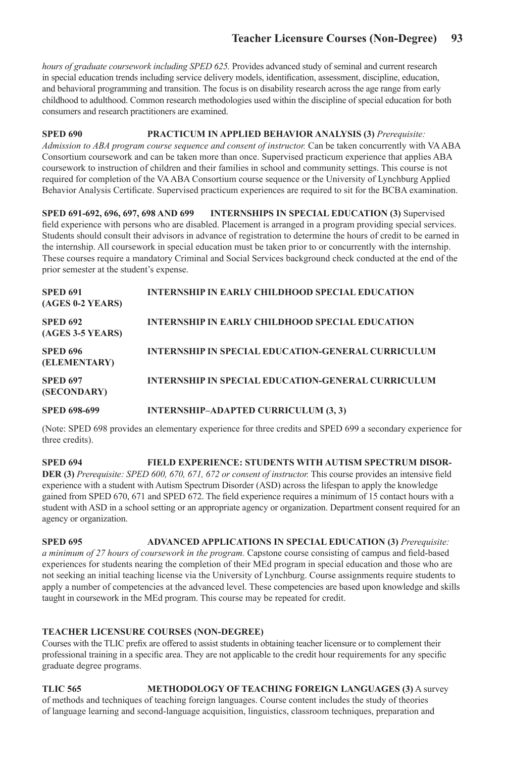*hours of graduate coursework including SPED 625.* Provides advanced study of seminal and current research in special education trends including service delivery models, identification, assessment, discipline, education, and behavioral programming and transition. The focus is on disability research across the age range from early childhood to adulthood. Common research methodologies used within the discipline of special education for both consumers and research practitioners are examined.

**SPED 690 PRACTICUM IN APPLIED BEHAVIOR ANALYSIS (3)** *Prerequisite: Admission to ABA program course sequence and consent of instructor.* Can be taken concurrently with VA ABA Consortium coursework and can be taken more than once. Supervised practicum experience that applies ABA coursework to instruction of children and their families in school and community settings. This course is not required for completion of the VA ABA Consortium course sequence or the University of Lynchburg Applied Behavior Analysis Certificate. Supervised practicum experiences are required to sit for the BCBA examination.

**SPED 691-692, 696, 697, 698 AND 699 INTERNSHIPS IN SPECIAL EDUCATION (3)** Supervised field experience with persons who are disabled. Placement is arranged in a program providing special services. Students should consult their advisors in advance of registration to determine the hours of credit to be earned in the internship. All coursework in special education must be taken prior to or concurrently with the internship. These courses require a mandatory Criminal and Social Services background check conducted at the end of the prior semester at the student's expense.

| SPED 691<br>(AGES 0-2 YEARS)        | <b>INTERNSHIP IN EARLY CHILDHOOD SPECIAL EDUCATION</b>    |
|-------------------------------------|-----------------------------------------------------------|
| <b>SPED 692</b><br>(AGES 3-5 YEARS) | <b>INTERNSHIP IN EARLY CHILDHOOD SPECIAL EDUCATION</b>    |
| <b>SPED 696</b><br>(ELEMENTARY)     | <b>INTERNSHIP IN SPECIAL EDUCATION-GENERAL CURRICULUM</b> |
| <b>SPED 697</b><br>(SECONDARY)      | <b>INTERNSHIP IN SPECIAL EDUCATION-GENERAL CURRICULUM</b> |
| <b>SPED 698-699</b>                 | <b>INTERNSHIP-ADAPTED CURRICULUM (3, 3)</b>               |

(Note: SPED 698 provides an elementary experience for three credits and SPED 699 a secondary experience for three credits).

**SPED 694 FIELD EXPERIENCE: STUDENTS WITH AUTISM SPECTRUM DISOR-DER (3)** *Prerequisite: SPED 600, 670, 671, 672 or consent of instructor.* This course provides an intensive field experience with a student with Autism Spectrum Disorder (ASD) across the lifespan to apply the knowledge gained from SPED 670, 671 and SPED 672. The field experience requires a minimum of 15 contact hours with a student with ASD in a school setting or an appropriate agency or organization. Department consent required for an agency or organization.

**SPED 695 ADVANCED APPLICATIONS IN SPECIAL EDUCATION (3)** *Prerequisite: a minimum of 27 hours of coursework in the program.* Capstone course consisting of campus and field-based experiences for students nearing the completion of their MEd program in special education and those who are not seeking an initial teaching license via the University of Lynchburg. Course assignments require students to apply a number of competencies at the advanced level. These competencies are based upon knowledge and skills taught in coursework in the MEd program. This course may be repeated for credit.

#### **TEACHER LICENSURE COURSES (NON-DEGREE)**

Courses with the TLIC prefix are offered to assist students in obtaining teacher licensure or to complement their professional training in a specific area. They are not applicable to the credit hour requirements for any specific graduate degree programs.

**TLIC 565 METHODOLOGY OF TEACHING FOREIGN LANGUAGES (3)** A survey of methods and techniques of teaching foreign languages. Course content includes the study of theories of language learning and second-language acquisition, linguistics, classroom techniques, preparation and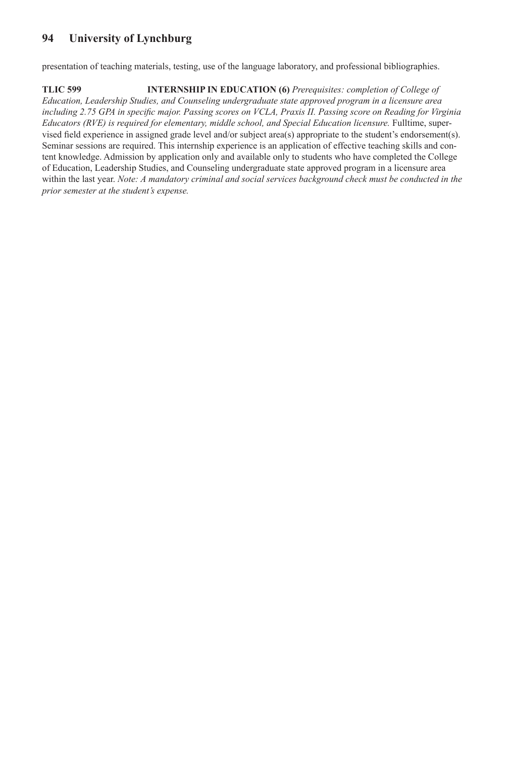presentation of teaching materials, testing, use of the language laboratory, and professional bibliographies.

**TLIC 599 INTERNSHIP IN EDUCATION (6)** *Prerequisites: completion of College of Education, Leadership Studies, and Counseling undergraduate state approved program in a licensure area including 2.75 GPA in specific major. Passing scores on VCLA, Praxis II. Passing score on Reading for Virginia Educators (RVE) is required for elementary, middle school, and Special Education licensure.* Fulltime, supervised field experience in assigned grade level and/or subject area(s) appropriate to the student's endorsement(s). Seminar sessions are required. This internship experience is an application of effective teaching skills and content knowledge. Admission by application only and available only to students who have completed the College of Education, Leadership Studies, and Counseling undergraduate state approved program in a licensure area within the last year. *Note: A mandatory criminal and social services background check must be conducted in the prior semester at the student's expense.*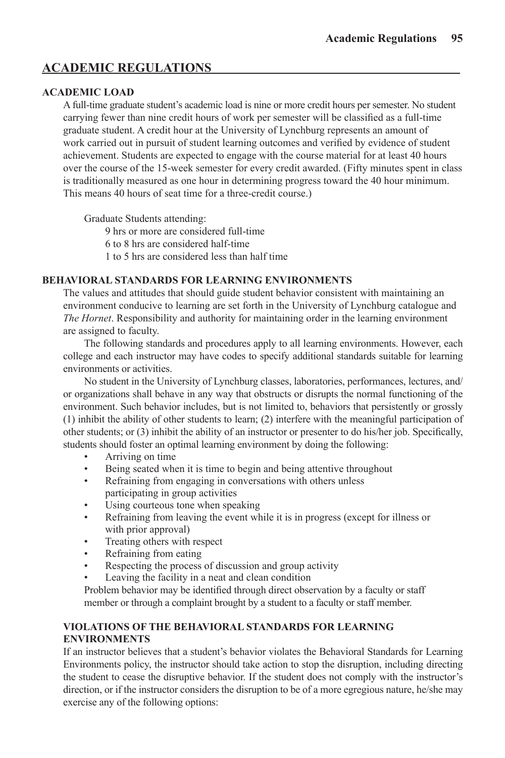# **ACADEMIC REGULATIONS**

# **ACADEMIC LOAD**

A full-time graduate student's academic load is nine or more credit hours per semester. No student carrying fewer than nine credit hours of work per semester will be classified as a full-time graduate student. A credit hour at the University of Lynchburg represents an amount of work carried out in pursuit of student learning outcomes and verified by evidence of student achievement. Students are expected to engage with the course material for at least 40 hours over the course of the 15-week semester for every credit awarded. (Fifty minutes spent in class is traditionally measured as one hour in determining progress toward the 40 hour minimum. This means 40 hours of seat time for a three-credit course.)

Graduate Students attending:

9 hrs or more are considered full-time

6 to 8 hrs are considered half-time

1 to 5 hrs are considered less than half time

# **BEHAVIORAL STANDARDS FOR LEARNING ENVIRONMENTS**

The values and attitudes that should guide student behavior consistent with maintaining an environment conducive to learning are set forth in the University of Lynchburg catalogue and *The Hornet*. Responsibility and authority for maintaining order in the learning environment are assigned to faculty.

The following standards and procedures apply to all learning environments. However, each college and each instructor may have codes to specify additional standards suitable for learning environments or activities.

No student in the University of Lynchburg classes, laboratories, performances, lectures, and/ or organizations shall behave in any way that obstructs or disrupts the normal functioning of the environment. Such behavior includes, but is not limited to, behaviors that persistently or grossly (1) inhibit the ability of other students to learn; (2) interfere with the meaningful participation of other students; or (3) inhibit the ability of an instructor or presenter to do his/her job. Specifically, students should foster an optimal learning environment by doing the following:

- Arriving on time
- Being seated when it is time to begin and being attentive throughout
- Refraining from engaging in conversations with others unless participating in group activities
- Using courteous tone when speaking
- Refraining from leaving the event while it is in progress (except for illness or with prior approval)
- Treating others with respect
- Refraining from eating
- Respecting the process of discussion and group activity
- Leaving the facility in a neat and clean condition

Problem behavior may be identified through direct observation by a faculty or staff member or through a complaint brought by a student to a faculty or staff member.

# **VIOLATIONS OF THE BEHAVIORAL STANDARDS FOR LEARNING ENVIRONMENTS**

If an instructor believes that a student's behavior violates the Behavioral Standards for Learning Environments policy, the instructor should take action to stop the disruption, including directing the student to cease the disruptive behavior. If the student does not comply with the instructor's direction, or if the instructor considers the disruption to be of a more egregious nature, he/she may exercise any of the following options: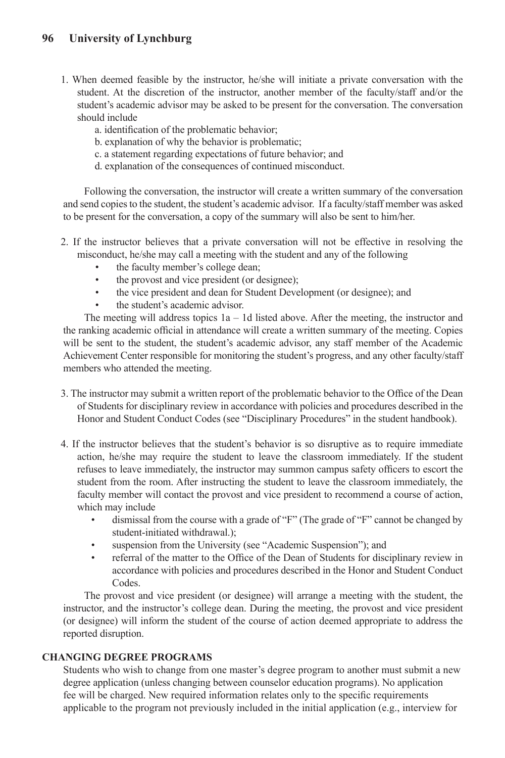- 1. When deemed feasible by the instructor, he/she will initiate a private conversation with the student. At the discretion of the instructor, another member of the faculty/staff and/or the student's academic advisor may be asked to be present for the conversation. The conversation should include
	- a. identification of the problematic behavior;
	- b. explanation of why the behavior is problematic;
	- c. a statement regarding expectations of future behavior; and
	- d. explanation of the consequences of continued misconduct.

Following the conversation, the instructor will create a written summary of the conversation and send copies to the student, the student's academic advisor. If a faculty/staff member was asked to be present for the conversation, a copy of the summary will also be sent to him/her.

- 2. If the instructor believes that a private conversation will not be effective in resolving the misconduct, he/she may call a meeting with the student and any of the following
	- the faculty member's college dean;
	- the provost and vice president (or designee);
	- the vice president and dean for Student Development (or designee); and
	- the student's academic advisor.

The meeting will address topics  $1a - 1d$  listed above. After the meeting, the instructor and the ranking academic official in attendance will create a written summary of the meeting. Copies will be sent to the student, the student's academic advisor, any staff member of the Academic Achievement Center responsible for monitoring the student's progress, and any other faculty/staff members who attended the meeting.

- 3. The instructor may submit a written report of the problematic behavior to the Office of the Dean of Students for disciplinary review in accordance with policies and procedures described in the Honor and Student Conduct Codes (see "Disciplinary Procedures" in the student handbook).
- 4. If the instructor believes that the student's behavior is so disruptive as to require immediate action, he/she may require the student to leave the classroom immediately. If the student refuses to leave immediately, the instructor may summon campus safety officers to escort the student from the room. After instructing the student to leave the classroom immediately, the faculty member will contact the provost and vice president to recommend a course of action, which may include
	- dismissal from the course with a grade of "F" (The grade of "F" cannot be changed by student-initiated withdrawal.);
	- suspension from the University (see "Academic Suspension"); and
	- referral of the matter to the Office of the Dean of Students for disciplinary review in accordance with policies and procedures described in the Honor and Student Conduct Codes.

The provost and vice president (or designee) will arrange a meeting with the student, the instructor, and the instructor's college dean. During the meeting, the provost and vice president (or designee) will inform the student of the course of action deemed appropriate to address the reported disruption.

### **CHANGING DEGREE PROGRAMS**

Students who wish to change from one master's degree program to another must submit a new degree application (unless changing between counselor education programs). No application fee will be charged. New required information relates only to the specific requirements applicable to the program not previously included in the initial application (e.g., interview for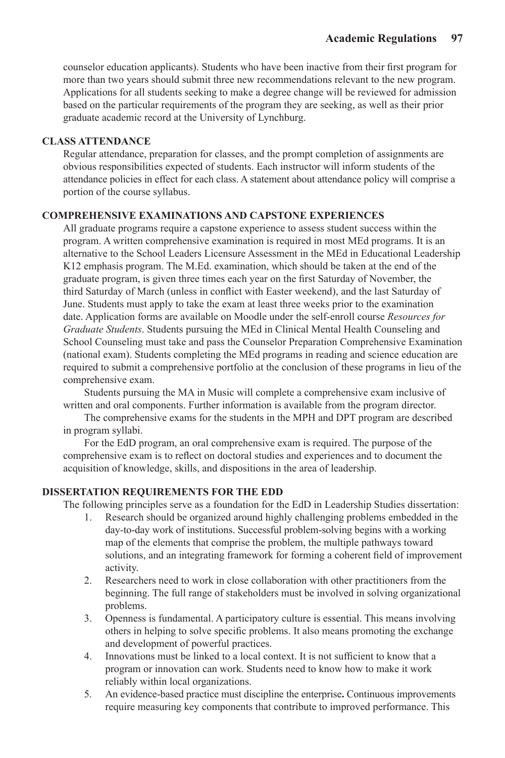counselor education applicants). Students who have been inactive from their first program for more than two years should submit three new recommendations relevant to the new program. Applications for all students seeking to make a degree change will be reviewed for admission based on the particular requirements of the program they are seeking, as well as their prior graduate academic record at the University of Lynchburg.

### **CLASS ATTENDANCE**

Regular attendance, preparation for classes, and the prompt completion of assignments are obvious responsibilities expected of students. Each instructor will inform students of the attendance policies in effect for each class. A statement about attendance policy will comprise a portion of the course syllabus.

### **COMPREHENSIVE EXAMINATIONS AND CAPSTONE EXPERIENCES**

All graduate programs require a capstone experience to assess student success within the program. A written comprehensive examination is required in most MEd programs. It is an alternative to the School Leaders Licensure Assessment in the MEd in Educational Leadership K12 emphasis program. The M.Ed. examination, which should be taken at the end of the graduate program, is given three times each year on the first Saturday of November, the third Saturday of March (unless in conflict with Easter weekend), and the last Saturday of June. Students must apply to take the exam at least three weeks prior to the examination date. Application forms are available on Moodle under the self-enroll course *Resources for Graduate Students*. Students pursuing the MEd in Clinical Mental Health Counseling and School Counseling must take and pass the Counselor Preparation Comprehensive Examination (national exam). Students completing the MEd programs in reading and science education are required to submit a comprehensive portfolio at the conclusion of these programs in lieu of the comprehensive exam.

Students pursuing the MA in Music will complete a comprehensive exam inclusive of written and oral components. Further information is available from the program director.

The comprehensive exams for the students in the MPH and DPT program are described in program syllabi.

For the EdD program, an oral comprehensive exam is required. The purpose of the comprehensive exam is to reflect on doctoral studies and experiences and to document the acquisition of knowledge, skills, and dispositions in the area of leadership.

### **DISSERTATION REQUIREMENTS FOR THE EDD**

The following principles serve as a foundation for the EdD in Leadership Studies dissertation:

- 1. Research should be organized around highly challenging problems embedded in the day-to-day work of institutions. Successful problem-solving begins with a working map of the elements that comprise the problem, the multiple pathways toward solutions, and an integrating framework for forming a coherent field of improvement activity.
- 2. Researchers need to work in close collaboration with other practitioners from the beginning. The full range of stakeholders must be involved in solving organizational problems.
- 3. Openness is fundamental. A participatory culture is essential. This means involving others in helping to solve specific problems. It also means promoting the exchange and development of powerful practices.
- 4. Innovations must be linked to a local context. It is not sufficient to know that a program or innovation can work. Students need to know how to make it work reliably within local organizations.
- 5. An evidence-based practice must discipline the enterprise**.** Continuous improvements require measuring key components that contribute to improved performance. This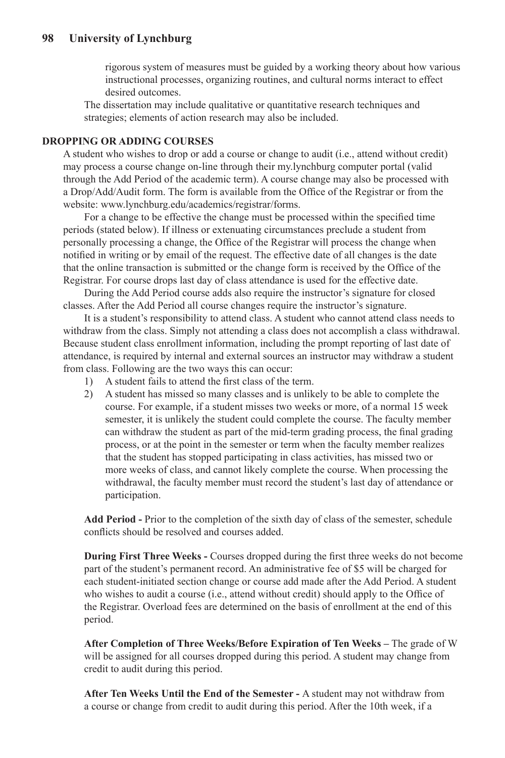rigorous system of measures must be guided by a working theory about how various instructional processes, organizing routines, and cultural norms interact to effect desired outcomes.

The dissertation may include qualitative or quantitative research techniques and strategies; elements of action research may also be included.

# **DROPPING OR ADDING COURSES**

A student who wishes to drop or add a course or change to audit (i.e., attend without credit) may process a course change on-line through their my.lynchburg computer portal (valid through the Add Period of the academic term). A course change may also be processed with a Drop/Add/Audit form. The form is available from the Office of the Registrar or from the website: www.lynchburg.edu/academics/registrar/forms.

For a change to be effective the change must be processed within the specified time periods (stated below). If illness or extenuating circumstances preclude a student from personally processing a change, the Office of the Registrar will process the change when notified in writing or by email of the request. The effective date of all changes is the date that the online transaction is submitted or the change form is received by the Office of the Registrar. For course drops last day of class attendance is used for the effective date.

During the Add Period course adds also require the instructor's signature for closed classes. After the Add Period all course changes require the instructor's signature.

It is a student's responsibility to attend class. A student who cannot attend class needs to withdraw from the class. Simply not attending a class does not accomplish a class withdrawal. Because student class enrollment information, including the prompt reporting of last date of attendance, is required by internal and external sources an instructor may withdraw a student from class. Following are the two ways this can occur:

- 1) A student fails to attend the first class of the term.
- 2) A student has missed so many classes and is unlikely to be able to complete the course. For example, if a student misses two weeks or more, of a normal 15 week semester, it is unlikely the student could complete the course. The faculty member can withdraw the student as part of the mid-term grading process, the final grading process, or at the point in the semester or term when the faculty member realizes that the student has stopped participating in class activities, has missed two or more weeks of class, and cannot likely complete the course. When processing the withdrawal, the faculty member must record the student's last day of attendance or participation.

**Add Period -** Prior to the completion of the sixth day of class of the semester, schedule conflicts should be resolved and courses added.

**During First Three Weeks -** Courses dropped during the first three weeks do not become part of the student's permanent record. An administrative fee of \$5 will be charged for each student-initiated section change or course add made after the Add Period. A student who wishes to audit a course (i.e., attend without credit) should apply to the Office of the Registrar. Overload fees are determined on the basis of enrollment at the end of this period.

**After Completion of Three Weeks/Before Expiration of Ten Weeks –** The grade of W will be assigned for all courses dropped during this period. A student may change from credit to audit during this period.

**After Ten Weeks Until the End of the Semester -** A student may not withdraw from a course or change from credit to audit during this period. After the 10th week, if a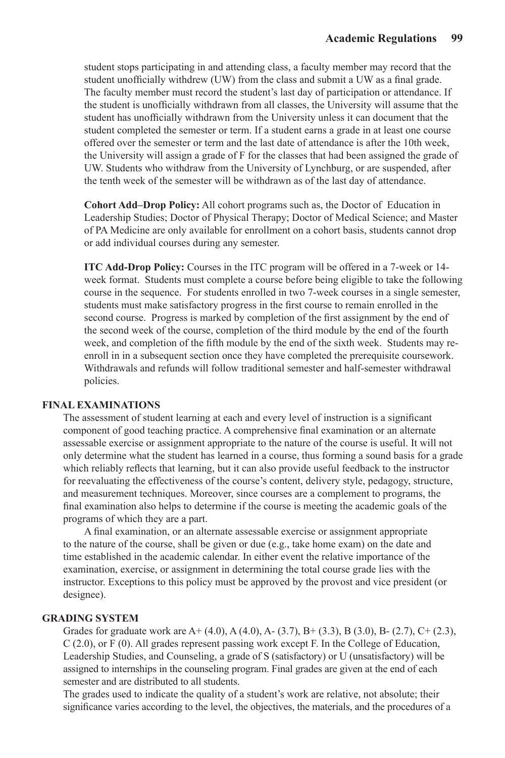student stops participating in and attending class, a faculty member may record that the student unofficially withdrew (UW) from the class and submit a UW as a final grade. The faculty member must record the student's last day of participation or attendance. If the student is unofficially withdrawn from all classes, the University will assume that the student has unofficially withdrawn from the University unless it can document that the student completed the semester or term. If a student earns a grade in at least one course offered over the semester or term and the last date of attendance is after the 10th week, the University will assign a grade of F for the classes that had been assigned the grade of UW. Students who withdraw from the University of Lynchburg, or are suspended, after the tenth week of the semester will be withdrawn as of the last day of attendance.

**Cohort Add–Drop Policy:** All cohort programs such as, the Doctor of Education in Leadership Studies; Doctor of Physical Therapy; Doctor of Medical Science; and Master of PA Medicine are only available for enrollment on a cohort basis, students cannot drop or add individual courses during any semester.

**ITC Add-Drop Policy:** Courses in the ITC program will be offered in a 7-week or 14 week format. Students must complete a course before being eligible to take the following course in the sequence. For students enrolled in two 7-week courses in a single semester, students must make satisfactory progress in the first course to remain enrolled in the second course. Progress is marked by completion of the first assignment by the end of the second week of the course, completion of the third module by the end of the fourth week, and completion of the fifth module by the end of the sixth week. Students may reenroll in in a subsequent section once they have completed the prerequisite coursework. Withdrawals and refunds will follow traditional semester and half-semester withdrawal policies.

#### **FINAL EXAMINATIONS**

The assessment of student learning at each and every level of instruction is a significant component of good teaching practice. A comprehensive final examination or an alternate assessable exercise or assignment appropriate to the nature of the course is useful. It will not only determine what the student has learned in a course, thus forming a sound basis for a grade which reliably reflects that learning, but it can also provide useful feedback to the instructor for reevaluating the effectiveness of the course's content, delivery style, pedagogy, structure, and measurement techniques. Moreover, since courses are a complement to programs, the final examination also helps to determine if the course is meeting the academic goals of the programs of which they are a part.

A final examination, or an alternate assessable exercise or assignment appropriate to the nature of the course, shall be given or due (e.g., take home exam) on the date and time established in the academic calendar. In either event the relative importance of the examination, exercise, or assignment in determining the total course grade lies with the instructor. Exceptions to this policy must be approved by the provost and vice president (or designee).

# **GRADING SYSTEM**

Grades for graduate work are  $A + (4.0)$ ,  $A(4.0)$ ,  $A - (3.7)$ ,  $B + (3.3)$ ,  $B(3.0)$ ,  $B - (2.7)$ ,  $C + (2.3)$ , C (2.0), or F (0). All grades represent passing work except F. In the College of Education, Leadership Studies, and Counseling, a grade of S (satisfactory) or U (unsatisfactory) will be assigned to internships in the counseling program. Final grades are given at the end of each semester and are distributed to all students.

The grades used to indicate the quality of a student's work are relative, not absolute; their significance varies according to the level, the objectives, the materials, and the procedures of a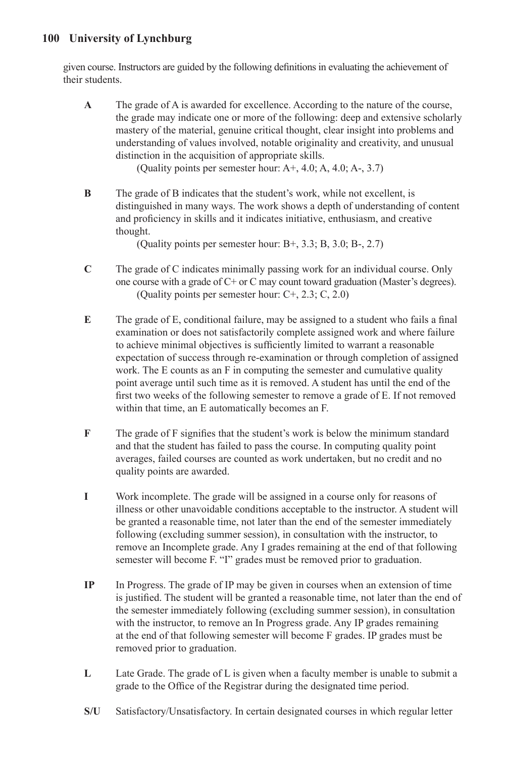given course. Instructors are guided by the following definitions in evaluating the achievement of their students.

**A** The grade of A is awarded for excellence. According to the nature of the course, the grade may indicate one or more of the following: deep and extensive scholarly mastery of the material, genuine critical thought, clear insight into problems and understanding of values involved, notable originality and creativity, and unusual distinction in the acquisition of appropriate skills.

(Quality points per semester hour:  $A<sup>+</sup>$ , 4.0;  $A$ , 4.0;  $A<sup>+</sup>$ , 3.7)

**B** The grade of B indicates that the student's work, while not excellent, is distinguished in many ways. The work shows a depth of understanding of content and proficiency in skills and it indicates initiative, enthusiasm, and creative thought.

(Quality points per semester hour:  $B<sub>+</sub>$ , 3.3; B, 3.0; B-, 2.7)

- **C** The grade of C indicates minimally passing work for an individual course. Only one course with a grade of C+ or C may count toward graduation (Master's degrees). (Quality points per semester hour: C+, 2.3; C, 2.0)
- **E** The grade of E, conditional failure, may be assigned to a student who fails a final examination or does not satisfactorily complete assigned work and where failure to achieve minimal objectives is sufficiently limited to warrant a reasonable expectation of success through re-examination or through completion of assigned work. The E counts as an F in computing the semester and cumulative quality point average until such time as it is removed. A student has until the end of the first two weeks of the following semester to remove a grade of E. If not removed within that time, an E automatically becomes an F.
- **F** The grade of F signifies that the student's work is below the minimum standard and that the student has failed to pass the course. In computing quality point averages, failed courses are counted as work undertaken, but no credit and no quality points are awarded.
- **I** Work incomplete. The grade will be assigned in a course only for reasons of illness or other unavoidable conditions acceptable to the instructor. A student will be granted a reasonable time, not later than the end of the semester immediately following (excluding summer session), in consultation with the instructor, to remove an Incomplete grade. Any I grades remaining at the end of that following semester will become F. "I" grades must be removed prior to graduation.
- **IP** In Progress. The grade of IP may be given in courses when an extension of time is justified. The student will be granted a reasonable time, not later than the end of the semester immediately following (excluding summer session), in consultation with the instructor, to remove an In Progress grade. Any IP grades remaining at the end of that following semester will become F grades. IP grades must be removed prior to graduation.
- **L** Late Grade. The grade of L is given when a faculty member is unable to submit a grade to the Office of the Registrar during the designated time period.
- **S/U** Satisfactory/Unsatisfactory. In certain designated courses in which regular letter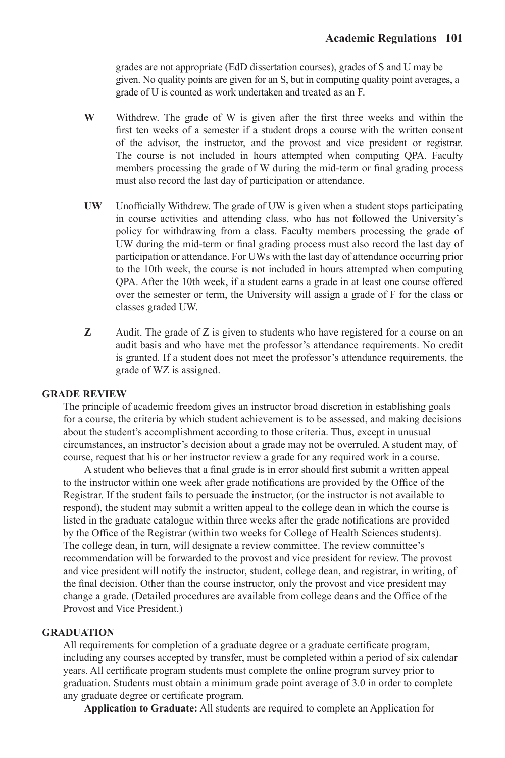grades are not appropriate (EdD dissertation courses), grades of S and U may be given. No quality points are given for an S, but in computing quality point averages, a grade of U is counted as work undertaken and treated as an F.

- **W** Withdrew. The grade of W is given after the first three weeks and within the first ten weeks of a semester if a student drops a course with the written consent of the advisor, the instructor, and the provost and vice president or registrar. The course is not included in hours attempted when computing QPA. Faculty members processing the grade of W during the mid-term or final grading process must also record the last day of participation or attendance.
- **UW** Unofficially Withdrew. The grade of UW is given when a student stops participating in course activities and attending class, who has not followed the University's policy for withdrawing from a class. Faculty members processing the grade of UW during the mid-term or final grading process must also record the last day of participation or attendance. For UWs with the last day of attendance occurring prior to the 10th week, the course is not included in hours attempted when computing QPA. After the 10th week, if a student earns a grade in at least one course offered over the semester or term, the University will assign a grade of F for the class or classes graded UW.
- **Z** Audit. The grade of Z is given to students who have registered for a course on an audit basis and who have met the professor's attendance requirements. No credit is granted. If a student does not meet the professor's attendance requirements, the grade of WZ is assigned.

### **GRADE REVIEW**

The principle of academic freedom gives an instructor broad discretion in establishing goals for a course, the criteria by which student achievement is to be assessed, and making decisions about the student's accomplishment according to those criteria. Thus, except in unusual circumstances, an instructor's decision about a grade may not be overruled. A student may, of course, request that his or her instructor review a grade for any required work in a course.

A student who believes that a final grade is in error should first submit a written appeal to the instructor within one week after grade notifications are provided by the Office of the Registrar. If the student fails to persuade the instructor, (or the instructor is not available to respond), the student may submit a written appeal to the college dean in which the course is listed in the graduate catalogue within three weeks after the grade notifications are provided by the Office of the Registrar (within two weeks for College of Health Sciences students). The college dean, in turn, will designate a review committee. The review committee's recommendation will be forwarded to the provost and vice president for review. The provost and vice president will notify the instructor, student, college dean, and registrar, in writing, of the final decision. Other than the course instructor, only the provost and vice president may change a grade. (Detailed procedures are available from college deans and the Office of the Provost and Vice President.)

### **GRADUATION**

All requirements for completion of a graduate degree or a graduate certificate program, including any courses accepted by transfer, must be completed within a period of six calendar years. All certificate program students must complete the online program survey prior to graduation. Students must obtain a minimum grade point average of 3.0 in order to complete any graduate degree or certificate program.

**Application to Graduate:** All students are required to complete an Application for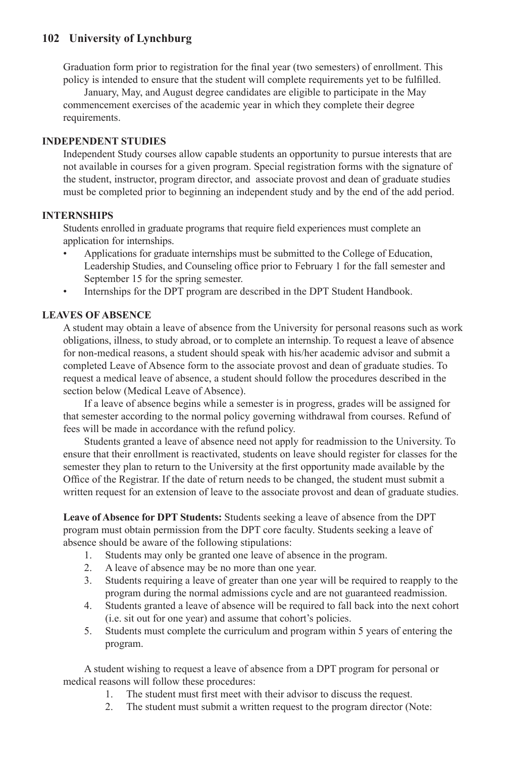Graduation form prior to registration for the final year (two semesters) of enrollment. This policy is intended to ensure that the student will complete requirements yet to be fulfilled.

January, May, and August degree candidates are eligible to participate in the May commencement exercises of the academic year in which they complete their degree requirements.

### **INDEPENDENT STUDIES**

Independent Study courses allow capable students an opportunity to pursue interests that are not available in courses for a given program. Special registration forms with the signature of the student, instructor, program director, and associate provost and dean of graduate studies must be completed prior to beginning an independent study and by the end of the add period.

### **INTERNSHIPS**

Students enrolled in graduate programs that require field experiences must complete an application for internships.

- Applications for graduate internships must be submitted to the College of Education, Leadership Studies, and Counseling office prior to February 1 for the fall semester and September 15 for the spring semester.
- Internships for the DPT program are described in the DPT Student Handbook.

# **LEAVES OF ABSENCE**

A student may obtain a leave of absence from the University for personal reasons such as work obligations, illness, to study abroad, or to complete an internship. To request a leave of absence for non-medical reasons, a student should speak with his/her academic advisor and submit a completed Leave of Absence form to the associate provost and dean of graduate studies. To request a medical leave of absence, a student should follow the procedures described in the section below (Medical Leave of Absence).

If a leave of absence begins while a semester is in progress, grades will be assigned for that semester according to the normal policy governing withdrawal from courses. Refund of fees will be made in accordance with the refund policy.

Students granted a leave of absence need not apply for readmission to the University. To ensure that their enrollment is reactivated, students on leave should register for classes for the semester they plan to return to the University at the first opportunity made available by the Office of the Registrar. If the date of return needs to be changed, the student must submit a written request for an extension of leave to the associate provost and dean of graduate studies.

**Leave of Absence for DPT Students:** Students seeking a leave of absence from the DPT program must obtain permission from the DPT core faculty. Students seeking a leave of absence should be aware of the following stipulations:

- 1. Students may only be granted one leave of absence in the program.
- 2. A leave of absence may be no more than one year.
- 3. Students requiring a leave of greater than one year will be required to reapply to the program during the normal admissions cycle and are not guaranteed readmission.
- 4. Students granted a leave of absence will be required to fall back into the next cohort (i.e. sit out for one year) and assume that cohort's policies.
- 5. Students must complete the curriculum and program within 5 years of entering the program.

A student wishing to request a leave of absence from a DPT program for personal or medical reasons will follow these procedures:

- 1. The student must first meet with their advisor to discuss the request.
- 2. The student must submit a written request to the program director (Note: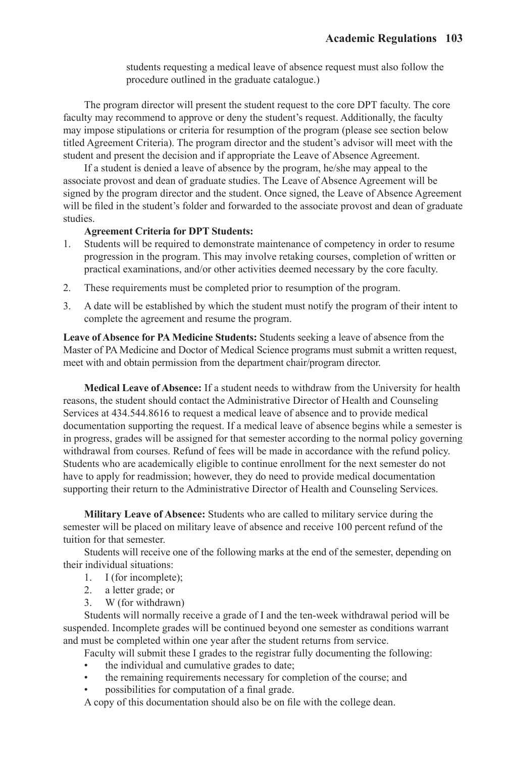students requesting a medical leave of absence request must also follow the procedure outlined in the graduate catalogue.)

The program director will present the student request to the core DPT faculty. The core faculty may recommend to approve or deny the student's request. Additionally, the faculty may impose stipulations or criteria for resumption of the program (please see section below titled Agreement Criteria). The program director and the student's advisor will meet with the student and present the decision and if appropriate the Leave of Absence Agreement.

If a student is denied a leave of absence by the program, he/she may appeal to the associate provost and dean of graduate studies. The Leave of Absence Agreement will be signed by the program director and the student. Once signed, the Leave of Absence Agreement will be filed in the student's folder and forwarded to the associate provost and dean of graduate studies.

### **Agreement Criteria for DPT Students:**

- 1. Students will be required to demonstrate maintenance of competency in order to resume progression in the program. This may involve retaking courses, completion of written or practical examinations, and/or other activities deemed necessary by the core faculty.
- 2. These requirements must be completed prior to resumption of the program.
- 3. A date will be established by which the student must notify the program of their intent to complete the agreement and resume the program.

**Leave of Absence for PA Medicine Students:** Students seeking a leave of absence from the Master of PA Medicine and Doctor of Medical Science programs must submit a written request, meet with and obtain permission from the department chair/program director.

**Medical Leave of Absence:** If a student needs to withdraw from the University for health reasons, the student should contact the Administrative Director of Health and Counseling Services at 434.544.8616 to request a medical leave of absence and to provide medical documentation supporting the request. If a medical leave of absence begins while a semester is in progress, grades will be assigned for that semester according to the normal policy governing withdrawal from courses. Refund of fees will be made in accordance with the refund policy. Students who are academically eligible to continue enrollment for the next semester do not have to apply for readmission; however, they do need to provide medical documentation supporting their return to the Administrative Director of Health and Counseling Services.

**Military Leave of Absence:** Students who are called to military service during the semester will be placed on military leave of absence and receive 100 percent refund of the tuition for that semester.

Students will receive one of the following marks at the end of the semester, depending on their individual situations:

- 1. I (for incomplete);
- 2. a letter grade; or
- 3. W (for withdrawn)

Students will normally receive a grade of I and the ten-week withdrawal period will be suspended. Incomplete grades will be continued beyond one semester as conditions warrant and must be completed within one year after the student returns from service.

Faculty will submit these I grades to the registrar fully documenting the following:

- the individual and cumulative grades to date;
- the remaining requirements necessary for completion of the course; and
- possibilities for computation of a final grade.

A copy of this documentation should also be on file with the college dean.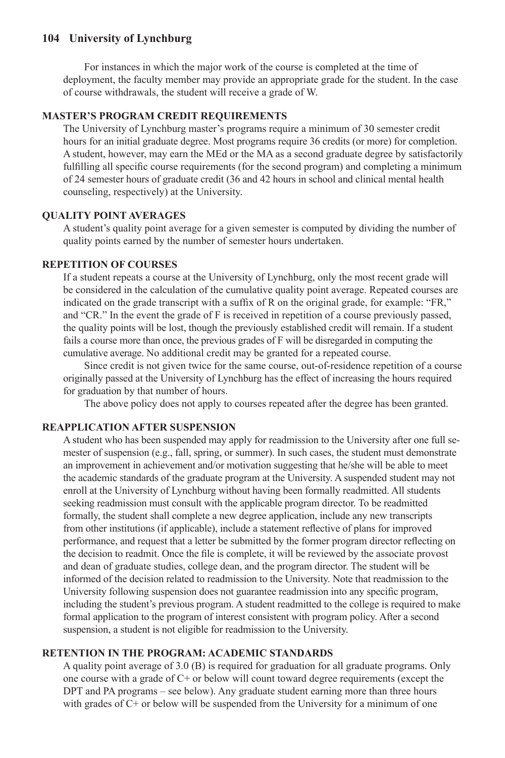For instances in which the major work of the course is completed at the time of deployment, the faculty member may provide an appropriate grade for the student. In the case of course withdrawals, the student will receive a grade of W.

### **MASTER'S PROGRAM CREDIT REQUIREMENTS**

The University of Lynchburg master's programs require a minimum of 30 semester credit hours for an initial graduate degree. Most programs require 36 credits (or more) for completion. A student, however, may earn the MEd or the MA as a second graduate degree by satisfactorily fulfilling all specific course requirements (for the second program) and completing a minimum of 24 semester hours of graduate credit (36 and 42 hours in school and clinical mental health counseling, respectively) at the University.

# **QUALITY POINT AVERAGES**

A student's quality point average for a given semester is computed by dividing the number of quality points earned by the number of semester hours undertaken.

### **REPETITION OF COURSES**

If a student repeats a course at the University of Lynchburg, only the most recent grade will be considered in the calculation of the cumulative quality point average. Repeated courses are indicated on the grade transcript with a suffix of R on the original grade, for example: "FR," and "CR." In the event the grade of F is received in repetition of a course previously passed, the quality points will be lost, though the previously established credit will remain. If a student fails a course more than once, the previous grades of F will be disregarded in computing the cumulative average. No additional credit may be granted for a repeated course.

Since credit is not given twice for the same course, out-of-residence repetition of a course originally passed at the University of Lynchburg has the effect of increasing the hours required for graduation by that number of hours.

The above policy does not apply to courses repeated after the degree has been granted.

### **REAPPLICATION AFTER SUSPENSION**

A student who has been suspended may apply for readmission to the University after one full semester of suspension (e.g., fall, spring, or summer). In such cases, the student must demonstrate an improvement in achievement and/or motivation suggesting that he/she will be able to meet the academic standards of the graduate program at the University. A suspended student may not enroll at the University of Lynchburg without having been formally readmitted. All students seeking readmission must consult with the applicable program director. To be readmitted formally, the student shall complete a new degree application, include any new transcripts from other institutions (if applicable), include a statement reflective of plans for improved performance, and request that a letter be submitted by the former program director reflecting on the decision to readmit. Once the file is complete, it will be reviewed by the associate provost and dean of graduate studies, college dean, and the program director. The student will be informed of the decision related to readmission to the University. Note that readmission to the University following suspension does not guarantee readmission into any specific program, including the student's previous program. A student readmitted to the college is required to make formal application to the program of interest consistent with program policy. After a second suspension, a student is not eligible for readmission to the University.

# **RETENTION IN THE PROGRAM: ACADEMIC STANDARDS**

A quality point average of 3.0 (B) is required for graduation for all graduate programs. Only one course with a grade of  $C<sub>+</sub>$  or below will count toward degree requirements (except the DPT and PA programs – see below). Any graduate student earning more than three hours with grades of C+ or below will be suspended from the University for a minimum of one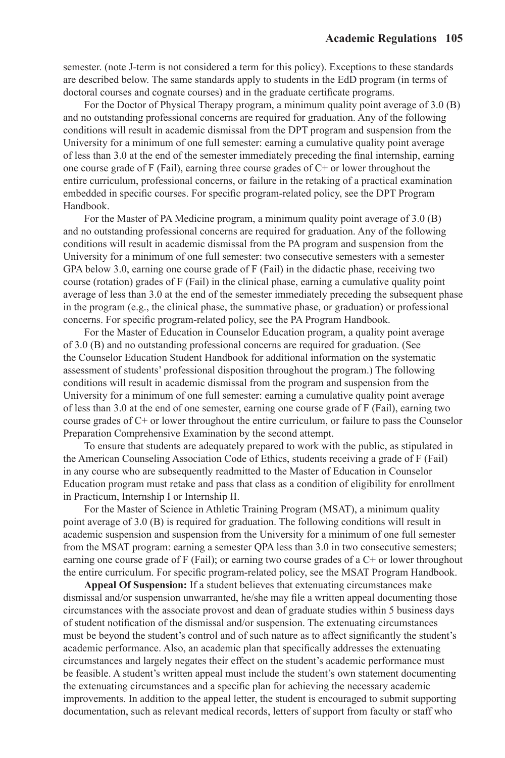semester. (note J-term is not considered a term for this policy). Exceptions to these standards are described below. The same standards apply to students in the EdD program (in terms of doctoral courses and cognate courses) and in the graduate certificate programs.

For the Doctor of Physical Therapy program, a minimum quality point average of 3.0 (B) and no outstanding professional concerns are required for graduation. Any of the following conditions will result in academic dismissal from the DPT program and suspension from the University for a minimum of one full semester: earning a cumulative quality point average of less than 3.0 at the end of the semester immediately preceding the final internship, earning one course grade of F (Fail), earning three course grades of C+ or lower throughout the entire curriculum, professional concerns, or failure in the retaking of a practical examination embedded in specific courses. For specific program-related policy, see the DPT Program Handbook.

For the Master of PA Medicine program, a minimum quality point average of 3.0 (B) and no outstanding professional concerns are required for graduation. Any of the following conditions will result in academic dismissal from the PA program and suspension from the University for a minimum of one full semester: two consecutive semesters with a semester GPA below 3.0, earning one course grade of F (Fail) in the didactic phase, receiving two course (rotation) grades of F (Fail) in the clinical phase, earning a cumulative quality point average of less than 3.0 at the end of the semester immediately preceding the subsequent phase in the program (e.g., the clinical phase, the summative phase, or graduation) or professional concerns. For specific program-related policy, see the PA Program Handbook.

For the Master of Education in Counselor Education program, a quality point average of 3.0 (B) and no outstanding professional concerns are required for graduation. (See the Counselor Education Student Handbook for additional information on the systematic assessment of students' professional disposition throughout the program.) The following conditions will result in academic dismissal from the program and suspension from the University for a minimum of one full semester: earning a cumulative quality point average of less than 3.0 at the end of one semester, earning one course grade of F (Fail), earning two course grades of C+ or lower throughout the entire curriculum, or failure to pass the Counselor Preparation Comprehensive Examination by the second attempt.

To ensure that students are adequately prepared to work with the public, as stipulated in the American Counseling Association Code of Ethics, students receiving a grade of F (Fail) in any course who are subsequently readmitted to the Master of Education in Counselor Education program must retake and pass that class as a condition of eligibility for enrollment in Practicum, Internship I or Internship II.

For the Master of Science in Athletic Training Program (MSAT), a minimum quality point average of 3.0 (B) is required for graduation. The following conditions will result in academic suspension and suspension from the University for a minimum of one full semester from the MSAT program: earning a semester QPA less than 3.0 in two consecutive semesters; earning one course grade of F (Fail); or earning two course grades of a C+ or lower throughout the entire curriculum. For specific program-related policy, see the MSAT Program Handbook.

**Appeal Of Suspension:** If a student believes that extenuating circumstances make dismissal and/or suspension unwarranted, he/she may file a written appeal documenting those circumstances with the associate provost and dean of graduate studies within 5 business days of student notification of the dismissal and/or suspension. The extenuating circumstances must be beyond the student's control and of such nature as to affect significantly the student's academic performance. Also, an academic plan that specifically addresses the extenuating circumstances and largely negates their effect on the student's academic performance must be feasible. A student's written appeal must include the student's own statement documenting the extenuating circumstances and a specific plan for achieving the necessary academic improvements. In addition to the appeal letter, the student is encouraged to submit supporting documentation, such as relevant medical records, letters of support from faculty or staff who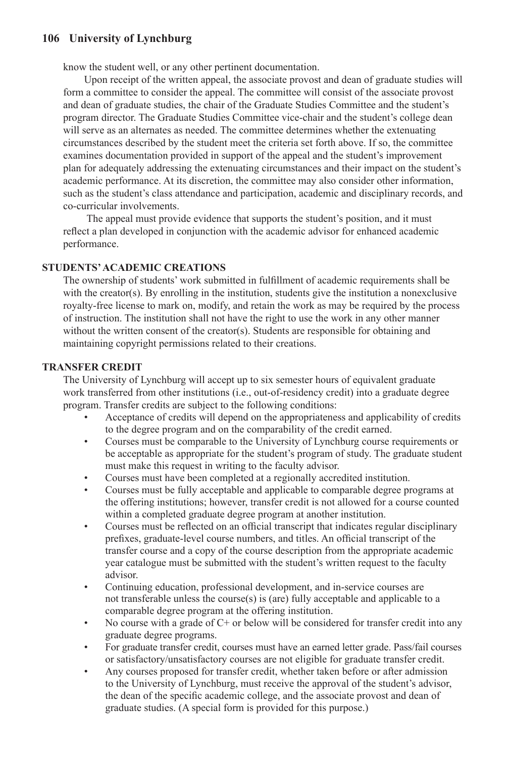know the student well, or any other pertinent documentation.

Upon receipt of the written appeal, the associate provost and dean of graduate studies will form a committee to consider the appeal. The committee will consist of the associate provost and dean of graduate studies, the chair of the Graduate Studies Committee and the student's program director. The Graduate Studies Committee vice-chair and the student's college dean will serve as an alternates as needed. The committee determines whether the extenuating circumstances described by the student meet the criteria set forth above. If so, the committee examines documentation provided in support of the appeal and the student's improvement plan for adequately addressing the extenuating circumstances and their impact on the student's academic performance. At its discretion, the committee may also consider other information, such as the student's class attendance and participation, academic and disciplinary records, and co-curricular involvements.

 The appeal must provide evidence that supports the student's position, and it must reflect a plan developed in conjunction with the academic advisor for enhanced academic performance.

### **STUDENTS' ACADEMIC CREATIONS**

The ownership of students' work submitted in fulfillment of academic requirements shall be with the creator(s). By enrolling in the institution, students give the institution a nonexclusive royalty-free license to mark on, modify, and retain the work as may be required by the process of instruction. The institution shall not have the right to use the work in any other manner without the written consent of the creator(s). Students are responsible for obtaining and maintaining copyright permissions related to their creations.

### **TRANSFER CREDIT**

The University of Lynchburg will accept up to six semester hours of equivalent graduate work transferred from other institutions (i.e., out-of-residency credit) into a graduate degree program. Transfer credits are subject to the following conditions:

- Acceptance of credits will depend on the appropriateness and applicability of credits to the degree program and on the comparability of the credit earned.
- Courses must be comparable to the University of Lynchburg course requirements or be acceptable as appropriate for the student's program of study. The graduate student must make this request in writing to the faculty advisor.
- Courses must have been completed at a regionally accredited institution.
- Courses must be fully acceptable and applicable to comparable degree programs at the offering institutions; however, transfer credit is not allowed for a course counted within a completed graduate degree program at another institution.
- Courses must be reflected on an official transcript that indicates regular disciplinary prefixes, graduate-level course numbers, and titles. An official transcript of the transfer course and a copy of the course description from the appropriate academic year catalogue must be submitted with the student's written request to the faculty advisor.
- Continuing education, professional development, and in-service courses are not transferable unless the course(s) is (are) fully acceptable and applicable to a comparable degree program at the offering institution.
- No course with a grade of C+ or below will be considered for transfer credit into any graduate degree programs.
- For graduate transfer credit, courses must have an earned letter grade. Pass/fail courses or satisfactory/unsatisfactory courses are not eligible for graduate transfer credit.
- Any courses proposed for transfer credit, whether taken before or after admission to the University of Lynchburg, must receive the approval of the student's advisor, the dean of the specific academic college, and the associate provost and dean of graduate studies. (A special form is provided for this purpose.)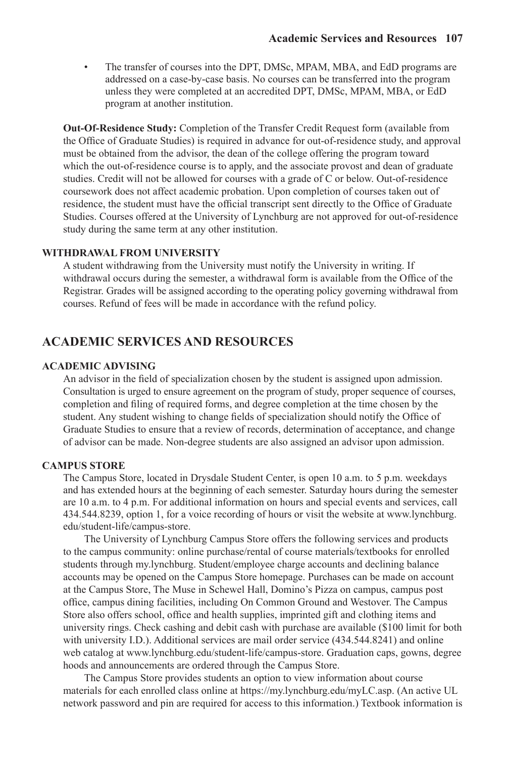• The transfer of courses into the DPT, DMSc, MPAM, MBA, and EdD programs are addressed on a case-by-case basis. No courses can be transferred into the program unless they were completed at an accredited DPT, DMSc, MPAM, MBA, or EdD program at another institution.

**Out-Of-Residence Study:** Completion of the Transfer Credit Request form (available from the Office of Graduate Studies) is required in advance for out-of-residence study, and approval must be obtained from the advisor, the dean of the college offering the program toward which the out-of-residence course is to apply, and the associate provost and dean of graduate studies. Credit will not be allowed for courses with a grade of C or below. Out-of-residence coursework does not affect academic probation. Upon completion of courses taken out of residence, the student must have the official transcript sent directly to the Office of Graduate Studies. Courses offered at the University of Lynchburg are not approved for out-of-residence study during the same term at any other institution.

### **WITHDRAWAL FROM UNIVERSITY**

A student withdrawing from the University must notify the University in writing. If withdrawal occurs during the semester, a withdrawal form is available from the Office of the Registrar. Grades will be assigned according to the operating policy governing withdrawal from courses. Refund of fees will be made in accordance with the refund policy.

# **ACADEMIC SERVICES AND RESOURCES**

### **ACADEMIC ADVISING**

An advisor in the field of specialization chosen by the student is assigned upon admission. Consultation is urged to ensure agreement on the program of study, proper sequence of courses, completion and filing of required forms, and degree completion at the time chosen by the student. Any student wishing to change fields of specialization should notify the Office of Graduate Studies to ensure that a review of records, determination of acceptance, and change of advisor can be made. Non-degree students are also assigned an advisor upon admission.

### **CAMPUS STORE**

The Campus Store, located in Drysdale Student Center, is open 10 a.m. to 5 p.m. weekdays and has extended hours at the beginning of each semester. Saturday hours during the semester are 10 a.m. to 4 p.m. For additional information on hours and special events and services, call 434.544.8239, option 1, for a voice recording of hours or visit the website at www.lynchburg. edu/student-life/campus-store.

The University of Lynchburg Campus Store offers the following services and products to the campus community: online purchase/rental of course materials/textbooks for enrolled students through my.lynchburg. Student/employee charge accounts and declining balance accounts may be opened on the Campus Store homepage. Purchases can be made on account at the Campus Store, The Muse in Schewel Hall, Domino's Pizza on campus, campus post office, campus dining facilities, including On Common Ground and Westover. The Campus Store also offers school, office and health supplies, imprinted gift and clothing items and university rings. Check cashing and debit cash with purchase are available (\$100 limit for both with university I.D.). Additional services are mail order service (434.544.8241) and online web catalog at www.lynchburg.edu/student-life/campus-store. Graduation caps, gowns, degree hoods and announcements are ordered through the Campus Store.

The Campus Store provides students an option to view information about course materials for each enrolled class online at https://my.lynchburg.edu/myLC.asp. (An active UL network password and pin are required for access to this information.) Textbook information is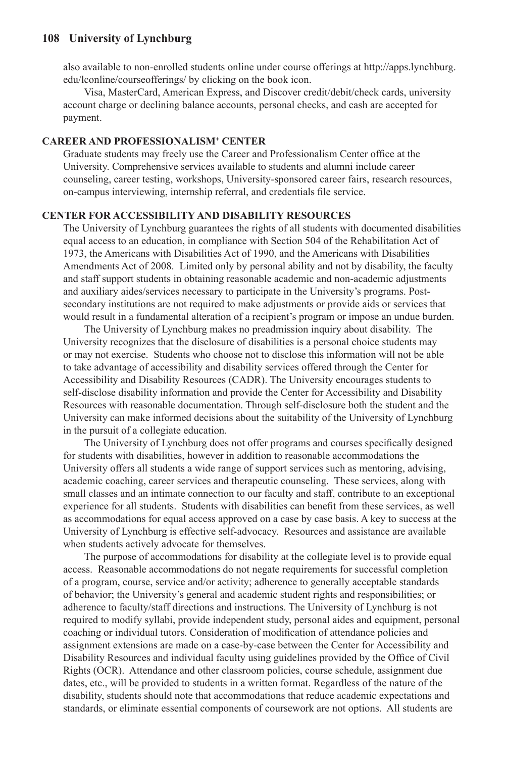also available to non-enrolled students online under course offerings at http://apps.lynchburg. edu/lconline/courseofferings/ by clicking on the book icon.

Visa, MasterCard, American Express, and Discover credit/debit/check cards, university account charge or declining balance accounts, personal checks, and cash are accepted for payment.

#### **CAREER AND PROFESSIONALISM+ CENTER**

Graduate students may freely use the Career and Professionalism Center office at the University. Comprehensive services available to students and alumni include career counseling, career testing, workshops, University-sponsored career fairs, research resources, on-campus interviewing, internship referral, and credentials file service.

### **CENTER FOR ACCESSIBILITY AND DISABILITY RESOURCES**

The University of Lynchburg guarantees the rights of all students with documented disabilities equal access to an education, in compliance with Section 504 of the Rehabilitation Act of 1973, the Americans with Disabilities Act of 1990, and the Americans with Disabilities Amendments Act of 2008. Limited only by personal ability and not by disability, the faculty and staff support students in obtaining reasonable academic and non-academic adjustments and auxiliary aides/services necessary to participate in the University's programs. Postsecondary institutions are not required to make adjustments or provide aids or services that would result in a fundamental alteration of a recipient's program or impose an undue burden.

The University of Lynchburg makes no preadmission inquiry about disability. The University recognizes that the disclosure of disabilities is a personal choice students may or may not exercise. Students who choose not to disclose this information will not be able to take advantage of accessibility and disability services offered through the Center for Accessibility and Disability Resources (CADR). The University encourages students to self-disclose disability information and provide the Center for Accessibility and Disability Resources with reasonable documentation. Through self-disclosure both the student and the University can make informed decisions about the suitability of the University of Lynchburg in the pursuit of a collegiate education.

The University of Lynchburg does not offer programs and courses specifically designed for students with disabilities, however in addition to reasonable accommodations the University offers all students a wide range of support services such as mentoring, advising, academic coaching, career services and therapeutic counseling. These services, along with small classes and an intimate connection to our faculty and staff, contribute to an exceptional experience for all students. Students with disabilities can benefit from these services, as well as accommodations for equal access approved on a case by case basis. A key to success at the University of Lynchburg is effective self-advocacy. Resources and assistance are available when students actively advocate for themselves.

The purpose of accommodations for disability at the collegiate level is to provide equal access. Reasonable accommodations do not negate requirements for successful completion of a program, course, service and/or activity; adherence to generally acceptable standards of behavior; the University's general and academic student rights and responsibilities; or adherence to faculty/staff directions and instructions. The University of Lynchburg is not required to modify syllabi, provide independent study, personal aides and equipment, personal coaching or individual tutors. Consideration of modification of attendance policies and assignment extensions are made on a case-by-case between the Center for Accessibility and Disability Resources and individual faculty using guidelines provided by the Office of Civil Rights (OCR). Attendance and other classroom policies, course schedule, assignment due dates, etc., will be provided to students in a written format. Regardless of the nature of the disability, students should note that accommodations that reduce academic expectations and standards, or eliminate essential components of coursework are not options. All students are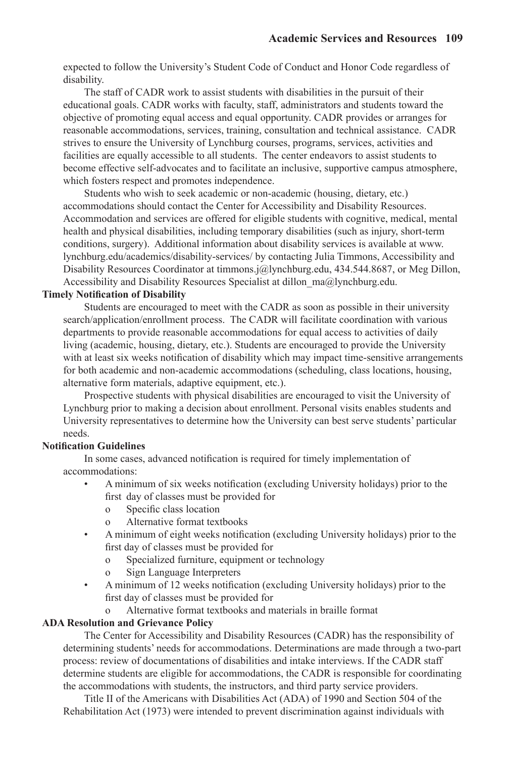expected to follow the University's Student Code of Conduct and Honor Code regardless of disability.

The staff of CADR work to assist students with disabilities in the pursuit of their educational goals. CADR works with faculty, staff, administrators and students toward the objective of promoting equal access and equal opportunity. CADR provides or arranges for reasonable accommodations, services, training, consultation and technical assistance. CADR strives to ensure the University of Lynchburg courses, programs, services, activities and facilities are equally accessible to all students. The center endeavors to assist students to become effective self-advocates and to facilitate an inclusive, supportive campus atmosphere, which fosters respect and promotes independence.

Students who wish to seek academic or non-academic (housing, dietary, etc.) accommodations should contact the Center for Accessibility and Disability Resources. Accommodation and services are offered for eligible students with cognitive, medical, mental health and physical disabilities, including temporary disabilities (such as injury, short-term conditions, surgery). Additional information about disability services is available at www. lynchburg.edu/academics/disability-services/ by contacting Julia Timmons, Accessibility and Disability Resources Coordinator at timmons.j@lynchburg.edu, 434.544.8687, or Meg Dillon, Accessibility and Disability Resources Specialist at dillon  $ma@$ lynchburg.edu.

### **Timely Notification of Disability**

Students are encouraged to meet with the CADR as soon as possible in their university search/application/enrollment process. The CADR will facilitate coordination with various departments to provide reasonable accommodations for equal access to activities of daily living (academic, housing, dietary, etc.). Students are encouraged to provide the University with at least six weeks notification of disability which may impact time-sensitive arrangements for both academic and non-academic accommodations (scheduling, class locations, housing, alternative form materials, adaptive equipment, etc.).

Prospective students with physical disabilities are encouraged to visit the University of Lynchburg prior to making a decision about enrollment. Personal visits enables students and University representatives to determine how the University can best serve students' particular needs.

### **Notification Guidelines**

In some cases, advanced notification is required for timely implementation of accommodations:

- A minimum of six weeks notification (excluding University holidays) prior to the first day of classes must be provided for
	- o Specific class location
	- o Alternative format textbooks
- A minimum of eight weeks notification (excluding University holidays) prior to the first day of classes must be provided for
	- o Specialized furniture, equipment or technology
	- o Sign Language Interpreters
- A minimum of 12 weeks notification (excluding University holidays) prior to the first day of classes must be provided for
	- o Alternative format textbooks and materials in braille format

#### **ADA Resolution and Grievance Policy**

The Center for Accessibility and Disability Resources (CADR) has the responsibility of determining students' needs for accommodations. Determinations are made through a two-part process: review of documentations of disabilities and intake interviews. If the CADR staff determine students are eligible for accommodations, the CADR is responsible for coordinating the accommodations with students, the instructors, and third party service providers.

Title II of the Americans with Disabilities Act (ADA) of 1990 and Section 504 of the Rehabilitation Act (1973) were intended to prevent discrimination against individuals with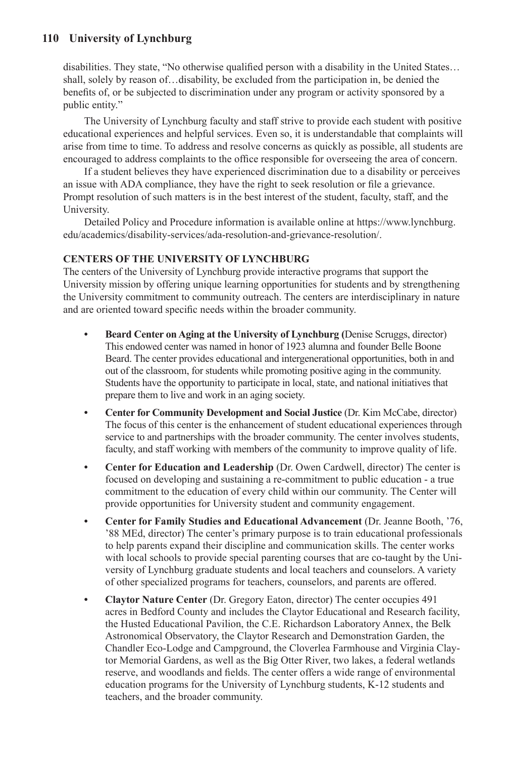disabilities. They state, "No otherwise qualified person with a disability in the United States… shall, solely by reason of…disability, be excluded from the participation in, be denied the benefits of, or be subjected to discrimination under any program or activity sponsored by a public entity."

The University of Lynchburg faculty and staff strive to provide each student with positive educational experiences and helpful services. Even so, it is understandable that complaints will arise from time to time. To address and resolve concerns as quickly as possible, all students are encouraged to address complaints to the office responsible for overseeing the area of concern.

If a student believes they have experienced discrimination due to a disability or perceives an issue with ADA compliance, they have the right to seek resolution or file a grievance. Prompt resolution of such matters is in the best interest of the student, faculty, staff, and the University.

Detailed Policy and Procedure information is available online at https://www.lynchburg. edu/academics/disability-services/ada-resolution-and-grievance-resolution/.

### **CENTERS OF THE UNIVERSITY OF LYNCHBURG**

The centers of the University of Lynchburg provide interactive programs that support the University mission by offering unique learning opportunities for students and by strengthening the University commitment to community outreach. The centers are interdisciplinary in nature and are oriented toward specific needs within the broader community.

- **• Beard Center on Aging at the University of Lynchburg (**Denise Scruggs, director) This endowed center was named in honor of 1923 alumna and founder Belle Boone Beard. The center provides educational and intergenerational opportunities, both in and out of the classroom, for students while promoting positive aging in the community. Students have the opportunity to participate in local, state, and national initiatives that prepare them to live and work in an aging society.
- **• Center for Community Development and Social Justice** (Dr. Kim McCabe, director) The focus of this center is the enhancement of student educational experiences through service to and partnerships with the broader community. The center involves students, faculty, and staff working with members of the community to improve quality of life.
- **• Center for Education and Leadership** (Dr. Owen Cardwell, director) The center is focused on developing and sustaining a re-commitment to public education - a true commitment to the education of every child within our community. The Center will provide opportunities for University student and community engagement.
- **• Center for Family Studies and Educational Advancement** (Dr. Jeanne Booth, '76, '88 MEd, director) The center's primary purpose is to train educational professionals to help parents expand their discipline and communication skills. The center works with local schools to provide special parenting courses that are co-taught by the University of Lynchburg graduate students and local teachers and counselors. A variety of other specialized programs for teachers, counselors, and parents are offered.
- **• Claytor Nature Center** (Dr. Gregory Eaton, director) The center occupies 491 acres in Bedford County and includes the Claytor Educational and Research facility, the Husted Educational Pavilion, the C.E. Richardson Laboratory Annex, the Belk Astronomical Observatory, the Claytor Research and Demonstration Garden, the Chandler Eco-Lodge and Campground, the Cloverlea Farmhouse and Virginia Claytor Memorial Gardens, as well as the Big Otter River, two lakes, a federal wetlands reserve, and woodlands and fields. The center offers a wide range of environmental education programs for the University of Lynchburg students, K-12 students and teachers, and the broader community.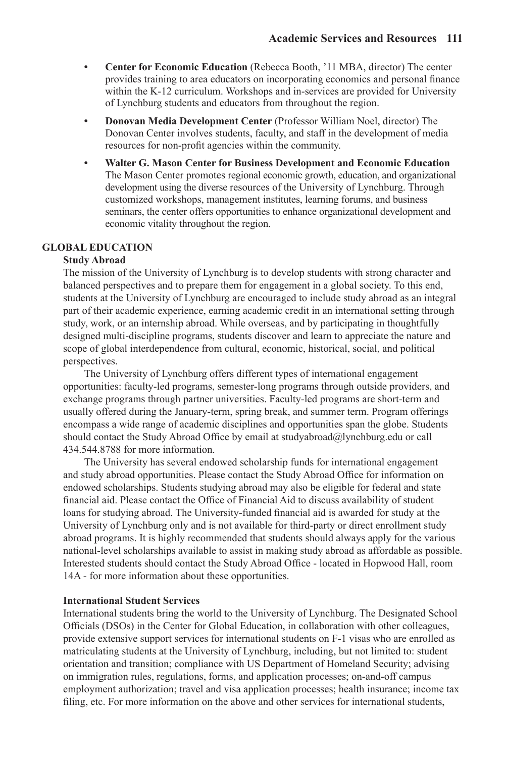- **• Center for Economic Education** (Rebecca Booth, '11 MBA, director) The center provides training to area educators on incorporating economics and personal finance within the K-12 curriculum. Workshops and in-services are provided for University of Lynchburg students and educators from throughout the region.
- **• Donovan Media Development Center** (Professor William Noel, director) The Donovan Center involves students, faculty, and staff in the development of media resources for non-profit agencies within the community.
- **• Walter G. Mason Center for Business Development and Economic Education**  The Mason Center promotes regional economic growth, education, and organizational development using the diverse resources of the University of Lynchburg. Through customized workshops, management institutes, learning forums, and business seminars, the center offers opportunities to enhance organizational development and economic vitality throughout the region.

#### **GLOBAL EDUCATION**

#### **Study Abroad**

The mission of the University of Lynchburg is to develop students with strong character and balanced perspectives and to prepare them for engagement in a global society. To this end, students at the University of Lynchburg are encouraged to include study abroad as an integral part of their academic experience, earning academic credit in an international setting through study, work, or an internship abroad. While overseas, and by participating in thoughtfully designed multi-discipline programs, students discover and learn to appreciate the nature and scope of global interdependence from cultural, economic, historical, social, and political perspectives.

The University of Lynchburg offers different types of international engagement opportunities: faculty-led programs, semester-long programs through outside providers, and exchange programs through partner universities. Faculty-led programs are short-term and usually offered during the January-term, spring break, and summer term. Program offerings encompass a wide range of academic disciplines and opportunities span the globe. Students should contact the Study Abroad Office by email at studyabroad@lynchburg.edu or call 434.544.8788 for more information.

The University has several endowed scholarship funds for international engagement and study abroad opportunities. Please contact the Study Abroad Office for information on endowed scholarships. Students studying abroad may also be eligible for federal and state financial aid. Please contact the Office of Financial Aid to discuss availability of student loans for studying abroad. The University-funded financial aid is awarded for study at the University of Lynchburg only and is not available for third-party or direct enrollment study abroad programs. It is highly recommended that students should always apply for the various national-level scholarships available to assist in making study abroad as affordable as possible. Interested students should contact the Study Abroad Office - located in Hopwood Hall, room 14A - for more information about these opportunities.

#### **International Student Services**

International students bring the world to the University of Lynchburg. The Designated School Officials (DSOs) in the Center for Global Education, in collaboration with other colleagues, provide extensive support services for international students on F-1 visas who are enrolled as matriculating students at the University of Lynchburg, including, but not limited to: student orientation and transition; compliance with US Department of Homeland Security; advising on immigration rules, regulations, forms, and application processes; on-and-off campus employment authorization; travel and visa application processes; health insurance; income tax filing, etc. For more information on the above and other services for international students,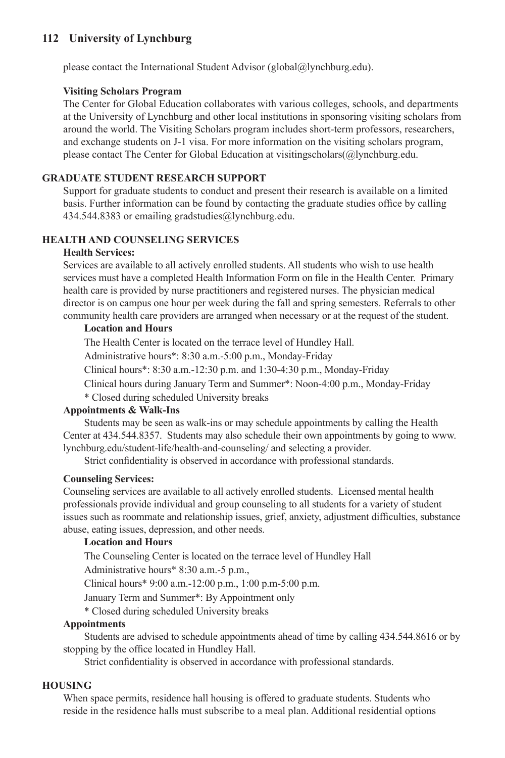please contact the International Student Advisor (global@lynchburg.edu).

#### **Visiting Scholars Program**

The Center for Global Education collaborates with various colleges, schools, and departments at the University of Lynchburg and other local institutions in sponsoring visiting scholars from around the world. The Visiting Scholars program includes short-term professors, researchers, and exchange students on J-1 visa. For more information on the visiting scholars program, please contact The Center for Global Education at visitingscholars(@lynchburg.edu.

### **GRADUATE STUDENT RESEARCH SUPPORT**

Support for graduate students to conduct and present their research is available on a limited basis. Further information can be found by contacting the graduate studies office by calling 434.544.8383 or emailing gradstudies@lynchburg.edu.

### **HEALTH AND COUNSELING SERVICES**

### **Health Services:**

Services are available to all actively enrolled students. All students who wish to use health services must have a completed Health Information Form on file in the Health Center. Primary health care is provided by nurse practitioners and registered nurses. The physician medical director is on campus one hour per week during the fall and spring semesters. Referrals to other community health care providers are arranged when necessary or at the request of the student.

### **Location and Hours**

The Health Center is located on the terrace level of Hundley Hall.

Administrative hours\*: 8:30 a.m.-5:00 p.m., Monday-Friday

Clinical hours\*: 8:30 a.m.-12:30 p.m. and 1:30-4:30 p.m., Monday-Friday

Clinical hours during January Term and Summer\*: Noon-4:00 p.m., Monday-Friday

\* Closed during scheduled University breaks

### **Appointments & Walk-Ins**

Students may be seen as walk-ins or may schedule appointments by calling the Health Center at 434.544.8357. Students may also schedule their own appointments by going to www. lynchburg.edu/student-life/health-and-counseling/ and selecting a provider.

Strict confidentiality is observed in accordance with professional standards.

#### **Counseling Services:**

Counseling services are available to all actively enrolled students. Licensed mental health professionals provide individual and group counseling to all students for a variety of student issues such as roommate and relationship issues, grief, anxiety, adjustment difficulties, substance abuse, eating issues, depression, and other needs.

### **Location and Hours**

The Counseling Center is located on the terrace level of Hundley Hall

Administrative hours\* 8:30 a.m.-5 p.m.,

Clinical hours\* 9:00 a.m.-12:00 p.m., 1:00 p.m-5:00 p.m.

January Term and Summer\*: By Appointment only

\* Closed during scheduled University breaks

#### **Appointments**

Students are advised to schedule appointments ahead of time by calling 434.544.8616 or by stopping by the office located in Hundley Hall.

Strict confidentiality is observed in accordance with professional standards.

### **HOUSING**

When space permits, residence hall housing is offered to graduate students. Students who reside in the residence halls must subscribe to a meal plan. Additional residential options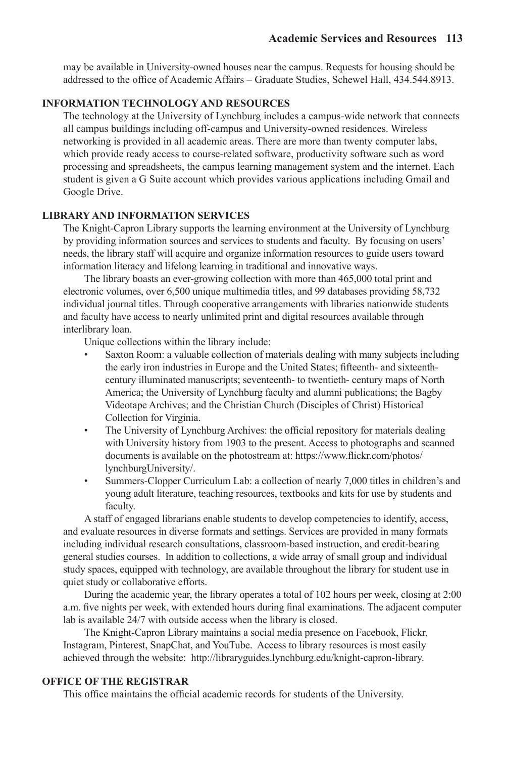may be available in University-owned houses near the campus. Requests for housing should be addressed to the office of Academic Affairs – Graduate Studies, Schewel Hall, 434.544.8913.

### **INFORMATION TECHNOLOGY AND RESOURCES**

The technology at the University of Lynchburg includes a campus-wide network that connects all campus buildings including off-campus and University-owned residences. Wireless networking is provided in all academic areas. There are more than twenty computer labs, which provide ready access to course-related software, productivity software such as word processing and spreadsheets, the campus learning management system and the internet. Each student is given a G Suite account which provides various applications including Gmail and Google Drive.

### **LIBRARY AND INFORMATION SERVICES**

The Knight-Capron Library supports the learning environment at the University of Lynchburg by providing information sources and services to students and faculty. By focusing on users' needs, the library staff will acquire and organize information resources to guide users toward information literacy and lifelong learning in traditional and innovative ways.

The library boasts an ever-growing collection with more than 465,000 total print and electronic volumes, over 6,500 unique multimedia titles, and 99 databases providing 58,732 individual journal titles. Through cooperative arrangements with libraries nationwide students and faculty have access to nearly unlimited print and digital resources available through interlibrary loan.

Unique collections within the library include:

- Saxton Room: a valuable collection of materials dealing with many subjects including the early iron industries in Europe and the United States; fifteenth- and sixteenthcentury illuminated manuscripts; seventeenth- to twentieth- century maps of North America; the University of Lynchburg faculty and alumni publications; the Bagby Videotape Archives; and the Christian Church (Disciples of Christ) Historical Collection for Virginia.
- The University of Lynchburg Archives: the official repository for materials dealing with University history from 1903 to the present. Access to photographs and scanned documents is available on the photostream at: https://www.flickr.com/photos/ lynchburgUniversity/.
- Summers-Clopper Curriculum Lab: a collection of nearly 7,000 titles in children's and young adult literature, teaching resources, textbooks and kits for use by students and faculty.

A staff of engaged librarians enable students to develop competencies to identify, access, and evaluate resources in diverse formats and settings. Services are provided in many formats including individual research consultations, classroom-based instruction, and credit-bearing general studies courses. In addition to collections, a wide array of small group and individual study spaces, equipped with technology, are available throughout the library for student use in quiet study or collaborative efforts.

During the academic year, the library operates a total of 102 hours per week, closing at 2:00 a.m. five nights per week, with extended hours during final examinations. The adjacent computer lab is available 24/7 with outside access when the library is closed.

The Knight-Capron Library maintains a social media presence on Facebook, Flickr, Instagram, Pinterest, SnapChat, and YouTube. Access to library resources is most easily achieved through the website: http://libraryguides.lynchburg.edu/knight-capron-library.

### **OFFICE OF THE REGISTRAR**

This office maintains the official academic records for students of the University.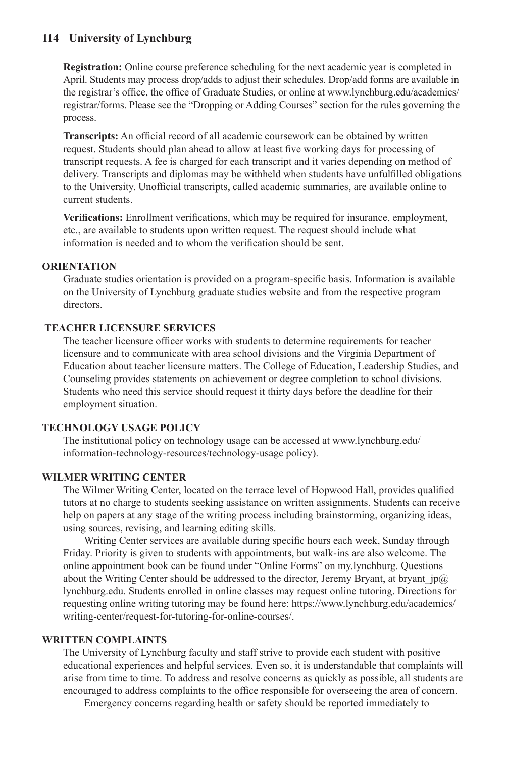**Registration:** Online course preference scheduling for the next academic year is completed in April. Students may process drop/adds to adjust their schedules. Drop/add forms are available in the registrar's office, the office of Graduate Studies, or online at www.lynchburg.edu/academics/ registrar/forms. Please see the "Dropping or Adding Courses" section for the rules governing the process.

**Transcripts:** An official record of all academic coursework can be obtained by written request. Students should plan ahead to allow at least five working days for processing of transcript requests. A fee is charged for each transcript and it varies depending on method of delivery. Transcripts and diplomas may be withheld when students have unfulfilled obligations to the University. Unofficial transcripts, called academic summaries, are available online to current students.

**Verifications:** Enrollment verifications, which may be required for insurance, employment, etc., are available to students upon written request. The request should include what information is needed and to whom the verification should be sent.

#### **ORIENTATION**

Graduate studies orientation is provided on a program-specific basis. Information is available on the University of Lynchburg graduate studies website and from the respective program directors.

### **TEACHER LICENSURE SERVICES**

The teacher licensure officer works with students to determine requirements for teacher licensure and to communicate with area school divisions and the Virginia Department of Education about teacher licensure matters. The College of Education, Leadership Studies, and Counseling provides statements on achievement or degree completion to school divisions. Students who need this service should request it thirty days before the deadline for their employment situation.

### **TECHNOLOGY USAGE POLICY**

The institutional policy on technology usage can be accessed at www.lynchburg.edu/ information-technology-resources/technology-usage policy).

### **WILMER WRITING CENTER**

The Wilmer Writing Center, located on the terrace level of Hopwood Hall, provides qualified tutors at no charge to students seeking assistance on written assignments. Students can receive help on papers at any stage of the writing process including brainstorming, organizing ideas, using sources, revising, and learning editing skills.

Writing Center services are available during specific hours each week, Sunday through Friday. Priority is given to students with appointments, but walk-ins are also welcome. The online appointment book can be found under "Online Forms" on my.lynchburg. Questions about the Writing Center should be addressed to the director. Jeremy Bryant, at bryant  $ip@$ lynchburg.edu. Students enrolled in online classes may request online tutoring. Directions for requesting online writing tutoring may be found here: https://www.lynchburg.edu/academics/ writing-center/request-for-tutoring-for-online-courses/.

### **WRITTEN COMPLAINTS**

The University of Lynchburg faculty and staff strive to provide each student with positive educational experiences and helpful services. Even so, it is understandable that complaints will arise from time to time. To address and resolve concerns as quickly as possible, all students are encouraged to address complaints to the office responsible for overseeing the area of concern.

Emergency concerns regarding health or safety should be reported immediately to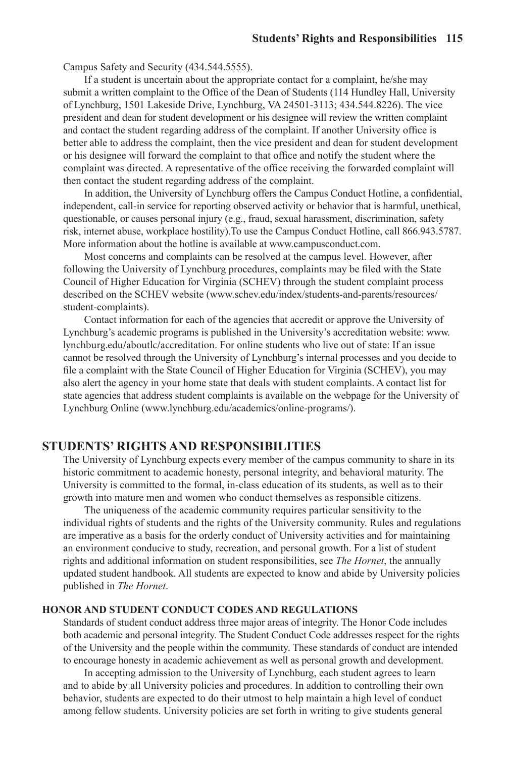Campus Safety and Security (434.544.5555).

If a student is uncertain about the appropriate contact for a complaint, he/she may submit a written complaint to the Office of the Dean of Students (114 Hundley Hall, University of Lynchburg, 1501 Lakeside Drive, Lynchburg, VA 24501-3113; 434.544.8226). The vice president and dean for student development or his designee will review the written complaint and contact the student regarding address of the complaint. If another University office is better able to address the complaint, then the vice president and dean for student development or his designee will forward the complaint to that office and notify the student where the complaint was directed. A representative of the office receiving the forwarded complaint will then contact the student regarding address of the complaint.

In addition, the University of Lynchburg offers the Campus Conduct Hotline, a confidential, independent, call-in service for reporting observed activity or behavior that is harmful, unethical, questionable, or causes personal injury (e.g., fraud, sexual harassment, discrimination, safety risk, internet abuse, workplace hostility).To use the Campus Conduct Hotline, call 866.943.5787. More information about the hotline is available at www.campusconduct.com.

Most concerns and complaints can be resolved at the campus level. However, after following the University of Lynchburg procedures, complaints may be filed with the State Council of Higher Education for Virginia (SCHEV) through the student complaint process described on the SCHEV website (www.schev.edu/index/students-and-parents/resources/ student-complaints).

Contact information for each of the agencies that accredit or approve the University of Lynchburg's academic programs is published in the University's accreditation website: www. lynchburg.edu/aboutlc/accreditation. For online students who live out of state: If an issue cannot be resolved through the University of Lynchburg's internal processes and you decide to file a complaint with the State Council of Higher Education for Virginia (SCHEV), you may also alert the agency in your home state that deals with student complaints. A contact list for state agencies that address student complaints is available on the webpage for the University of Lynchburg Online (www.lynchburg.edu/academics/online-programs/).

### **STUDENTS' RIGHTS AND RESPONSIBILITIES**

The University of Lynchburg expects every member of the campus community to share in its historic commitment to academic honesty, personal integrity, and behavioral maturity. The University is committed to the formal, in-class education of its students, as well as to their growth into mature men and women who conduct themselves as responsible citizens.

The uniqueness of the academic community requires particular sensitivity to the individual rights of students and the rights of the University community. Rules and regulations are imperative as a basis for the orderly conduct of University activities and for maintaining an environment conducive to study, recreation, and personal growth. For a list of student rights and additional information on student responsibilities, see *The Hornet*, the annually updated student handbook. All students are expected to know and abide by University policies published in *The Hornet*.

### **HONOR AND STUDENT CONDUCT CODES AND REGULATIONS**

Standards of student conduct address three major areas of integrity. The Honor Code includes both academic and personal integrity. The Student Conduct Code addresses respect for the rights of the University and the people within the community. These standards of conduct are intended to encourage honesty in academic achievement as well as personal growth and development.

In accepting admission to the University of Lynchburg, each student agrees to learn and to abide by all University policies and procedures. In addition to controlling their own behavior, students are expected to do their utmost to help maintain a high level of conduct among fellow students. University policies are set forth in writing to give students general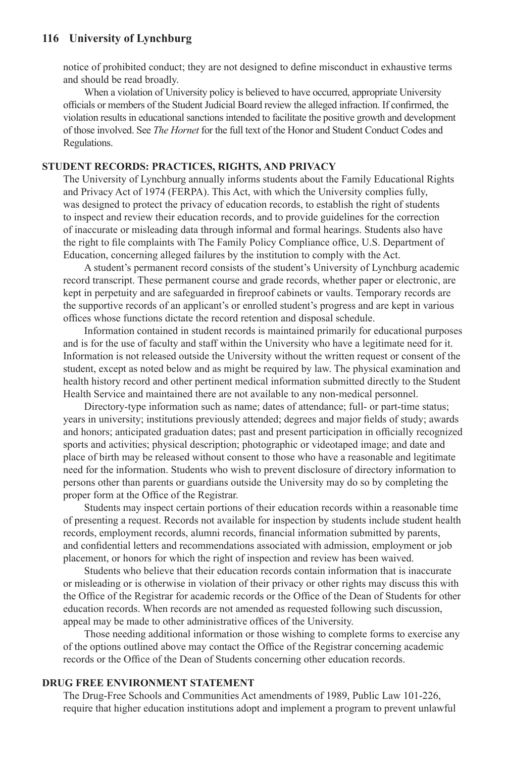notice of prohibited conduct; they are not designed to define misconduct in exhaustive terms and should be read broadly.

When a violation of University policy is believed to have occurred, appropriate University officials or members of the Student Judicial Board review the alleged infraction. If confirmed, the violation results in educational sanctions intended to facilitate the positive growth and development of those involved. See *The Hornet* for the full text of the Honor and Student Conduct Codes and Regulations.

#### **STUDENT RECORDS: PRACTICES, RIGHTS, AND PRIVACY**

The University of Lynchburg annually informs students about the Family Educational Rights and Privacy Act of 1974 (FERPA). This Act, with which the University complies fully, was designed to protect the privacy of education records, to establish the right of students to inspect and review their education records, and to provide guidelines for the correction of inaccurate or misleading data through informal and formal hearings. Students also have the right to file complaints with The Family Policy Compliance office, U.S. Department of Education, concerning alleged failures by the institution to comply with the Act.

A student's permanent record consists of the student's University of Lynchburg academic record transcript. These permanent course and grade records, whether paper or electronic, are kept in perpetuity and are safeguarded in fireproof cabinets or vaults. Temporary records are the supportive records of an applicant's or enrolled student's progress and are kept in various offices whose functions dictate the record retention and disposal schedule.

Information contained in student records is maintained primarily for educational purposes and is for the use of faculty and staff within the University who have a legitimate need for it. Information is not released outside the University without the written request or consent of the student, except as noted below and as might be required by law. The physical examination and health history record and other pertinent medical information submitted directly to the Student Health Service and maintained there are not available to any non-medical personnel.

Directory-type information such as name; dates of attendance; full- or part-time status; years in university; institutions previously attended; degrees and major fields of study; awards and honors; anticipated graduation dates; past and present participation in officially recognized sports and activities; physical description; photographic or videotaped image; and date and place of birth may be released without consent to those who have a reasonable and legitimate need for the information. Students who wish to prevent disclosure of directory information to persons other than parents or guardians outside the University may do so by completing the proper form at the Office of the Registrar.

Students may inspect certain portions of their education records within a reasonable time of presenting a request. Records not available for inspection by students include student health records, employment records, alumni records, financial information submitted by parents, and confidential letters and recommendations associated with admission, employment or job placement, or honors for which the right of inspection and review has been waived.

Students who believe that their education records contain information that is inaccurate or misleading or is otherwise in violation of their privacy or other rights may discuss this with the Office of the Registrar for academic records or the Office of the Dean of Students for other education records. When records are not amended as requested following such discussion, appeal may be made to other administrative offices of the University.

Those needing additional information or those wishing to complete forms to exercise any of the options outlined above may contact the Office of the Registrar concerning academic records or the Office of the Dean of Students concerning other education records.

#### **DRUG FREE ENVIRONMENT STATEMENT**

The Drug-Free Schools and Communities Act amendments of 1989, Public Law 101-226, require that higher education institutions adopt and implement a program to prevent unlawful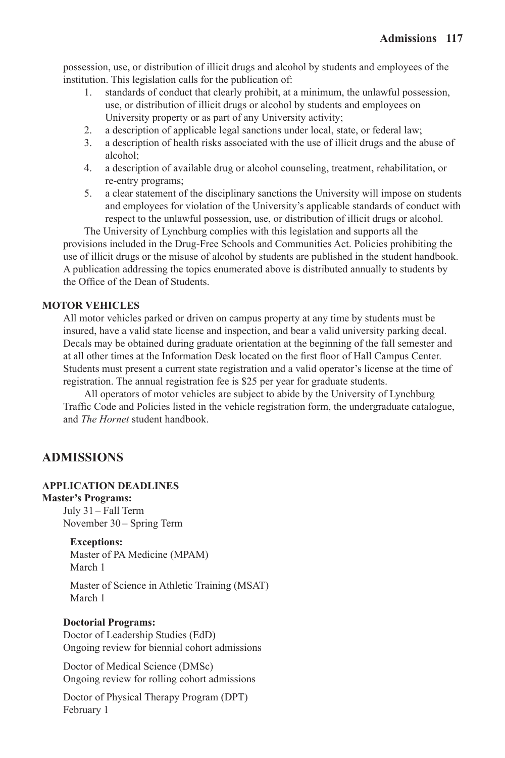possession, use, or distribution of illicit drugs and alcohol by students and employees of the institution. This legislation calls for the publication of:

- 1. standards of conduct that clearly prohibit, at a minimum, the unlawful possession, use, or distribution of illicit drugs or alcohol by students and employees on University property or as part of any University activity;
- 2. a description of applicable legal sanctions under local, state, or federal law;
- 3. a description of health risks associated with the use of illicit drugs and the abuse of alcohol;
- 4. a description of available drug or alcohol counseling, treatment, rehabilitation, or re-entry programs;
- 5. a clear statement of the disciplinary sanctions the University will impose on students and employees for violation of the University's applicable standards of conduct with respect to the unlawful possession, use, or distribution of illicit drugs or alcohol.

The University of Lynchburg complies with this legislation and supports all the provisions included in the Drug-Free Schools and Communities Act. Policies prohibiting the use of illicit drugs or the misuse of alcohol by students are published in the student handbook. A publication addressing the topics enumerated above is distributed annually to students by the Office of the Dean of Students.

### **MOTOR VEHICLES**

All motor vehicles parked or driven on campus property at any time by students must be insured, have a valid state license and inspection, and bear a valid university parking decal. Decals may be obtained during graduate orientation at the beginning of the fall semester and at all other times at the Information Desk located on the first floor of Hall Campus Center. Students must present a current state registration and a valid operator's license at the time of registration. The annual registration fee is \$25 per year for graduate students.

All operators of motor vehicles are subject to abide by the University of Lynchburg Traffic Code and Policies listed in the vehicle registration form, the undergraduate catalogue, and *The Hornet* student handbook.

### **ADMISSIONS**

### **APPLICATION DEADLINES**

#### **Master's Programs:**

July 31 – Fall Term November 30 – Spring Term

#### **Exceptions:**

Master of PA Medicine (MPAM) March 1

Master of Science in Athletic Training (MSAT) March 1

### **Doctorial Programs:**

Doctor of Leadership Studies (EdD) Ongoing review for biennial cohort admissions

Doctor of Medical Science (DMSc) Ongoing review for rolling cohort admissions

Doctor of Physical Therapy Program (DPT) February 1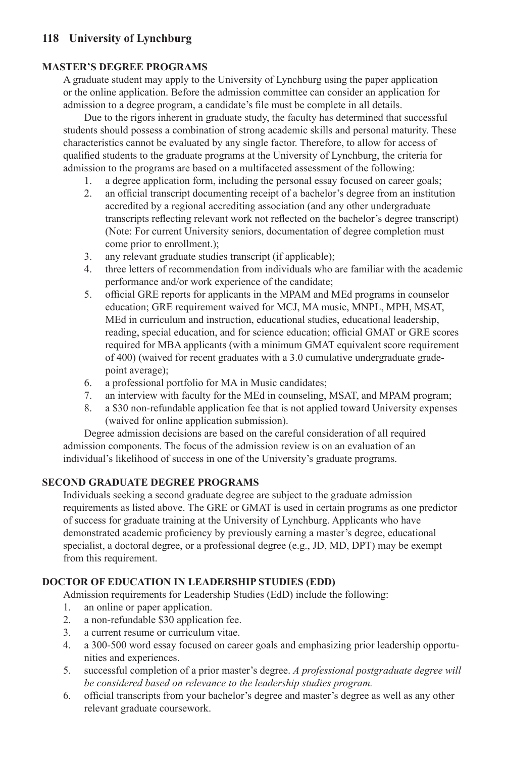### **MASTER'S DEGREE PROGRAMS**

A graduate student may apply to the University of Lynchburg using the paper application or the online application. Before the admission committee can consider an application for admission to a degree program, a candidate's file must be complete in all details.

Due to the rigors inherent in graduate study, the faculty has determined that successful students should possess a combination of strong academic skills and personal maturity. These characteristics cannot be evaluated by any single factor. Therefore, to allow for access of qualified students to the graduate programs at the University of Lynchburg, the criteria for admission to the programs are based on a multifaceted assessment of the following:

- 1. a degree application form, including the personal essay focused on career goals;
- 2. an official transcript documenting receipt of a bachelor's degree from an institution accredited by a regional accrediting association (and any other undergraduate transcripts reflecting relevant work not reflected on the bachelor's degree transcript) (Note: For current University seniors, documentation of degree completion must come prior to enrollment.);
- 3. any relevant graduate studies transcript (if applicable);
- 4. three letters of recommendation from individuals who are familiar with the academic performance and/or work experience of the candidate;
- 5. official GRE reports for applicants in the MPAM and MEd programs in counselor education; GRE requirement waived for MCJ, MA music, MNPL, MPH, MSAT, MEd in curriculum and instruction, educational studies, educational leadership, reading, special education, and for science education; official GMAT or GRE scores required for MBA applicants (with a minimum GMAT equivalent score requirement of 400) (waived for recent graduates with a 3.0 cumulative undergraduate gradepoint average);
- 6. a professional portfolio for MA in Music candidates;
- 7. an interview with faculty for the MEd in counseling, MSAT, and MPAM program;
- 8. a \$30 non-refundable application fee that is not applied toward University expenses (waived for online application submission).

Degree admission decisions are based on the careful consideration of all required admission components. The focus of the admission review is on an evaluation of an individual's likelihood of success in one of the University's graduate programs.

### **SECOND GRADUATE DEGREE PROGRAMS**

Individuals seeking a second graduate degree are subject to the graduate admission requirements as listed above. The GRE or GMAT is used in certain programs as one predictor of success for graduate training at the University of Lynchburg. Applicants who have demonstrated academic proficiency by previously earning a master's degree, educational specialist, a doctoral degree, or a professional degree (e.g., JD, MD, DPT) may be exempt from this requirement.

### **DOCTOR OF EDUCATION IN LEADERSHIP STUDIES (EDD)**

Admission requirements for Leadership Studies (EdD) include the following:

- 1. an online or paper application.
- 2. a non-refundable \$30 application fee.
- 3. a current resume or curriculum vitae.
- 4. a 300-500 word essay focused on career goals and emphasizing prior leadership opportunities and experiences.
- 5. successful completion of a prior master's degree. *A professional postgraduate degree will be considered based on relevance to the leadership studies program.*
- 6. official transcripts from your bachelor's degree and master's degree as well as any other relevant graduate coursework.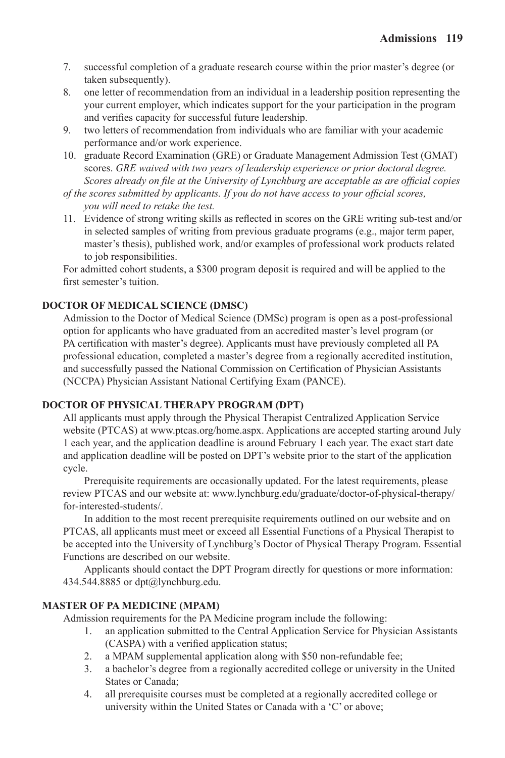- 7. successful completion of a graduate research course within the prior master's degree (or taken subsequently).
- 8. one letter of recommendation from an individual in a leadership position representing the your current employer, which indicates support for the your participation in the program and verifies capacity for successful future leadership.
- 9. two letters of recommendation from individuals who are familiar with your academic performance and/or work experience.
- 10. graduate Record Examination (GRE) or Graduate Management Admission Test (GMAT) scores. *GRE waived with two years of leadership experience or prior doctoral degree. Scores already on file at the University of Lynchburg are acceptable as are official copies*
- *of the scores submitted by applicants. If you do not have access to your official scores, you will need to retake the test.*
- 11. Evidence of strong writing skills as reflected in scores on the GRE writing sub-test and/or in selected samples of writing from previous graduate programs (e.g., major term paper, master's thesis), published work, and/or examples of professional work products related to job responsibilities.

For admitted cohort students, a \$300 program deposit is required and will be applied to the first semester's tuition.

### **DOCTOR OF MEDICAL SCIENCE (DMSC)**

Admission to the Doctor of Medical Science (DMSc) program is open as a post-professional option for applicants who have graduated from an accredited master's level program (or PA certification with master's degree). Applicants must have previously completed all PA professional education, completed a master's degree from a regionally accredited institution, and successfully passed the National Commission on Certification of Physician Assistants (NCCPA) Physician Assistant National Certifying Exam (PANCE).

#### **DOCTOR OF PHYSICAL THERAPY PROGRAM (DPT)**

All applicants must apply through the Physical Therapist Centralized Application Service website (PTCAS) at www.ptcas.org/home.aspx. Applications are accepted starting around July 1 each year, and the application deadline is around February 1 each year. The exact start date and application deadline will be posted on DPT's website prior to the start of the application cycle.

Prerequisite requirements are occasionally updated. For the latest requirements, please review PTCAS and our website at: www.lynchburg.edu/graduate/doctor-of-physical-therapy/ for-interested-students/.

In addition to the most recent prerequisite requirements outlined on our website and on PTCAS, all applicants must meet or exceed all Essential Functions of a Physical Therapist to be accepted into the University of Lynchburg's Doctor of Physical Therapy Program. Essential Functions are described on our website.

Applicants should contact the DPT Program directly for questions or more information: 434.544.8885 or dpt@lynchburg.edu.

#### **MASTER OF PA MEDICINE (MPAM)**

Admission requirements for the PA Medicine program include the following:

- 1. an application submitted to the Central Application Service for Physician Assistants (CASPA) with a verified application status;
- 2. a MPAM supplemental application along with \$50 non-refundable fee;
- 3. a bachelor's degree from a regionally accredited college or university in the United States or Canada;
- 4. all prerequisite courses must be completed at a regionally accredited college or university within the United States or Canada with a 'C' or above;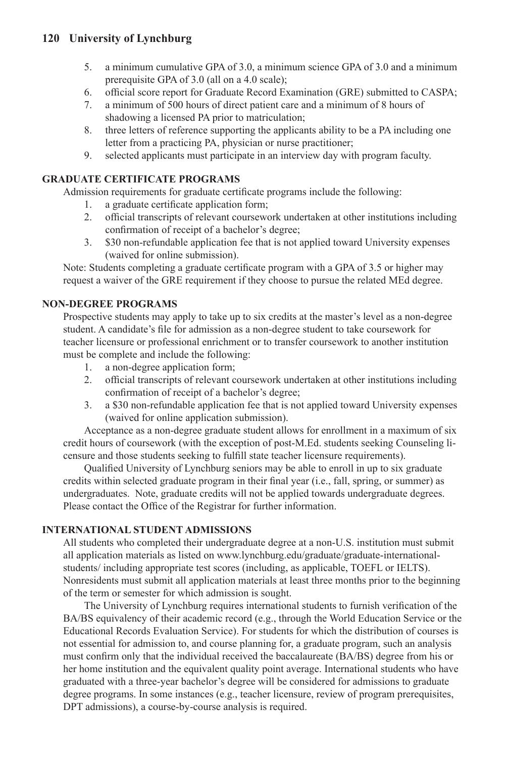- 5. a minimum cumulative GPA of 3.0, a minimum science GPA of 3.0 and a minimum prerequisite GPA of 3.0 (all on a 4.0 scale);
- 6. official score report for Graduate Record Examination (GRE) submitted to CASPA;
- 7. a minimum of 500 hours of direct patient care and a minimum of 8 hours of shadowing a licensed PA prior to matriculation;
- 8. three letters of reference supporting the applicants ability to be a PA including one letter from a practicing PA, physician or nurse practitioner;
- 9. selected applicants must participate in an interview day with program faculty.

### **GRADUATE CERTIFICATE PROGRAMS**

Admission requirements for graduate certificate programs include the following:

- 1. a graduate certificate application form;
- 2. official transcripts of relevant coursework undertaken at other institutions including confirmation of receipt of a bachelor's degree;
- 3. \$30 non-refundable application fee that is not applied toward University expenses (waived for online submission).

Note: Students completing a graduate certificate program with a GPA of 3.5 or higher may request a waiver of the GRE requirement if they choose to pursue the related MEd degree.

### **NON-DEGREE PROGRAMS**

Prospective students may apply to take up to six credits at the master's level as a non-degree student. A candidate's file for admission as a non-degree student to take coursework for teacher licensure or professional enrichment or to transfer coursework to another institution must be complete and include the following:

- 1. a non-degree application form;
- 2. official transcripts of relevant coursework undertaken at other institutions including confirmation of receipt of a bachelor's degree;
- 3. a \$30 non-refundable application fee that is not applied toward University expenses (waived for online application submission).

Acceptance as a non-degree graduate student allows for enrollment in a maximum of six credit hours of coursework (with the exception of post-M.Ed. students seeking Counseling licensure and those students seeking to fulfill state teacher licensure requirements).

Qualified University of Lynchburg seniors may be able to enroll in up to six graduate credits within selected graduate program in their final year (i.e., fall, spring, or summer) as undergraduates. Note, graduate credits will not be applied towards undergraduate degrees. Please contact the Office of the Registrar for further information.

### **INTERNATIONAL STUDENT ADMISSIONS**

All students who completed their undergraduate degree at a non-U.S. institution must submit all application materials as listed on www.lynchburg.edu/graduate/graduate-internationalstudents/ including appropriate test scores (including, as applicable, TOEFL or IELTS). Nonresidents must submit all application materials at least three months prior to the beginning of the term or semester for which admission is sought.

The University of Lynchburg requires international students to furnish verification of the BA/BS equivalency of their academic record (e.g., through the World Education Service or the Educational Records Evaluation Service). For students for which the distribution of courses is not essential for admission to, and course planning for, a graduate program, such an analysis must confirm only that the individual received the baccalaureate (BA/BS) degree from his or her home institution and the equivalent quality point average. International students who have graduated with a three-year bachelor's degree will be considered for admissions to graduate degree programs. In some instances (e.g., teacher licensure, review of program prerequisites, DPT admissions), a course-by-course analysis is required.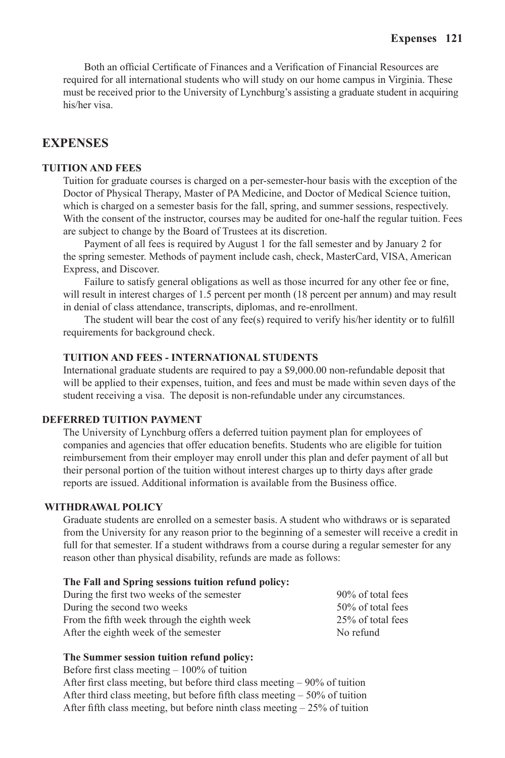Both an official Certificate of Finances and a Verification of Financial Resources are required for all international students who will study on our home campus in Virginia. These must be received prior to the University of Lynchburg's assisting a graduate student in acquiring his/her visa.

# **EXPENSES**

### **TUITION AND FEES**

Tuition for graduate courses is charged on a per-semester-hour basis with the exception of the Doctor of Physical Therapy, Master of PA Medicine, and Doctor of Medical Science tuition, which is charged on a semester basis for the fall, spring, and summer sessions, respectively. With the consent of the instructor, courses may be audited for one-half the regular tuition. Fees are subject to change by the Board of Trustees at its discretion.

Payment of all fees is required by August 1 for the fall semester and by January 2 for the spring semester. Methods of payment include cash, check, MasterCard, VISA, American Express, and Discover.

Failure to satisfy general obligations as well as those incurred for any other fee or fine, will result in interest charges of 1.5 percent per month (18 percent per annum) and may result in denial of class attendance, transcripts, diplomas, and re-enrollment.

The student will bear the cost of any fee(s) required to verify his/her identity or to fulfill requirements for background check.

### **TUITION AND FEES - INTERNATIONAL STUDENTS**

International graduate students are required to pay a \$9,000.00 non-refundable deposit that will be applied to their expenses, tuition, and fees and must be made within seven days of the student receiving a visa. The deposit is non-refundable under any circumstances.

#### **DEFERRED TUITION PAYMENT**

The University of Lynchburg offers a deferred tuition payment plan for employees of companies and agencies that offer education benefits. Students who are eligible for tuition reimbursement from their employer may enroll under this plan and defer payment of all but their personal portion of the tuition without interest charges up to thirty days after grade reports are issued. Additional information is available from the Business office.

### **WITHDRAWAL POLICY**

Graduate students are enrolled on a semester basis. A student who withdraws or is separated from the University for any reason prior to the beginning of a semester will receive a credit in full for that semester. If a student withdraws from a course during a regular semester for any reason other than physical disability, refunds are made as follows:

#### **The Fall and Spring sessions tuition refund policy:**

During the first two weeks of the semester 90% of total fees During the second two weeks 50% of total fees From the fifth week through the eighth week 25% of total fees After the eighth week of the semester No refund

### **The Summer session tuition refund policy:**

Before first class meeting – 100% of tuition After first class meeting, but before third class meeting – 90% of tuition After third class meeting, but before fifth class meeting – 50% of tuition After fifth class meeting, but before ninth class meeting  $-25%$  of tuition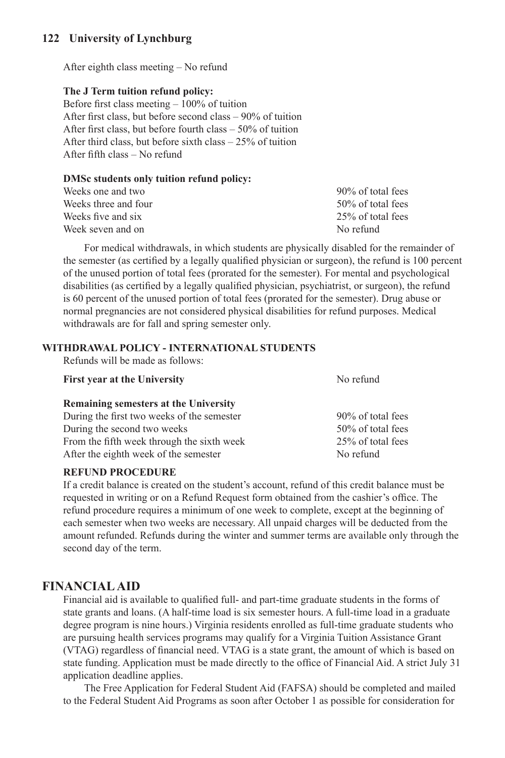After eighth class meeting – No refund

### **The J Term tuition refund policy:**

Before first class meeting – 100% of tuition After first class, but before second class – 90% of tuition After first class, but before fourth class – 50% of tuition After third class, but before sixth class – 25% of tuition After fifth class – No refund

#### **DMSc students only tuition refund policy:**

Weeks one and two 90% of total fees Weeks three and four the same state of the state of the S0% of total fees Weeks five and six 25% of total fees Week seven and on No refund

For medical withdrawals, in which students are physically disabled for the remainder of the semester (as certified by a legally qualified physician or surgeon), the refund is 100 percent of the unused portion of total fees (prorated for the semester). For mental and psychological disabilities (as certified by a legally qualified physician, psychiatrist, or surgeon), the refund is 60 percent of the unused portion of total fees (prorated for the semester). Drug abuse or normal pregnancies are not considered physical disabilities for refund purposes. Medical withdrawals are for fall and spring semester only.

### **WITHDRAWAL POLICY - INTERNATIONAL STUDENTS**

Refunds will be made as follows:

| <b>First year at the University</b>        | No refund         |
|--------------------------------------------|-------------------|
| Remaining semesters at the University      |                   |
| During the first two weeks of the semester | 90% of total fees |
| During the second two weeks                | 50% of total fees |
| From the fifth week through the sixth week | 25% of total fees |
| After the eighth week of the semester      | No refund         |

#### **REFUND PROCEDURE**

If a credit balance is created on the student's account, refund of this credit balance must be requested in writing or on a Refund Request form obtained from the cashier's office. The refund procedure requires a minimum of one week to complete, except at the beginning of each semester when two weeks are necessary. All unpaid charges will be deducted from the amount refunded. Refunds during the winter and summer terms are available only through the second day of the term.

### **FINANCIAL AID**

Financial aid is available to qualified full- and part-time graduate students in the forms of state grants and loans. (A half-time load is six semester hours. A full-time load in a graduate degree program is nine hours.) Virginia residents enrolled as full-time graduate students who are pursuing health services programs may qualify for a Virginia Tuition Assistance Grant (VTAG) regardless of financial need. VTAG is a state grant, the amount of which is based on state funding. Application must be made directly to the office of Financial Aid. A strict July 31 application deadline applies.

The Free Application for Federal Student Aid (FAFSA) should be completed and mailed to the Federal Student Aid Programs as soon after October 1 as possible for consideration for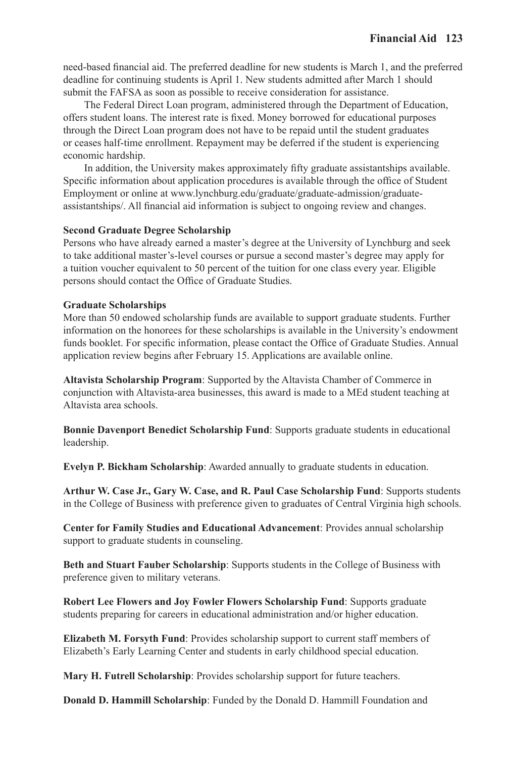need-based financial aid. The preferred deadline for new students is March 1, and the preferred deadline for continuing students is April 1. New students admitted after March 1 should submit the FAFSA as soon as possible to receive consideration for assistance.

The Federal Direct Loan program, administered through the Department of Education, offers student loans. The interest rate is fixed. Money borrowed for educational purposes through the Direct Loan program does not have to be repaid until the student graduates or ceases half-time enrollment. Repayment may be deferred if the student is experiencing economic hardship.

In addition, the University makes approximately fifty graduate assistantships available. Specific information about application procedures is available through the office of Student Employment or online at www.lynchburg.edu/graduate/graduate-admission/graduateassistantships/. All financial aid information is subject to ongoing review and changes.

#### **Second Graduate Degree Scholarship**

Persons who have already earned a master's degree at the University of Lynchburg and seek to take additional master's-level courses or pursue a second master's degree may apply for a tuition voucher equivalent to 50 percent of the tuition for one class every year. Eligible persons should contact the Office of Graduate Studies.

### **Graduate Scholarships**

More than 50 endowed scholarship funds are available to support graduate students. Further information on the honorees for these scholarships is available in the University's endowment funds booklet. For specific information, please contact the Office of Graduate Studies. Annual application review begins after February 15. Applications are available online.

**Altavista Scholarship Program**: Supported by the Altavista Chamber of Commerce in conjunction with Altavista-area businesses, this award is made to a MEd student teaching at Altavista area schools.

**Bonnie Davenport Benedict Scholarship Fund**: Supports graduate students in educational leadership.

**Evelyn P. Bickham Scholarship**: Awarded annually to graduate students in education.

**Arthur W. Case Jr., Gary W. Case, and R. Paul Case Scholarship Fund**: Supports students in the College of Business with preference given to graduates of Central Virginia high schools.

**Center for Family Studies and Educational Advancement**: Provides annual scholarship support to graduate students in counseling.

**Beth and Stuart Fauber Scholarship**: Supports students in the College of Business with preference given to military veterans.

**Robert Lee Flowers and Joy Fowler Flowers Scholarship Fund**: Supports graduate students preparing for careers in educational administration and/or higher education.

**Elizabeth M. Forsyth Fund**: Provides scholarship support to current staff members of Elizabeth's Early Learning Center and students in early childhood special education.

**Mary H. Futrell Scholarship**: Provides scholarship support for future teachers.

**Donald D. Hammill Scholarship**: Funded by the Donald D. Hammill Foundation and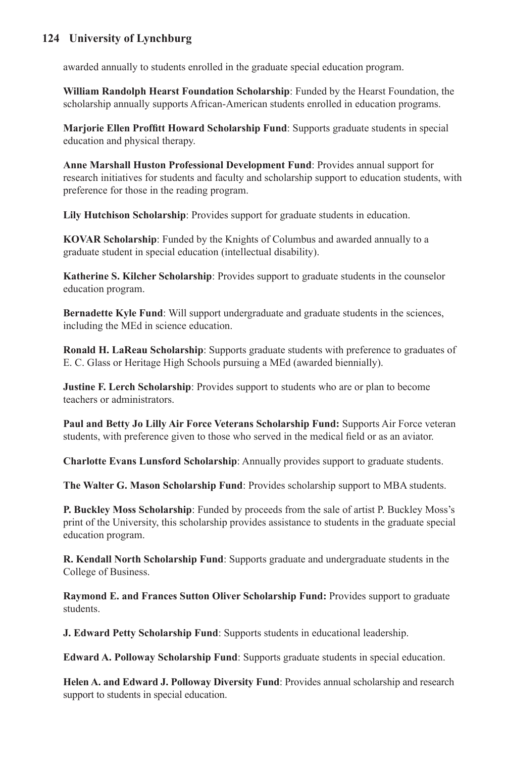awarded annually to students enrolled in the graduate special education program.

**William Randolph Hearst Foundation Scholarship**: Funded by the Hearst Foundation, the scholarship annually supports African-American students enrolled in education programs.

**Marjorie Ellen Proffitt Howard Scholarship Fund**: Supports graduate students in special education and physical therapy.

**Anne Marshall Huston Professional Development Fund**: Provides annual support for research initiatives for students and faculty and scholarship support to education students, with preference for those in the reading program.

**Lily Hutchison Scholarship**: Provides support for graduate students in education.

**KOVAR Scholarship**: Funded by the Knights of Columbus and awarded annually to a graduate student in special education (intellectual disability).

**Katherine S. Kilcher Scholarship**: Provides support to graduate students in the counselor education program.

**Bernadette Kyle Fund**: Will support undergraduate and graduate students in the sciences, including the MEd in science education.

**Ronald H. LaReau Scholarship**: Supports graduate students with preference to graduates of E. C. Glass or Heritage High Schools pursuing a MEd (awarded biennially).

**Justine F. Lerch Scholarship**: Provides support to students who are or plan to become teachers or administrators.

**Paul and Betty Jo Lilly Air Force Veterans Scholarship Fund:** Supports Air Force veteran students, with preference given to those who served in the medical field or as an aviator.

**Charlotte Evans Lunsford Scholarship**: Annually provides support to graduate students.

**The Walter G. Mason Scholarship Fund**: Provides scholarship support to MBA students.

**P. Buckley Moss Scholarship**: Funded by proceeds from the sale of artist P. Buckley Moss's print of the University, this scholarship provides assistance to students in the graduate special education program.

**R. Kendall North Scholarship Fund**: Supports graduate and undergraduate students in the College of Business.

**Raymond E. and Frances Sutton Oliver Scholarship Fund:** Provides support to graduate students.

**J. Edward Petty Scholarship Fund**: Supports students in educational leadership.

**Edward A. Polloway Scholarship Fund**: Supports graduate students in special education.

**Helen A. and Edward J. Polloway Diversity Fund**: Provides annual scholarship and research support to students in special education.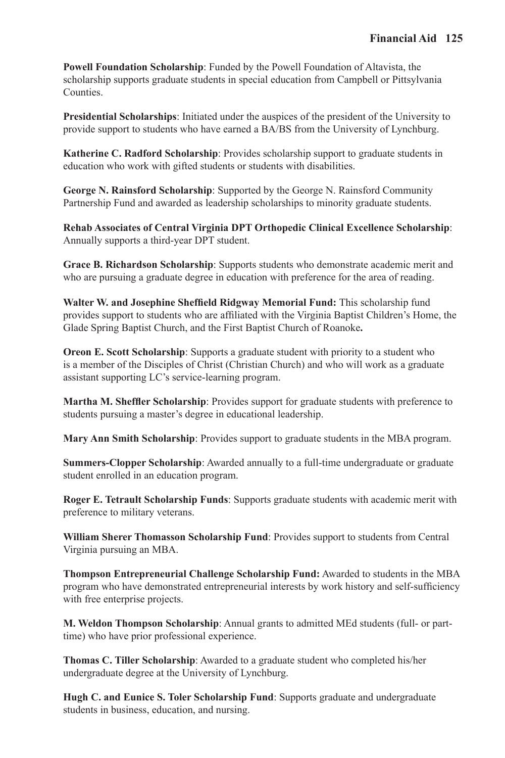**Powell Foundation Scholarship**: Funded by the Powell Foundation of Altavista, the scholarship supports graduate students in special education from Campbell or Pittsylvania Counties.

**Presidential Scholarships**: Initiated under the auspices of the president of the University to provide support to students who have earned a BA/BS from the University of Lynchburg.

**Katherine C. Radford Scholarship**: Provides scholarship support to graduate students in education who work with gifted students or students with disabilities.

**George N. Rainsford Scholarship**: Supported by the George N. Rainsford Community Partnership Fund and awarded as leadership scholarships to minority graduate students.

**Rehab Associates of Central Virginia DPT Orthopedic Clinical Excellence Scholarship**: Annually supports a third-year DPT student.

**Grace B. Richardson Scholarship**: Supports students who demonstrate academic merit and who are pursuing a graduate degree in education with preference for the area of reading.

**Walter W. and Josephine Sheffield Ridgway Memorial Fund:** This scholarship fund provides support to students who are affiliated with the Virginia Baptist Children's Home, the Glade Spring Baptist Church, and the First Baptist Church of Roanoke**.**

**Oreon E. Scott Scholarship**: Supports a graduate student with priority to a student who is a member of the Disciples of Christ (Christian Church) and who will work as a graduate assistant supporting LC's service-learning program.

**Martha M. Sheffler Scholarship**: Provides support for graduate students with preference to students pursuing a master's degree in educational leadership.

**Mary Ann Smith Scholarship**: Provides support to graduate students in the MBA program.

**Summers-Clopper Scholarship**: Awarded annually to a full-time undergraduate or graduate student enrolled in an education program.

**Roger E. Tetrault Scholarship Funds**: Supports graduate students with academic merit with preference to military veterans.

**William Sherer Thomasson Scholarship Fund**: Provides support to students from Central Virginia pursuing an MBA.

**Thompson Entrepreneurial Challenge Scholarship Fund:** Awarded to students in the MBA program who have demonstrated entrepreneurial interests by work history and self-sufficiency with free enterprise projects.

**M. Weldon Thompson Scholarship**: Annual grants to admitted MEd students (full- or parttime) who have prior professional experience.

**Thomas C. Tiller Scholarship**: Awarded to a graduate student who completed his/her undergraduate degree at the University of Lynchburg.

**Hugh C. and Eunice S. Toler Scholarship Fund**: Supports graduate and undergraduate students in business, education, and nursing.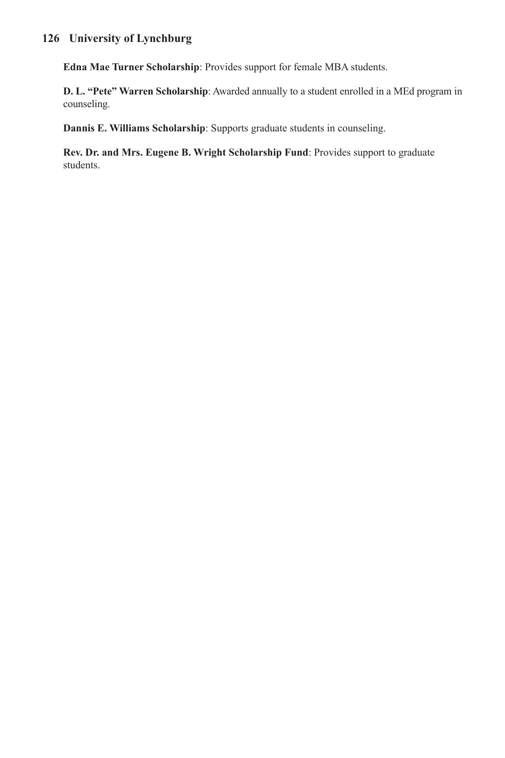**Edna Mae Turner Scholarship**: Provides support for female MBA students.

**D. L. "Pete" Warren Scholarship**: Awarded annually to a student enrolled in a MEd program in counseling.

**Dannis E. Williams Scholarship**: Supports graduate students in counseling.

**Rev. Dr. and Mrs. Eugene B. Wright Scholarship Fund**: Provides support to graduate students.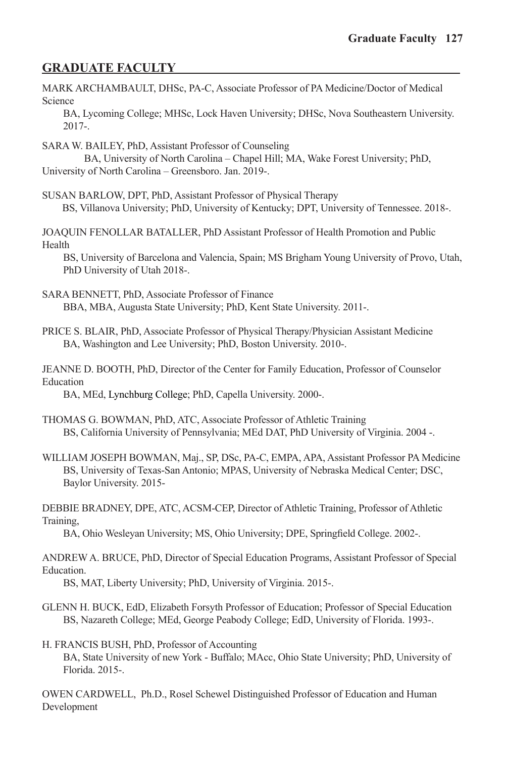# **GRADUATE FACULTY**

MARK ARCHAMBAULT, DHSc, PA-C, Associate Professor of PA Medicine/Doctor of Medical Science

BA, Lycoming College; MHSc, Lock Haven University; DHSc, Nova Southeastern University. 2017-.

SARA W. BAILEY, PhD, Assistant Professor of Counseling

BA, University of North Carolina – Chapel Hill; MA, Wake Forest University; PhD, University of North Carolina – Greensboro. Jan. 2019-.

SUSAN BARLOW, DPT, PhD, Assistant Professor of Physical Therapy BS, Villanova University; PhD, University of Kentucky; DPT, University of Tennessee. 2018-.

JOAQUIN FENOLLAR BATALLER, PhD Assistant Professor of Health Promotion and Public Health

BS, University of Barcelona and Valencia, Spain; MS Brigham Young University of Provo, Utah, PhD University of Utah 2018-.

- SARA BENNETT, PhD, Associate Professor of Finance BBA, MBA, Augusta State University; PhD, Kent State University. 2011-.
- PRICE S. BLAIR, PhD, Associate Professor of Physical Therapy/Physician Assistant Medicine BA, Washington and Lee University; PhD, Boston University. 2010-.

JEANNE D. BOOTH, PhD, Director of the Center for Family Education, Professor of Counselor Education

BA, MEd, Lynchburg College; PhD, Capella University. 2000-.

- THOMAS G. BOWMAN, PhD, ATC, Associate Professor of Athletic Training BS, California University of Pennsylvania; MEd DAT, PhD University of Virginia. 2004 -.
- WILLIAM JOSEPH BOWMAN, Maj., SP, DSc, PA-C, EMPA, APA, Assistant Professor PA Medicine BS, University of Texas-San Antonio; MPAS, University of Nebraska Medical Center; DSC, Baylor University. 2015-
- DEBBIE BRADNEY, DPE, ATC, ACSM-CEP, Director of Athletic Training, Professor of Athletic Training,

BA, Ohio Wesleyan University; MS, Ohio University; DPE, Springfield College. 2002-.

ANDREW A. BRUCE, PhD, Director of Special Education Programs, Assistant Professor of Special Education.

BS, MAT, Liberty University; PhD, University of Virginia. 2015-.

- GLENN H. BUCK, EdD, Elizabeth Forsyth Professor of Education; Professor of Special Education BS, Nazareth College; MEd, George Peabody College; EdD, University of Florida. 1993-.
- H. FRANCIS BUSH, PhD, Professor of Accounting BA, State University of new York - Buffalo; MAcc, Ohio State University; PhD, University of Florida. 2015-.

OWEN CARDWELL, Ph.D., Rosel Schewel Distinguished Professor of Education and Human Development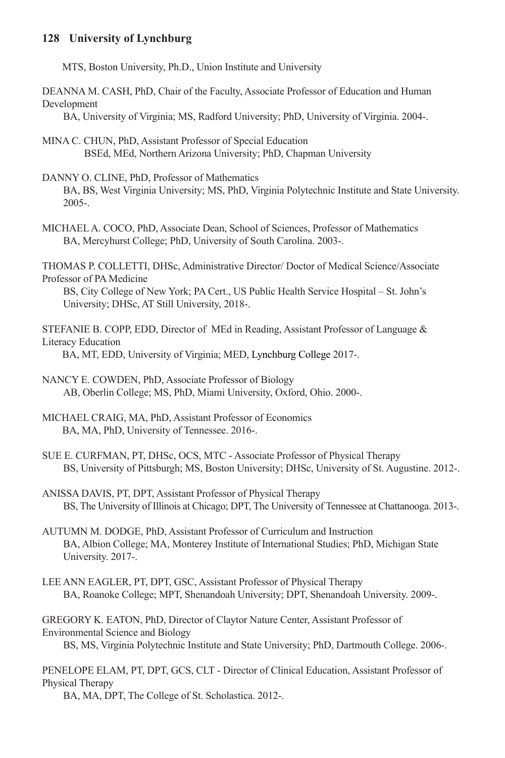MTS, Boston University, Ph.D., Union Institute and University

DEANNA M. CASH, PhD, Chair of the Faculty, Associate Professor of Education and Human Development

BA, University of Virginia; MS, Radford University; PhD, University of Virginia. 2004-.

- MINA C. CHUN, PhD, Assistant Professor of Special Education BSEd, MEd, Northern Arizona University; PhD, Chapman University
- DANNY O. CLINE, PhD, Professor of Mathematics BA, BS, West Virginia University; MS, PhD, Virginia Polytechnic Institute and State University. 2005-.
- MICHAEL A. COCO, PhD, Associate Dean, School of Sciences, Professor of Mathematics BA, Mercyhurst College; PhD, University of South Carolina. 2003-.

THOMAS P. COLLETTI, DHSc, Administrative Director/ Doctor of Medical Science/Associate Professor of PA Medicine

BS, City College of New York; PA Cert., US Public Health Service Hospital – St. John's University; DHSc, AT Still University, 2018-.

STEFANIE B. COPP, EDD, Director of MEd in Reading, Assistant Professor of Language & Literacy Education

BA, MT, EDD, University of Virginia; MED, Lynchburg College 2017-.

- NANCY E. COWDEN, PhD, Associate Professor of Biology AB, Oberlin College; MS, PhD, Miami University, Oxford, Ohio. 2000-.
- MICHAEL CRAIG, MA, PhD, Assistant Professor of Economics BA, MA, PhD, University of Tennessee. 2016-.
- SUE E. CURFMAN, PT, DHSc, OCS, MTC Associate Professor of Physical Therapy BS, University of Pittsburgh; MS, Boston University; DHSc, University of St. Augustine. 2012-.

ANISSA DAVIS, PT, DPT, Assistant Professor of Physical Therapy BS, The University of Illinois at Chicago; DPT, The University of Tennessee at Chattanooga. 2013-.

- AUTUMN M. DODGE, PhD, Assistant Professor of Curriculum and Instruction BA, Albion College; MA, Monterey Institute of International Studies; PhD, Michigan State University. 2017-.
- LEE ANN EAGLER, PT, DPT, GSC, Assistant Professor of Physical Therapy BA, Roanoke College; MPT, Shenandoah University; DPT, Shenandoah University. 2009-.

GREGORY K. EATON, PhD, Director of Claytor Nature Center, Assistant Professor of Environmental Science and Biology

BS, MS, Virginia Polytechnic Institute and State University; PhD, Dartmouth College. 2006-.

PENELOPE ELAM, PT, DPT, GCS, CLT - Director of Clinical Education, Assistant Professor of Physical Therapy

BA, MA, DPT, The College of St. Scholastica. 2012-.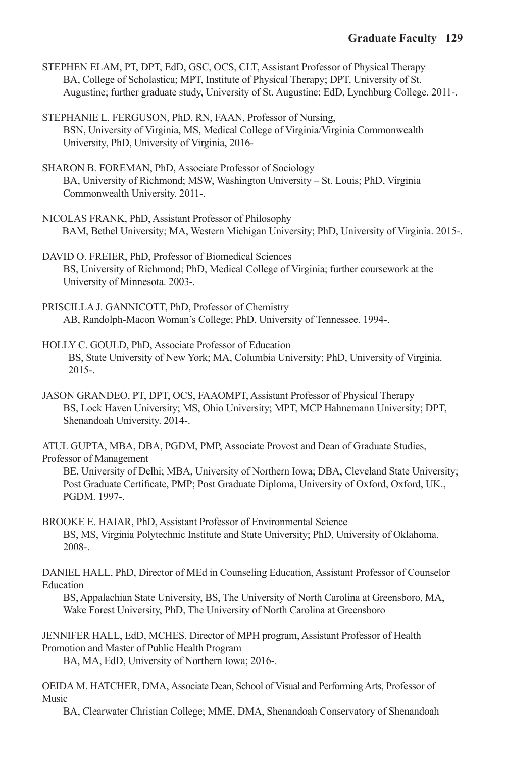- STEPHEN ELAM, PT, DPT, EdD, GSC, OCS, CLT, Assistant Professor of Physical Therapy BA, College of Scholastica; MPT, Institute of Physical Therapy; DPT, University of St. Augustine; further graduate study, University of St. Augustine; EdD, Lynchburg College. 2011-.
- STEPHANIE L. FERGUSON, PhD, RN, FAAN, Professor of Nursing, BSN, University of Virginia, MS, Medical College of Virginia/Virginia Commonwealth University, PhD, University of Virginia, 2016-
- SHARON B. FOREMAN, PhD, Associate Professor of Sociology BA, University of Richmond; MSW, Washington University – St. Louis; PhD, Virginia Commonwealth University. 2011-.
- NICOLAS FRANK, PhD, Assistant Professor of Philosophy BAM, Bethel University; MA, Western Michigan University; PhD, University of Virginia. 2015-.
- DAVID O. FREIER, PhD, Professor of Biomedical Sciences BS, University of Richmond; PhD, Medical College of Virginia; further coursework at the University of Minnesota. 2003-.
- PRISCILLA J. GANNICOTT, PhD, Professor of Chemistry AB, Randolph-Macon Woman's College; PhD, University of Tennessee. 1994-.
- HOLLY C. GOULD, PhD, Associate Professor of Education BS, State University of New York; MA, Columbia University; PhD, University of Virginia. 2015-.
- JASON GRANDEO, PT, DPT, OCS, FAAOMPT, Assistant Professor of Physical Therapy BS, Lock Haven University; MS, Ohio University; MPT, MCP Hahnemann University; DPT, Shenandoah University. 2014-.

ATUL GUPTA, MBA, DBA, PGDM, PMP, Associate Provost and Dean of Graduate Studies, Professor of Management

BE, University of Delhi; MBA, University of Northern Iowa; DBA, Cleveland State University; Post Graduate Certificate, PMP; Post Graduate Diploma, University of Oxford, Oxford, UK., PGDM. 1997-.

BROOKE E. HAIAR, PhD, Assistant Professor of Environmental Science BS, MS, Virginia Polytechnic Institute and State University; PhD, University of Oklahoma. 2008-.

DANIEL HALL, PhD, Director of MEd in Counseling Education, Assistant Professor of Counselor Education

BS, Appalachian State University, BS, The University of North Carolina at Greensboro, MA, Wake Forest University, PhD, The University of North Carolina at Greensboro

JENNIFER HALL, EdD, MCHES, Director of MPH program, Assistant Professor of Health Promotion and Master of Public Health Program

BA, MA, EdD, University of Northern Iowa; 2016-.

OEIDA M. HATCHER, DMA, Associate Dean, School of Visual and Performing Arts, Professor of Music

BA, Clearwater Christian College; MME, DMA, Shenandoah Conservatory of Shenandoah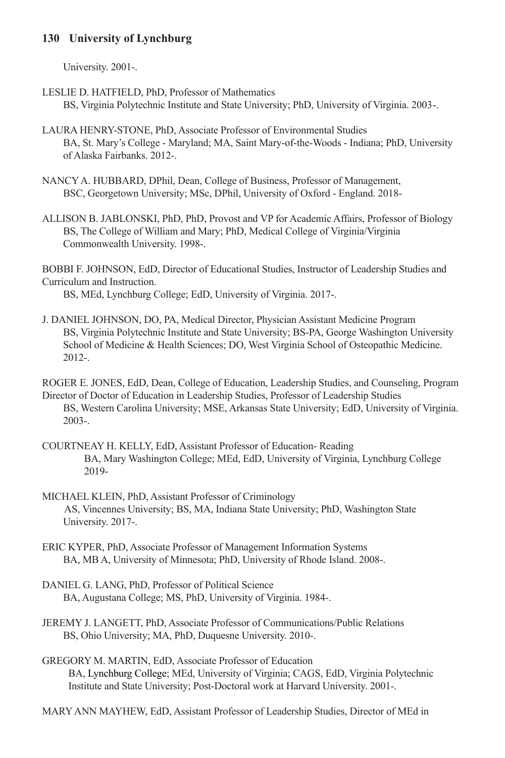University. 2001-.

- LESLIE D. HATFIELD, PhD, Professor of Mathematics BS, Virginia Polytechnic Institute and State University; PhD, University of Virginia. 2003-.
- LAURA HENRY-STONE, PhD, Associate Professor of Environmental Studies BA, St. Mary's College - Maryland; MA, Saint Mary-of-the-Woods - Indiana; PhD, University of Alaska Fairbanks. 2012-.
- NANCY A. HUBBARD, DPhil, Dean, College of Business, Professor of Management, BSC, Georgetown University; MSc, DPhil, University of Oxford - England. 2018-
- ALLISON B. JABLONSKI, PhD, PhD, Provost and VP for Academic Affairs, Professor of Biology BS, The College of William and Mary; PhD, Medical College of Virginia/Virginia Commonwealth University. 1998-.
- BOBBI F. JOHNSON, EdD, Director of Educational Studies, Instructor of Leadership Studies and Curriculum and Instruction.

BS, MEd, Lynchburg College; EdD, University of Virginia. 2017-.

- J. DANIEL JOHNSON, DO, PA, Medical Director, Physician Assistant Medicine Program BS, Virginia Polytechnic Institute and State University; BS-PA, George Washington University School of Medicine & Health Sciences; DO, West Virginia School of Osteopathic Medicine. 2012-.
- ROGER E. JONES, EdD, Dean, College of Education, Leadership Studies, and Counseling, Program Director of Doctor of Education in Leadership Studies, Professor of Leadership Studies BS, Western Carolina University; MSE, Arkansas State University; EdD, University of Virginia. 2003-.
- COURTNEAY H. KELLY, EdD, Assistant Professor of Education- Reading BA, Mary Washington College; MEd, EdD, University of Virginia, Lynchburg College 2019-
- MICHAEL KLEIN, PhD, Assistant Professor of Criminology AS, Vincennes University; BS, MA, Indiana State University; PhD, Washington State University. 2017-.
- ERIC KYPER, PhD, Associate Professor of Management Information Systems BA, MB A, University of Minnesota; PhD, University of Rhode Island. 2008-.
- DANIEL G. LANG, PhD, Professor of Political Science BA, Augustana College; MS, PhD, University of Virginia. 1984-.
- JEREMY J. LANGETT, PhD, Associate Professor of Communications/Public Relations BS, Ohio University; MA, PhD, Duquesne University. 2010-.
- GREGORY M. MARTIN, EdD, Associate Professor of Education BA, Lynchburg College; MEd, University of Virginia; CAGS, EdD, Virginia Polytechnic Institute and State University; Post-Doctoral work at Harvard University. 2001-.

MARY ANN MAYHEW, EdD, Assistant Professor of Leadership Studies, Director of MEd in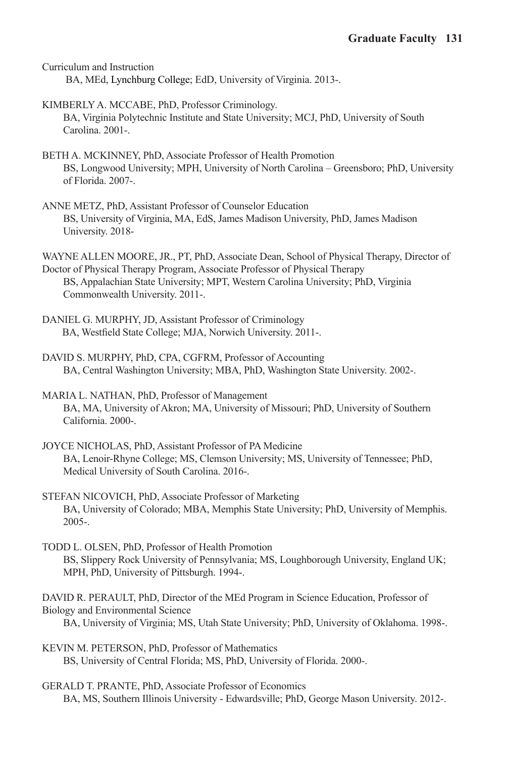Curriculum and Instruction

BA, MEd, Lynchburg College; EdD, University of Virginia. 2013-.

- KIMBERLY A. MCCABE, PhD, Professor Criminology. BA, Virginia Polytechnic Institute and State University; MCJ, PhD, University of South Carolina. 2001-.
- BETH A. MCKINNEY, PhD, Associate Professor of Health Promotion BS, Longwood University; MPH, University of North Carolina – Greensboro; PhD, University of Florida. 2007-.
- ANNE METZ, PhD, Assistant Professor of Counselor Education BS, University of Virginia, MA, EdS, James Madison University, PhD, James Madison University. 2018-

WAYNE ALLEN MOORE, JR., PT, PhD, Associate Dean, School of Physical Therapy, Director of Doctor of Physical Therapy Program, Associate Professor of Physical Therapy BS, Appalachian State University; MPT, Western Carolina University; PhD, Virginia Commonwealth University. 2011-.

- DANIEL G. MURPHY, JD, Assistant Professor of Criminology BA, Westfield State College; MJA, Norwich University. 2011-.
- DAVID S. MURPHY, PhD, CPA, CGFRM, Professor of Accounting BA, Central Washington University; MBA, PhD, Washington State University. 2002-.
- MARIA L. NATHAN, PhD, Professor of Management BA, MA, University of Akron; MA, University of Missouri; PhD, University of Southern California. 2000-.
- JOYCE NICHOLAS, PhD, Assistant Professor of PA Medicine BA, Lenoir-Rhyne College; MS, Clemson University; MS, University of Tennessee; PhD, Medical University of South Carolina. 2016-.
- STEFAN NICOVICH, PhD, Associate Professor of Marketing BA, University of Colorado; MBA, Memphis State University; PhD, University of Memphis. 2005-.
- TODD L. OLSEN, PhD, Professor of Health Promotion BS, Slippery Rock University of Pennsylvania; MS, Loughborough University, England UK; MPH, PhD, University of Pittsburgh. 1994-.

DAVID R. PERAULT, PhD, Director of the MEd Program in Science Education, Professor of Biology and Environmental Science BA, University of Virginia; MS, Utah State University; PhD, University of Oklahoma. 1998-.

- KEVIN M. PETERSON, PhD, Professor of Mathematics BS, University of Central Florida; MS, PhD, University of Florida. 2000-.
- GERALD T. PRANTE, PhD, Associate Professor of Economics BA, MS, Southern Illinois University - Edwardsville; PhD, George Mason University. 2012-.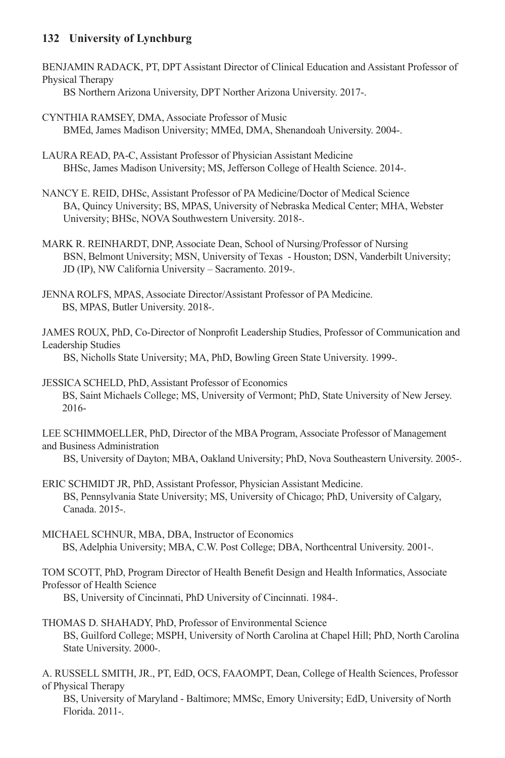BENJAMIN RADACK, PT, DPT Assistant Director of Clinical Education and Assistant Professor of Physical Therapy

BS Northern Arizona University, DPT Norther Arizona University. 2017-.

- CYNTHIA RAMSEY, DMA, Associate Professor of Music BMEd, James Madison University; MMEd, DMA, Shenandoah University. 2004-.
- LAURA READ, PA-C, Assistant Professor of Physician Assistant Medicine BHSc, James Madison University; MS, Jefferson College of Health Science. 2014-.
- NANCY E. REID, DHSc, Assistant Professor of PA Medicine/Doctor of Medical Science BA, Quincy University; BS, MPAS, University of Nebraska Medical Center; MHA, Webster University; BHSc, NOVA Southwestern University. 2018-.
- MARK R. REINHARDT, DNP, Associate Dean, School of Nursing/Professor of Nursing BSN, Belmont University; MSN, University of Texas - Houston; DSN, Vanderbilt University; JD (IP), NW California University – Sacramento. 2019-.
- JENNA ROLFS, MPAS, Associate Director/Assistant Professor of PA Medicine. BS, MPAS, Butler University. 2018-.

JAMES ROUX, PhD, Co-Director of Nonprofit Leadership Studies, Professor of Communication and Leadership Studies

BS, Nicholls State University; MA, PhD, Bowling Green State University. 1999-.

JESSICA SCHELD, PhD, Assistant Professor of Economics BS, Saint Michaels College; MS, University of Vermont; PhD, State University of New Jersey. 2016-

LEE SCHIMMOELLER, PhD, Director of the MBA Program, Associate Professor of Management and Business Administration

BS, University of Dayton; MBA, Oakland University; PhD, Nova Southeastern University. 2005-.

- ERIC SCHMIDT JR, PhD, Assistant Professor, Physician Assistant Medicine. BS, Pennsylvania State University; MS, University of Chicago; PhD, University of Calgary, Canada. 2015-.
- MICHAEL SCHNUR, MBA, DBA, Instructor of Economics BS, Adelphia University; MBA, C.W. Post College; DBA, Northcentral University. 2001-.
- TOM SCOTT, PhD, Program Director of Health Benefit Design and Health Informatics, Associate Professor of Health Science

BS, University of Cincinnati, PhD University of Cincinnati. 1984-.

THOMAS D. SHAHADY, PhD, Professor of Environmental Science BS, Guilford College; MSPH, University of North Carolina at Chapel Hill; PhD, North Carolina State University. 2000-.

A. RUSSELL SMITH, JR., PT, EdD, OCS, FAAOMPT, Dean, College of Health Sciences, Professor of Physical Therapy

BS, University of Maryland - Baltimore; MMSc, Emory University; EdD, University of North Florida. 2011-.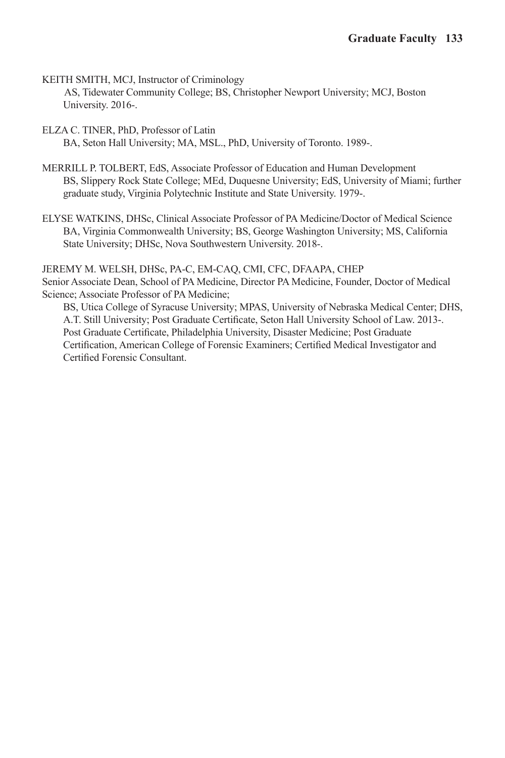KEITH SMITH, MCJ, Instructor of Criminology

 AS, Tidewater Community College; BS, Christopher Newport University; MCJ, Boston University. 2016-.

- ELZA C. TINER, PhD, Professor of Latin BA, Seton Hall University; MA, MSL., PhD, University of Toronto. 1989-.
- MERRILL P. TOLBERT, EdS, Associate Professor of Education and Human Development BS, Slippery Rock State College; MEd, Duquesne University; EdS, University of Miami; further graduate study, Virginia Polytechnic Institute and State University. 1979-.
- ELYSE WATKINS, DHSc, Clinical Associate Professor of PA Medicine/Doctor of Medical Science BA, Virginia Commonwealth University; BS, George Washington University; MS, California State University; DHSc, Nova Southwestern University. 2018-.

JEREMY M. WELSH, DHSc, PA-C, EM-CAQ, CMI, CFC, DFAAPA, CHEP Senior Associate Dean, School of PA Medicine, Director PA Medicine, Founder, Doctor of Medical Science; Associate Professor of PA Medicine;

BS, Utica College of Syracuse University; MPAS, University of Nebraska Medical Center; DHS, A.T. Still University; Post Graduate Certificate, Seton Hall University School of Law. 2013-. Post Graduate Certificate, Philadelphia University, Disaster Medicine; Post Graduate Certification, American College of Forensic Examiners; Certified Medical Investigator and Certified Forensic Consultant.